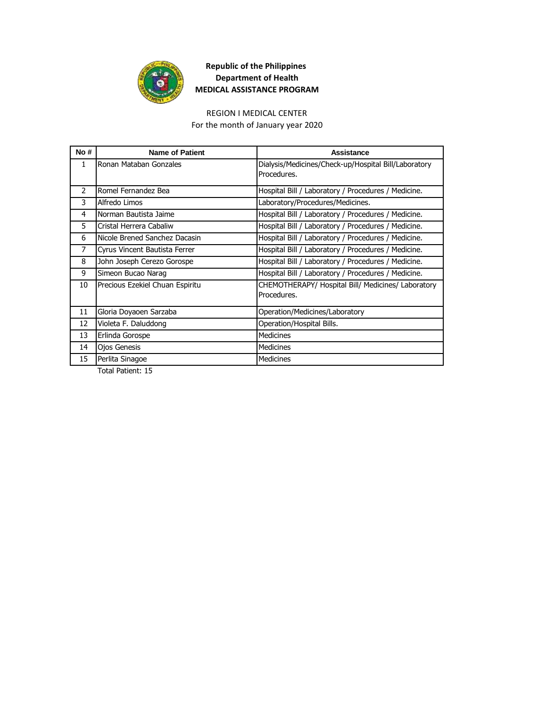

### REGION I MEDICAL CENTER

For the month of January year 2020

| Ronan Mataban Gonzales<br>Dialysis/Medicines/Check-up/Hospital Bill/Laboratory<br>1<br>Procedures.<br>2<br>Romel Fernandez Bea<br>Hospital Bill / Laboratory / Procedures / Medicine.<br>3<br>Alfredo Limos<br>Laboratory/Procedures/Medicines.<br>Norman Bautista Jaime<br>Hospital Bill / Laboratory / Procedures / Medicine.<br>4<br>5<br>Cristal Herrera Cabaliw<br>Hospital Bill / Laboratory / Procedures / Medicine.<br>Nicole Brened Sanchez Dacasin<br>Hospital Bill / Laboratory / Procedures / Medicine.<br>6<br>7<br>Hospital Bill / Laboratory / Procedures / Medicine.<br>Cyrus Vincent Bautista Ferrer<br>8<br>John Joseph Cerezo Gorospe<br>Hospital Bill / Laboratory / Procedures / Medicine.<br>9<br>Simeon Bucao Narag<br>Hospital Bill / Laboratory / Procedures / Medicine.<br>10<br>Precious Ezekiel Chuan Espiritu<br>CHEMOTHERAPY/ Hospital Bill/ Medicines/ Laboratory<br>Procedures.<br>11<br>Gloria Doyaoen Sarzaba<br>Operation/Medicines/Laboratory<br>12<br>Violeta F. Daluddong<br>Operation/Hospital Bills.<br>13<br><b>Medicines</b><br>Erlinda Gorospe<br><b>Medicines</b><br>14<br><b>Ojos Genesis</b> | No# | <b>Name of Patient</b> | Assistance       |
|--------------------------------------------------------------------------------------------------------------------------------------------------------------------------------------------------------------------------------------------------------------------------------------------------------------------------------------------------------------------------------------------------------------------------------------------------------------------------------------------------------------------------------------------------------------------------------------------------------------------------------------------------------------------------------------------------------------------------------------------------------------------------------------------------------------------------------------------------------------------------------------------------------------------------------------------------------------------------------------------------------------------------------------------------------------------------------------------------------------------------------------------|-----|------------------------|------------------|
|                                                                                                                                                                                                                                                                                                                                                                                                                                                                                                                                                                                                                                                                                                                                                                                                                                                                                                                                                                                                                                                                                                                                            |     |                        |                  |
|                                                                                                                                                                                                                                                                                                                                                                                                                                                                                                                                                                                                                                                                                                                                                                                                                                                                                                                                                                                                                                                                                                                                            |     |                        |                  |
|                                                                                                                                                                                                                                                                                                                                                                                                                                                                                                                                                                                                                                                                                                                                                                                                                                                                                                                                                                                                                                                                                                                                            |     |                        |                  |
|                                                                                                                                                                                                                                                                                                                                                                                                                                                                                                                                                                                                                                                                                                                                                                                                                                                                                                                                                                                                                                                                                                                                            |     |                        |                  |
|                                                                                                                                                                                                                                                                                                                                                                                                                                                                                                                                                                                                                                                                                                                                                                                                                                                                                                                                                                                                                                                                                                                                            |     |                        |                  |
|                                                                                                                                                                                                                                                                                                                                                                                                                                                                                                                                                                                                                                                                                                                                                                                                                                                                                                                                                                                                                                                                                                                                            |     |                        |                  |
|                                                                                                                                                                                                                                                                                                                                                                                                                                                                                                                                                                                                                                                                                                                                                                                                                                                                                                                                                                                                                                                                                                                                            |     |                        |                  |
|                                                                                                                                                                                                                                                                                                                                                                                                                                                                                                                                                                                                                                                                                                                                                                                                                                                                                                                                                                                                                                                                                                                                            |     |                        |                  |
|                                                                                                                                                                                                                                                                                                                                                                                                                                                                                                                                                                                                                                                                                                                                                                                                                                                                                                                                                                                                                                                                                                                                            |     |                        |                  |
|                                                                                                                                                                                                                                                                                                                                                                                                                                                                                                                                                                                                                                                                                                                                                                                                                                                                                                                                                                                                                                                                                                                                            |     |                        |                  |
|                                                                                                                                                                                                                                                                                                                                                                                                                                                                                                                                                                                                                                                                                                                                                                                                                                                                                                                                                                                                                                                                                                                                            |     |                        |                  |
|                                                                                                                                                                                                                                                                                                                                                                                                                                                                                                                                                                                                                                                                                                                                                                                                                                                                                                                                                                                                                                                                                                                                            |     |                        |                  |
|                                                                                                                                                                                                                                                                                                                                                                                                                                                                                                                                                                                                                                                                                                                                                                                                                                                                                                                                                                                                                                                                                                                                            |     |                        |                  |
|                                                                                                                                                                                                                                                                                                                                                                                                                                                                                                                                                                                                                                                                                                                                                                                                                                                                                                                                                                                                                                                                                                                                            |     |                        |                  |
|                                                                                                                                                                                                                                                                                                                                                                                                                                                                                                                                                                                                                                                                                                                                                                                                                                                                                                                                                                                                                                                                                                                                            |     |                        |                  |
|                                                                                                                                                                                                                                                                                                                                                                                                                                                                                                                                                                                                                                                                                                                                                                                                                                                                                                                                                                                                                                                                                                                                            |     |                        |                  |
|                                                                                                                                                                                                                                                                                                                                                                                                                                                                                                                                                                                                                                                                                                                                                                                                                                                                                                                                                                                                                                                                                                                                            | 15  | Perlita Sinagoe        | <b>Medicines</b> |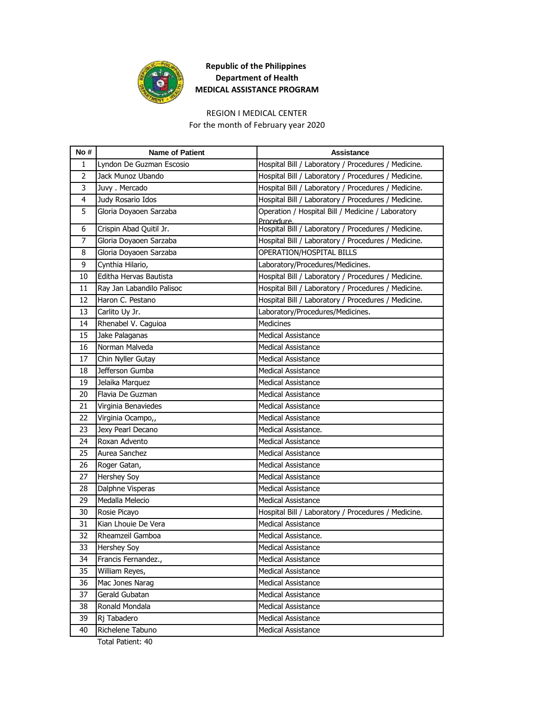

### REGION I MEDICAL CENTER

For the month of February year 2020

| Hospital Bill / Laboratory / Procedures / Medicine.<br>Lyndon De Guzman Escosio<br>1<br>$\overline{2}$<br>Jack Munoz Ubando<br>Hospital Bill / Laboratory / Procedures / Medicine.<br>Juvy. Mercado<br>Hospital Bill / Laboratory / Procedures / Medicine.<br>3<br>Judy Rosario Idos<br>Hospital Bill / Laboratory / Procedures / Medicine.<br>4<br>Operation / Hospital Bill / Medicine / Laboratory<br>5<br>Gloria Doyaoen Sarzaba<br>Procedure.<br>Hospital Bill / Laboratory / Procedures / Medicine.<br>Crispin Abad Quitil Jr.<br>6<br>Gloria Doyaoen Sarzaba<br>Hospital Bill / Laboratory / Procedures / Medicine.<br>$\overline{7}$<br>Gloria Doyaoen Sarzaba<br>OPERATION/HOSPITAL BILLS<br>8<br>Cynthia Hilario,<br>Laboratory/Procedures/Medicines.<br>9<br>10<br>Editha Hervas Bautista<br>Hospital Bill / Laboratory / Procedures / Medicine.<br>Hospital Bill / Laboratory / Procedures / Medicine.<br>Ray Jan Labandilo Palisoc<br>11<br>Haron C. Pestano<br>Hospital Bill / Laboratory / Procedures / Medicine.<br>12<br>Laboratory/Procedures/Medicines.<br>Carlito Uy Jr.<br>13<br><b>Medicines</b><br>14<br>Rhenabel V. Caguioa<br>15<br>Jake Palaganas<br>Medical Assistance<br>Norman Malveda<br>16<br><b>Medical Assistance</b><br>Chin Nyller Gutay<br>17<br><b>Medical Assistance</b><br>Jefferson Gumba<br><b>Medical Assistance</b><br>18<br>Jelaika Marquez<br>Medical Assistance<br>19<br>20<br>Flavia De Guzman<br><b>Medical Assistance</b><br>Virginia Benaviedes<br>Medical Assistance<br>21<br>Virginia Ocampo,,<br><b>Medical Assistance</b><br>22<br>Jexy Pearl Decano<br>Medical Assistance.<br>23<br>Roxan Advento<br>24<br><b>Medical Assistance</b><br>25<br>Aurea Sanchez<br><b>Medical Assistance</b><br>26<br>Roger Gatan,<br><b>Medical Assistance</b><br><b>Hershey Soy</b><br><b>Medical Assistance</b><br>27<br>Dalphne Visperas<br><b>Medical Assistance</b><br>28<br>Medalla Melecio<br>Medical Assistance<br>29<br>30<br>Rosie Picayo<br>Hospital Bill / Laboratory / Procedures / Medicine.<br>Kian Lhouie De Vera<br>Medical Assistance<br>31<br>32<br>Rheamzeil Gamboa<br>Medical Assistance.<br>33<br><b>Hershey Soy</b><br><b>Medical Assistance</b><br>Francis Fernandez.,<br>34<br>Medical Assistance<br>William Reyes,<br>35<br><b>Medical Assistance</b><br>Mac Jones Narag<br>Medical Assistance<br>36<br>Gerald Gubatan<br>Medical Assistance<br>37<br>Ronald Mondala<br>Medical Assistance<br>38<br>39<br>Rj Tabadero<br>Medical Assistance | No # | <b>Name of Patient</b> | Assistance                |
|-----------------------------------------------------------------------------------------------------------------------------------------------------------------------------------------------------------------------------------------------------------------------------------------------------------------------------------------------------------------------------------------------------------------------------------------------------------------------------------------------------------------------------------------------------------------------------------------------------------------------------------------------------------------------------------------------------------------------------------------------------------------------------------------------------------------------------------------------------------------------------------------------------------------------------------------------------------------------------------------------------------------------------------------------------------------------------------------------------------------------------------------------------------------------------------------------------------------------------------------------------------------------------------------------------------------------------------------------------------------------------------------------------------------------------------------------------------------------------------------------------------------------------------------------------------------------------------------------------------------------------------------------------------------------------------------------------------------------------------------------------------------------------------------------------------------------------------------------------------------------------------------------------------------------------------------------------------------------------------------------------------------------------------------------------------------------------------------------------------------------------------------------------------------------------------------------------------------------------------------------------------------------------------------------------------------------------------------------------------------------------------------------------------------------------------------------------------------------------------------------------------|------|------------------------|---------------------------|
|                                                                                                                                                                                                                                                                                                                                                                                                                                                                                                                                                                                                                                                                                                                                                                                                                                                                                                                                                                                                                                                                                                                                                                                                                                                                                                                                                                                                                                                                                                                                                                                                                                                                                                                                                                                                                                                                                                                                                                                                                                                                                                                                                                                                                                                                                                                                                                                                                                                                                                           |      |                        |                           |
|                                                                                                                                                                                                                                                                                                                                                                                                                                                                                                                                                                                                                                                                                                                                                                                                                                                                                                                                                                                                                                                                                                                                                                                                                                                                                                                                                                                                                                                                                                                                                                                                                                                                                                                                                                                                                                                                                                                                                                                                                                                                                                                                                                                                                                                                                                                                                                                                                                                                                                           |      |                        |                           |
|                                                                                                                                                                                                                                                                                                                                                                                                                                                                                                                                                                                                                                                                                                                                                                                                                                                                                                                                                                                                                                                                                                                                                                                                                                                                                                                                                                                                                                                                                                                                                                                                                                                                                                                                                                                                                                                                                                                                                                                                                                                                                                                                                                                                                                                                                                                                                                                                                                                                                                           |      |                        |                           |
|                                                                                                                                                                                                                                                                                                                                                                                                                                                                                                                                                                                                                                                                                                                                                                                                                                                                                                                                                                                                                                                                                                                                                                                                                                                                                                                                                                                                                                                                                                                                                                                                                                                                                                                                                                                                                                                                                                                                                                                                                                                                                                                                                                                                                                                                                                                                                                                                                                                                                                           |      |                        |                           |
|                                                                                                                                                                                                                                                                                                                                                                                                                                                                                                                                                                                                                                                                                                                                                                                                                                                                                                                                                                                                                                                                                                                                                                                                                                                                                                                                                                                                                                                                                                                                                                                                                                                                                                                                                                                                                                                                                                                                                                                                                                                                                                                                                                                                                                                                                                                                                                                                                                                                                                           |      |                        |                           |
|                                                                                                                                                                                                                                                                                                                                                                                                                                                                                                                                                                                                                                                                                                                                                                                                                                                                                                                                                                                                                                                                                                                                                                                                                                                                                                                                                                                                                                                                                                                                                                                                                                                                                                                                                                                                                                                                                                                                                                                                                                                                                                                                                                                                                                                                                                                                                                                                                                                                                                           |      |                        |                           |
|                                                                                                                                                                                                                                                                                                                                                                                                                                                                                                                                                                                                                                                                                                                                                                                                                                                                                                                                                                                                                                                                                                                                                                                                                                                                                                                                                                                                                                                                                                                                                                                                                                                                                                                                                                                                                                                                                                                                                                                                                                                                                                                                                                                                                                                                                                                                                                                                                                                                                                           |      |                        |                           |
|                                                                                                                                                                                                                                                                                                                                                                                                                                                                                                                                                                                                                                                                                                                                                                                                                                                                                                                                                                                                                                                                                                                                                                                                                                                                                                                                                                                                                                                                                                                                                                                                                                                                                                                                                                                                                                                                                                                                                                                                                                                                                                                                                                                                                                                                                                                                                                                                                                                                                                           |      |                        |                           |
|                                                                                                                                                                                                                                                                                                                                                                                                                                                                                                                                                                                                                                                                                                                                                                                                                                                                                                                                                                                                                                                                                                                                                                                                                                                                                                                                                                                                                                                                                                                                                                                                                                                                                                                                                                                                                                                                                                                                                                                                                                                                                                                                                                                                                                                                                                                                                                                                                                                                                                           |      |                        |                           |
|                                                                                                                                                                                                                                                                                                                                                                                                                                                                                                                                                                                                                                                                                                                                                                                                                                                                                                                                                                                                                                                                                                                                                                                                                                                                                                                                                                                                                                                                                                                                                                                                                                                                                                                                                                                                                                                                                                                                                                                                                                                                                                                                                                                                                                                                                                                                                                                                                                                                                                           |      |                        |                           |
|                                                                                                                                                                                                                                                                                                                                                                                                                                                                                                                                                                                                                                                                                                                                                                                                                                                                                                                                                                                                                                                                                                                                                                                                                                                                                                                                                                                                                                                                                                                                                                                                                                                                                                                                                                                                                                                                                                                                                                                                                                                                                                                                                                                                                                                                                                                                                                                                                                                                                                           |      |                        |                           |
|                                                                                                                                                                                                                                                                                                                                                                                                                                                                                                                                                                                                                                                                                                                                                                                                                                                                                                                                                                                                                                                                                                                                                                                                                                                                                                                                                                                                                                                                                                                                                                                                                                                                                                                                                                                                                                                                                                                                                                                                                                                                                                                                                                                                                                                                                                                                                                                                                                                                                                           |      |                        |                           |
|                                                                                                                                                                                                                                                                                                                                                                                                                                                                                                                                                                                                                                                                                                                                                                                                                                                                                                                                                                                                                                                                                                                                                                                                                                                                                                                                                                                                                                                                                                                                                                                                                                                                                                                                                                                                                                                                                                                                                                                                                                                                                                                                                                                                                                                                                                                                                                                                                                                                                                           |      |                        |                           |
|                                                                                                                                                                                                                                                                                                                                                                                                                                                                                                                                                                                                                                                                                                                                                                                                                                                                                                                                                                                                                                                                                                                                                                                                                                                                                                                                                                                                                                                                                                                                                                                                                                                                                                                                                                                                                                                                                                                                                                                                                                                                                                                                                                                                                                                                                                                                                                                                                                                                                                           |      |                        |                           |
|                                                                                                                                                                                                                                                                                                                                                                                                                                                                                                                                                                                                                                                                                                                                                                                                                                                                                                                                                                                                                                                                                                                                                                                                                                                                                                                                                                                                                                                                                                                                                                                                                                                                                                                                                                                                                                                                                                                                                                                                                                                                                                                                                                                                                                                                                                                                                                                                                                                                                                           |      |                        |                           |
|                                                                                                                                                                                                                                                                                                                                                                                                                                                                                                                                                                                                                                                                                                                                                                                                                                                                                                                                                                                                                                                                                                                                                                                                                                                                                                                                                                                                                                                                                                                                                                                                                                                                                                                                                                                                                                                                                                                                                                                                                                                                                                                                                                                                                                                                                                                                                                                                                                                                                                           |      |                        |                           |
|                                                                                                                                                                                                                                                                                                                                                                                                                                                                                                                                                                                                                                                                                                                                                                                                                                                                                                                                                                                                                                                                                                                                                                                                                                                                                                                                                                                                                                                                                                                                                                                                                                                                                                                                                                                                                                                                                                                                                                                                                                                                                                                                                                                                                                                                                                                                                                                                                                                                                                           |      |                        |                           |
|                                                                                                                                                                                                                                                                                                                                                                                                                                                                                                                                                                                                                                                                                                                                                                                                                                                                                                                                                                                                                                                                                                                                                                                                                                                                                                                                                                                                                                                                                                                                                                                                                                                                                                                                                                                                                                                                                                                                                                                                                                                                                                                                                                                                                                                                                                                                                                                                                                                                                                           |      |                        |                           |
|                                                                                                                                                                                                                                                                                                                                                                                                                                                                                                                                                                                                                                                                                                                                                                                                                                                                                                                                                                                                                                                                                                                                                                                                                                                                                                                                                                                                                                                                                                                                                                                                                                                                                                                                                                                                                                                                                                                                                                                                                                                                                                                                                                                                                                                                                                                                                                                                                                                                                                           |      |                        |                           |
|                                                                                                                                                                                                                                                                                                                                                                                                                                                                                                                                                                                                                                                                                                                                                                                                                                                                                                                                                                                                                                                                                                                                                                                                                                                                                                                                                                                                                                                                                                                                                                                                                                                                                                                                                                                                                                                                                                                                                                                                                                                                                                                                                                                                                                                                                                                                                                                                                                                                                                           |      |                        |                           |
|                                                                                                                                                                                                                                                                                                                                                                                                                                                                                                                                                                                                                                                                                                                                                                                                                                                                                                                                                                                                                                                                                                                                                                                                                                                                                                                                                                                                                                                                                                                                                                                                                                                                                                                                                                                                                                                                                                                                                                                                                                                                                                                                                                                                                                                                                                                                                                                                                                                                                                           |      |                        |                           |
|                                                                                                                                                                                                                                                                                                                                                                                                                                                                                                                                                                                                                                                                                                                                                                                                                                                                                                                                                                                                                                                                                                                                                                                                                                                                                                                                                                                                                                                                                                                                                                                                                                                                                                                                                                                                                                                                                                                                                                                                                                                                                                                                                                                                                                                                                                                                                                                                                                                                                                           |      |                        |                           |
|                                                                                                                                                                                                                                                                                                                                                                                                                                                                                                                                                                                                                                                                                                                                                                                                                                                                                                                                                                                                                                                                                                                                                                                                                                                                                                                                                                                                                                                                                                                                                                                                                                                                                                                                                                                                                                                                                                                                                                                                                                                                                                                                                                                                                                                                                                                                                                                                                                                                                                           |      |                        |                           |
|                                                                                                                                                                                                                                                                                                                                                                                                                                                                                                                                                                                                                                                                                                                                                                                                                                                                                                                                                                                                                                                                                                                                                                                                                                                                                                                                                                                                                                                                                                                                                                                                                                                                                                                                                                                                                                                                                                                                                                                                                                                                                                                                                                                                                                                                                                                                                                                                                                                                                                           |      |                        |                           |
|                                                                                                                                                                                                                                                                                                                                                                                                                                                                                                                                                                                                                                                                                                                                                                                                                                                                                                                                                                                                                                                                                                                                                                                                                                                                                                                                                                                                                                                                                                                                                                                                                                                                                                                                                                                                                                                                                                                                                                                                                                                                                                                                                                                                                                                                                                                                                                                                                                                                                                           |      |                        |                           |
|                                                                                                                                                                                                                                                                                                                                                                                                                                                                                                                                                                                                                                                                                                                                                                                                                                                                                                                                                                                                                                                                                                                                                                                                                                                                                                                                                                                                                                                                                                                                                                                                                                                                                                                                                                                                                                                                                                                                                                                                                                                                                                                                                                                                                                                                                                                                                                                                                                                                                                           |      |                        |                           |
|                                                                                                                                                                                                                                                                                                                                                                                                                                                                                                                                                                                                                                                                                                                                                                                                                                                                                                                                                                                                                                                                                                                                                                                                                                                                                                                                                                                                                                                                                                                                                                                                                                                                                                                                                                                                                                                                                                                                                                                                                                                                                                                                                                                                                                                                                                                                                                                                                                                                                                           |      |                        |                           |
|                                                                                                                                                                                                                                                                                                                                                                                                                                                                                                                                                                                                                                                                                                                                                                                                                                                                                                                                                                                                                                                                                                                                                                                                                                                                                                                                                                                                                                                                                                                                                                                                                                                                                                                                                                                                                                                                                                                                                                                                                                                                                                                                                                                                                                                                                                                                                                                                                                                                                                           |      |                        |                           |
|                                                                                                                                                                                                                                                                                                                                                                                                                                                                                                                                                                                                                                                                                                                                                                                                                                                                                                                                                                                                                                                                                                                                                                                                                                                                                                                                                                                                                                                                                                                                                                                                                                                                                                                                                                                                                                                                                                                                                                                                                                                                                                                                                                                                                                                                                                                                                                                                                                                                                                           |      |                        |                           |
|                                                                                                                                                                                                                                                                                                                                                                                                                                                                                                                                                                                                                                                                                                                                                                                                                                                                                                                                                                                                                                                                                                                                                                                                                                                                                                                                                                                                                                                                                                                                                                                                                                                                                                                                                                                                                                                                                                                                                                                                                                                                                                                                                                                                                                                                                                                                                                                                                                                                                                           |      |                        |                           |
|                                                                                                                                                                                                                                                                                                                                                                                                                                                                                                                                                                                                                                                                                                                                                                                                                                                                                                                                                                                                                                                                                                                                                                                                                                                                                                                                                                                                                                                                                                                                                                                                                                                                                                                                                                                                                                                                                                                                                                                                                                                                                                                                                                                                                                                                                                                                                                                                                                                                                                           |      |                        |                           |
|                                                                                                                                                                                                                                                                                                                                                                                                                                                                                                                                                                                                                                                                                                                                                                                                                                                                                                                                                                                                                                                                                                                                                                                                                                                                                                                                                                                                                                                                                                                                                                                                                                                                                                                                                                                                                                                                                                                                                                                                                                                                                                                                                                                                                                                                                                                                                                                                                                                                                                           |      |                        |                           |
|                                                                                                                                                                                                                                                                                                                                                                                                                                                                                                                                                                                                                                                                                                                                                                                                                                                                                                                                                                                                                                                                                                                                                                                                                                                                                                                                                                                                                                                                                                                                                                                                                                                                                                                                                                                                                                                                                                                                                                                                                                                                                                                                                                                                                                                                                                                                                                                                                                                                                                           |      |                        |                           |
|                                                                                                                                                                                                                                                                                                                                                                                                                                                                                                                                                                                                                                                                                                                                                                                                                                                                                                                                                                                                                                                                                                                                                                                                                                                                                                                                                                                                                                                                                                                                                                                                                                                                                                                                                                                                                                                                                                                                                                                                                                                                                                                                                                                                                                                                                                                                                                                                                                                                                                           |      |                        |                           |
|                                                                                                                                                                                                                                                                                                                                                                                                                                                                                                                                                                                                                                                                                                                                                                                                                                                                                                                                                                                                                                                                                                                                                                                                                                                                                                                                                                                                                                                                                                                                                                                                                                                                                                                                                                                                                                                                                                                                                                                                                                                                                                                                                                                                                                                                                                                                                                                                                                                                                                           |      |                        |                           |
|                                                                                                                                                                                                                                                                                                                                                                                                                                                                                                                                                                                                                                                                                                                                                                                                                                                                                                                                                                                                                                                                                                                                                                                                                                                                                                                                                                                                                                                                                                                                                                                                                                                                                                                                                                                                                                                                                                                                                                                                                                                                                                                                                                                                                                                                                                                                                                                                                                                                                                           |      |                        |                           |
|                                                                                                                                                                                                                                                                                                                                                                                                                                                                                                                                                                                                                                                                                                                                                                                                                                                                                                                                                                                                                                                                                                                                                                                                                                                                                                                                                                                                                                                                                                                                                                                                                                                                                                                                                                                                                                                                                                                                                                                                                                                                                                                                                                                                                                                                                                                                                                                                                                                                                                           |      |                        |                           |
|                                                                                                                                                                                                                                                                                                                                                                                                                                                                                                                                                                                                                                                                                                                                                                                                                                                                                                                                                                                                                                                                                                                                                                                                                                                                                                                                                                                                                                                                                                                                                                                                                                                                                                                                                                                                                                                                                                                                                                                                                                                                                                                                                                                                                                                                                                                                                                                                                                                                                                           |      |                        |                           |
|                                                                                                                                                                                                                                                                                                                                                                                                                                                                                                                                                                                                                                                                                                                                                                                                                                                                                                                                                                                                                                                                                                                                                                                                                                                                                                                                                                                                                                                                                                                                                                                                                                                                                                                                                                                                                                                                                                                                                                                                                                                                                                                                                                                                                                                                                                                                                                                                                                                                                                           |      |                        |                           |
|                                                                                                                                                                                                                                                                                                                                                                                                                                                                                                                                                                                                                                                                                                                                                                                                                                                                                                                                                                                                                                                                                                                                                                                                                                                                                                                                                                                                                                                                                                                                                                                                                                                                                                                                                                                                                                                                                                                                                                                                                                                                                                                                                                                                                                                                                                                                                                                                                                                                                                           | 40   | Richelene Tabuno       | <b>Medical Assistance</b> |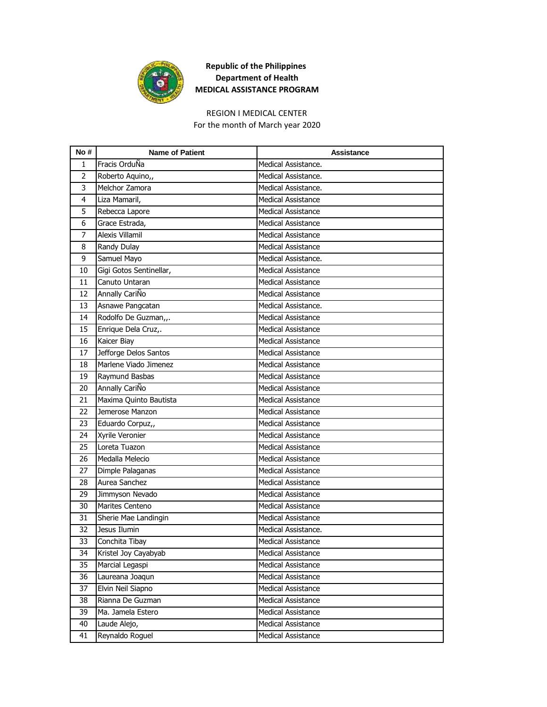

### REGION I MEDICAL CENTER

For the month of March year 2020

| No# | <b>Name of Patient</b>  | Assistance                |
|-----|-------------------------|---------------------------|
| 1   | Fracis OrduÑa           | Medical Assistance.       |
| 2   | Roberto Aquino,,        | Medical Assistance.       |
| 3   | Melchor Zamora          | Medical Assistance.       |
| 4   | Liza Mamaril,           | <b>Medical Assistance</b> |
| 5   | Rebecca Lapore          | <b>Medical Assistance</b> |
| 6   | Grace Estrada,          | <b>Medical Assistance</b> |
| 7   | Alexis Villamil         | <b>Medical Assistance</b> |
| 8   | Randy Dulay             | <b>Medical Assistance</b> |
| 9   | Samuel Mayo             | Medical Assistance.       |
| 10  | Gigi Gotos Sentinellar, | <b>Medical Assistance</b> |
| 11  | Canuto Untaran          | <b>Medical Assistance</b> |
| 12  | Annally CariÑo          | <b>Medical Assistance</b> |
| 13  | Asnawe Pangcatan        | Medical Assistance.       |
| 14  | Rodolfo De Guzman,,.    | <b>Medical Assistance</b> |
| 15  | Enrique Dela Cruz,.     | <b>Medical Assistance</b> |
| 16  | Kaicer Biay             | <b>Medical Assistance</b> |
| 17  | Jefforge Delos Santos   | <b>Medical Assistance</b> |
| 18  | Marlene Viado Jimenez   | <b>Medical Assistance</b> |
| 19  | Raymund Basbas          | <b>Medical Assistance</b> |
| 20  | Annally CariÑo          | <b>Medical Assistance</b> |
| 21  | Maxima Quinto Bautista  | <b>Medical Assistance</b> |
| 22  | Jemerose Manzon         | <b>Medical Assistance</b> |
| 23  | Eduardo Corpuz,,        | <b>Medical Assistance</b> |
| 24  | Xyrile Veronier         | <b>Medical Assistance</b> |
| 25  | Loreta Tuazon           | <b>Medical Assistance</b> |
| 26  | Medalla Melecio         | <b>Medical Assistance</b> |
| 27  | Dimple Palaganas        | <b>Medical Assistance</b> |
| 28  | Aurea Sanchez           | <b>Medical Assistance</b> |
| 29  | Jimmyson Nevado         | <b>Medical Assistance</b> |
| 30  | Marites Centeno         | <b>Medical Assistance</b> |
| 31  | Sherie Mae Landingin    | Medical Assistance        |
| 32  | Jesus Ilumin            | Medical Assistance.       |
| 33  | Conchita Tibay          | <b>Medical Assistance</b> |
| 34  | Kristel Joy Cayabyab    | Medical Assistance        |
| 35  | Marcial Legaspi         | Medical Assistance        |
| 36  | Laureana Joaqun         | Medical Assistance        |
| 37  | Elvin Neil Siapno       | Medical Assistance        |
| 38  | Rianna De Guzman        | Medical Assistance        |
| 39  | Ma. Jamela Estero       | Medical Assistance        |
| 40  | Laude Alejo,            | Medical Assistance        |
| 41  | Reynaldo Roguel         | Medical Assistance        |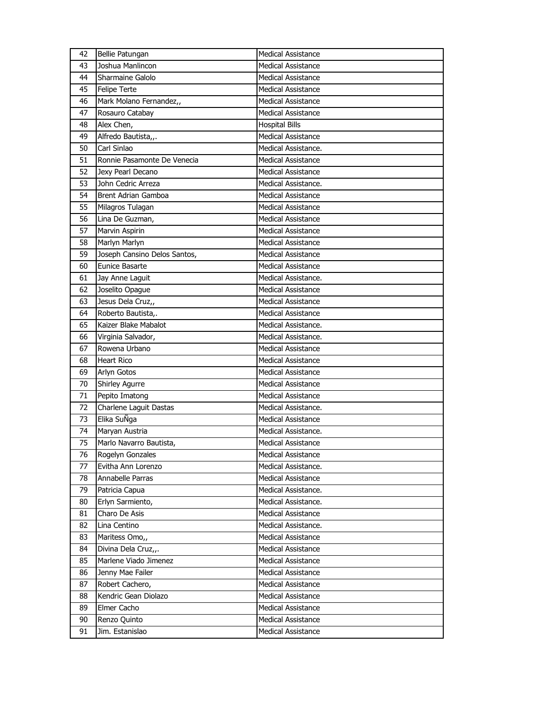| 42 | Bellie Patungan              | <b>Medical Assistance</b> |
|----|------------------------------|---------------------------|
| 43 | Joshua Manlincon             | Medical Assistance        |
| 44 | Sharmaine Galolo             | <b>Medical Assistance</b> |
| 45 | <b>Felipe Terte</b>          | <b>Medical Assistance</b> |
| 46 | Mark Molano Fernandez,,      | <b>Medical Assistance</b> |
| 47 | Rosauro Catabay              | Medical Assistance        |
| 48 | Alex Chen,                   | <b>Hospital Bills</b>     |
| 49 | Alfredo Bautista,,.          | <b>Medical Assistance</b> |
| 50 | Carl Sinlao                  | Medical Assistance.       |
| 51 | Ronnie Pasamonte De Venecia  | <b>Medical Assistance</b> |
| 52 | Jexy Pearl Decano            | Medical Assistance        |
| 53 | John Cedric Arreza           | Medical Assistance.       |
| 54 | Brent Adrian Gamboa          | <b>Medical Assistance</b> |
| 55 | Milagros Tulagan             | <b>Medical Assistance</b> |
| 56 | Lina De Guzman,              | <b>Medical Assistance</b> |
| 57 | Marvin Aspirin               | Medical Assistance        |
| 58 | Marlyn Marlyn                | <b>Medical Assistance</b> |
| 59 | Joseph Cansino Delos Santos, | <b>Medical Assistance</b> |
| 60 | Eunice Basarte               | <b>Medical Assistance</b> |
| 61 | Jay Anne Laguit              | Medical Assistance.       |
| 62 | Joselito Opague              | Medical Assistance        |
| 63 | Jesus Dela Cruz,,            | <b>Medical Assistance</b> |
| 64 | Roberto Bautista,.           | <b>Medical Assistance</b> |
| 65 | Kaizer Blake Mabalot         | Medical Assistance.       |
| 66 | Virginia Salvador,           | Medical Assistance.       |
| 67 | Rowena Urbano                | Medical Assistance        |
| 68 | Heart Rico                   | <b>Medical Assistance</b> |
| 69 | Arlyn Gotos                  | <b>Medical Assistance</b> |
| 70 | <b>Shirley Agurre</b>        | <b>Medical Assistance</b> |
| 71 | Pepito Imatong               | <b>Medical Assistance</b> |
| 72 | Charlene Laguit Dastas       | Medical Assistance.       |
| 73 | Elika SuÑga                  | Medical Assistance        |
| 74 | Maryan Austria               | Medical Assistance.       |
| 75 | Marlo Navarro Bautista,      | <b>Medical Assistance</b> |
| 76 | Rogelyn Gonzales             | <b>Medical Assistance</b> |
| 77 | Evitha Ann Lorenzo           | Medical Assistance.       |
| 78 | Annabelle Parras             | <b>Medical Assistance</b> |
| 79 | Patricia Capua               | Medical Assistance.       |
| 80 | Erlyn Sarmiento,             | Medical Assistance.       |
| 81 | Charo De Asis                | <b>Medical Assistance</b> |
| 82 | Lina Centino                 | Medical Assistance.       |
| 83 | Maritess Omo,,               | <b>Medical Assistance</b> |
| 84 | Divina Dela Cruz,,.          | <b>Medical Assistance</b> |
| 85 | Marlene Viado Jimenez        | Medical Assistance        |
| 86 | Jenny Mae Failer             | <b>Medical Assistance</b> |
| 87 | Robert Cachero,              | <b>Medical Assistance</b> |
| 88 | Kendric Gean Diolazo         | <b>Medical Assistance</b> |
| 89 | Elmer Cacho                  | <b>Medical Assistance</b> |
| 90 | Renzo Quinto                 | Medical Assistance        |
| 91 | Jim. Estanislao              | Medical Assistance        |
|    |                              |                           |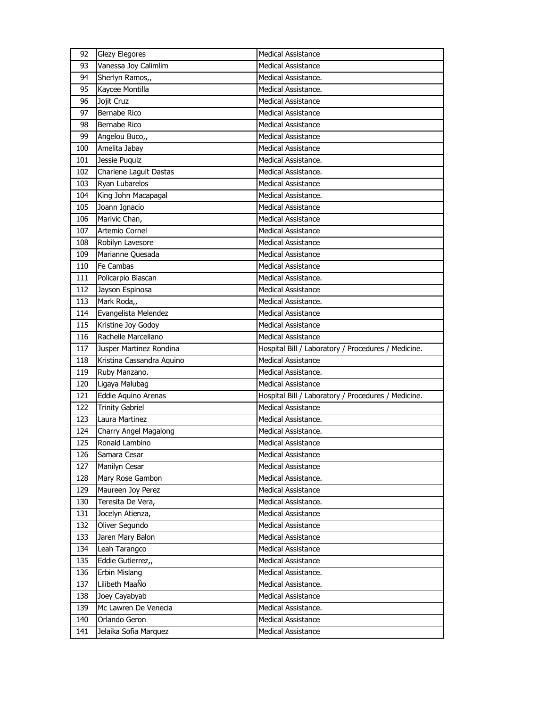| Vanessa Joy Calimlim<br>93<br><b>Medical Assistance</b><br>94<br>Sherlyn Ramos,,<br>Medical Assistance.<br>95<br>Kaycee Montilla<br>Medical Assistance.<br>Jojit Cruz<br>96<br><b>Medical Assistance</b><br>Bernabe Rico<br>97<br><b>Medical Assistance</b> |  |
|-------------------------------------------------------------------------------------------------------------------------------------------------------------------------------------------------------------------------------------------------------------|--|
|                                                                                                                                                                                                                                                             |  |
|                                                                                                                                                                                                                                                             |  |
|                                                                                                                                                                                                                                                             |  |
|                                                                                                                                                                                                                                                             |  |
|                                                                                                                                                                                                                                                             |  |
| Bernabe Rico<br>98<br>Medical Assistance                                                                                                                                                                                                                    |  |
| 99<br>Angelou Buco,,<br><b>Medical Assistance</b>                                                                                                                                                                                                           |  |
| 100<br>Amelita Jabay<br>Medical Assistance                                                                                                                                                                                                                  |  |
| Jessie Puquiz<br>101<br>Medical Assistance.                                                                                                                                                                                                                 |  |
| Charlene Laguit Dastas<br>102<br>Medical Assistance.                                                                                                                                                                                                        |  |
| Ryan Lubarelos<br>103<br><b>Medical Assistance</b>                                                                                                                                                                                                          |  |
| 104<br>King John Macapagal<br>Medical Assistance.                                                                                                                                                                                                           |  |
| Joann Ignacio<br>105<br><b>Medical Assistance</b>                                                                                                                                                                                                           |  |
| Marivic Chan,<br>106<br><b>Medical Assistance</b>                                                                                                                                                                                                           |  |
| Artemio Cornel<br>107<br><b>Medical Assistance</b>                                                                                                                                                                                                          |  |
| 108<br>Robilyn Lavesore<br><b>Medical Assistance</b>                                                                                                                                                                                                        |  |
| Marianne Quesada<br><b>Medical Assistance</b><br>109                                                                                                                                                                                                        |  |
| Fe Cambas<br>110<br>Medical Assistance                                                                                                                                                                                                                      |  |
| Policarpio Biascan<br>111<br>Medical Assistance.                                                                                                                                                                                                            |  |
| 112<br>Jayson Espinosa<br><b>Medical Assistance</b>                                                                                                                                                                                                         |  |
| 113<br>Mark Roda,,<br>Medical Assistance.                                                                                                                                                                                                                   |  |
| Evangelista Melendez<br>114<br><b>Medical Assistance</b>                                                                                                                                                                                                    |  |
| Kristine Joy Godoy<br>115<br><b>Medical Assistance</b>                                                                                                                                                                                                      |  |
| Rachelle Marcellano<br>116<br><b>Medical Assistance</b>                                                                                                                                                                                                     |  |
| 117<br>Jusper Martinez Rondina<br>Hospital Bill / Laboratory / Procedures / Medicine.                                                                                                                                                                       |  |
| <b>Medical Assistance</b><br>118<br>Kristina Cassandra Aquino                                                                                                                                                                                               |  |
| 119<br>Ruby Manzano.<br>Medical Assistance.                                                                                                                                                                                                                 |  |
| 120<br>Ligaya Malubag<br><b>Medical Assistance</b>                                                                                                                                                                                                          |  |
| 121<br>Eddie Aquino Arenas<br>Hospital Bill / Laboratory / Procedures / Medicine.                                                                                                                                                                           |  |
| <b>Medical Assistance</b><br>122<br><b>Trinity Gabriel</b>                                                                                                                                                                                                  |  |
| 123<br>Laura Martinez<br>Medical Assistance.                                                                                                                                                                                                                |  |
| 124<br>Charry Angel Magalong<br>Medical Assistance.                                                                                                                                                                                                         |  |
| 125<br>Ronald Lambino<br><b>Medical Assistance</b>                                                                                                                                                                                                          |  |
| Medical Assistance<br>126<br>Samara Cesar                                                                                                                                                                                                                   |  |
| <b>Medical Assistance</b><br>127<br>Manilyn Cesar                                                                                                                                                                                                           |  |
| Medical Assistance.<br>128<br>Mary Rose Gambon                                                                                                                                                                                                              |  |
| 129<br>Maureen Joy Perez<br><b>Medical Assistance</b>                                                                                                                                                                                                       |  |
| Teresita De Vera,<br>130<br>Medical Assistance.                                                                                                                                                                                                             |  |
| Jocelyn Atienza,<br>131<br><b>Medical Assistance</b>                                                                                                                                                                                                        |  |
| 132<br>Oliver Segundo<br>Medical Assistance                                                                                                                                                                                                                 |  |
| 133<br>Jaren Mary Balon<br><b>Medical Assistance</b>                                                                                                                                                                                                        |  |
| 134<br>Leah Tarangco<br>Medical Assistance                                                                                                                                                                                                                  |  |
| 135<br>Eddie Gutierrez,,<br><b>Medical Assistance</b>                                                                                                                                                                                                       |  |
| 136<br>Erbin Mislang<br>Medical Assistance.                                                                                                                                                                                                                 |  |
| Lilibeth MaaÑo<br>137<br>Medical Assistance.                                                                                                                                                                                                                |  |
| Joey Cayabyab<br>138<br><b>Medical Assistance</b>                                                                                                                                                                                                           |  |
| 139<br>Mc Lawren De Venecia<br>Medical Assistance.                                                                                                                                                                                                          |  |
| 140<br>Orlando Geron<br><b>Medical Assistance</b>                                                                                                                                                                                                           |  |
| 141<br>Jelaika Sofia Marquez<br>Medical Assistance                                                                                                                                                                                                          |  |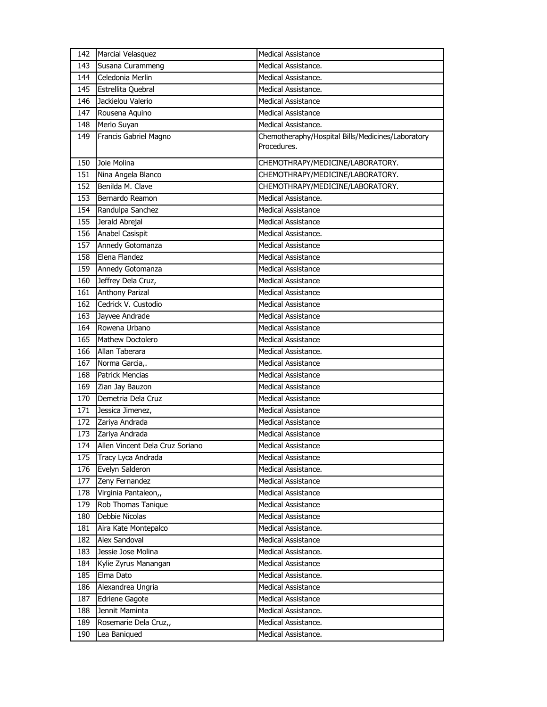| 142 | <b>Marcial Velasquez</b>        | <b>Medical Assistance</b>                         |
|-----|---------------------------------|---------------------------------------------------|
| 143 | Susana Curammeng                | Medical Assistance.                               |
| 144 | Celedonia Merlin                | Medical Assistance.                               |
| 145 | Estrellita Quebral              | Medical Assistance.                               |
| 146 | Jackielou Valerio               | <b>Medical Assistance</b>                         |
| 147 | Rousena Aquino                  | <b>Medical Assistance</b>                         |
| 148 | Merlo Suyan                     | Medical Assistance.                               |
| 149 | Francis Gabriel Magno           | Chemotheraphy/Hospital Bills/Medicines/Laboratory |
|     |                                 | Procedures.                                       |
| 150 | Joie Molina                     | CHEMOTHRAPY/MEDICINE/LABORATORY.                  |
| 151 | Nina Angela Blanco              | CHEMOTHRAPY/MEDICINE/LABORATORY.                  |
| 152 | Benilda M. Clave                | CHEMOTHRAPY/MEDICINE/LABORATORY.                  |
| 153 | Bernardo Reamon                 | Medical Assistance.                               |
| 154 | Randulpa Sanchez                | <b>Medical Assistance</b>                         |
| 155 | Jerald Abrejal                  | <b>Medical Assistance</b>                         |
| 156 | Anabel Casispit                 | Medical Assistance.                               |
| 157 | Annedy Gotomanza                | <b>Medical Assistance</b>                         |
| 158 | Elena Flandez                   | <b>Medical Assistance</b>                         |
| 159 | Annedy Gotomanza                | <b>Medical Assistance</b>                         |
| 160 | Jeffrey Dela Cruz,              | <b>Medical Assistance</b>                         |
| 161 | <b>Anthony Parizal</b>          | <b>Medical Assistance</b>                         |
| 162 | Cedrick V. Custodio             | <b>Medical Assistance</b>                         |
| 163 | Jayvee Andrade                  | <b>Medical Assistance</b>                         |
| 164 | Rowena Urbano                   | <b>Medical Assistance</b>                         |
| 165 | Mathew Doctolero                | <b>Medical Assistance</b>                         |
| 166 | Allan Taberara                  | Medical Assistance.                               |
| 167 | Norma Garcia,.                  | <b>Medical Assistance</b>                         |
| 168 | <b>Patrick Mencias</b>          | <b>Medical Assistance</b>                         |
| 169 | Zian Jay Bauzon                 | <b>Medical Assistance</b>                         |
| 170 | Demetria Dela Cruz              | <b>Medical Assistance</b>                         |
| 171 | Jessica Jimenez,                | <b>Medical Assistance</b>                         |
| 172 | Zariya Andrada                  | <b>Medical Assistance</b>                         |
| 173 | Zariya Andrada                  | <b>Medical Assistance</b>                         |
| 174 | Allen Vincent Dela Cruz Soriano | Medical Assistance                                |
| 175 | Tracy Lyca Andrada              | <b>Medical Assistance</b>                         |
| 176 | Evelyn Salderon                 | Medical Assistance.                               |
| 177 | Zeny Fernandez                  | <b>Medical Assistance</b>                         |
| 178 | Virginia Pantaleon,,            | <b>Medical Assistance</b>                         |
| 179 | Rob Thomas Tanique              | <b>Medical Assistance</b>                         |
| 180 | Debbie Nicolas                  | Medical Assistance                                |
| 181 | Aira Kate Montepalco            | Medical Assistance.                               |
| 182 | Alex Sandoval                   | <b>Medical Assistance</b>                         |
| 183 | Jessie Jose Molina              | Medical Assistance.                               |
| 184 | Kylie Zyrus Manangan            | <b>Medical Assistance</b>                         |
| 185 | Elma Dato                       | Medical Assistance.                               |
| 186 | Alexandrea Ungria               | Medical Assistance                                |
| 187 | <b>Edriene Gagote</b>           | <b>Medical Assistance</b>                         |
| 188 | Jennit Maminta                  | Medical Assistance.                               |
| 189 | Rosemarie Dela Cruz,,           | Medical Assistance.                               |
| 190 | Lea Baniqued                    | Medical Assistance.                               |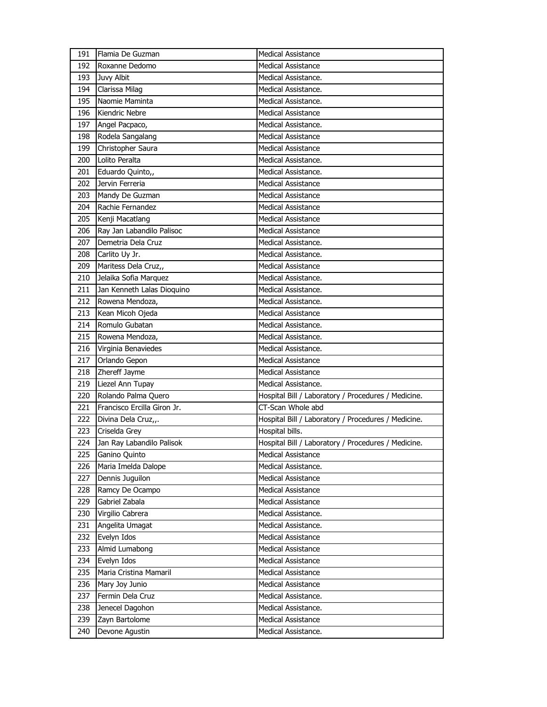| 191 | Flamia De Guzman               | <b>Medical Assistance</b>                                                        |
|-----|--------------------------------|----------------------------------------------------------------------------------|
| 192 | Roxanne Dedomo                 | <b>Medical Assistance</b>                                                        |
| 193 | Juvy Albit                     | Medical Assistance.                                                              |
| 194 | Clarissa Milag                 | Medical Assistance.                                                              |
| 195 | Naomie Maminta                 | Medical Assistance.                                                              |
| 196 | Kiendric Nebre                 | <b>Medical Assistance</b>                                                        |
| 197 | Angel Pacpaco,                 | Medical Assistance.                                                              |
| 198 | Rodela Sangalang               | <b>Medical Assistance</b>                                                        |
| 199 | Christopher Saura              | Medical Assistance                                                               |
| 200 | Lolito Peralta                 | Medical Assistance.                                                              |
| 201 | Eduardo Quinto,,               | Medical Assistance.                                                              |
| 202 | Jervin Ferreria                | <b>Medical Assistance</b>                                                        |
| 203 | Mandy De Guzman                | <b>Medical Assistance</b>                                                        |
| 204 | Rachie Fernandez               | <b>Medical Assistance</b>                                                        |
| 205 | Kenji Macatlang                | <b>Medical Assistance</b>                                                        |
| 206 | Ray Jan Labandilo Palisoc      | <b>Medical Assistance</b>                                                        |
| 207 | Demetria Dela Cruz             | Medical Assistance.                                                              |
| 208 | Carlito Uy Jr.                 | Medical Assistance.                                                              |
| 209 | Maritess Dela Cruz,,           | <b>Medical Assistance</b>                                                        |
| 210 | Jelaika Sofia Marquez          | Medical Assistance.                                                              |
| 211 | Jan Kenneth Lalas Dioquino     | Medical Assistance.                                                              |
| 212 | Rowena Mendoza,                | Medical Assistance.                                                              |
| 213 | Kean Micoh Ojeda               | <b>Medical Assistance</b>                                                        |
| 214 | Romulo Gubatan                 | Medical Assistance.                                                              |
| 215 | Rowena Mendoza,                | Medical Assistance.                                                              |
| 216 | Virginia Benaviedes            | Medical Assistance.                                                              |
|     |                                |                                                                                  |
| 217 | Orlando Gepon                  | <b>Medical Assistance</b>                                                        |
| 218 | Zhereff Jayme                  | <b>Medical Assistance</b>                                                        |
| 219 | Liezel Ann Tupay               | Medical Assistance.                                                              |
| 220 | Rolando Palma Quero            | Hospital Bill / Laboratory / Procedures / Medicine.                              |
| 221 | Francisco Ercilla Giron Jr.    | CT-Scan Whole abd                                                                |
| 222 | Divina Dela Cruz,,.            |                                                                                  |
| 223 | Criselda Grey                  | Hospital Bill / Laboratory / Procedures / Medicine.<br>Hospital bills.           |
| 224 | Jan Ray Labandilo Palisok      |                                                                                  |
| 225 | Ganino Quinto                  | Hospital Bill / Laboratory / Procedures / Medicine.<br><b>Medical Assistance</b> |
| 226 | Maria Imelda Dalope            | Medical Assistance.                                                              |
| 227 | Dennis Juguilon                | Medical Assistance                                                               |
| 228 | Ramcy De Ocampo                | <b>Medical Assistance</b>                                                        |
| 229 | Gabriel Zabala                 | Medical Assistance                                                               |
| 230 | Virgilio Cabrera               | Medical Assistance.                                                              |
| 231 |                                | Medical Assistance.                                                              |
| 232 | Angelita Umagat<br>Evelyn Idos | <b>Medical Assistance</b>                                                        |
| 233 | Almid Lumabong                 | <b>Medical Assistance</b>                                                        |
| 234 | Evelyn Idos                    | <b>Medical Assistance</b>                                                        |
| 235 | Maria Cristina Mamaril         | <b>Medical Assistance</b>                                                        |
| 236 | Mary Joy Junio                 | <b>Medical Assistance</b>                                                        |
| 237 | Fermin Dela Cruz               | Medical Assistance.                                                              |
| 238 | Jenecel Dagohon                | Medical Assistance.                                                              |
| 239 | Zayn Bartolome                 | Medical Assistance                                                               |
| 240 | Devone Agustin                 | Medical Assistance.                                                              |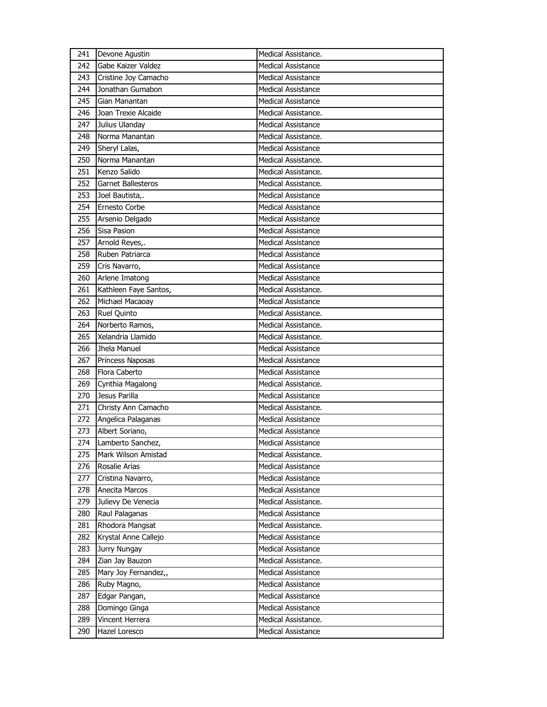| 241        | Devone Agustin                   | Medical Assistance.                       |
|------------|----------------------------------|-------------------------------------------|
| 242        | Gabe Kaizer Valdez               | <b>Medical Assistance</b>                 |
| 243        | Cristine Joy Camacho             | <b>Medical Assistance</b>                 |
| 244        | Jonathan Gumabon                 | <b>Medical Assistance</b>                 |
| 245        | Gian Manantan                    | <b>Medical Assistance</b>                 |
| 246        | Joan Trexie Alcaide              | Medical Assistance.                       |
| 247        | Julius Ulanday                   | <b>Medical Assistance</b>                 |
| 248        | Norma Manantan                   | Medical Assistance.                       |
| 249        | Sheryl Lalas,                    | <b>Medical Assistance</b>                 |
| 250        | Norma Manantan                   | Medical Assistance.                       |
| 251        | Kenzo Salido                     | Medical Assistance.                       |
| 252        | <b>Garnet Ballesteros</b>        | Medical Assistance.                       |
| 253        | Joel Bautista,.                  | <b>Medical Assistance</b>                 |
| 254        | <b>Ernesto Corbe</b>             | <b>Medical Assistance</b>                 |
| 255        | Arsenio Delgado                  | Medical Assistance                        |
| 256        | Sisa Pasion                      | <b>Medical Assistance</b>                 |
| 257        | Arnold Reyes,.                   | <b>Medical Assistance</b>                 |
| 258        | Ruben Patriarca                  | <b>Medical Assistance</b>                 |
| 259        | Cris Navarro,                    | Medical Assistance                        |
| 260        | Arlene Imatong                   | Medical Assistance                        |
| 261        | Kathleen Faye Santos,            | Medical Assistance.                       |
| 262        | Michael Macaoay                  | <b>Medical Assistance</b>                 |
| 263        | Ruel Quinto                      | Medical Assistance.                       |
| 264        | Norberto Ramos,                  | Medical Assistance.                       |
| 265        | Xelandria Llamido                | Medical Assistance.                       |
| 266        | Jhela Manuel                     | <b>Medical Assistance</b>                 |
|            |                                  |                                           |
| 267        | Princess Naposas                 | <b>Medical Assistance</b>                 |
| 268        | Flora Caberto                    | Medical Assistance                        |
| 269        | Cynthia Magalong                 | Medical Assistance.                       |
| 270        | Jesus Parilla                    | Medical Assistance                        |
| 271        | Christy Ann Camacho              | Medical Assistance.                       |
| 272        | Angelica Palaganas               | <b>Medical Assistance</b>                 |
| 273        | Albert Soriano,                  | <b>Medical Assistance</b>                 |
| 274        | Lamberto Sanchez,                | <b>Medical Assistance</b>                 |
| 275        | Mark Wilson Amistad              | Medical Assistance.                       |
| 276        | Rosalie Arias                    | <b>Medical Assistance</b>                 |
| 277        | Cristina Navarro,                | <b>Medical Assistance</b>                 |
| 278        | Anecita Marcos                   | <b>Medical Assistance</b>                 |
| 279        | Julievy De Venecia               | Medical Assistance.                       |
| 280        | Raul Palaganas                   | <b>Medical Assistance</b>                 |
| 281        | Rhodora Mangsat                  | Medical Assistance.                       |
| 282        | Krystal Anne Callejo             | <b>Medical Assistance</b>                 |
| 283        | Jurry Nungay                     | Medical Assistance                        |
| 284        | Zian Jay Bauzon                  | Medical Assistance.                       |
| 285        | Mary Joy Fernandez,,             | <b>Medical Assistance</b>                 |
| 286        | Ruby Magno,                      | <b>Medical Assistance</b>                 |
| 287        | Edgar Pangan,                    | <b>Medical Assistance</b>                 |
| 288        | Domingo Ginga                    | Medical Assistance                        |
| 289<br>290 | Vincent Herrera<br>Hazel Loresco | Medical Assistance.<br>Medical Assistance |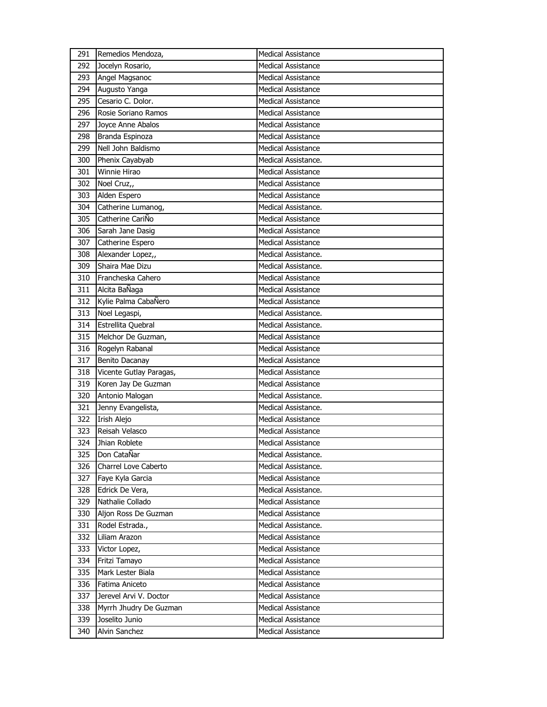| 291 | Remedios Mendoza,       | <b>Medical Assistance</b> |
|-----|-------------------------|---------------------------|
| 292 | Jocelyn Rosario,        | <b>Medical Assistance</b> |
| 293 | Angel Magsanoc          | <b>Medical Assistance</b> |
| 294 | Augusto Yanga           | <b>Medical Assistance</b> |
| 295 | Cesario C. Dolor.       | <b>Medical Assistance</b> |
| 296 | Rosie Soriano Ramos     | <b>Medical Assistance</b> |
| 297 | Joyce Anne Abalos       | <b>Medical Assistance</b> |
| 298 | Branda Espinoza         | Medical Assistance        |
| 299 | Nell John Baldismo      | <b>Medical Assistance</b> |
| 300 | Phenix Cayabyab         | Medical Assistance.       |
| 301 | Winnie Hirao            | <b>Medical Assistance</b> |
| 302 | Noel Cruz,,             | <b>Medical Assistance</b> |
| 303 | Alden Espero            | Medical Assistance        |
| 304 | Catherine Lumanog,      | Medical Assistance.       |
| 305 | Catherine CariÑo        | Medical Assistance        |
| 306 | Sarah Jane Dasig        | <b>Medical Assistance</b> |
| 307 | Catherine Espero        | <b>Medical Assistance</b> |
| 308 | Alexander Lopez,,       | Medical Assistance.       |
| 309 | Shaira Mae Dizu         | Medical Assistance.       |
| 310 | Francheska Cahero       | <b>Medical Assistance</b> |
| 311 | Alcita BaÑaga           | <b>Medical Assistance</b> |
| 312 | Kylie Palma CabaÑero    | <b>Medical Assistance</b> |
| 313 | Noel Legaspi,           | Medical Assistance.       |
| 314 | Estrellita Quebral      | Medical Assistance.       |
| 315 | Melchor De Guzman,      | Medical Assistance        |
| 316 | Rogelyn Rabanal         | <b>Medical Assistance</b> |
| 317 | Benito Dacanay          | <b>Medical Assistance</b> |
| 318 | Vicente Gutlay Paragas, | Medical Assistance        |
| 319 | Koren Jay De Guzman     | <b>Medical Assistance</b> |
| 320 | Antonio Malogan         | Medical Assistance.       |
| 321 | Jenny Evangelista,      | Medical Assistance.       |
| 322 | Irish Alejo             | <b>Medical Assistance</b> |
| 323 | Reisah Velasco          | Medical Assistance        |
| 324 | Jhian Roblete           | <b>Medical Assistance</b> |
| 325 | Don CataÑar             | Medical Assistance.       |
| 326 | Charrel Love Caberto    | Medical Assistance.       |
| 327 | Faye Kyla Garcia        | <b>Medical Assistance</b> |
| 328 |                         |                           |
|     | Edrick De Vera,         | Medical Assistance.       |
| 329 | Nathalie Collado        | <b>Medical Assistance</b> |
| 330 | Aljon Ross De Guzman    | <b>Medical Assistance</b> |
| 331 | Rodel Estrada.,         | Medical Assistance.       |
| 332 | Liliam Arazon           | <b>Medical Assistance</b> |
| 333 | Victor Lopez,           | <b>Medical Assistance</b> |
| 334 | Fritzi Tamayo           | <b>Medical Assistance</b> |
| 335 | Mark Lester Biala       | <b>Medical Assistance</b> |
| 336 | Fatima Aniceto          | <b>Medical Assistance</b> |
| 337 | Jerevel Arvi V. Doctor  | <b>Medical Assistance</b> |
| 338 | Myrrh Jhudry De Guzman  | <b>Medical Assistance</b> |
| 339 | Joselito Junio          | <b>Medical Assistance</b> |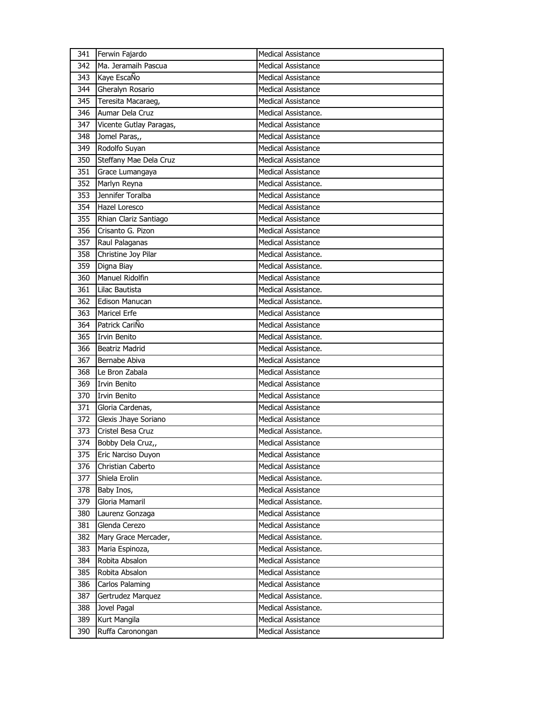| 341 | Ferwin Fajardo          | <b>Medical Assistance</b> |
|-----|-------------------------|---------------------------|
| 342 | Ma. Jeramaih Pascua     | Medical Assistance        |
| 343 | Kaye EscaÑo             | <b>Medical Assistance</b> |
| 344 | Gheralyn Rosario        | <b>Medical Assistance</b> |
| 345 | Teresita Macaraeg,      | <b>Medical Assistance</b> |
| 346 | Aumar Dela Cruz         | Medical Assistance.       |
| 347 | Vicente Gutlay Paragas, | <b>Medical Assistance</b> |
| 348 | Jomel Paras,,           | <b>Medical Assistance</b> |
| 349 | Rodolfo Suyan           | <b>Medical Assistance</b> |
| 350 | Steffany Mae Dela Cruz  | <b>Medical Assistance</b> |
| 351 | Grace Lumangaya         | <b>Medical Assistance</b> |
| 352 | Marlyn Reyna            | Medical Assistance.       |
| 353 | Jennifer Toralba        | <b>Medical Assistance</b> |
| 354 | Hazel Loresco           | <b>Medical Assistance</b> |
| 355 | Rhian Clariz Santiago   | <b>Medical Assistance</b> |
| 356 | Crisanto G. Pizon       | <b>Medical Assistance</b> |
| 357 | Raul Palaganas          | Medical Assistance        |
| 358 | Christine Joy Pilar     | Medical Assistance.       |
| 359 | Digna Biay              | Medical Assistance.       |
| 360 | Manuel Ridolfin         | <b>Medical Assistance</b> |
| 361 | Lilac Bautista          | Medical Assistance.       |
| 362 | <b>Edison Manucan</b>   | Medical Assistance.       |
| 363 | Maricel Erfe            | <b>Medical Assistance</b> |
| 364 | Patrick CariÑo          | <b>Medical Assistance</b> |
| 365 | <b>Irvin Benito</b>     | Medical Assistance.       |
| 366 | <b>Beatriz Madrid</b>   | Medical Assistance.       |
| 367 | Bernabe Abiva           | Medical Assistance        |
| 368 | Le Bron Zabala          | <b>Medical Assistance</b> |
| 369 | Irvin Benito            | <b>Medical Assistance</b> |
| 370 | <b>Irvin Benito</b>     | <b>Medical Assistance</b> |
| 371 | Gloria Cardenas,        | Medical Assistance        |
| 372 | Glexis Jhaye Soriano    | <b>Medical Assistance</b> |
| 373 | Cristel Besa Cruz       | Medical Assistance.       |
| 374 | Bobby Dela Cruz,,       | <b>Medical Assistance</b> |
| 375 | Eric Narciso Duyon      | <b>Medical Assistance</b> |
| 376 | Christian Caberto       | <b>Medical Assistance</b> |
| 377 | Shiela Erolin           | Medical Assistance.       |
| 378 | Baby Inos,              | <b>Medical Assistance</b> |
| 379 | Gloria Mamaril          | Medical Assistance.       |
| 380 | Laurenz Gonzaga         | <b>Medical Assistance</b> |
| 381 | Glenda Cerezo           | Medical Assistance        |
| 382 | Mary Grace Mercader,    | Medical Assistance.       |
| 383 | Maria Espinoza,         | Medical Assistance.       |
| 384 | Robita Absalon          | <b>Medical Assistance</b> |
| 385 | Robita Absalon          | Medical Assistance        |
| 386 | Carlos Palaming         | <b>Medical Assistance</b> |
| 387 | Gertrudez Marquez       | Medical Assistance.       |
| 388 | Jovel Pagal             | Medical Assistance.       |
| 389 | Kurt Mangila            | <b>Medical Assistance</b> |
| 390 | Ruffa Caronongan        | <b>Medical Assistance</b> |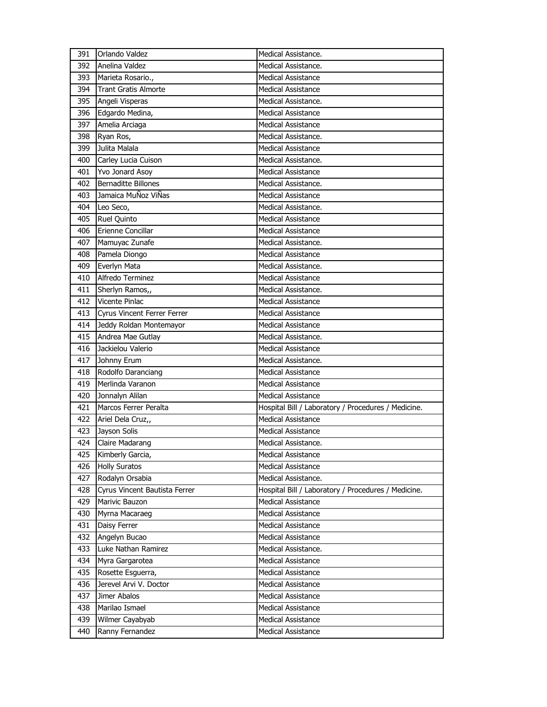| 391 | Orlando Valdez                | Medical Assistance.                                 |
|-----|-------------------------------|-----------------------------------------------------|
| 392 | Anelina Valdez                | Medical Assistance.                                 |
| 393 | Marieta Rosario.,             | <b>Medical Assistance</b>                           |
| 394 | <b>Trant Gratis Almorte</b>   | <b>Medical Assistance</b>                           |
| 395 | Angeli Visperas               | Medical Assistance.                                 |
| 396 | Edgardo Medina,               | <b>Medical Assistance</b>                           |
| 397 | Amelia Arciaga                | <b>Medical Assistance</b>                           |
| 398 | Ryan Ros,                     | Medical Assistance.                                 |
| 399 | Julita Malala                 | <b>Medical Assistance</b>                           |
| 400 | Carley Lucia Cuison           | Medical Assistance.                                 |
| 401 | Yvo Jonard Asoy               | Medical Assistance                                  |
| 402 | <b>Bernaditte Billones</b>    | Medical Assistance.                                 |
| 403 | Jamaica MuÑoz ViÑas           | <b>Medical Assistance</b>                           |
| 404 | Leo Seco,                     | Medical Assistance.                                 |
| 405 | Ruel Quinto                   | <b>Medical Assistance</b>                           |
| 406 | Erienne Concillar             | <b>Medical Assistance</b>                           |
| 407 | Mamuyac Zunafe                | Medical Assistance.                                 |
| 408 | Pamela Diongo                 | <b>Medical Assistance</b>                           |
| 409 | Everlyn Mata                  | Medical Assistance.                                 |
| 410 | Alfredo Terminez              | <b>Medical Assistance</b>                           |
| 411 | Sherlyn Ramos,,               | Medical Assistance.                                 |
| 412 | Vicente Pinlac                | Medical Assistance                                  |
| 413 | Cyrus Vincent Ferrer Ferrer   | <b>Medical Assistance</b>                           |
| 414 | Jeddy Roldan Montemayor       | <b>Medical Assistance</b>                           |
| 415 | Andrea Mae Gutlay             | Medical Assistance.                                 |
| 416 | Jackielou Valerio             | <b>Medical Assistance</b>                           |
| 417 | Johnny Erum                   | Medical Assistance.                                 |
| 418 | Rodolfo Daranciang            | <b>Medical Assistance</b>                           |
| 419 | Merlinda Varanon              | <b>Medical Assistance</b>                           |
| 420 | Jonnalyn Alilan               | <b>Medical Assistance</b>                           |
| 421 | Marcos Ferrer Peralta         | Hospital Bill / Laboratory / Procedures / Medicine. |
| 422 | Ariel Dela Cruz,,             | Medical Assistance                                  |
| 423 | Jayson Solis                  | Medical Assistance                                  |
| 424 | Claire Madarang               | Medical Assistance.                                 |
| 425 | Kimberly Garcia,              | Medical Assistance                                  |
| 426 | <b>Holly Suratos</b>          | <b>Medical Assistance</b>                           |
| 427 |                               |                                                     |
|     | Rodalyn Orsabia               | Medical Assistance.                                 |
| 428 | Cyrus Vincent Bautista Ferrer | Hospital Bill / Laboratory / Procedures / Medicine. |
| 429 | Marivic Bauzon                | <b>Medical Assistance</b>                           |
| 430 | Myrna Macaraeg                | <b>Medical Assistance</b>                           |
| 431 | Daisy Ferrer                  | Medical Assistance                                  |
| 432 | Angelyn Bucao                 | <b>Medical Assistance</b>                           |
| 433 | Luke Nathan Ramirez           | Medical Assistance.                                 |
| 434 | Myra Gargarotea               | <b>Medical Assistance</b>                           |
| 435 | Rosette Esguerra,             | <b>Medical Assistance</b>                           |
| 436 | Jerevel Arvi V. Doctor        | <b>Medical Assistance</b>                           |
| 437 | Jimer Abalos                  | <b>Medical Assistance</b>                           |
| 438 | Marilao Ismael                | <b>Medical Assistance</b>                           |
| 439 | Wilmer Cayabyab               | <b>Medical Assistance</b>                           |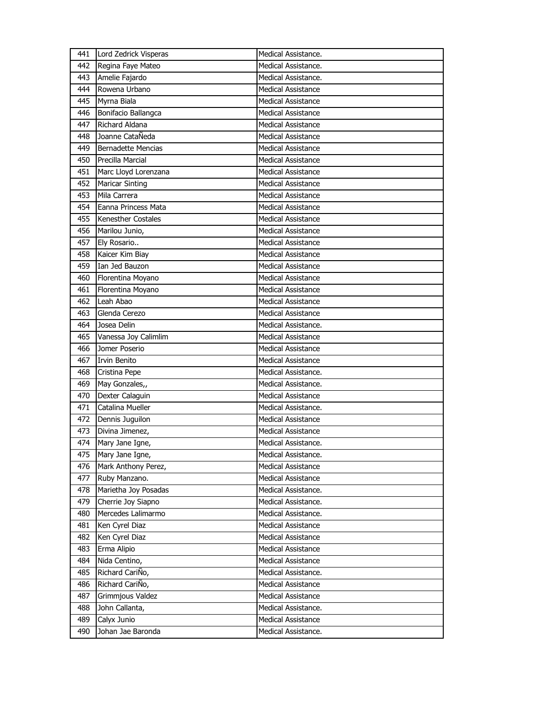| 441 | Lord Zedrick Visperas     | Medical Assistance.       |
|-----|---------------------------|---------------------------|
| 442 | Regina Faye Mateo         | Medical Assistance.       |
| 443 | Amelie Fajardo            | Medical Assistance.       |
| 444 | Rowena Urbano             | <b>Medical Assistance</b> |
| 445 | Myrna Biala               | <b>Medical Assistance</b> |
| 446 | Bonifacio Ballangca       | Medical Assistance        |
| 447 | Richard Aldana            | <b>Medical Assistance</b> |
| 448 | Joanne CataÑeda           | <b>Medical Assistance</b> |
| 449 | <b>Bernadette Mencias</b> | <b>Medical Assistance</b> |
| 450 | <b>Precilla Marcial</b>   | <b>Medical Assistance</b> |
| 451 | Marc Lloyd Lorenzana      | Medical Assistance        |
| 452 | <b>Maricar Sinting</b>    | <b>Medical Assistance</b> |
| 453 | Mila Carrera              | <b>Medical Assistance</b> |
| 454 | Eanna Princess Mata       | <b>Medical Assistance</b> |
| 455 | Kenesther Costales        | <b>Medical Assistance</b> |
| 456 | Marilou Junio,            | Medical Assistance        |
| 457 | Ely Rosario               | <b>Medical Assistance</b> |
| 458 | Kaicer Kim Biay           | <b>Medical Assistance</b> |
| 459 | Ian Jed Bauzon            | <b>Medical Assistance</b> |
| 460 | Florentina Moyano         | <b>Medical Assistance</b> |
| 461 | Florentina Moyano         | Medical Assistance        |
| 462 | Leah Abao                 | <b>Medical Assistance</b> |
| 463 | Glenda Cerezo             | <b>Medical Assistance</b> |
| 464 | Josea Delin               | Medical Assistance.       |
| 465 | Vanessa Joy Calimlim      | <b>Medical Assistance</b> |
| 466 | Jomer Poserio             | Medical Assistance        |
|     |                           |                           |
| 467 | <b>Irvin Benito</b>       | <b>Medical Assistance</b> |
| 468 | Cristina Pepe             | Medical Assistance.       |
| 469 | May Gonzales,,            | Medical Assistance.       |
| 470 | Dexter Calaguin           | <b>Medical Assistance</b> |
| 471 | Catalina Mueller          | Medical Assistance.       |
| 472 | Dennis Juguilon           | <b>Medical Assistance</b> |
| 473 | Divina Jimenez,           | <b>Medical Assistance</b> |
| 474 | Mary Jane Igne,           | Medical Assistance.       |
| 475 | Mary Jane Igne,           | Medical Assistance.       |
| 476 | Mark Anthony Perez,       | <b>Medical Assistance</b> |
| 477 | Ruby Manzano.             | <b>Medical Assistance</b> |
| 478 | Marietha Joy Posadas      | Medical Assistance.       |
| 479 | Cherrie Joy Siapno        | Medical Assistance.       |
| 480 | Mercedes Lalimarmo        | Medical Assistance.       |
| 481 | Ken Cyrel Diaz            | Medical Assistance        |
| 482 | Ken Cyrel Diaz            | <b>Medical Assistance</b> |
| 483 | Erma Alipio               | <b>Medical Assistance</b> |
| 484 | Nida Centino,             | Medical Assistance        |
| 485 | Richard CariÑo,           | Medical Assistance.       |
| 486 | Richard CariÑo,           | Medical Assistance        |
| 487 | Grimmjous Valdez          | <b>Medical Assistance</b> |
| 488 | John Callanta,            | Medical Assistance.       |
| 489 | Calyx Junio               | <b>Medical Assistance</b> |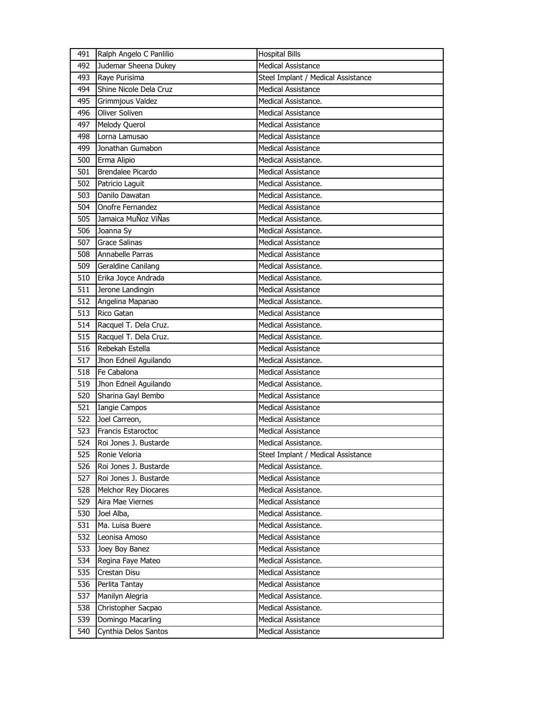| 491 | Ralph Angelo C Panlilio | <b>Hospital Bills</b>              |
|-----|-------------------------|------------------------------------|
| 492 | Judemar Sheena Dukey    | <b>Medical Assistance</b>          |
| 493 | Raye Purisima           | Steel Implant / Medical Assistance |
| 494 | Shine Nicole Dela Cruz  | <b>Medical Assistance</b>          |
| 495 | Grimmjous Valdez        | Medical Assistance.                |
| 496 | Oliver Soliven          | <b>Medical Assistance</b>          |
| 497 | Melody Querol           | <b>Medical Assistance</b>          |
| 498 | Lorna Lamusao           | <b>Medical Assistance</b>          |
| 499 | Jonathan Gumabon        | <b>Medical Assistance</b>          |
| 500 | Erma Alipio             | Medical Assistance.                |
| 501 | Brendalee Picardo       | <b>Medical Assistance</b>          |
| 502 | Patricio Laguit         | Medical Assistance.                |
| 503 | Danilo Dawatan          | Medical Assistance.                |
| 504 | Onofre Fernandez        | <b>Medical Assistance</b>          |
| 505 | Jamaica MuÑoz ViÑas     | Medical Assistance.                |
| 506 | Joanna Sy               | Medical Assistance.                |
| 507 | <b>Grace Salinas</b>    | <b>Medical Assistance</b>          |
| 508 | Annabelle Parras        | <b>Medical Assistance</b>          |
| 509 | Geraldine Canilang      | Medical Assistance.                |
| 510 | Erika Joyce Andrada     | Medical Assistance.                |
| 511 | Jerone Landingin        | <b>Medical Assistance</b>          |
| 512 | Angelina Mapanao        | Medical Assistance.                |
| 513 | Rico Gatan              | <b>Medical Assistance</b>          |
| 514 | Racquel T. Dela Cruz.   | Medical Assistance.                |
| 515 | Racquel T. Dela Cruz.   | Medical Assistance.                |
| 516 | Rebekah Estella         | <b>Medical Assistance</b>          |
| 517 | Jhon Edneil Aguilando   | Medical Assistance.                |
| 518 | Fe Cabalona             | <b>Medical Assistance</b>          |
| 519 | Jhon Edneil Aguilando   | Medical Assistance.                |
| 520 | Sharina Gayl Bembo      | <b>Medical Assistance</b>          |
| 521 | <b>Iangie Campos</b>    | <b>Medical Assistance</b>          |
| 522 | Joel Carreon,           | <b>Medical Assistance</b>          |
| 523 | Francis Estaroctoc      | <b>Medical Assistance</b>          |
| 524 | Roi Jones J. Bustarde   | Medical Assistance.                |
| 525 | Ronie Veloria           | Steel Implant / Medical Assistance |
| 526 | Roi Jones J. Bustarde   | Medical Assistance.                |
| 527 | Roi Jones J. Bustarde   | <b>Medical Assistance</b>          |
| 528 | Melchor Rey Diocares    | Medical Assistance.                |
| 529 | Aira Mae Viernes        | <b>Medical Assistance</b>          |
| 530 | Joel Alba,              | Medical Assistance.                |
| 531 | Ma. Luisa Buere         | Medical Assistance.                |
| 532 | Leonisa Amoso           | <b>Medical Assistance</b>          |
| 533 | Joey Boy Banez          | Medical Assistance                 |
| 534 | Regina Faye Mateo       | Medical Assistance.                |
| 535 | Crestan Disu            | <b>Medical Assistance</b>          |
| 536 | Perlita Tantay          | <b>Medical Assistance</b>          |
| 537 | Manilyn Alegria         | Medical Assistance.                |
| 538 | Christopher Sacpao      | Medical Assistance.                |
| 539 | Domingo Macarling       | <b>Medical Assistance</b>          |
| 540 | Cynthia Delos Santos    | Medical Assistance                 |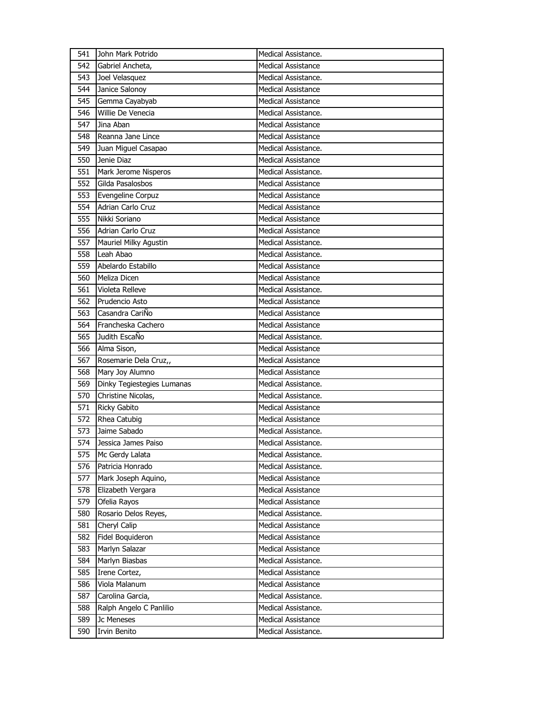| 541        | John Mark Potrido                     | Medical Assistance.                              |
|------------|---------------------------------------|--------------------------------------------------|
| 542        | Gabriel Ancheta,                      | <b>Medical Assistance</b>                        |
| 543        | Joel Velasquez                        | Medical Assistance.                              |
| 544        | Janice Salonoy                        | <b>Medical Assistance</b>                        |
| 545        | Gemma Cayabyab                        | <b>Medical Assistance</b>                        |
| 546        | Willie De Venecia                     | Medical Assistance.                              |
| 547        | Jina Aban                             | <b>Medical Assistance</b>                        |
| 548        | Reanna Jane Lince                     | Medical Assistance                               |
| 549        | Juan Miguel Casapao                   | Medical Assistance.                              |
| 550        | Jenie Diaz                            | <b>Medical Assistance</b>                        |
| 551        | Mark Jerome Nisperos                  | Medical Assistance.                              |
| 552        | Gilda Pasalosbos                      | <b>Medical Assistance</b>                        |
| 553        | Evengeline Corpuz                     | <b>Medical Assistance</b>                        |
| 554        | Adrian Carlo Cruz                     | <b>Medical Assistance</b>                        |
| 555        | Nikki Soriano                         | <b>Medical Assistance</b>                        |
| 556        | Adrian Carlo Cruz                     | <b>Medical Assistance</b>                        |
| 557        | Mauriel Milky Agustin                 | Medical Assistance.                              |
| 558        | Leah Abao                             | Medical Assistance.                              |
| 559        | Abelardo Estabillo                    | <b>Medical Assistance</b>                        |
| 560        | Meliza Dicen                          | <b>Medical Assistance</b>                        |
| 561        | Violeta Relleve                       | Medical Assistance.                              |
| 562        | Prudencio Asto                        | <b>Medical Assistance</b>                        |
| 563        | Casandra CariÑo                       | <b>Medical Assistance</b>                        |
| 564        | Francheska Cachero                    | <b>Medical Assistance</b>                        |
| 565        | Judith EscaÑo                         | Medical Assistance.                              |
|            |                                       |                                                  |
| 566        |                                       | <b>Medical Assistance</b>                        |
| 567        | Alma Sison,                           | <b>Medical Assistance</b>                        |
|            | Rosemarie Dela Cruz,,                 |                                                  |
| 568        | Mary Joy Alumno                       | <b>Medical Assistance</b>                        |
| 569<br>570 | Dinky Tegiestegies Lumanas            | Medical Assistance.                              |
| 571        | Christine Nicolas,                    | Medical Assistance.<br><b>Medical Assistance</b> |
| 572        | <b>Ricky Gabito</b>                   | <b>Medical Assistance</b>                        |
| 573        | Rhea Catubig<br>Jaime Sabado          | Medical Assistance.                              |
| 574        | Jessica James Paiso                   | Medical Assistance.                              |
| 575        |                                       | Medical Assistance.                              |
| 576        | Mc Gerdy Lalata<br>Patricia Honrado   | Medical Assistance.                              |
| 577        |                                       | <b>Medical Assistance</b>                        |
|            | Mark Joseph Aquino,                   | <b>Medical Assistance</b>                        |
| 578        | Elizabeth Vergara                     | <b>Medical Assistance</b>                        |
| 579        | Ofelia Rayos                          | Medical Assistance.                              |
| 580        | Rosario Delos Reyes,                  | <b>Medical Assistance</b>                        |
| 581        | Cheryl Calip                          |                                                  |
| 582<br>583 | Fidel Boquideron                      | <b>Medical Assistance</b>                        |
|            | Marlyn Salazar                        | Medical Assistance                               |
| 584        | Marlyn Biasbas                        | Medical Assistance.<br><b>Medical Assistance</b> |
| 585<br>586 | Irene Cortez,<br>Viola Malanum        | <b>Medical Assistance</b>                        |
| 587        |                                       | Medical Assistance.                              |
| 588        | Carolina Garcia,                      | Medical Assistance.                              |
|            | Ralph Angelo C Panlilio<br>Jc Meneses | Medical Assistance                               |
| 589<br>590 | Irvin Benito                          | Medical Assistance.                              |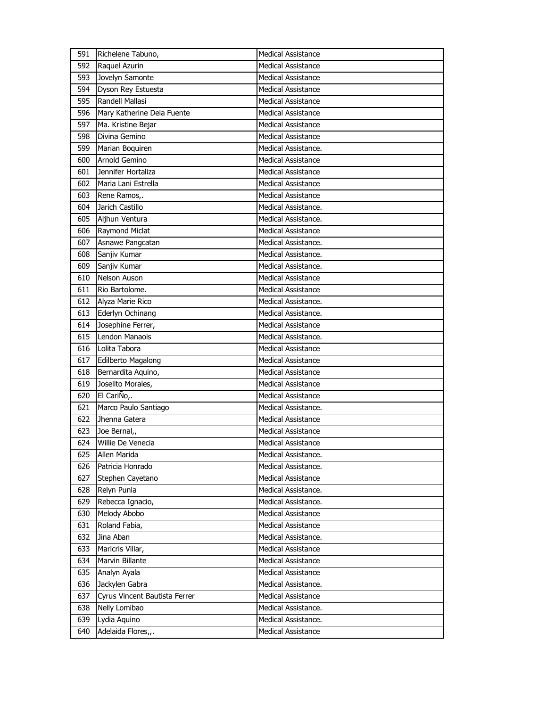| 591 | Richelene Tabuno,             | <b>Medical Assistance</b> |
|-----|-------------------------------|---------------------------|
| 592 | Raquel Azurin                 | <b>Medical Assistance</b> |
| 593 | Jovelyn Samonte               | <b>Medical Assistance</b> |
| 594 | Dyson Rey Estuesta            | <b>Medical Assistance</b> |
| 595 | Randell Mallasi               | <b>Medical Assistance</b> |
| 596 | Mary Katherine Dela Fuente    | <b>Medical Assistance</b> |
| 597 | Ma. Kristine Bejar            | <b>Medical Assistance</b> |
| 598 | Divina Gemino                 | Medical Assistance        |
| 599 | Marian Boquiren               | Medical Assistance.       |
| 600 | Arnold Gemino                 | <b>Medical Assistance</b> |
| 601 | Jennifer Hortaliza            | <b>Medical Assistance</b> |
| 602 | Maria Lani Estrella           | Medical Assistance        |
| 603 | Rene Ramos,.                  | <b>Medical Assistance</b> |
| 604 | Jarich Castillo               | Medical Assistance.       |
| 605 | Aljhun Ventura                | Medical Assistance.       |
| 606 | Raymond Miclat                | <b>Medical Assistance</b> |
| 607 | Asnawe Pangcatan              | Medical Assistance.       |
| 608 | Sanjiv Kumar                  | Medical Assistance.       |
| 609 | Sanjiv Kumar                  | Medical Assistance.       |
| 610 | <b>Nelson Auson</b>           | <b>Medical Assistance</b> |
| 611 | Rio Bartolome.                | <b>Medical Assistance</b> |
| 612 | Alyza Marie Rico              | Medical Assistance.       |
| 613 | Ederlyn Ochinang              | Medical Assistance.       |
| 614 | Josephine Ferrer,             | <b>Medical Assistance</b> |
| 615 | Lendon Manaois                | Medical Assistance.       |
| 616 | Lolita Tabora                 | <b>Medical Assistance</b> |
| 617 | Edilberto Magalong            | <b>Medical Assistance</b> |
| 618 | Bernardita Aquino,            | <b>Medical Assistance</b> |
| 619 | Joselito Morales,             | <b>Medical Assistance</b> |
| 620 | El CariÑo,.                   | <b>Medical Assistance</b> |
| 621 | Marco Paulo Santiago          | Medical Assistance.       |
| 622 | Jhenna Gatera                 | <b>Medical Assistance</b> |
| 623 | Joe Bernal,                   | <b>Medical Assistance</b> |
| 624 | Willie De Venecia             | <b>Medical Assistance</b> |
| 625 | Allen Marida                  | Medical Assistance.       |
| 626 | Patricia Honrado              | Medical Assistance.       |
| 627 | Stephen Cayetano              | <b>Medical Assistance</b> |
| 628 | Relyn Punla                   | Medical Assistance.       |
| 629 | Rebecca Ignacio,              | Medical Assistance.       |
| 630 | Melody Abobo                  | <b>Medical Assistance</b> |
| 631 | Roland Fabia,                 | Medical Assistance        |
| 632 | Jina Aban                     | Medical Assistance.       |
| 633 | Maricris Villar,              | Medical Assistance        |
| 634 | Marvin Billante               | Medical Assistance        |
| 635 | Analyn Ayala                  | Medical Assistance        |
| 636 | Jackylen Gabra                | Medical Assistance.       |
| 637 | Cyrus Vincent Bautista Ferrer | <b>Medical Assistance</b> |
|     |                               |                           |
| 638 | Nelly Lomibao                 | Medical Assistance.       |
| 639 | Lydia Aquino                  | Medical Assistance.       |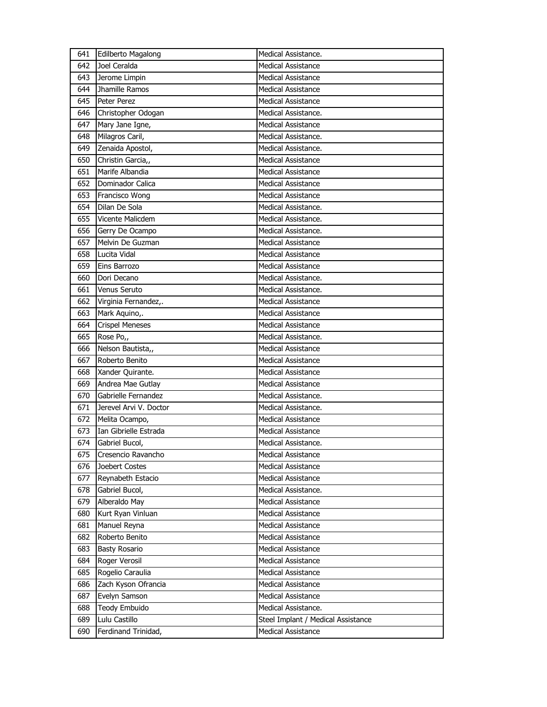| 641 | <b>Edilberto Magalong</b> | Medical Assistance.                |
|-----|---------------------------|------------------------------------|
| 642 | Joel Ceralda              | <b>Medical Assistance</b>          |
| 643 | Jerome Limpin             | <b>Medical Assistance</b>          |
| 644 | Jhamille Ramos            | <b>Medical Assistance</b>          |
| 645 | Peter Perez               | <b>Medical Assistance</b>          |
| 646 | Christopher Odogan        | Medical Assistance.                |
| 647 | Mary Jane Igne,           | <b>Medical Assistance</b>          |
| 648 | Milagros Caril,           | Medical Assistance.                |
| 649 | Zenaida Apostol,          | Medical Assistance.                |
| 650 | Christin Garcia,,         | <b>Medical Assistance</b>          |
| 651 | Marife Albandia           | Medical Assistance                 |
| 652 | Dominador Calica          | <b>Medical Assistance</b>          |
| 653 | Francisco Wong            | <b>Medical Assistance</b>          |
| 654 | Dilan De Sola             | Medical Assistance.                |
| 655 | Vicente Malicdem          | Medical Assistance.                |
| 656 | Gerry De Ocampo           | Medical Assistance.                |
| 657 | Melvin De Guzman          | <b>Medical Assistance</b>          |
| 658 | Lucita Vidal              | <b>Medical Assistance</b>          |
| 659 | Eins Barrozo              | <b>Medical Assistance</b>          |
| 660 | Dori Decano               | Medical Assistance.                |
| 661 | Venus Seruto              | Medical Assistance.                |
| 662 | Virginia Fernandez,.      | Medical Assistance                 |
| 663 | Mark Aquino,.             | <b>Medical Assistance</b>          |
| 664 | <b>Crispel Meneses</b>    | <b>Medical Assistance</b>          |
| 665 | Rose Po,,                 | Medical Assistance.                |
| 666 | Nelson Bautista,,         | <b>Medical Assistance</b>          |
| 667 | Roberto Benito            | <b>Medical Assistance</b>          |
|     |                           |                                    |
| 668 | Xander Quirante.          | <b>Medical Assistance</b>          |
| 669 | Andrea Mae Gutlay         | <b>Medical Assistance</b>          |
| 670 | Gabrielle Fernandez       | Medical Assistance.                |
| 671 | Jerevel Arvi V. Doctor    | Medical Assistance.                |
| 672 | Melita Ocampo,            | Medical Assistance                 |
| 673 | Ian Gibrielle Estrada     | <b>Medical Assistance</b>          |
| 674 | Gabriel Bucol,            | Medical Assistance.                |
| 675 | Cresencio Ravancho        | <b>Medical Assistance</b>          |
| 676 | Joebert Costes            | <b>Medical Assistance</b>          |
| 677 | Reynabeth Estacio         | <b>Medical Assistance</b>          |
| 678 | Gabriel Bucol,            | Medical Assistance.                |
| 679 | Alberaldo May             | <b>Medical Assistance</b>          |
| 680 | Kurt Ryan Vinluan         | <b>Medical Assistance</b>          |
| 681 | Manuel Reyna              | Medical Assistance                 |
| 682 | Roberto Benito            | <b>Medical Assistance</b>          |
| 683 | <b>Basty Rosario</b>      | <b>Medical Assistance</b>          |
| 684 | Roger Verosil             | Medical Assistance                 |
| 685 | Rogelio Caraulia          | <b>Medical Assistance</b>          |
| 686 | Zach Kyson Ofrancia       | Medical Assistance                 |
| 687 | Evelyn Samson             | <b>Medical Assistance</b>          |
| 688 | Teody Embuido             | Medical Assistance.                |
| 689 | Lulu Castillo             | Steel Implant / Medical Assistance |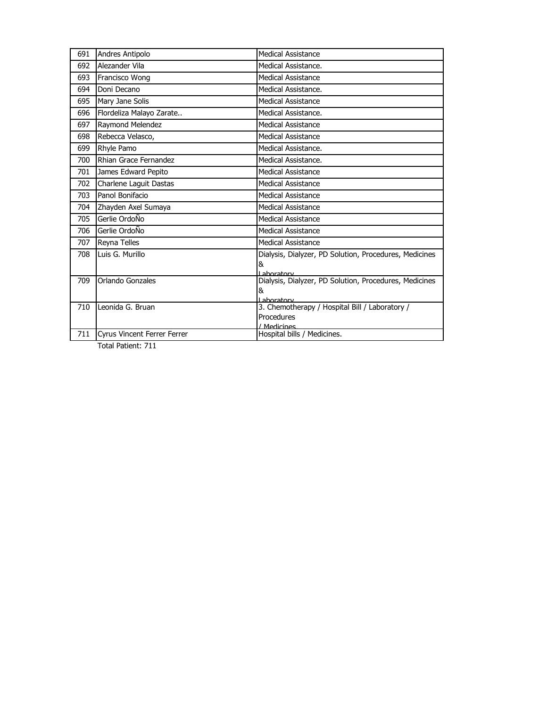| 691 | Andres Antipolo                    | <b>Medical Assistance</b>                                                                |
|-----|------------------------------------|------------------------------------------------------------------------------------------|
| 692 | Alezander Vila                     | Medical Assistance.                                                                      |
| 693 | Francisco Wong                     | <b>Medical Assistance</b>                                                                |
| 694 | Doni Decano                        | Medical Assistance.                                                                      |
| 695 | Mary Jane Solis                    | <b>Medical Assistance</b>                                                                |
| 696 | Flordeliza Malayo Zarate           | Medical Assistance.                                                                      |
| 697 | Raymond Melendez                   | <b>Medical Assistance</b>                                                                |
| 698 | Rebecca Velasco,                   | <b>Medical Assistance</b>                                                                |
| 699 | Rhyle Pamo                         | Medical Assistance.                                                                      |
| 700 | Rhian Grace Fernandez              | Medical Assistance.                                                                      |
| 701 | James Edward Pepito                | Medical Assistance                                                                       |
| 702 | Charlene Laguit Dastas             | Medical Assistance                                                                       |
| 703 | Panol Bonifacio                    | <b>Medical Assistance</b>                                                                |
| 704 | Zhayden Axel Sumaya                | <b>Medical Assistance</b>                                                                |
| 705 | Gerlie OrdoÑo                      | <b>Medical Assistance</b>                                                                |
| 706 | Gerlie OrdoÑo                      | Medical Assistance                                                                       |
| 707 | Reyna Telles                       | <b>Medical Assistance</b>                                                                |
| 708 | Luis G. Murillo                    | Dialysis, Dialyzer, PD Solution, Procedures, Medicines<br>&                              |
| 709 | Orlando Gonzales                   | I ahoratory<br>Dialysis, Dialyzer, PD Solution, Procedures, Medicines<br>&<br>Laboratory |
| 710 | Leonida G. Bruan                   | 3. Chemotherapy / Hospital Bill / Laboratory /<br>Procedures<br>/ Medicines              |
| 711 | <b>Cyrus Vincent Ferrer Ferrer</b> | Hospital bills / Medicines.                                                              |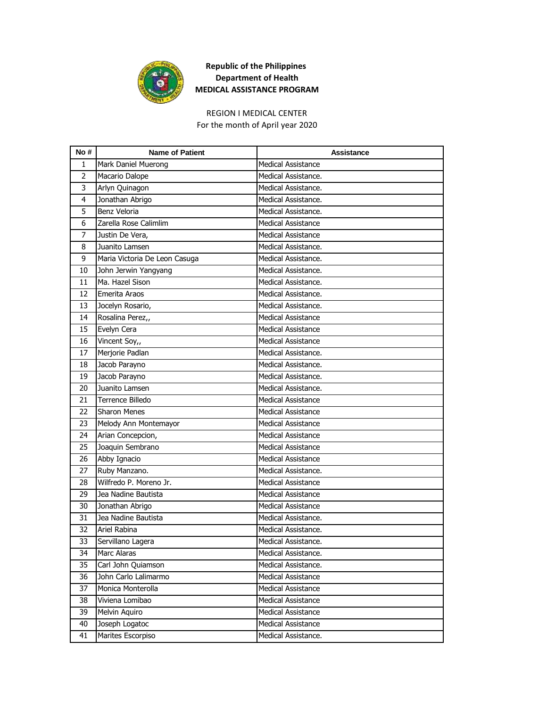

# REGION I MEDICAL CENTER

For the month of April year 2020

| No #         | <b>Name of Patient</b>        | <b>Assistance</b>         |
|--------------|-------------------------------|---------------------------|
| $\mathbf{1}$ | Mark Daniel Muerong           | <b>Medical Assistance</b> |
| 2            | Macario Dalope                | Medical Assistance.       |
| 3            | Arlyn Quinagon                | Medical Assistance.       |
| 4            | Jonathan Abrigo               | Medical Assistance.       |
| 5            | Benz Veloria                  | Medical Assistance.       |
| 6            | Zarella Rose Calimlim         | <b>Medical Assistance</b> |
| 7            | Justin De Vera,               | <b>Medical Assistance</b> |
| 8            | Juanito Lamsen                | Medical Assistance.       |
| 9            | Maria Victoria De Leon Casuga | Medical Assistance.       |
| 10           | John Jerwin Yangyang          | Medical Assistance.       |
| 11           | Ma. Hazel Sison               | Medical Assistance.       |
| 12           | Emerita Araos                 | Medical Assistance.       |
| 13           | Jocelyn Rosario,              | Medical Assistance.       |
| 14           | Rosalina Perez,,              | <b>Medical Assistance</b> |
| 15           | Evelyn Cera                   | <b>Medical Assistance</b> |
| 16           | Vincent Soy,,                 | <b>Medical Assistance</b> |
| 17           | Merjorie Padlan               | Medical Assistance.       |
| 18           | Jacob Parayno                 | Medical Assistance.       |
| 19           | Jacob Parayno                 | Medical Assistance.       |
| 20           | Juanito Lamsen                | Medical Assistance.       |
| 21           | Terrence Billedo              | Medical Assistance        |
| 22           | <b>Sharon Menes</b>           | Medical Assistance        |
| 23           | Melody Ann Montemayor         | Medical Assistance        |
| 24           | Arian Concepcion,             | <b>Medical Assistance</b> |
| 25           | Joaquin Sembrano              | <b>Medical Assistance</b> |
| 26           | Abby Ignacio                  | <b>Medical Assistance</b> |
| 27           | Ruby Manzano.                 | Medical Assistance.       |
| 28           | Wilfredo P. Moreno Jr.        | <b>Medical Assistance</b> |
| 29           | Jea Nadine Bautista           | <b>Medical Assistance</b> |
| 30           | Jonathan Abrigo               | <b>Medical Assistance</b> |
| 31           | Jea Nadine Bautista           | Medical Assistance.       |
| 32           | Ariel Rabina                  | Medical Assistance.       |
| 33           | Servillano Lagera             | Medical Assistance.       |
| 34           | Marc Alaras                   | Medical Assistance.       |
| 35           | Carl John Quiamson            | Medical Assistance.       |
| 36           | John Carlo Lalimarmo          | Medical Assistance        |
| 37           | Monica Monterolla             | Medical Assistance        |
| 38           | Viviena Lomibao               | Medical Assistance        |
| 39           | Melvin Aquiro                 | Medical Assistance        |
| 40           | Joseph Logatoc                | Medical Assistance        |
| 41           | Marites Escorpiso             | Medical Assistance.       |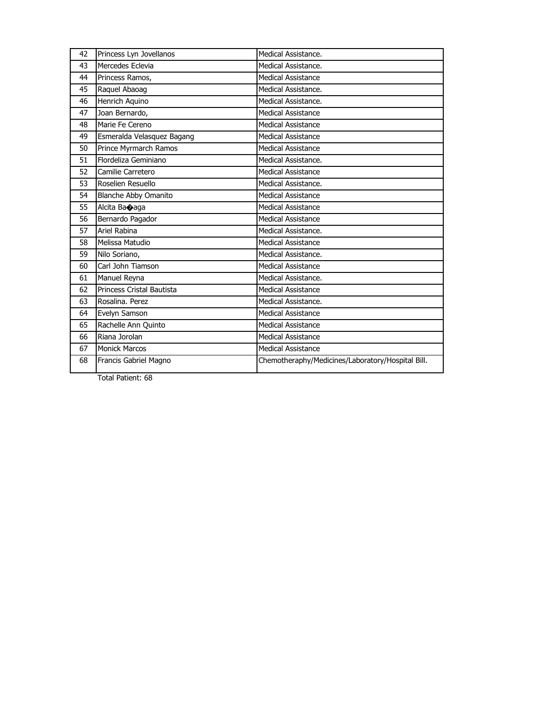| 42 | Princess Lyn Jovellanos     | Medical Assistance.                               |
|----|-----------------------------|---------------------------------------------------|
| 43 | Mercedes Eclevia            | Medical Assistance.                               |
| 44 | Princess Ramos,             | Medical Assistance                                |
| 45 | Raquel Abaoag               | Medical Assistance.                               |
| 46 | Henrich Aquino              | Medical Assistance.                               |
| 47 | Joan Bernardo,              | <b>Medical Assistance</b>                         |
| 48 | Marie Fe Cereno             | <b>Medical Assistance</b>                         |
| 49 | Esmeralda Velasquez Bagang  | Medical Assistance                                |
| 50 | Prince Myrmarch Ramos       | Medical Assistance                                |
| 51 | Flordeliza Geminiano        | Medical Assistance.                               |
| 52 | Camilie Carretero           | Medical Assistance                                |
| 53 | Roselien Resuello           | Medical Assistance.                               |
| 54 | <b>Blanche Abby Omanito</b> | <b>Medical Assistance</b>                         |
| 55 | Alcita Baoaqa               | Medical Assistance                                |
| 56 | Bernardo Pagador            | <b>Medical Assistance</b>                         |
| 57 | Ariel Rabina                | Medical Assistance.                               |
| 58 | Melissa Matudio             | <b>Medical Assistance</b>                         |
| 59 | Nilo Soriano,               | Medical Assistance.                               |
| 60 | Carl John Tiamson           | Medical Assistance                                |
| 61 | Manuel Reyna                | Medical Assistance.                               |
| 62 | Princess Cristal Bautista   | Medical Assistance                                |
| 63 | Rosalina. Perez             | Medical Assistance.                               |
| 64 | Evelyn Samson               | <b>Medical Assistance</b>                         |
| 65 | Rachelle Ann Quinto         | <b>Medical Assistance</b>                         |
| 66 | Riana Jorolan               | <b>Medical Assistance</b>                         |
| 67 | <b>Monick Marcos</b>        | Medical Assistance                                |
| 68 | Francis Gabriel Magno       | Chemotheraphy/Medicines/Laboratory/Hospital Bill. |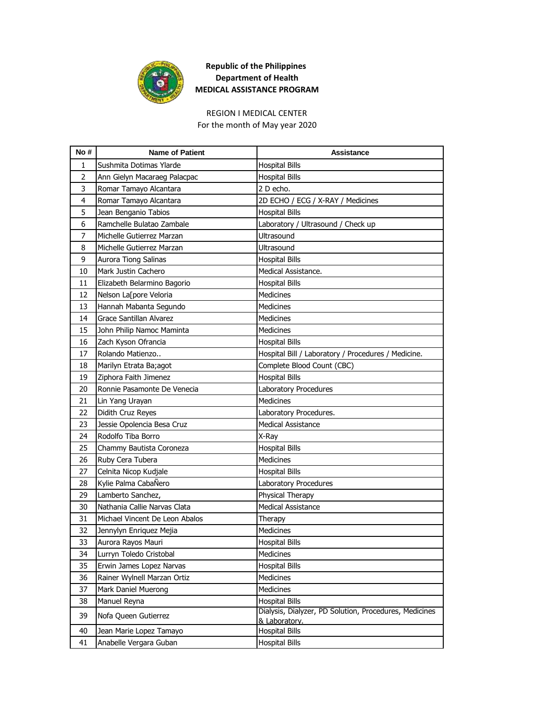

#### For the month of May year 2020 REGION I MEDICAL CENTER

**No # Name of Patient Assistance** 1 Sushmita Dotimas Ylarde **Hospital Bills** 2 Ann Gielyn Macaraeg Palacpac Hospital Bills 3 Romar Tamayo Alcantara 2 D echo. 4 Romar Tamayo Alcantara 2D ECHO / ECG / X-RAY / Medicines 5 Jean Benganio Tabios **Hospital Bills** 6 Ramchelle Bulatao Zambale Laboratory / Ultrasound / Check up 7 Michelle Gutierrez Marzan Museum Ultrasound 8 Michelle Gutierrez Marzan Multrasound 9 Aurora Tiong Salinas Hospital Bills 10 Mark Justin Cachero Medical Assistance. 11 | Elizabeth Belarmino Bagorio | Hospital Bills 12 Nelson Laspore Veloria Medicines 13 Hannah Mabanta Segundo Medicines 14 Grace Santillan Alvarez Medicines 15 John Philip Namoc Maminta Medicines 16 Zach Kyson Ofrancia Hospital Bills 17 Rolando Matienzo.. **Hospital Bill / Laboratory / Procedures / Medicine.** 18 | Marilyn Etrata Ba;agot | Complete Blood Count (CBC) 19 Ziphora Faith Jimenez Hospital Bills 20 Ronnie Pasamonte De Venecia Laboratory Procedures 21 Lin Yang Urayan Medicines 22 Didith Cruz Reyes **Laboratory Procedures.** 23 Jessie Opolencia Besa Cruz Medical Assistance 24 Rodolfo Tiba Borro X-Ray 25 Chammy Bautista Coroneza Hospital Bills 26 Ruby Cera Tubera Medicines 27 Celnita Nicop Kudjale **Hospital Bills** 28 Kylie Palma CabaÑero Laboratory Procedures 29 Lamberto Sanchez, etc. Physical Therapy 30 Nathania Callie Narvas Clata Medical Assistance 31 Michael Vincent De Leon Abalos Therapy 32 Jennylyn Enriquez Mejia Medicines 33 Aurora Rayos Mauri **Hospital Bills** 34 Lurryn Toledo Cristobal Medicines 35 Erwin James Lopez Narvas Hospital Bills 36 Rainer Wylnell Marzan Ortiz Medicines 37 Mark Daniel Muerong Medicines 38 Manuel Reyna **Hospital Bills** 39 Nofa Queen Gutierrez Dialysis, Dialyzer, PD Solution, Procedures, Medicines & Laboratory. 40 Jean Marie Lopez Tamayo Hospital Bills 41 Anabelle Vergara Guban Hospital Bills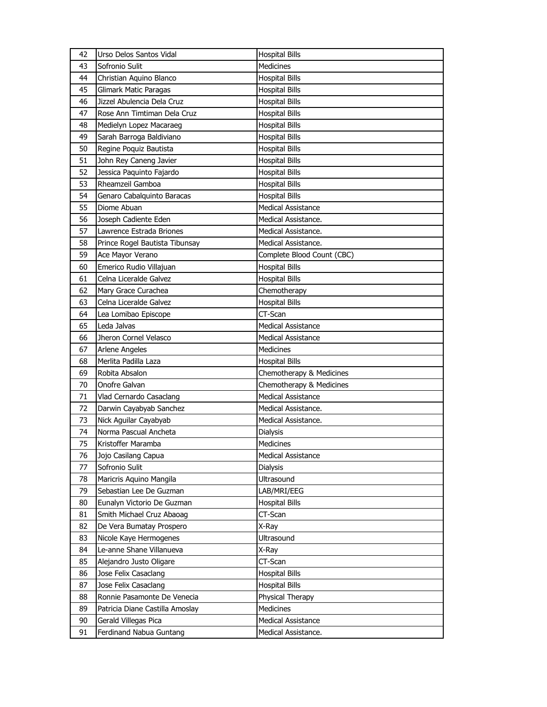|          | Urso Delos Santos Vidal                               | <b>Hospital Bills</b>                          |
|----------|-------------------------------------------------------|------------------------------------------------|
| 43       | Sofronio Sulit                                        | <b>Medicines</b>                               |
| 44       | Christian Aquino Blanco                               | <b>Hospital Bills</b>                          |
| 45       | Glimark Matic Paragas                                 | <b>Hospital Bills</b>                          |
| 46       | Jizzel Abulencia Dela Cruz                            | <b>Hospital Bills</b>                          |
| 47       | Rose Ann Timtiman Dela Cruz                           | <b>Hospital Bills</b>                          |
| 48       | Medielyn Lopez Macaraeg                               | <b>Hospital Bills</b>                          |
| 49       | Sarah Barroga Baldiviano                              | <b>Hospital Bills</b>                          |
| 50       | Regine Poquiz Bautista                                | <b>Hospital Bills</b>                          |
| 51       | John Rey Caneng Javier                                | <b>Hospital Bills</b>                          |
| 52       | Jessica Paquinto Fajardo                              | <b>Hospital Bills</b>                          |
| 53       | Rheamzeil Gamboa                                      | <b>Hospital Bills</b>                          |
| 54       | Genaro Cabalquinto Baracas                            | <b>Hospital Bills</b>                          |
| 55       | Diome Abuan                                           | <b>Medical Assistance</b>                      |
| 56       | Joseph Cadiente Eden                                  | Medical Assistance.                            |
| 57       | Lawrence Estrada Briones                              | Medical Assistance.                            |
| 58       | Prince Rogel Bautista Tibunsay                        | Medical Assistance.                            |
| 59       | Ace Mayor Verano                                      | Complete Blood Count (CBC)                     |
| 60       | Emerico Rudio Villajuan                               | <b>Hospital Bills</b>                          |
| 61       | Celna Liceralde Galvez                                | <b>Hospital Bills</b>                          |
| 62       | Mary Grace Curachea                                   | Chemotherapy                                   |
| 63       | Celna Liceralde Galvez                                | <b>Hospital Bills</b>                          |
| 64       | Lea Lomibao Episcope                                  | CT-Scan                                        |
| 65       | Leda Jalvas                                           | <b>Medical Assistance</b>                      |
| 66       | Jheron Cornel Velasco                                 | <b>Medical Assistance</b>                      |
| 67       | <b>Arlene Angeles</b>                                 | Medicines                                      |
|          |                                                       |                                                |
| 68       | Merlita Padilla Laza                                  |                                                |
| 69       | Robita Absalon                                        | <b>Hospital Bills</b>                          |
| 70       | Onofre Galvan                                         | Chemotherapy & Medicines                       |
|          |                                                       | Chemotherapy & Medicines                       |
| 71       | Vlad Cernardo Casaclang                               | <b>Medical Assistance</b>                      |
| 72       | Darwin Cayabyab Sanchez                               | Medical Assistance.<br>Medical Assistance.     |
| 73       | Nick Aguilar Cayabyab<br>Norma Pascual Ancheta        |                                                |
| 74       | Kristoffer Maramba                                    | Dialysis<br><b>Medicines</b>                   |
| 75       |                                                       |                                                |
| 76<br>77 | Jojo Casilang Capua                                   | <b>Medical Assistance</b>                      |
| 78       | Sofronio Sulit                                        | Dialysis                                       |
| 79       | Maricris Aquino Mangila                               | Ultrasound                                     |
| 80       | Sebastian Lee De Guzman                               | LAB/MRI/EEG<br><b>Hospital Bills</b>           |
| 81       | Eunalyn Victorio De Guzman                            |                                                |
| 82       | Smith Michael Cruz Abaoag<br>De Vera Bumatay Prospero | CT-Scan<br>X-Ray                               |
| 83       |                                                       |                                                |
| 84       | Nicole Kaye Hermogenes<br>Le-anne Shane Villanueva    | Ultrasound<br>X-Ray                            |
| 85       | Alejandro Justo Oligare                               | CT-Scan                                        |
| 86       | Jose Felix Casaclang                                  |                                                |
| 87       | Jose Felix Casaclang                                  | <b>Hospital Bills</b><br><b>Hospital Bills</b> |
| 88       | Ronnie Pasamonte De Venecia                           | Physical Therapy                               |
| 89       | Patricia Diane Castilla Amoslay                       | Medicines                                      |
| 90       | Gerald Villegas Pica                                  | Medical Assistance                             |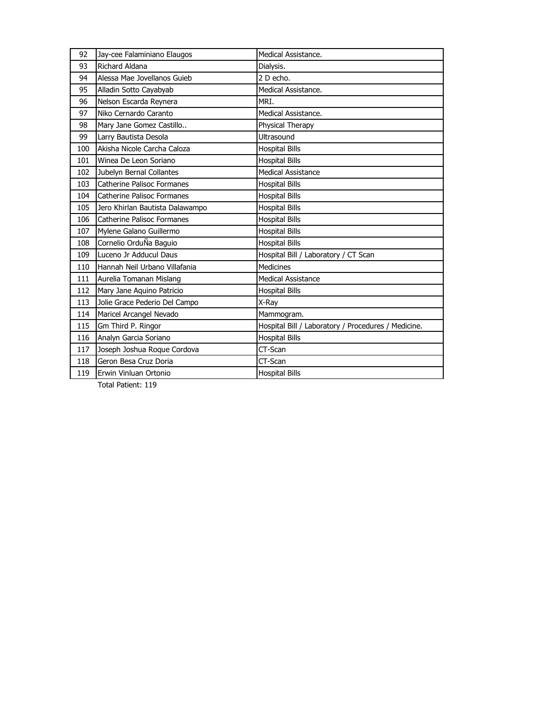| 92  | Jay-cee Falaminiano Elaugos       | Medical Assistance.                                 |
|-----|-----------------------------------|-----------------------------------------------------|
| 93  | Richard Aldana                    | Dialysis.                                           |
| 94  | Alessa Mae Jovellanos Guieb       | 2 D echo.                                           |
| 95  | Alladin Sotto Cayabyab            | Medical Assistance.                                 |
| 96  | Nelson Escarda Reynera            | MRI.                                                |
| 97  | Niko Cernardo Caranto             | Medical Assistance.                                 |
| 98  | Mary Jane Gomez Castillo          | Physical Therapy                                    |
| 99  | Larry Bautista Desola             | Ultrasound                                          |
| 100 | Akisha Nicole Carcha Caloza       | <b>Hospital Bills</b>                               |
| 101 | Winea De Leon Soriano             | <b>Hospital Bills</b>                               |
| 102 | Jubelyn Bernal Collantes          | Medical Assistance                                  |
| 103 | Catherine Palisoc Formanes        | <b>Hospital Bills</b>                               |
| 104 | Catherine Palisoc Formanes        | <b>Hospital Bills</b>                               |
| 105 | Jero Khirlan Bautista Dalawampo   | <b>Hospital Bills</b>                               |
| 106 | <b>Catherine Palisoc Formanes</b> | <b>Hospital Bills</b>                               |
| 107 | Mylene Galano Guillermo           | <b>Hospital Bills</b>                               |
| 108 | Cornelio OrduÑa Baguio            | <b>Hospital Bills</b>                               |
| 109 | Luceno Jr Adducul Daus            | Hospital Bill / Laboratory / CT Scan                |
| 110 | Hannah Neil Urbano Villafania     | <b>Medicines</b>                                    |
| 111 | Aurelia Tomanan Mislang           | <b>Medical Assistance</b>                           |
| 112 | Mary Jane Aquino Patricio         | <b>Hospital Bills</b>                               |
| 113 | Jolie Grace Pederio Del Campo     | X-Ray                                               |
| 114 | Maricel Arcangel Nevado           | Mammogram.                                          |
| 115 | Gm Third P. Ringor                | Hospital Bill / Laboratory / Procedures / Medicine. |
| 116 | Analyn Garcia Soriano             | <b>Hospital Bills</b>                               |
| 117 | Joseph Joshua Roque Cordova       | CT-Scan                                             |
| 118 | Geron Besa Cruz Doria             | CT-Scan                                             |
| 119 | Erwin Vinluan Ortonio             | <b>Hospital Bills</b>                               |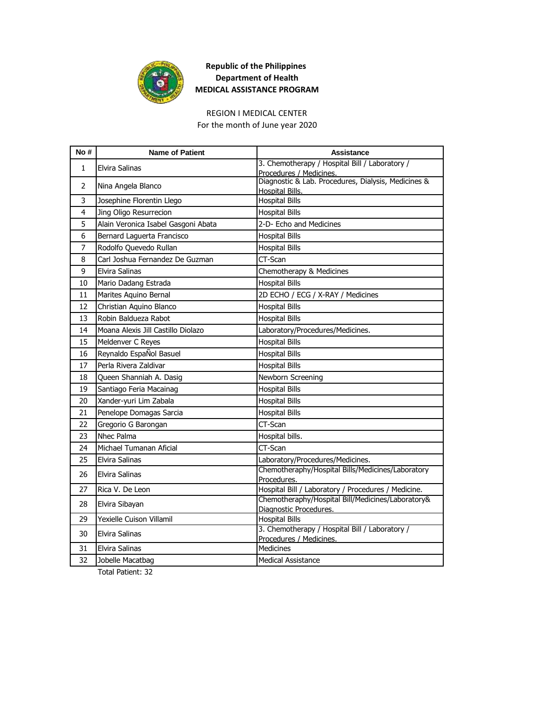

## REGION I MEDICAL CENTER

For the month of June year 2020

| No#            | <b>Name of Patient</b>              | <b>Assistance</b>                                                              |
|----------------|-------------------------------------|--------------------------------------------------------------------------------|
| 1              | Elvira Salinas                      | 3. Chemotherapy / Hospital Bill / Laboratory /                                 |
|                |                                     | Procedures / Medicines.<br>Diagnostic & Lab. Procedures, Dialysis, Medicines & |
| 2              | Nina Angela Blanco                  | Hospital Bills.                                                                |
| 3              | Josephine Florentin Llego           | <b>Hospital Bills</b>                                                          |
| 4              | Jing Oligo Resurrecion              | <b>Hospital Bills</b>                                                          |
| 5              | Alain Veronica Isabel Gasgoni Abata | 2-D- Echo and Medicines                                                        |
| 6              | Bernard Laguerta Francisco          | <b>Hospital Bills</b>                                                          |
| $\overline{7}$ | Rodolfo Quevedo Rullan              | <b>Hospital Bills</b>                                                          |
| 8              | Carl Joshua Fernandez De Guzman     | CT-Scan                                                                        |
| 9              | Elvira Salinas                      | Chemotherapy & Medicines                                                       |
| 10             | Mario Dadang Estrada                | <b>Hospital Bills</b>                                                          |
| 11             | Marites Aquino Bernal               | 2D ECHO / ECG / X-RAY / Medicines                                              |
| 12             | Christian Aquino Blanco             | <b>Hospital Bills</b>                                                          |
| 13             | Robin Baldueza Rabot                | <b>Hospital Bills</b>                                                          |
| 14             | Moana Alexis Jill Castillo Diolazo  | Laboratory/Procedures/Medicines.                                               |
| 15             | Meldenver C Reyes                   | <b>Hospital Bills</b>                                                          |
| 16             | Reynaldo EspaÑol Basuel             | <b>Hospital Bills</b>                                                          |
| 17             | Perla Rivera Zaldivar               | <b>Hospital Bills</b>                                                          |
| 18             | Queen Shanniah A. Dasig             | Newborn Screening                                                              |
| 19             | Santiago Feria Macainag             | <b>Hospital Bills</b>                                                          |
| 20             | Xander-yuri Lim Zabala              | <b>Hospital Bills</b>                                                          |
| 21             | Penelope Domagas Sarcia             | <b>Hospital Bills</b>                                                          |
| 22             | Gregorio G Barongan                 | CT-Scan                                                                        |
| 23             | Nhec Palma                          | Hospital bills.                                                                |
| 24             | Michael Tumanan Aficial             | CT-Scan                                                                        |
| 25             | Elvira Salinas                      | Laboratory/Procedures/Medicines.                                               |
| 26             | <b>Elvira Salinas</b>               | Chemotheraphy/Hospital Bills/Medicines/Laboratory<br>Procedures.               |
| 27             | Rica V. De Leon                     | Hospital Bill / Laboratory / Procedures / Medicine.                            |
| 28             | Elvira Sibayan                      | Chemotheraphy/Hospital Bill/Medicines/Laboratory&<br>Diagnostic Procedures.    |
| 29             | Yexielle Cuison Villamil            | <b>Hospital Bills</b>                                                          |
| 30             | <b>Elvira Salinas</b>               | 3. Chemotherapy / Hospital Bill / Laboratory /                                 |
|                |                                     | Procedures / Medicines.                                                        |
| 31             | <b>Elvira Salinas</b>               | <b>Medicines</b>                                                               |
| 32             | Jobelle Macatbag                    | <b>Medical Assistance</b>                                                      |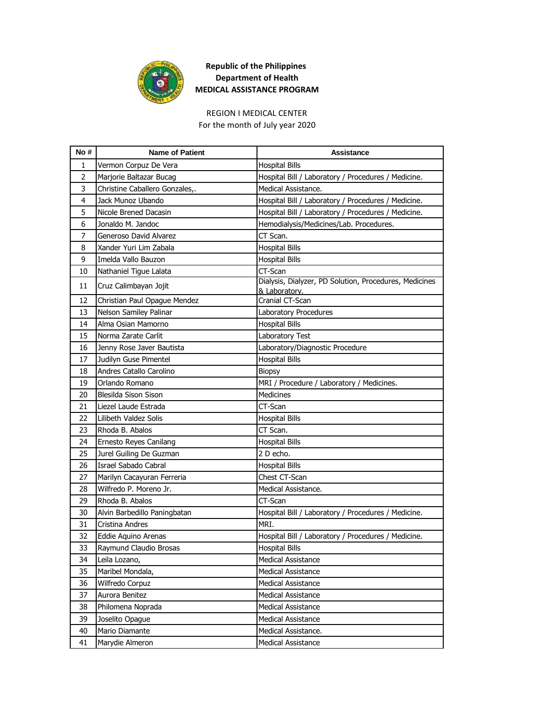

## REGION I MEDICAL CENTER

For the month of July year 2020

| No#            | <b>Name of Patient</b>         | <b>Assistance</b>                                                       |
|----------------|--------------------------------|-------------------------------------------------------------------------|
| 1              | Vermon Corpuz De Vera          | <b>Hospital Bills</b>                                                   |
| $\overline{2}$ | Marjorie Baltazar Bucag        | Hospital Bill / Laboratory / Procedures / Medicine.                     |
| 3              | Christine Caballero Gonzales,. | Medical Assistance.                                                     |
| 4              | Jack Munoz Ubando              | Hospital Bill / Laboratory / Procedures / Medicine.                     |
| 5              | Nicole Brened Dacasin          | Hospital Bill / Laboratory / Procedures / Medicine.                     |
| 6              | Jonaldo M. Jandoc              | Hemodialysis/Medicines/Lab. Procedures.                                 |
| 7              | Generoso David Alvarez         | CT Scan.                                                                |
| 8              | Xander Yuri Lim Zabala         | <b>Hospital Bills</b>                                                   |
| 9              | Imelda Vallo Bauzon            | <b>Hospital Bills</b>                                                   |
| 10             | Nathaniel Tigue Lalata         | CT-Scan                                                                 |
| 11             | Cruz Calimbayan Jojit          | Dialysis, Dialyzer, PD Solution, Procedures, Medicines<br>& Laboratory. |
| 12             | Christian Paul Opague Mendez   | Cranial CT-Scan                                                         |
| 13             | Nelson Samiley Palinar         | Laboratory Procedures                                                   |
| 14             | Alma Osian Mamorno             | <b>Hospital Bills</b>                                                   |
| 15             | Norma Zarate Carlit            | Laboratory Test                                                         |
| 16             | Jenny Rose Javer Bautista      | Laboratory/Diagnostic Procedure                                         |
| 17             | Judilyn Guse Pimentel          | <b>Hospital Bills</b>                                                   |
| 18             | Andres Catallo Carolino        | <b>Biopsy</b>                                                           |
| 19             | Orlando Romano                 | MRI / Procedure / Laboratory / Medicines.                               |
| 20             | <b>Blesilda Sison Sison</b>    | Medicines                                                               |
| 21             | Liezel Laude Estrada           | CT-Scan                                                                 |
| 22             | Lilibeth Valdez Solis          | <b>Hospital Bills</b>                                                   |
| 23             | Rhoda B. Abalos                | CT Scan.                                                                |
| 24             | Ernesto Reyes Canilang         | <b>Hospital Bills</b>                                                   |
| 25             | Jurel Guiling De Guzman        | 2 D echo.                                                               |
| 26             | Israel Sabado Cabral           | <b>Hospital Bills</b>                                                   |
| 27             | Marilyn Cacayuran Ferreria     | Chest CT-Scan                                                           |
| 28             | Wilfredo P. Moreno Jr.         | Medical Assistance.                                                     |
| 29             | Rhoda B. Abalos                | CT-Scan                                                                 |
| 30             | Alvin Barbedillo Paningbatan   | Hospital Bill / Laboratory / Procedures / Medicine.                     |
| 31             | Cristina Andres                | MRI.                                                                    |
| 32             | Eddie Aquino Arenas            | Hospital Bill / Laboratory / Procedures / Medicine.                     |
| 33             | Raymund Claudio Brosas         | <b>Hospital Bills</b>                                                   |
| 34             | Leila Lozano,                  | <b>Medical Assistance</b>                                               |
| 35             | Maribel Mondala,               | <b>Medical Assistance</b>                                               |
| 36             | Wilfredo Corpuz                | <b>Medical Assistance</b>                                               |
| 37             | Aurora Benitez                 | <b>Medical Assistance</b>                                               |
| 38             | Philomena Noprada              | <b>Medical Assistance</b>                                               |
| 39             | Joselito Opague                | Medical Assistance                                                      |
| 40             | Mario Diamante                 | Medical Assistance.                                                     |
| 41             | Marydie Almeron                | Medical Assistance                                                      |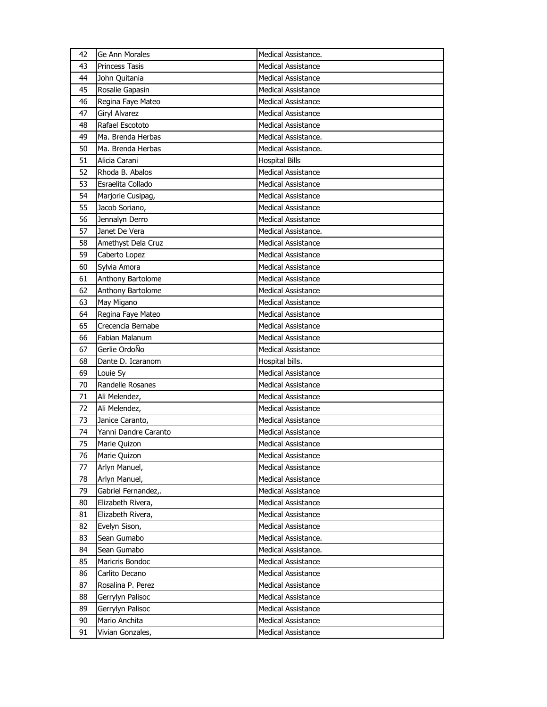| 42 | Ge Ann Morales        | Medical Assistance.       |
|----|-----------------------|---------------------------|
| 43 | <b>Princess Tasis</b> | <b>Medical Assistance</b> |
| 44 | John Quitania         | <b>Medical Assistance</b> |
| 45 | Rosalie Gapasin       | <b>Medical Assistance</b> |
| 46 | Regina Faye Mateo     | <b>Medical Assistance</b> |
| 47 | Giryl Alvarez         | <b>Medical Assistance</b> |
| 48 | Rafael Escototo       | <b>Medical Assistance</b> |
| 49 | Ma. Brenda Herbas     | Medical Assistance.       |
| 50 | Ma. Brenda Herbas     | Medical Assistance.       |
| 51 | Alicia Carani         | <b>Hospital Bills</b>     |
| 52 | Rhoda B. Abalos       | <b>Medical Assistance</b> |
| 53 | Esraelita Collado     | Medical Assistance        |
| 54 | Marjorie Cusipag,     | <b>Medical Assistance</b> |
| 55 | Jacob Soriano,        | <b>Medical Assistance</b> |
| 56 | Jennalyn Derro        | <b>Medical Assistance</b> |
| 57 | Janet De Vera         | Medical Assistance.       |
| 58 | Amethyst Dela Cruz    | <b>Medical Assistance</b> |
| 59 | Caberto Lopez         | <b>Medical Assistance</b> |
| 60 | Sylvia Amora          | <b>Medical Assistance</b> |
| 61 | Anthony Bartolome     | <b>Medical Assistance</b> |
| 62 | Anthony Bartolome     | <b>Medical Assistance</b> |
| 63 | May Migano            | <b>Medical Assistance</b> |
| 64 | Regina Faye Mateo     | <b>Medical Assistance</b> |
| 65 | Crecencia Bernabe     | <b>Medical Assistance</b> |
| 66 | Fabian Malanum        | <b>Medical Assistance</b> |
| 67 | Gerlie OrdoÑo         | <b>Medical Assistance</b> |
| 68 | Dante D. Icaranom     | Hospital bills.           |
| 69 | Louie Sy              | <b>Medical Assistance</b> |
| 70 | Randelle Rosanes      | <b>Medical Assistance</b> |
| 71 | Ali Melendez,         | <b>Medical Assistance</b> |
| 72 | Ali Melendez,         | <b>Medical Assistance</b> |
| 73 | Janice Caranto,       | Medical Assistance        |
| 74 | Yanni Dandre Caranto  | <b>Medical Assistance</b> |
| 75 | Marie Quizon          | <b>Medical Assistance</b> |
| 76 | Marie Quizon          | <b>Medical Assistance</b> |
| 77 | Arlyn Manuel,         | Medical Assistance        |
| 78 | Arlyn Manuel,         | <b>Medical Assistance</b> |
| 79 | Gabriel Fernandez,.   | <b>Medical Assistance</b> |
| 80 | Elizabeth Rivera,     | <b>Medical Assistance</b> |
| 81 | Elizabeth Rivera,     | <b>Medical Assistance</b> |
| 82 | Evelyn Sison,         | <b>Medical Assistance</b> |
| 83 | Sean Gumabo           | Medical Assistance.       |
| 84 | Sean Gumabo           | Medical Assistance.       |
| 85 | Maricris Bondoc       | <b>Medical Assistance</b> |
| 86 | Carlito Decano        | Medical Assistance        |
| 87 | Rosalina P. Perez     | Medical Assistance        |
| 88 | Gerrylyn Palisoc      | <b>Medical Assistance</b> |
| 89 | Gerrylyn Palisoc      | <b>Medical Assistance</b> |
| 90 | Mario Anchita         | <b>Medical Assistance</b> |
| 91 | Vivian Gonzales,      | Medical Assistance        |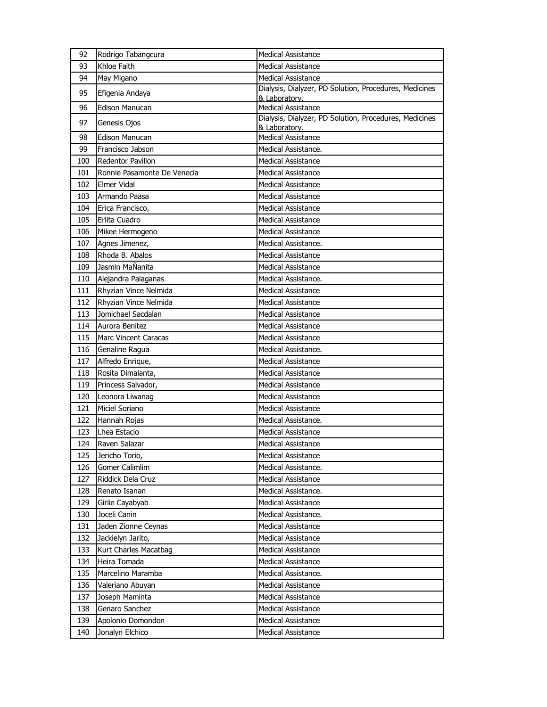| 92  | Rodrigo Tabangcura          | <b>Medical Assistance</b>                                               |
|-----|-----------------------------|-------------------------------------------------------------------------|
| 93  | Khloe Faith                 | <b>Medical Assistance</b>                                               |
| 94  | May Migano                  | <b>Medical Assistance</b>                                               |
| 95  | Efigenia Andaya             | Dialysis, Dialyzer, PD Solution, Procedures, Medicines<br>& Laboratory. |
| 96  | <b>Edison Manucan</b>       | <b>Medical Assistance</b>                                               |
| 97  | Genesis Ojos                | Dialysis, Dialyzer, PD Solution, Procedures, Medicines<br>& Laboratory. |
| 98  | <b>Edison Manucan</b>       | <b>Medical Assistance</b>                                               |
| 99  | Francisco Jabson            | Medical Assistance.                                                     |
| 100 | Redentor Pavillon           | <b>Medical Assistance</b>                                               |
| 101 | Ronnie Pasamonte De Venecia | <b>Medical Assistance</b>                                               |
| 102 | Elmer Vidal                 | <b>Medical Assistance</b>                                               |
| 103 | Armando Paasa               | <b>Medical Assistance</b>                                               |
| 104 | Erica Francisco,            | <b>Medical Assistance</b>                                               |
| 105 | Erlita Cuadro               | <b>Medical Assistance</b>                                               |
| 106 | Mikee Hermogeno             | <b>Medical Assistance</b>                                               |
| 107 | Agnes Jimenez,              | Medical Assistance.                                                     |
| 108 | Rhoda B. Abalos             | Medical Assistance                                                      |
| 109 | Jasmin MaÑanita             | <b>Medical Assistance</b>                                               |
| 110 | Alejandra Palaganas         | Medical Assistance.                                                     |
| 111 | Rhyzian Vince Nelmida       | <b>Medical Assistance</b>                                               |
| 112 | Rhyzian Vince Nelmida       | <b>Medical Assistance</b>                                               |
| 113 | Jomichael Sacdalan          | <b>Medical Assistance</b>                                               |
| 114 | Aurora Benitez              | <b>Medical Assistance</b>                                               |
| 115 | <b>Marc Vincent Caracas</b> | <b>Medical Assistance</b>                                               |
| 116 | Genaline Ragua              | Medical Assistance.                                                     |
| 117 | Alfredo Enrique,            | <b>Medical Assistance</b>                                               |
| 118 | Rosita Dimalanta,           | Medical Assistance                                                      |
| 119 | Princess Salvador,          | <b>Medical Assistance</b>                                               |
| 120 | Leonora Liwanag             | <b>Medical Assistance</b>                                               |
| 121 | Miciel Soriano              | <b>Medical Assistance</b>                                               |
| 122 | Hannah Rojas                | Medical Assistance.                                                     |
| 123 | Lhea Estacio                | <b>Medical Assistance</b>                                               |
| 124 | Raven Salazar               | <b>Medical Assistance</b>                                               |
| 125 | Jericho Torio,              | Medical Assistance                                                      |
| 126 | Gomer Calimlim              | Medical Assistance.                                                     |
| 127 | Riddick Dela Cruz           | <b>Medical Assistance</b>                                               |
| 128 | Renato Isanan               | Medical Assistance.                                                     |
| 129 | Girlie Cayabyab             | <b>Medical Assistance</b>                                               |
| 130 | Joceli Canin                | Medical Assistance.                                                     |
| 131 | Jaden Zionne Ceynas         | <b>Medical Assistance</b>                                               |
| 132 | Jackielyn Jarito,           | Medical Assistance                                                      |
| 133 | Kurt Charles Macatbag       | <b>Medical Assistance</b>                                               |
| 134 | Heira Tomada                | <b>Medical Assistance</b>                                               |
| 135 | Marcelino Maramba           | Medical Assistance.                                                     |
| 136 | Valeriano Abuyan            | <b>Medical Assistance</b>                                               |
| 137 | Joseph Maminta              | <b>Medical Assistance</b>                                               |
| 138 | Genaro Sanchez              | <b>Medical Assistance</b>                                               |
| 139 | Apolonio Domondon           | Medical Assistance                                                      |
| 140 | Jonalyn Elchico             | Medical Assistance                                                      |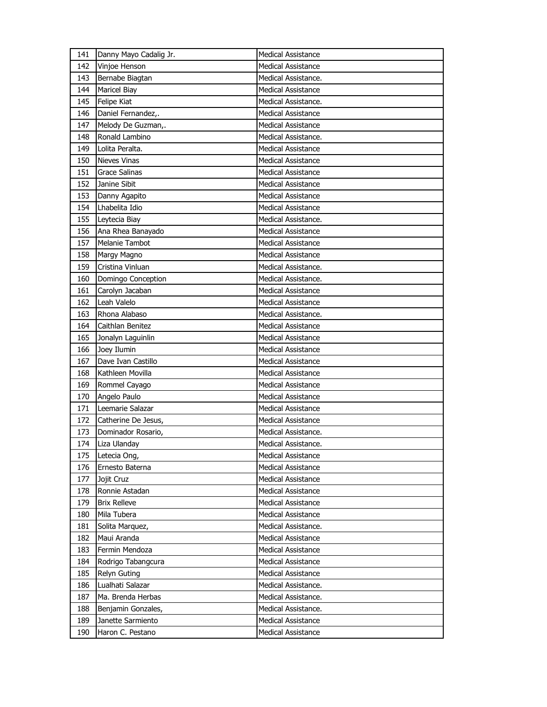| 141 | Danny Mayo Cadalig Jr. | <b>Medical Assistance</b> |
|-----|------------------------|---------------------------|
| 142 | Vinjoe Henson          | Medical Assistance        |
| 143 | Bernabe Biagtan        | Medical Assistance.       |
| 144 | <b>Maricel Biay</b>    | <b>Medical Assistance</b> |
| 145 | Felipe Kiat            | Medical Assistance.       |
| 146 | Daniel Fernandez,.     | <b>Medical Assistance</b> |
| 147 | Melody De Guzman,.     | <b>Medical Assistance</b> |
| 148 | Ronald Lambino         | Medical Assistance.       |
| 149 | Lolita Peralta.        | Medical Assistance        |
| 150 | <b>Nieves Vinas</b>    | <b>Medical Assistance</b> |
| 151 | Grace Salinas          | <b>Medical Assistance</b> |
| 152 | Janine Sibit           | Medical Assistance        |
| 153 | Danny Agapito          | <b>Medical Assistance</b> |
| 154 | Lhabelita Idio         | <b>Medical Assistance</b> |
| 155 | Leytecia Biay          | Medical Assistance.       |
| 156 | Ana Rhea Banayado      | <b>Medical Assistance</b> |
| 157 | Melanie Tambot         | <b>Medical Assistance</b> |
| 158 | Margy Magno            | <b>Medical Assistance</b> |
| 159 | Cristina Vinluan       | Medical Assistance.       |
| 160 | Domingo Conception     | Medical Assistance.       |
| 161 | Carolyn Jacaban        | <b>Medical Assistance</b> |
| 162 | Leah Valelo            | Medical Assistance        |
| 163 | Rhona Alabaso          | Medical Assistance.       |
| 164 | Caithlan Benitez       | <b>Medical Assistance</b> |
| 165 | Jonalyn Laguinlin      | <b>Medical Assistance</b> |
| 166 | Joey Ilumin            | <b>Medical Assistance</b> |
|     |                        |                           |
| 167 | Dave Ivan Castillo     | <b>Medical Assistance</b> |
| 168 | Kathleen Movilla       | <b>Medical Assistance</b> |
| 169 | Rommel Cayago          | <b>Medical Assistance</b> |
| 170 | Angelo Paulo           | <b>Medical Assistance</b> |
| 171 | Leemarie Salazar       | <b>Medical Assistance</b> |
| 172 | Catherine De Jesus,    | <b>Medical Assistance</b> |
| 173 | Dominador Rosario,     | Medical Assistance.       |
| 174 | Liza Ulanday           | Medical Assistance.       |
| 175 | Letecia Ong,           | Medical Assistance        |
| 176 | Ernesto Baterna        | <b>Medical Assistance</b> |
| 177 | Jojit Cruz             | <b>Medical Assistance</b> |
| 178 | Ronnie Astadan         | <b>Medical Assistance</b> |
| 179 | <b>Brix Relleve</b>    | <b>Medical Assistance</b> |
| 180 | Mila Tubera            | Medical Assistance        |
| 181 | Solita Marquez,        | Medical Assistance.       |
| 182 | Maui Aranda            | Medical Assistance        |
| 183 | Fermin Mendoza         | <b>Medical Assistance</b> |
| 184 | Rodrigo Tabangcura     | <b>Medical Assistance</b> |
| 185 | Relyn Guting           | <b>Medical Assistance</b> |
| 186 | Lualhati Salazar       | Medical Assistance.       |
| 187 | Ma. Brenda Herbas      | Medical Assistance.       |
| 188 | Benjamin Gonzales,     | Medical Assistance.       |
| 189 | Janette Sarmiento      | <b>Medical Assistance</b> |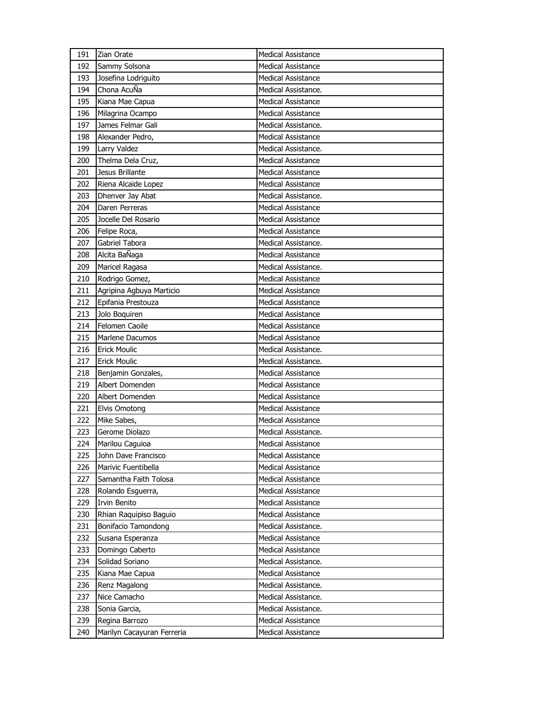| 191 | Zian Orate               | <b>Medical Assistance</b> |
|-----|--------------------------|---------------------------|
| 192 | Sammy Solsona            | <b>Medical Assistance</b> |
| 193 | Josefina Lodriguito      | Medical Assistance        |
| 194 | Chona AcuÑa              | Medical Assistance.       |
| 195 | Kiana Mae Capua          | Medical Assistance        |
| 196 | Milagrina Ocampo         | <b>Medical Assistance</b> |
| 197 | James Felmar Gali        | Medical Assistance.       |
| 198 | Alexander Pedro,         | Medical Assistance        |
| 199 | Larry Valdez             | Medical Assistance.       |
| 200 | Thelma Dela Cruz,        | <b>Medical Assistance</b> |
| 201 | Jesus Brillante          | Medical Assistance        |
| 202 | Riena Alcaide Lopez      | <b>Medical Assistance</b> |
| 203 | Dhenver Jay Abat         | Medical Assistance.       |
| 204 | Daren Perreras           | <b>Medical Assistance</b> |
| 205 | Jocelle Del Rosario      | <b>Medical Assistance</b> |
| 206 | Felipe Roca,             | <b>Medical Assistance</b> |
| 207 | Gabriel Tabora           | Medical Assistance.       |
| 208 | Alcita BaÑaga            | Medical Assistance        |
| 209 | Maricel Ragasa           | Medical Assistance.       |
| 210 | Rodrigo Gomez,           | <b>Medical Assistance</b> |
| 211 | Agripina Agbuya Marticio | <b>Medical Assistance</b> |
| 212 | Epifania Prestouza       | <b>Medical Assistance</b> |
| 213 | Jolo Boquiren            | <b>Medical Assistance</b> |
| 214 | Felomen Caoile           | <b>Medical Assistance</b> |
| 215 | Marlene Dacumos          | <b>Medical Assistance</b> |
| 216 | <b>Erick Moulic</b>      | Medical Assistance.       |
| 217 | <b>Erick Moulic</b>      | Medical Assistance.       |
|     |                          |                           |
| 218 | Benjamin Gonzales,       | <b>Medical Assistance</b> |
| 219 | Albert Domenden          | <b>Medical Assistance</b> |
| 220 | Albert Domenden          | <b>Medical Assistance</b> |
| 221 | Elvis Omotong            | Medical Assistance        |
| 222 | Mike Sabes,              | <b>Medical Assistance</b> |
| 223 | Gerome Diolazo           | Medical Assistance.       |
| 224 | Marilou Caguioa          | Medical Assistance        |
| 225 | John Dave Francisco      | Medical Assistance        |
| 226 | Marivic Fuentibella      | Medical Assistance        |
| 227 | Samantha Faith Tolosa    | <b>Medical Assistance</b> |
| 228 | Rolando Esguerra,        | <b>Medical Assistance</b> |
| 229 | Irvin Benito             | <b>Medical Assistance</b> |
| 230 | Rhian Raquipiso Baguio   | Medical Assistance        |
| 231 | Bonifacio Tamondong      | Medical Assistance.       |
| 232 | Susana Esperanza         | Medical Assistance        |
| 233 | Domingo Caberto          | Medical Assistance        |
| 234 | Solidad Soriano          | Medical Assistance.       |
| 235 | Kiana Mae Capua          | <b>Medical Assistance</b> |
| 236 | Renz Magalong            | Medical Assistance.       |
| 237 | Nice Camacho             | Medical Assistance.       |
| 238 | Sonia Garcia,            | Medical Assistance.       |
| 239 | Regina Barrozo           | Medical Assistance        |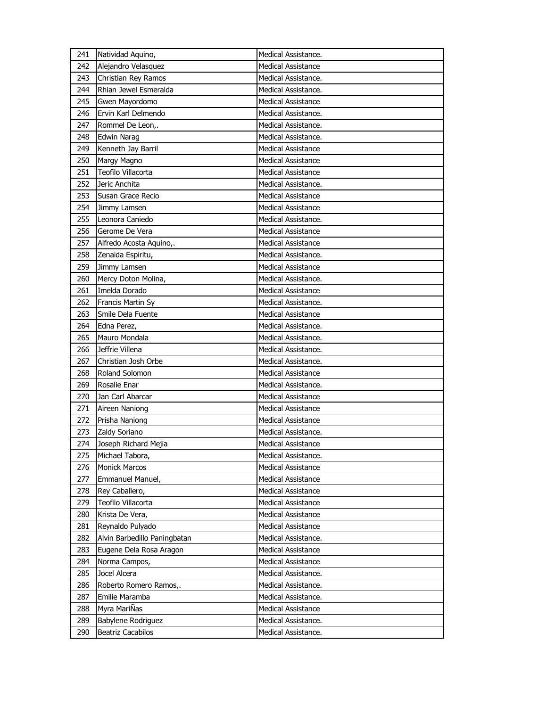| 241        | Natividad Aquino,                       | Medical Assistance.                              |
|------------|-----------------------------------------|--------------------------------------------------|
| 242        | Alejandro Velasquez                     | Medical Assistance                               |
| 243        | Christian Rey Ramos                     | Medical Assistance.                              |
| 244        | Rhian Jewel Esmeralda                   | Medical Assistance.                              |
| 245        | Gwen Mayordomo                          | <b>Medical Assistance</b>                        |
| 246        | Ervin Karl Delmendo                     | Medical Assistance.                              |
| 247        | Rommel De Leon,.                        | Medical Assistance.                              |
| 248        | <b>Edwin Narag</b>                      | Medical Assistance.                              |
| 249        | Kenneth Jay Barril                      | <b>Medical Assistance</b>                        |
| 250        | Margy Magno                             | Medical Assistance                               |
| 251        | Teofilo Villacorta                      | Medical Assistance                               |
| 252        | Jeric Anchita                           | Medical Assistance.                              |
| 253        | Susan Grace Recio                       | <b>Medical Assistance</b>                        |
| 254        | Jimmy Lamsen                            | <b>Medical Assistance</b>                        |
| 255        | Leonora Caniedo                         | Medical Assistance.                              |
| 256        | Gerome De Vera                          | Medical Assistance                               |
| 257        | Alfredo Acosta Aquino,.                 | <b>Medical Assistance</b>                        |
| 258        | Zenaida Espiritu,                       | Medical Assistance.                              |
| 259        | Jimmy Lamsen                            | <b>Medical Assistance</b>                        |
| 260        | Mercy Doton Molina,                     | Medical Assistance.                              |
| 261        | Imelda Dorado                           | Medical Assistance                               |
| 262        | Francis Martin Sy                       | Medical Assistance.                              |
| 263        | Smile Dela Fuente                       | <b>Medical Assistance</b>                        |
| 264        | Edna Perez,                             | Medical Assistance.                              |
| 265        | Mauro Mondala                           | Medical Assistance.                              |
| 266        | Jeffrie Villena                         | Medical Assistance.                              |
| 267        | Christian Josh Orbe                     | Medical Assistance.                              |
| 268        | Roland Solomon                          | <b>Medical Assistance</b>                        |
| 269        | Rosalie Enar                            | Medical Assistance.                              |
| 270        | Jan Carl Abarcar                        | <b>Medical Assistance</b>                        |
| 271        | Aireen Naniong                          |                                                  |
|            |                                         | Medical Assistance                               |
|            |                                         | <b>Medical Assistance</b>                        |
| 272<br>273 | Prisha Naniong                          | Medical Assistance.                              |
| 274        | Zaldy Soriano<br>Joseph Richard Mejia   | Medical Assistance                               |
| 275        |                                         |                                                  |
| 276        | Michael Tabora,<br><b>Monick Marcos</b> | Medical Assistance.<br><b>Medical Assistance</b> |
| 277        | Emmanuel Manuel,                        | <b>Medical Assistance</b>                        |
| 278        |                                         | Medical Assistance                               |
|            | Rey Caballero,<br>Teofilo Villacorta    | <b>Medical Assistance</b>                        |
| 279        |                                         |                                                  |
| 280        | Krista De Vera,                         | Medical Assistance<br><b>Medical Assistance</b>  |
| 281        | Reynaldo Pulyado                        |                                                  |
| 282<br>283 | Alvin Barbedillo Paningbatan            | Medical Assistance.<br><b>Medical Assistance</b> |
| 284        | Eugene Dela Rosa Aragon                 | <b>Medical Assistance</b>                        |
| 285        | Norma Campos,<br>Jocel Alcera           | Medical Assistance.                              |
|            | Roberto Romero Ramos,.                  | Medical Assistance.                              |
| 286<br>287 | Emilie Maramba                          | Medical Assistance.                              |
| 288        | Myra MariÑas                            | Medical Assistance                               |
| 289        | Babylene Rodriguez                      | Medical Assistance.                              |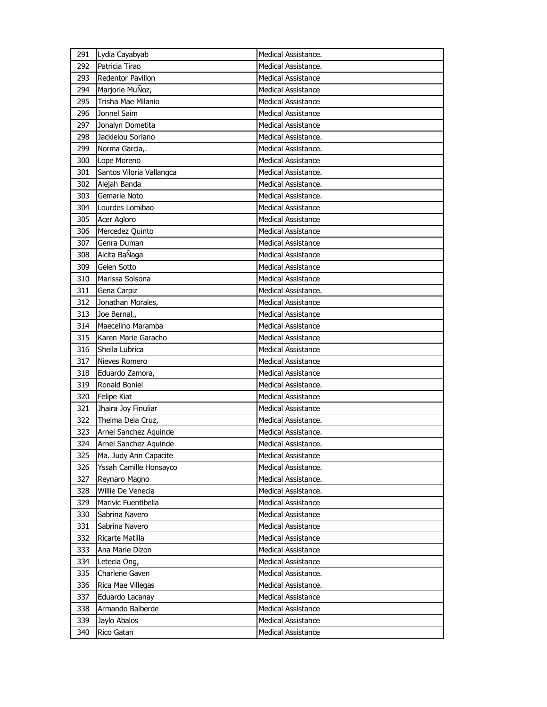| 291 | Lydia Cayabyab           | Medical Assistance.       |
|-----|--------------------------|---------------------------|
| 292 | Patricia Tirao           | Medical Assistance.       |
| 293 | Redentor Pavillon        | <b>Medical Assistance</b> |
| 294 | Marjorie MuÑoz,          | <b>Medical Assistance</b> |
| 295 | Trisha Mae Milanio       | <b>Medical Assistance</b> |
| 296 | Jonnel Saim              | <b>Medical Assistance</b> |
| 297 | Jonalyn Dometita         | <b>Medical Assistance</b> |
| 298 | Jackielou Soriano        | Medical Assistance.       |
| 299 | Norma Garcia,.           | Medical Assistance.       |
| 300 | Lope Moreno              | <b>Medical Assistance</b> |
| 301 | Santos Viloria Vallangca | Medical Assistance.       |
| 302 | Alejah Banda             | Medical Assistance.       |
| 303 | Gemarie Noto             | Medical Assistance.       |
| 304 | Lourdes Lomibao          | <b>Medical Assistance</b> |
| 305 | Acer Agloro              | <b>Medical Assistance</b> |
| 306 | Mercedez Quinto          | <b>Medical Assistance</b> |
| 307 | Genra Duman              | <b>Medical Assistance</b> |
| 308 | Alcita BaÑaga            | <b>Medical Assistance</b> |
| 309 | Gelen Sotto              | <b>Medical Assistance</b> |
| 310 | Marissa Solsona          | <b>Medical Assistance</b> |
| 311 | Gena Carpiz              | Medical Assistance.       |
| 312 | Jonathan Morales,        | <b>Medical Assistance</b> |
| 313 | Joe Bernal,,             | <b>Medical Assistance</b> |
| 314 | Maecelino Maramba        | <b>Medical Assistance</b> |
| 315 | Karen Marie Garacho      | <b>Medical Assistance</b> |
| 316 | Sheila Lubrica           | <b>Medical Assistance</b> |
| 317 | Nieves Romero            | <b>Medical Assistance</b> |
| 318 | Eduardo Zamora,          | <b>Medical Assistance</b> |
| 319 | Ronald Boniel            | Medical Assistance.       |
| 320 | <b>Felipe Kiat</b>       | <b>Medical Assistance</b> |
| 321 | Jhaira Joy Finuliar      | <b>Medical Assistance</b> |
| 322 | Thelma Dela Cruz,        | Medical Assistance.       |
| 323 | Arnel Sanchez Aquinde    | Medical Assistance.       |
| 324 | Arnel Sanchez Aquinde    | Medical Assistance.       |
| 325 | Ma. Judy Ann Capacite    | <b>Medical Assistance</b> |
| 326 | Yssah Camille Honsayco   | Medical Assistance.       |
| 327 | Reynaro Magno            | Medical Assistance.       |
| 328 | Willie De Venecia        | Medical Assistance.       |
| 329 | Marivic Fuentibella      | <b>Medical Assistance</b> |
| 330 | Sabrina Navero           | Medical Assistance        |
| 331 | Sabrina Navero           | <b>Medical Assistance</b> |
| 332 | Ricarte Matilla          | <b>Medical Assistance</b> |
| 333 | Ana Marie Dizon          | <b>Medical Assistance</b> |
| 334 | Letecia Ong,             | <b>Medical Assistance</b> |
| 335 | Charlene Gaven           | Medical Assistance.       |
| 336 | Rica Mae Villegas        | Medical Assistance.       |
| 337 | Eduardo Lacanay          | <b>Medical Assistance</b> |
| 338 | Armando Balberde         | <b>Medical Assistance</b> |
| 339 | Jaylo Abalos             | <b>Medical Assistance</b> |
| 340 | Rico Gatan               | Medical Assistance        |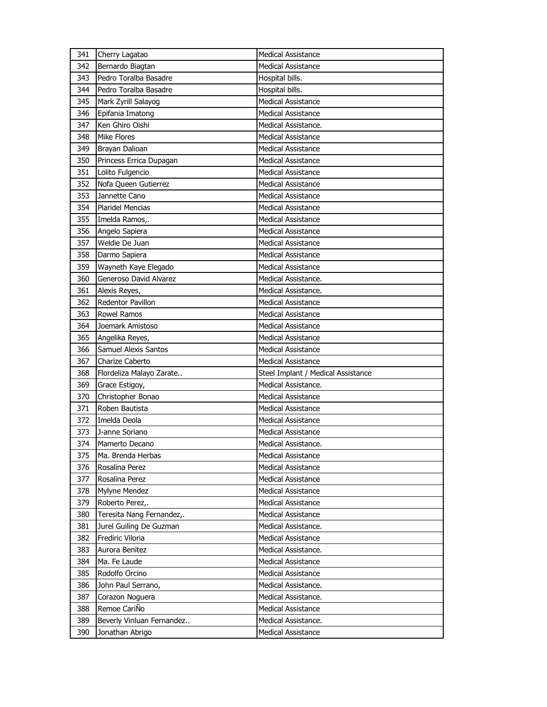| 341 | Cherry Lagatao              | <b>Medical Assistance</b>          |
|-----|-----------------------------|------------------------------------|
| 342 | Bernardo Biagtan            | <b>Medical Assistance</b>          |
| 343 | Pedro Toralba Basadre       | Hospital bills.                    |
| 344 | Pedro Toralba Basadre       | Hospital bills.                    |
| 345 | Mark Zyrill Salayog         | <b>Medical Assistance</b>          |
| 346 | Epifania Imatong            | <b>Medical Assistance</b>          |
| 347 | Ken Ghiro Oishi             | Medical Assistance.                |
| 348 | <b>Mike Flores</b>          | <b>Medical Assistance</b>          |
| 349 | Brayan Dalioan              | <b>Medical Assistance</b>          |
| 350 | Princess Errica Dupagan     | <b>Medical Assistance</b>          |
| 351 | Lolito Fulgencio            | Medical Assistance                 |
| 352 | Nofa Queen Gutierrez        | <b>Medical Assistance</b>          |
| 353 | Jannette Cano               | <b>Medical Assistance</b>          |
| 354 | Plaridel Mencias            | <b>Medical Assistance</b>          |
| 355 | Imelda Ramos,.              | <b>Medical Assistance</b>          |
| 356 | Angelo Sapiera              | Medical Assistance                 |
| 357 | Weldie De Juan              | <b>Medical Assistance</b>          |
| 358 | Darmo Sapiera               | <b>Medical Assistance</b>          |
| 359 | Wayneth Kaye Elegado        | <b>Medical Assistance</b>          |
| 360 | Generoso David Alvarez      | Medical Assistance.                |
| 361 | Alexis Reyes,               | Medical Assistance.                |
| 362 | Redentor Pavillon           | <b>Medical Assistance</b>          |
| 363 | <b>Rowel Ramos</b>          | <b>Medical Assistance</b>          |
| 364 | Joemark Amistoso            | <b>Medical Assistance</b>          |
| 365 | Angelika Reyes,             | Medical Assistance                 |
|     |                             |                                    |
| 366 | <b>Samuel Alexis Santos</b> | Medical Assistance                 |
| 367 | Charize Caberto             | <b>Medical Assistance</b>          |
| 368 | Flordeliza Malayo Zarate    | Steel Implant / Medical Assistance |
| 369 | Grace Estigoy,              | Medical Assistance.                |
| 370 | Christopher Bonao           | <b>Medical Assistance</b>          |
| 371 | Roben Bautista              | Medical Assistance                 |
| 372 | Imelda Deola                | <b>Medical Assistance</b>          |
| 373 | J-anne Soriano              | <b>Medical Assistance</b>          |
| 374 | Mamerto Decano              | Medical Assistance.                |
| 375 | Ma. Brenda Herbas           | Medical Assistance                 |
| 376 | Rosalina Perez              | Medical Assistance                 |
| 377 | Rosalina Perez              | Medical Assistance                 |
| 378 | Mylyne Mendez               | <b>Medical Assistance</b>          |
| 379 | Roberto Perez,.             | <b>Medical Assistance</b>          |
| 380 | Teresita Nang Fernandez,.   | Medical Assistance                 |
| 381 | Jurel Guiling De Guzman     | Medical Assistance.                |
| 382 | Frediric Viloria            | <b>Medical Assistance</b>          |
| 383 | Aurora Benitez              | Medical Assistance.                |
| 384 | Ma. Fe Laude                | <b>Medical Assistance</b>          |
| 385 | Rodolfo Orcino              | Medical Assistance                 |
| 386 | John Paul Serrano,          | Medical Assistance.                |
| 387 | Corazon Noguera             | Medical Assistance.                |
| 388 | Remoe CariÑo                | Medical Assistance                 |
| 389 | Beverly Vinluan Fernandez   | Medical Assistance.                |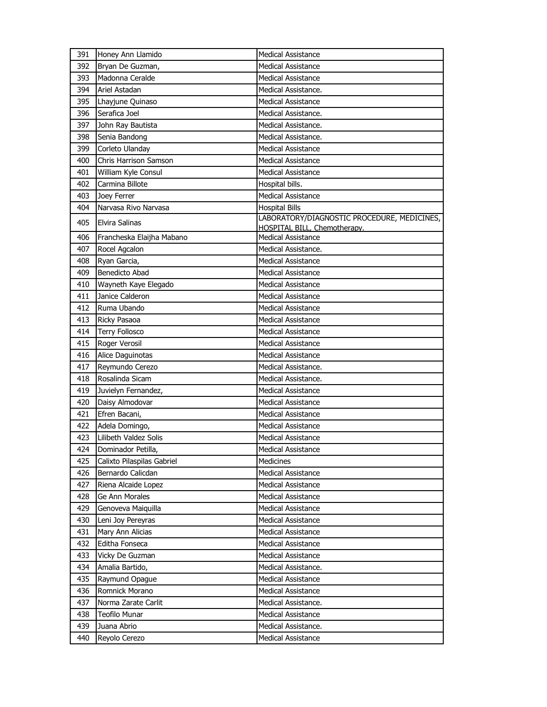| 391 | Honey Ann Llamido          | <b>Medical Assistance</b>                                                   |
|-----|----------------------------|-----------------------------------------------------------------------------|
| 392 | Bryan De Guzman,           | <b>Medical Assistance</b>                                                   |
| 393 | Madonna Ceralde            | <b>Medical Assistance</b>                                                   |
| 394 | Ariel Astadan              | Medical Assistance.                                                         |
| 395 | Lhayjune Quinaso           | <b>Medical Assistance</b>                                                   |
| 396 | Serafica Joel              | Medical Assistance.                                                         |
| 397 | John Ray Bautista          | Medical Assistance.                                                         |
| 398 | Senia Bandong              | Medical Assistance.                                                         |
| 399 | Corleto Ulanday            | <b>Medical Assistance</b>                                                   |
| 400 | Chris Harrison Samson      | <b>Medical Assistance</b>                                                   |
| 401 | William Kyle Consul        | <b>Medical Assistance</b>                                                   |
| 402 | Carmina Billote            | Hospital bills.                                                             |
| 403 | Joey Ferrer                | Medical Assistance                                                          |
| 404 | Narvasa Rivo Narvasa       | <b>Hospital Bills</b>                                                       |
| 405 | <b>Elvira Salinas</b>      | LABORATORY/DIAGNOSTIC PROCEDURE, MEDICINES,<br>HOSPITAL BILL, Chemotherapy. |
| 406 | Francheska Elaijha Mabano  | <b>Medical Assistance</b>                                                   |
| 407 | Rocel Agcalon              | Medical Assistance.                                                         |
| 408 | Ryan Garcia,               | <b>Medical Assistance</b>                                                   |
| 409 | Benedicto Abad             | <b>Medical Assistance</b>                                                   |
| 410 | Wayneth Kaye Elegado       | <b>Medical Assistance</b>                                                   |
| 411 | Janice Calderon            | <b>Medical Assistance</b>                                                   |
| 412 | Ruma Ubando                | <b>Medical Assistance</b>                                                   |
| 413 | Ricky Pasaoa               | <b>Medical Assistance</b>                                                   |
| 414 | <b>Terry Follosco</b>      | <b>Medical Assistance</b>                                                   |
| 415 | Roger Verosil              | <b>Medical Assistance</b>                                                   |
| 416 | Alice Daguinotas           | <b>Medical Assistance</b>                                                   |
| 417 | Reymundo Cerezo            | Medical Assistance.                                                         |
| 418 | Rosalinda Sicam            | Medical Assistance.                                                         |
| 419 | Juvielyn Fernandez,        | <b>Medical Assistance</b>                                                   |
| 420 | Daisy Almodovar            | <b>Medical Assistance</b>                                                   |
| 421 | Efren Bacani,              | <b>Medical Assistance</b>                                                   |
| 422 | Adela Domingo,             | <b>Medical Assistance</b>                                                   |
| 423 | Lilibeth Valdez Solis      | <b>Medical Assistance</b>                                                   |
| 424 | Dominador Petilla,         | <b>Medical Assistance</b>                                                   |
| 425 | Calixto Pilaspilas Gabriel | <b>Medicines</b>                                                            |
| 426 | Bernardo Calicdan          | Medical Assistance                                                          |
| 427 | Riena Alcaide Lopez        | Medical Assistance                                                          |
| 428 | Ge Ann Morales             | Medical Assistance                                                          |
| 429 | Genoveva Maiquilla         | <b>Medical Assistance</b>                                                   |
| 430 | Leni Joy Pereyras          | <b>Medical Assistance</b>                                                   |
| 431 | Mary Ann Alicias           | <b>Medical Assistance</b>                                                   |
| 432 | Editha Fonseca             | <b>Medical Assistance</b>                                                   |
| 433 | Vicky De Guzman            | Medical Assistance                                                          |
| 434 | Amalia Bartido,            | Medical Assistance.                                                         |
| 435 | Raymund Opague             | Medical Assistance                                                          |
| 436 | Romnick Morano             | Medical Assistance                                                          |
| 437 | Norma Zarate Carlit        | Medical Assistance.                                                         |
| 438 | <b>Teofilo Munar</b>       | Medical Assistance                                                          |
| 439 | Juana Abrio                | Medical Assistance.                                                         |
| 440 | Reyolo Cerezo              | Medical Assistance                                                          |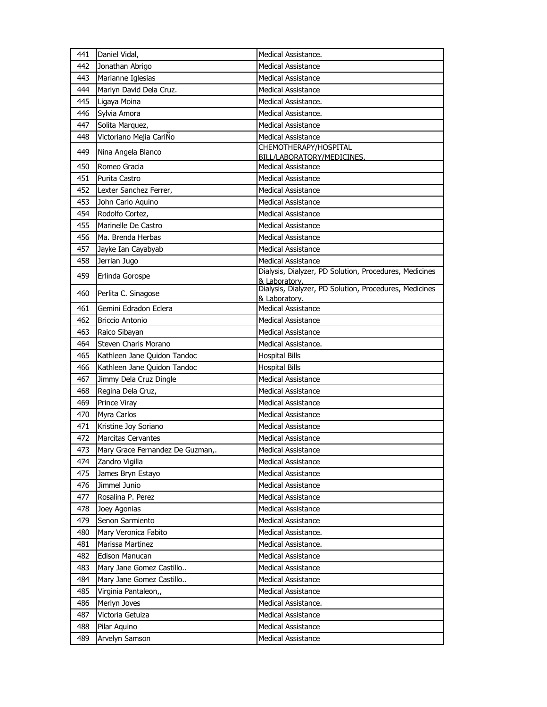| 441 | Daniel Vidal,                    | Medical Assistance.                                     |
|-----|----------------------------------|---------------------------------------------------------|
| 442 | Jonathan Abrigo                  | <b>Medical Assistance</b>                               |
| 443 | Marianne Iglesias                | <b>Medical Assistance</b>                               |
| 444 | Marlyn David Dela Cruz.          | <b>Medical Assistance</b>                               |
| 445 | Ligaya Moina                     | Medical Assistance.                                     |
| 446 | Sylvia Amora                     | Medical Assistance.                                     |
| 447 | Solita Marquez,                  | <b>Medical Assistance</b>                               |
| 448 | Victoriano Mejia CariÑo          | <b>Medical Assistance</b>                               |
| 449 | Nina Angela Blanco               | CHEMOTHERAPY/HOSPITAL                                   |
| 450 | Romeo Gracia                     | BILL/LABORATORY/MEDICINES.<br><b>Medical Assistance</b> |
| 451 | Purita Castro                    | <b>Medical Assistance</b>                               |
| 452 | Lexter Sanchez Ferrer,           | <b>Medical Assistance</b>                               |
| 453 | John Carlo Aquino                | <b>Medical Assistance</b>                               |
| 454 | Rodolfo Cortez,                  | <b>Medical Assistance</b>                               |
| 455 | Marinelle De Castro              | <b>Medical Assistance</b>                               |
| 456 | Ma. Brenda Herbas                | <b>Medical Assistance</b>                               |
| 457 | Jayke Ian Cayabyab               | <b>Medical Assistance</b>                               |
| 458 | Jerrian Jugo                     | <b>Medical Assistance</b>                               |
|     |                                  | Dialysis, Dialyzer, PD Solution, Procedures, Medicines  |
| 459 | Erlinda Gorospe                  | & Laboratory.                                           |
| 460 | Perlita C. Sinagose              | Dialysis, Dialyzer, PD Solution, Procedures, Medicines  |
| 461 | Gemini Edradon Eclera            | & Laboratory.<br><b>Medical Assistance</b>              |
| 462 | <b>Briccio Antonio</b>           | <b>Medical Assistance</b>                               |
| 463 | Raico Sibayan                    | <b>Medical Assistance</b>                               |
| 464 | Steven Charis Morano             | Medical Assistance.                                     |
| 465 | Kathleen Jane Quidon Tandoc      | <b>Hospital Bills</b>                                   |
| 466 | Kathleen Jane Quidon Tandoc      | <b>Hospital Bills</b>                                   |
| 467 | Jimmy Dela Cruz Dingle           | <b>Medical Assistance</b>                               |
| 468 | Regina Dela Cruz,                | Medical Assistance                                      |
| 469 | Prince Viray                     | <b>Medical Assistance</b>                               |
| 470 | Myra Carlos                      | <b>Medical Assistance</b>                               |
| 471 | Kristine Joy Soriano             | <b>Medical Assistance</b>                               |
| 472 | <b>Marcitas Cervantes</b>        | Medical Assistance                                      |
| 473 | Mary Grace Fernandez De Guzman,. | Medical Assistance                                      |
| 474 | Zandro Vigilla                   | Medical Assistance                                      |
| 475 | James Bryn Estayo                | Medical Assistance                                      |
| 476 | Jimmel Junio                     | <b>Medical Assistance</b>                               |
| 477 | Rosalina P. Perez                | <b>Medical Assistance</b>                               |
| 478 | Joey Agonias                     | Medical Assistance                                      |
| 479 | Senon Sarmiento                  | <b>Medical Assistance</b>                               |
| 480 | Mary Veronica Fabito             | Medical Assistance.                                     |
| 481 | Marissa Martinez                 | Medical Assistance.                                     |
| 482 | Edison Manucan                   | <b>Medical Assistance</b>                               |
| 483 | Mary Jane Gomez Castillo         | <b>Medical Assistance</b>                               |
| 484 | Mary Jane Gomez Castillo         | <b>Medical Assistance</b>                               |
| 485 | Virginia Pantaleon,,             | <b>Medical Assistance</b>                               |
| 486 | Merlyn Joves                     | Medical Assistance.                                     |
| 487 | Victoria Getuiza                 | <b>Medical Assistance</b>                               |
| 488 | Pilar Aquino                     | Medical Assistance                                      |
| 489 | Arvelyn Samson                   | <b>Medical Assistance</b>                               |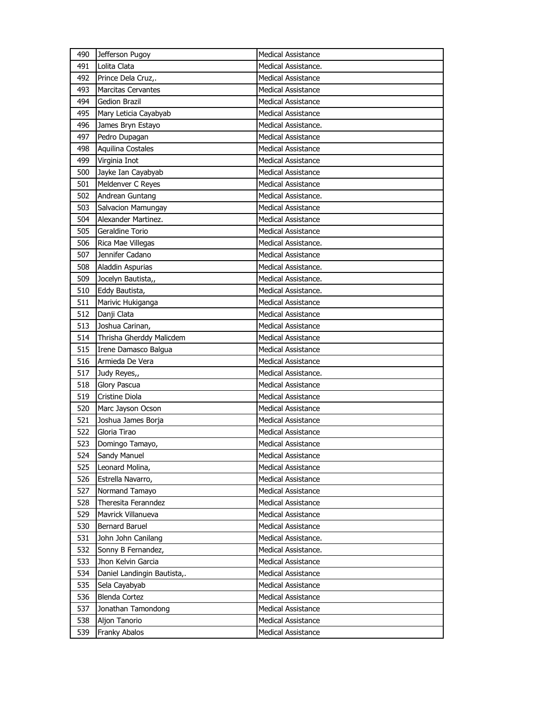| 490 | Jefferson Pugoy             | <b>Medical Assistance</b> |
|-----|-----------------------------|---------------------------|
| 491 | Lolita Clata                | Medical Assistance.       |
| 492 | Prince Dela Cruz,.          | Medical Assistance        |
| 493 | <b>Marcitas Cervantes</b>   | <b>Medical Assistance</b> |
| 494 | Gedion Brazil               | Medical Assistance        |
| 495 | Mary Leticia Cayabyab       | <b>Medical Assistance</b> |
| 496 | James Bryn Estayo           | Medical Assistance.       |
| 497 | Pedro Dupagan               | Medical Assistance        |
| 498 | <b>Aquilina Costales</b>    | <b>Medical Assistance</b> |
| 499 | Virginia Inot               | <b>Medical Assistance</b> |
| 500 | Jayke Ian Cayabyab          | Medical Assistance        |
| 501 | Meldenver C Reyes           | <b>Medical Assistance</b> |
| 502 | Andrean Guntang             | Medical Assistance.       |
| 503 | Salvacion Mamungay          | <b>Medical Assistance</b> |
| 504 | Alexander Martinez.         | <b>Medical Assistance</b> |
| 505 | Geraldine Torio             | <b>Medical Assistance</b> |
| 506 | Rica Mae Villegas           | Medical Assistance.       |
| 507 | Jennifer Cadano             | <b>Medical Assistance</b> |
| 508 | Aladdin Aspurias            | Medical Assistance.       |
| 509 | Jocelyn Bautista,,          | Medical Assistance.       |
| 510 | Eddy Bautista,              | Medical Assistance.       |
| 511 | Marivic Hukiganga           | <b>Medical Assistance</b> |
| 512 | Danji Clata                 | <b>Medical Assistance</b> |
| 513 | Joshua Carinan,             | <b>Medical Assistance</b> |
| 514 | Thrisha Gherddy Malicdem    | <b>Medical Assistance</b> |
|     |                             |                           |
| 515 | Irene Damasco Balgua        | Medical Assistance        |
| 516 | Armieda De Vera             | <b>Medical Assistance</b> |
| 517 | Judy Reyes,,                | Medical Assistance.       |
| 518 | Glory Pascua                | <b>Medical Assistance</b> |
| 519 | Cristine Diola              | <b>Medical Assistance</b> |
| 520 | Marc Jayson Ocson           | <b>Medical Assistance</b> |
| 521 | Joshua James Borja          | <b>Medical Assistance</b> |
| 522 | Gloria Tirao                | <b>Medical Assistance</b> |
| 523 | Domingo Tamayo,             | Medical Assistance        |
| 524 | Sandy Manuel                | Medical Assistance        |
| 525 | Leonard Molina,             | Medical Assistance        |
| 526 | Estrella Navarro,           | Medical Assistance        |
| 527 | Normand Tamayo              | <b>Medical Assistance</b> |
| 528 | Theresita Feranndez         | <b>Medical Assistance</b> |
| 529 | Mavrick Villanueva          | Medical Assistance        |
| 530 | Bernard Baruel              | Medical Assistance        |
| 531 | John John Canilang          | Medical Assistance.       |
| 532 | Sonny B Fernandez,          | Medical Assistance.       |
| 533 | Jhon Kelvin Garcia          | <b>Medical Assistance</b> |
| 534 | Daniel Landingin Bautista,. | <b>Medical Assistance</b> |
| 535 | Sela Cayabyab               | Medical Assistance        |
| 536 | <b>Blenda Cortez</b>        | Medical Assistance        |
| 537 | Jonathan Tamondong          | Medical Assistance        |
| 538 | Aljon Tanorio               | <b>Medical Assistance</b> |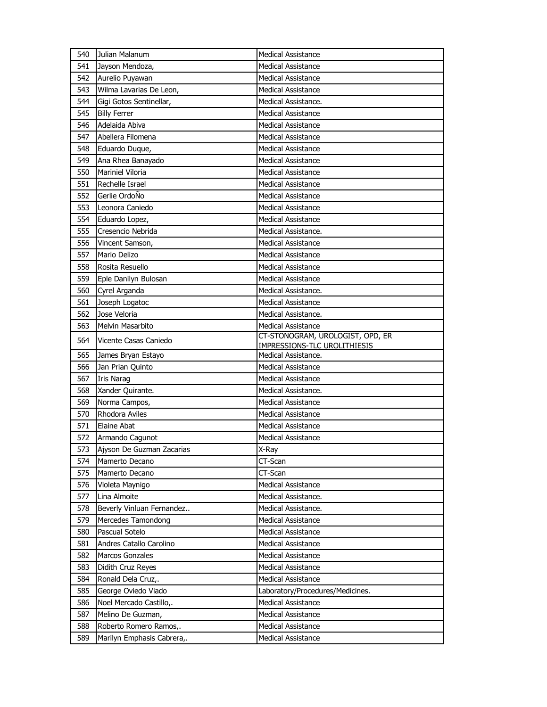| 540 | Julian Malanum             | <b>Medical Assistance</b>           |
|-----|----------------------------|-------------------------------------|
| 541 | Jayson Mendoza,            | <b>Medical Assistance</b>           |
| 542 | Aurelio Puyawan            | <b>Medical Assistance</b>           |
| 543 | Wilma Lavarias De Leon,    | <b>Medical Assistance</b>           |
| 544 | Gigi Gotos Sentinellar,    | Medical Assistance.                 |
| 545 | <b>Billy Ferrer</b>        | <b>Medical Assistance</b>           |
| 546 | Adelaida Abiva             | <b>Medical Assistance</b>           |
| 547 | Abellera Filomena          | <b>Medical Assistance</b>           |
| 548 | Eduardo Duque,             | <b>Medical Assistance</b>           |
| 549 | Ana Rhea Banayado          | <b>Medical Assistance</b>           |
| 550 | Mariniel Viloria           | Medical Assistance                  |
| 551 | Rechelle Israel            | <b>Medical Assistance</b>           |
| 552 | Gerlie OrdoÑo              | <b>Medical Assistance</b>           |
| 553 | Leonora Caniedo            | <b>Medical Assistance</b>           |
| 554 | Eduardo Lopez,             | <b>Medical Assistance</b>           |
| 555 | Cresencio Nebrida          | Medical Assistance.                 |
| 556 | Vincent Samson,            | <b>Medical Assistance</b>           |
| 557 | Mario Delizo               | <b>Medical Assistance</b>           |
| 558 | Rosita Resuello            | <b>Medical Assistance</b>           |
| 559 | Eple Danilyn Bulosan       | <b>Medical Assistance</b>           |
| 560 | Cyrel Arganda              | Medical Assistance.                 |
| 561 | Joseph Logatoc             | <b>Medical Assistance</b>           |
| 562 | Jose Veloria               | Medical Assistance.                 |
| 563 | Melvin Masarbito           | <b>Medical Assistance</b>           |
| 564 | Vicente Casas Caniedo      | CT-STONOGRAM, UROLOGIST, OPD, ER    |
|     |                            | <b>IMPRESSIONS-TLC UROLITHIESIS</b> |
| 565 | James Bryan Estayo         | Medical Assistance.                 |
| 566 | Jan Prian Quinto           | <b>Medical Assistance</b>           |
| 567 | <b>Iris Narag</b>          | <b>Medical Assistance</b>           |
| 568 | Xander Quirante.           | Medical Assistance.                 |
| 569 | Norma Campos,              | <b>Medical Assistance</b>           |
| 570 | Rhodora Aviles             | <b>Medical Assistance</b>           |
| 571 | Elaine Abat                | <b>Medical Assistance</b>           |
| 572 | Armando Cagunot            | <b>Medical Assistance</b>           |
| 573 | Ajyson De Guzman Zacarias  | X-Ray                               |
| 574 | Mamerto Decano             | CT-Scan                             |
| 575 | Mamerto Decano             | CT-Scan                             |
| 576 | Violeta Maynigo            | <b>Medical Assistance</b>           |
| 577 | Lina Almoite               | Medical Assistance.                 |
| 578 | Beverly Vinluan Fernandez  | Medical Assistance.                 |
| 579 | Mercedes Tamondong         | Medical Assistance                  |
| 580 | Pascual Sotelo             | Medical Assistance                  |
| 581 | Andres Catallo Carolino    | <b>Medical Assistance</b>           |
| 582 | Marcos Gonzales            | Medical Assistance                  |
| 583 | Didith Cruz Reyes          | Medical Assistance                  |
| 584 | Ronald Dela Cruz,.         | Medical Assistance                  |
| 585 | George Oviedo Viado        | Laboratory/Procedures/Medicines.    |
| 586 | Noel Mercado Castillo,.    | Medical Assistance                  |
| 587 | Melino De Guzman,          | Medical Assistance                  |
| 588 | Roberto Romero Ramos,.     | Medical Assistance                  |
| 589 | Marilyn Emphasis Cabrera,. | Medical Assistance                  |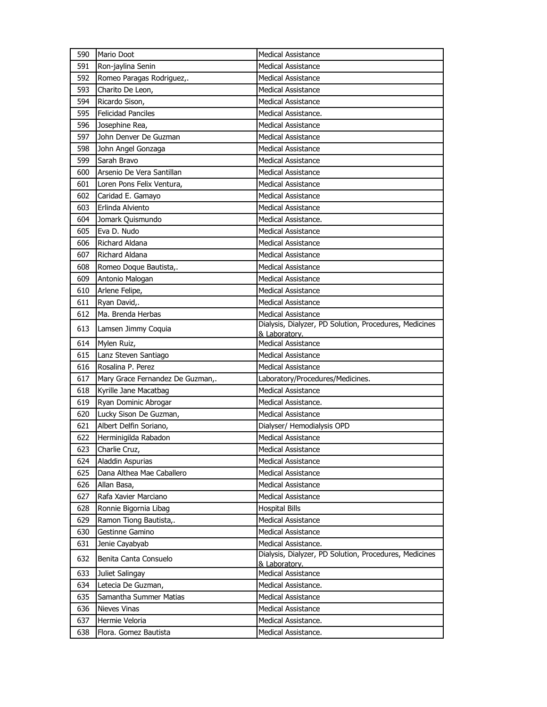| 590 | Mario Doot                       | <b>Medical Assistance</b>                                               |
|-----|----------------------------------|-------------------------------------------------------------------------|
| 591 | Ron-jaylina Senin                | Medical Assistance                                                      |
| 592 | Romeo Paragas Rodriguez,.        | <b>Medical Assistance</b>                                               |
| 593 | Charito De Leon,                 | <b>Medical Assistance</b>                                               |
| 594 | Ricardo Sison,                   | <b>Medical Assistance</b>                                               |
| 595 | <b>Felicidad Panciles</b>        | Medical Assistance.                                                     |
| 596 | Josephine Rea,                   | <b>Medical Assistance</b>                                               |
| 597 | John Denver De Guzman            | <b>Medical Assistance</b>                                               |
| 598 | John Angel Gonzaga               | <b>Medical Assistance</b>                                               |
| 599 | Sarah Bravo                      | <b>Medical Assistance</b>                                               |
| 600 | Arsenio De Vera Santillan        | <b>Medical Assistance</b>                                               |
| 601 | Loren Pons Felix Ventura,        | <b>Medical Assistance</b>                                               |
| 602 | Caridad E. Gamayo                | <b>Medical Assistance</b>                                               |
| 603 | Erlinda Alviento                 | <b>Medical Assistance</b>                                               |
| 604 | Jomark Quismundo                 | Medical Assistance.                                                     |
| 605 | Eva D. Nudo                      | <b>Medical Assistance</b>                                               |
| 606 | Richard Aldana                   | <b>Medical Assistance</b>                                               |
| 607 | Richard Aldana                   | <b>Medical Assistance</b>                                               |
| 608 | Romeo Doque Bautista,.           | <b>Medical Assistance</b>                                               |
| 609 | Antonio Malogan                  | <b>Medical Assistance</b>                                               |
| 610 | Arlene Felipe,                   | <b>Medical Assistance</b>                                               |
| 611 | Ryan David,.                     | <b>Medical Assistance</b>                                               |
| 612 | Ma. Brenda Herbas                | <b>Medical Assistance</b>                                               |
| 613 | Lamsen Jimmy Coquia              | Dialysis, Dialyzer, PD Solution, Procedures, Medicines<br>& Laboratory. |
| 614 | Mylen Ruiz,                      | <b>Medical Assistance</b>                                               |
| 615 | Lanz Steven Santiago             | <b>Medical Assistance</b>                                               |
| 616 | Rosalina P. Perez                | <b>Medical Assistance</b>                                               |
| 617 | Mary Grace Fernandez De Guzman,. | Laboratory/Procedures/Medicines.                                        |
| 618 | Kyrille Jane Macatbag            | <b>Medical Assistance</b>                                               |
| 619 | Ryan Dominic Abrogar             | Medical Assistance.                                                     |
| 620 | Lucky Sison De Guzman,           | <b>Medical Assistance</b>                                               |
| 621 | Albert Delfin Soriano,           | Dialyser/ Hemodialysis OPD                                              |
| 622 | Herminigilda Rabadon             | Medical Assistance                                                      |
| 623 | Charlie Cruz,                    | Medical Assistance                                                      |
| 624 | Aladdin Aspurias                 | Medical Assistance                                                      |
| 625 | Dana Althea Mae Caballero        | <b>Medical Assistance</b>                                               |
| 626 | Allan Basa,                      | <b>Medical Assistance</b>                                               |
| 627 | Rafa Xavier Marciano             | <b>Medical Assistance</b>                                               |
| 628 | Ronnie Bigornia Libag            | <b>Hospital Bills</b>                                                   |
| 629 | Ramon Tiong Bautista,.           | <b>Medical Assistance</b>                                               |
| 630 | Gestinne Gamino                  | <b>Medical Assistance</b>                                               |
| 631 | Jenie Cayabyab                   | Medical Assistance.                                                     |
| 632 | Benita Canta Consuelo            | Dialysis, Dialyzer, PD Solution, Procedures, Medicines<br>& Laboratory. |
| 633 | Juliet Salingay                  | <b>Medical Assistance</b>                                               |
| 634 | Letecia De Guzman,               | Medical Assistance.                                                     |
| 635 | Samantha Summer Matias           | <b>Medical Assistance</b>                                               |
| 636 | Nieves Vinas                     | <b>Medical Assistance</b>                                               |
| 637 | Hermie Veloria                   | Medical Assistance.                                                     |
| 638 | Flora. Gomez Bautista            | Medical Assistance.                                                     |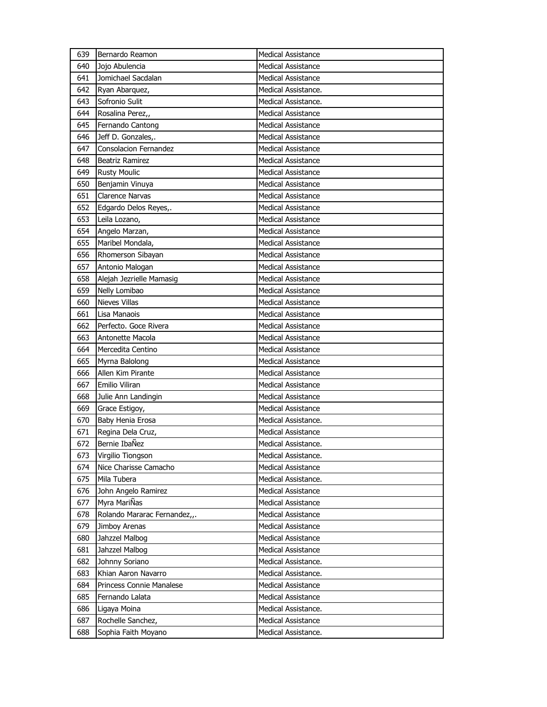| 639 | Bernardo Reamon              | <b>Medical Assistance</b> |
|-----|------------------------------|---------------------------|
| 640 | Joio Abulencia               | Medical Assistance        |
| 641 | Jomichael Sacdalan           | Medical Assistance        |
| 642 | Ryan Abarquez,               | Medical Assistance.       |
| 643 | Sofronio Sulit               | Medical Assistance.       |
| 644 | Rosalina Perez,,             | Medical Assistance        |
| 645 | Fernando Cantong             | <b>Medical Assistance</b> |
| 646 | Jeff D. Gonzales,.           | <b>Medical Assistance</b> |
| 647 | Consolacion Fernandez        | <b>Medical Assistance</b> |
| 648 | Beatriz Ramirez              | <b>Medical Assistance</b> |
| 649 | <b>Rusty Moulic</b>          | Medical Assistance        |
| 650 | Benjamin Vinuya              | Medical Assistance        |
| 651 | <b>Clarence Narvas</b>       | <b>Medical Assistance</b> |
| 652 | Edgardo Delos Reyes,.        | <b>Medical Assistance</b> |
| 653 | Leila Lozano,                | <b>Medical Assistance</b> |
| 654 | Angelo Marzan,               | <b>Medical Assistance</b> |
| 655 | Maribel Mondala,             | <b>Medical Assistance</b> |
| 656 | Rhomerson Sibayan            | <b>Medical Assistance</b> |
| 657 | Antonio Malogan              | <b>Medical Assistance</b> |
| 658 | Alejah Jezrielle Mamasig     | <b>Medical Assistance</b> |
| 659 | Nelly Lomibao                | Medical Assistance        |
| 660 | <b>Nieves Villas</b>         | Medical Assistance        |
| 661 | Lisa Manaois                 | <b>Medical Assistance</b> |
| 662 | Perfecto. Goce Rivera        | <b>Medical Assistance</b> |
| 663 | Antonette Macola             | <b>Medical Assistance</b> |
|     |                              |                           |
| 664 | Mercedita Centino            | Medical Assistance        |
| 665 | Myrna Balolong               | <b>Medical Assistance</b> |
| 666 | Allen Kim Pirante            | <b>Medical Assistance</b> |
| 667 | Emilio Viliran               | <b>Medical Assistance</b> |
| 668 | Julie Ann Landingin          | <b>Medical Assistance</b> |
| 669 | Grace Estigoy,               | <b>Medical Assistance</b> |
| 670 | Baby Henia Erosa             | Medical Assistance.       |
| 671 | Regina Dela Cruz,            | <b>Medical Assistance</b> |
| 672 | Bernie IbaÑez                | Medical Assistance.       |
| 673 | Virgilio Tiongson            | Medical Assistance.       |
| 674 | Nice Charisse Camacho        | Medical Assistance        |
| 675 | Mila Tubera                  | Medical Assistance.       |
| 676 | John Angelo Ramirez          | <b>Medical Assistance</b> |
| 677 | Myra MariÑas                 | <b>Medical Assistance</b> |
| 678 | Rolando Mararac Fernandez,,. | Medical Assistance        |
| 679 | Jimboy Arenas                | <b>Medical Assistance</b> |
| 680 | Jahzzel Malbog               | <b>Medical Assistance</b> |
| 681 | Jahzzel Malbog               | Medical Assistance        |
| 682 | Johnny Soriano               | Medical Assistance.       |
| 683 | Khian Aaron Navarro          | Medical Assistance.       |
| 684 | Princess Connie Manalese     | <b>Medical Assistance</b> |
| 685 | Fernando Lalata              | Medical Assistance        |
| 686 | Ligaya Moina                 | Medical Assistance.       |
| 687 | Rochelle Sanchez,            | Medical Assistance        |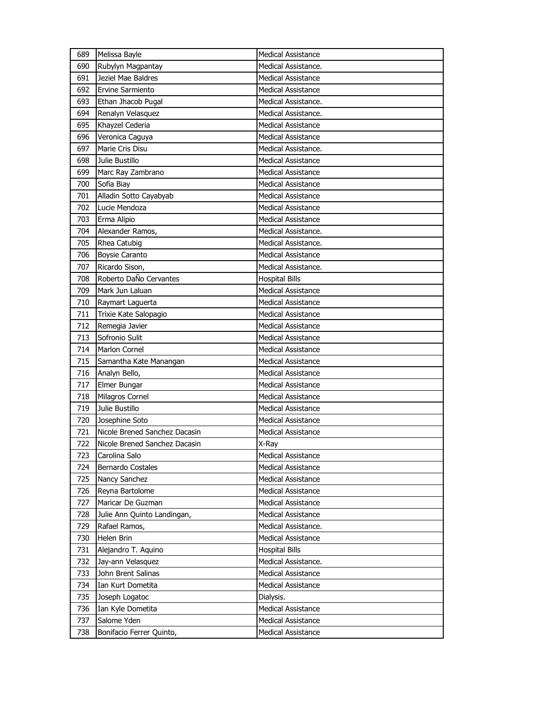| 689 | Melissa Bayle                 | <b>Medical Assistance</b> |
|-----|-------------------------------|---------------------------|
| 690 | Rubylyn Magpantay             | Medical Assistance.       |
| 691 | Jeziel Mae Baldres            | <b>Medical Assistance</b> |
| 692 | <b>Ervine Sarmiento</b>       | <b>Medical Assistance</b> |
| 693 | Ethan Jhacob Pugal            | Medical Assistance.       |
| 694 | Renalyn Velasquez             | Medical Assistance.       |
| 695 | Khayzel Cederia               | <b>Medical Assistance</b> |
| 696 | Veronica Caguya               | <b>Medical Assistance</b> |
| 697 | Marie Cris Disu               | Medical Assistance.       |
| 698 | Julie Bustillo                | <b>Medical Assistance</b> |
| 699 | Marc Ray Zambrano             | <b>Medical Assistance</b> |
| 700 | Sofia Biay                    | <b>Medical Assistance</b> |
| 701 | Alladin Sotto Cayabyab        | <b>Medical Assistance</b> |
| 702 | Lucie Mendoza                 | <b>Medical Assistance</b> |
| 703 | Erma Alipio                   | <b>Medical Assistance</b> |
| 704 | Alexander Ramos,              | Medical Assistance.       |
| 705 | Rhea Catubig                  | Medical Assistance.       |
| 706 | <b>Boysie Caranto</b>         | <b>Medical Assistance</b> |
| 707 | Ricardo Sison,                | Medical Assistance.       |
| 708 | Roberto DaÑo Cervantes        | <b>Hospital Bills</b>     |
| 709 | Mark Jun Laluan               | <b>Medical Assistance</b> |
| 710 | Raymart Laguerta              | <b>Medical Assistance</b> |
| 711 | Trixie Kate Salopagio         | <b>Medical Assistance</b> |
| 712 | Remegia Javier                | <b>Medical Assistance</b> |
| 713 | Sofronio Sulit                | <b>Medical Assistance</b> |
| 714 | <b>Marlon Cornel</b>          | <b>Medical Assistance</b> |
| 715 | Samantha Kate Manangan        | <b>Medical Assistance</b> |
| 716 | Analyn Bello,                 | <b>Medical Assistance</b> |
| 717 | Elmer Bungar                  | <b>Medical Assistance</b> |
| 718 | Milagros Cornel               | <b>Medical Assistance</b> |
| 719 | Julie Bustillo                | <b>Medical Assistance</b> |
| 720 | Josephine Soto                | <b>Medical Assistance</b> |
| 721 | Nicole Brened Sanchez Dacasin | <b>Medical Assistance</b> |
| 722 | Nicole Brened Sanchez Dacasin | X-Ray                     |
| 723 | Carolina Salo                 | Medical Assistance        |
| 724 | <b>Bernardo Costales</b>      | <b>Medical Assistance</b> |
| 725 | Nancy Sanchez                 | <b>Medical Assistance</b> |
| 726 | Reyna Bartolome               | Medical Assistance        |
| 727 | Maricar De Guzman             | <b>Medical Assistance</b> |
| 728 | Julie Ann Quinto Landingan,   | Medical Assistance        |
| 729 | Rafael Ramos,                 | Medical Assistance.       |
| 730 | Helen Brin                    | Medical Assistance        |
| 731 | Alejandro T. Aquino           | <b>Hospital Bills</b>     |
| 732 | Jay-ann Velasquez             | Medical Assistance.       |
| 733 | John Brent Salinas            | <b>Medical Assistance</b> |
| 734 | Ian Kurt Dometita             | <b>Medical Assistance</b> |
| 735 | Joseph Logatoc                | Dialysis.                 |
| 736 | Ian Kyle Dometita             | Medical Assistance        |
| 737 | Salome Yden                   | <b>Medical Assistance</b> |
| 738 | Bonifacio Ferrer Quinto,      | Medical Assistance        |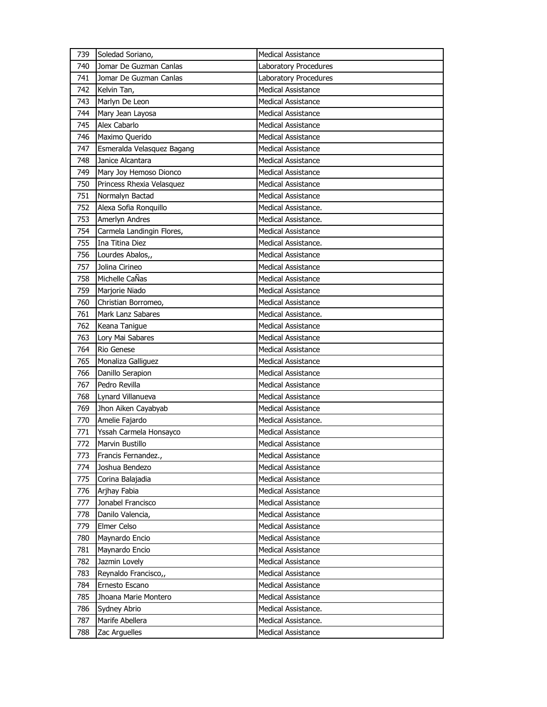| 739 | Soledad Soriano,           | <b>Medical Assistance</b>    |
|-----|----------------------------|------------------------------|
| 740 | Jomar De Guzman Canlas     | <b>Laboratory Procedures</b> |
| 741 | Jomar De Guzman Canlas     | Laboratory Procedures        |
| 742 | Kelvin Tan,                | <b>Medical Assistance</b>    |
| 743 | Marlyn De Leon             | <b>Medical Assistance</b>    |
| 744 | Mary Jean Layosa           | <b>Medical Assistance</b>    |
| 745 | Alex Cabarlo               | <b>Medical Assistance</b>    |
| 746 | Maximo Querido             | <b>Medical Assistance</b>    |
| 747 | Esmeralda Velasquez Bagang | <b>Medical Assistance</b>    |
| 748 | Janice Alcantara           | <b>Medical Assistance</b>    |
| 749 | Mary Joy Hemoso Dionco     | <b>Medical Assistance</b>    |
| 750 | Princess Rhexia Velasquez  | Medical Assistance           |
| 751 | Normalyn Bactad            | <b>Medical Assistance</b>    |
| 752 | Alexa Sofia Ronquillo      | Medical Assistance.          |
| 753 | Amerlyn Andres             | Medical Assistance.          |
| 754 | Carmela Landingin Flores,  | <b>Medical Assistance</b>    |
| 755 | Ina Titina Diez            | Medical Assistance.          |
| 756 | Lourdes Abalos,,           | <b>Medical Assistance</b>    |
| 757 | Jolina Cirineo             | <b>Medical Assistance</b>    |
| 758 | Michelle CaÑas             | <b>Medical Assistance</b>    |
| 759 | Marjorie Niado             | <b>Medical Assistance</b>    |
| 760 | Christian Borromeo,        | Medical Assistance           |
| 761 | Mark Lanz Sabares          | Medical Assistance.          |
| 762 | Keana Tanigue              | <b>Medical Assistance</b>    |
| 763 | Lory Mai Sabares           | <b>Medical Assistance</b>    |
| 764 | Rio Genese                 | <b>Medical Assistance</b>    |
| 765 | Monaliza Galliguez         | <b>Medical Assistance</b>    |
| 766 | Danillo Serapion           | <b>Medical Assistance</b>    |
| 767 | Pedro Revilla              | <b>Medical Assistance</b>    |
| 768 | Lynard Villanueva          | <b>Medical Assistance</b>    |
| 769 | Jhon Aiken Cayabyab        | <b>Medical Assistance</b>    |
| 770 | Amelie Fajardo             | Medical Assistance.          |
| 771 | Yssah Carmela Honsayco     | <b>Medical Assistance</b>    |
| 772 | Marvin Bustillo            | <b>Medical Assistance</b>    |
| 773 | Francis Fernandez.,        | <b>Medical Assistance</b>    |
| 774 | Joshua Bendezo             | <b>Medical Assistance</b>    |
| 775 | Corina Balajadia           | <b>Medical Assistance</b>    |
| 776 | Arjhay Fabia               | <b>Medical Assistance</b>    |
| 777 | Jonabel Francisco          | <b>Medical Assistance</b>    |
| 778 | Danilo Valencia,           | Medical Assistance           |
| 779 | Elmer Celso                | Medical Assistance           |
| 780 | Maynardo Encio             | Medical Assistance           |
| 781 | Maynardo Encio             | Medical Assistance           |
| 782 | Jazmin Lovely              | <b>Medical Assistance</b>    |
| 783 | Reynaldo Francisco,,       | Medical Assistance           |
| 784 | Ernesto Escano             | Medical Assistance           |
| 785 | Jhoana Marie Montero       | <b>Medical Assistance</b>    |
| 786 | Sydney Abrio               | Medical Assistance.          |
| 787 | Marife Abellera            | Medical Assistance.          |
| 788 | Zac Arguelles              | Medical Assistance           |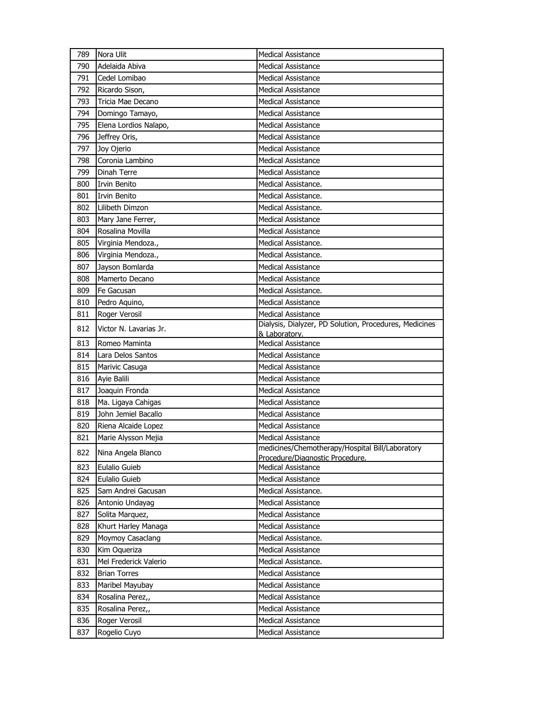| 789 | Nora Ulit              | <b>Medical Assistance</b>                                                          |
|-----|------------------------|------------------------------------------------------------------------------------|
| 790 | Adelaida Abiva         | <b>Medical Assistance</b>                                                          |
| 791 | Cedel Lomibao          | <b>Medical Assistance</b>                                                          |
| 792 | Ricardo Sison,         | <b>Medical Assistance</b>                                                          |
| 793 | Tricia Mae Decano      | <b>Medical Assistance</b>                                                          |
| 794 | Domingo Tamayo,        | <b>Medical Assistance</b>                                                          |
| 795 | Elena Lordios Nalapo,  | <b>Medical Assistance</b>                                                          |
| 796 | Jeffrey Oris,          | <b>Medical Assistance</b>                                                          |
| 797 | Joy Ojerio             | <b>Medical Assistance</b>                                                          |
| 798 | Coronia Lambino        | <b>Medical Assistance</b>                                                          |
| 799 | Dinah Terre            | <b>Medical Assistance</b>                                                          |
| 800 | <b>Irvin Benito</b>    | Medical Assistance.                                                                |
| 801 | Irvin Benito           | Medical Assistance.                                                                |
| 802 | Lilibeth Dimzon        | Medical Assistance.                                                                |
| 803 | Mary Jane Ferrer,      | <b>Medical Assistance</b>                                                          |
| 804 | Rosalina Movilla       | <b>Medical Assistance</b>                                                          |
| 805 | Virginia Mendoza.,     | Medical Assistance.                                                                |
| 806 | Virginia Mendoza.,     | Medical Assistance.                                                                |
| 807 | Jayson Bomlarda        | <b>Medical Assistance</b>                                                          |
| 808 | Mamerto Decano         | <b>Medical Assistance</b>                                                          |
| 809 | Fe Gacusan             | Medical Assistance.                                                                |
| 810 | Pedro Aquino,          | <b>Medical Assistance</b>                                                          |
| 811 | Roger Verosil          | <b>Medical Assistance</b>                                                          |
| 812 | Victor N. Lavarias Jr. | Dialysis, Dialyzer, PD Solution, Procedures, Medicines<br>& Laboratory.            |
| 813 | Romeo Maminta          | <b>Medical Assistance</b>                                                          |
| 814 | Lara Delos Santos      | <b>Medical Assistance</b>                                                          |
| 815 | Marivic Casuga         | <b>Medical Assistance</b>                                                          |
| 816 | Ayie Balili            | <b>Medical Assistance</b>                                                          |
| 817 | Joaquin Fronda         | Medical Assistance                                                                 |
| 818 | Ma. Ligaya Cahigas     | Medical Assistance                                                                 |
| 819 | John Jemiel Bacallo    | <b>Medical Assistance</b>                                                          |
| 820 | Riena Alcaide Lopez    | <b>Medical Assistance</b>                                                          |
| 821 | Marie Alysson Mejia    | <b>Medical Assistance</b>                                                          |
| 822 | Nina Angela Blanco     | medicines/Chemotherapy/Hospital Bill/Laboratory<br>Procedure/Diagnostic Procedure. |
| 823 | Eulalio Guieb          | Medical Assistance                                                                 |
| 824 | Eulalio Guieb          | Medical Assistance                                                                 |
| 825 | Sam Andrei Gacusan     | Medical Assistance.                                                                |
| 826 | Antonio Undayag        | Medical Assistance                                                                 |
| 827 | Solita Marquez,        | <b>Medical Assistance</b>                                                          |
| 828 | Khurt Harley Managa    | Medical Assistance                                                                 |
| 829 | Moymoy Casaclang       | Medical Assistance.                                                                |
| 830 | Kim Oqueriza           | Medical Assistance                                                                 |
| 831 | Mel Frederick Valerio  | Medical Assistance.                                                                |
| 832 | <b>Brian Torres</b>    | Medical Assistance                                                                 |
| 833 | Maribel Mayubay        | Medical Assistance                                                                 |
| 834 | Rosalina Perez,,       | Medical Assistance                                                                 |
| 835 | Rosalina Perez,,       | Medical Assistance                                                                 |
| 836 | Roger Verosil          | Medical Assistance                                                                 |
| 837 | Rogelio Cuyo           | Medical Assistance                                                                 |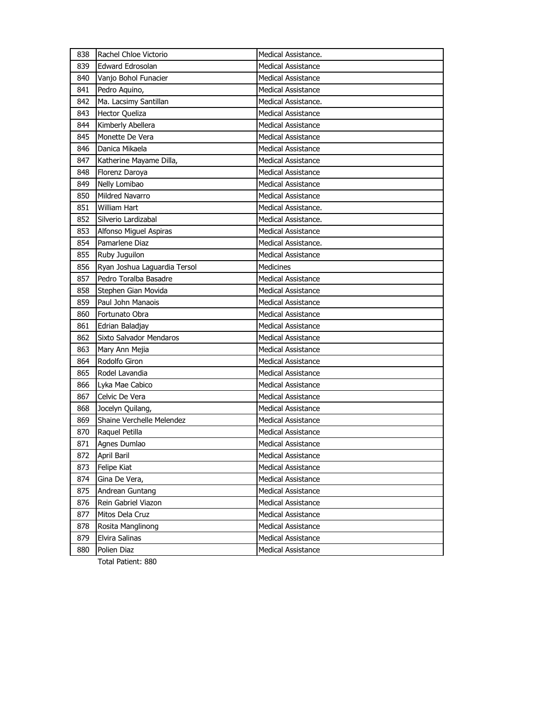| 838 | Rachel Chloe Victorio        | Medical Assistance.       |
|-----|------------------------------|---------------------------|
| 839 | Edward Edrosolan             | <b>Medical Assistance</b> |
| 840 | Vanjo Bohol Funacier         | <b>Medical Assistance</b> |
| 841 | Pedro Aquino,                | <b>Medical Assistance</b> |
| 842 | Ma. Lacsimy Santillan        | Medical Assistance.       |
| 843 | <b>Hector Queliza</b>        | Medical Assistance        |
| 844 | Kimberly Abellera            | <b>Medical Assistance</b> |
| 845 | Monette De Vera              | <b>Medical Assistance</b> |
| 846 | Danica Mikaela               | <b>Medical Assistance</b> |
| 847 | Katherine Mayame Dilla,      | <b>Medical Assistance</b> |
| 848 | Florenz Daroya               | Medical Assistance        |
| 849 | Nelly Lomibao                | <b>Medical Assistance</b> |
| 850 | <b>Mildred Navarro</b>       | <b>Medical Assistance</b> |
| 851 | <b>William Hart</b>          | Medical Assistance.       |
| 852 | Silverio Lardizabal          | Medical Assistance.       |
| 853 | Alfonso Miguel Aspiras       | Medical Assistance        |
| 854 | Pamarlene Diaz               | Medical Assistance.       |
| 855 | Ruby Juguilon                | <b>Medical Assistance</b> |
| 856 | Ryan Joshua Laguardia Tersol | <b>Medicines</b>          |
| 857 | Pedro Toralba Basadre        | <b>Medical Assistance</b> |
| 858 | Stephen Gian Movida          | Medical Assistance        |
| 859 | Paul John Manaois            | <b>Medical Assistance</b> |
| 860 | Fortunato Obra               | <b>Medical Assistance</b> |
| 861 | Edrian Baladjay              | <b>Medical Assistance</b> |
| 862 | Sixto Salvador Mendaros      | <b>Medical Assistance</b> |
| 863 | Mary Ann Mejia               | <b>Medical Assistance</b> |
| 864 | Rodolfo Giron                | <b>Medical Assistance</b> |
| 865 | Rodel Lavandia               | <b>Medical Assistance</b> |
| 866 | Lyka Mae Cabico              | <b>Medical Assistance</b> |
| 867 | Celvic De Vera               | <b>Medical Assistance</b> |
| 868 | Jocelyn Quilang,             | Medical Assistance        |
| 869 | Shaine Verchelle Melendez    | <b>Medical Assistance</b> |
| 870 | Raquel Petilla               | <b>Medical Assistance</b> |
| 871 | Agnes Dumlao                 | <b>Medical Assistance</b> |
| 872 | April Baril                  | Medical Assistance        |
| 873 | Felipe Kiat                  | Medical Assistance        |
| 874 | Gina De Vera,                | <b>Medical Assistance</b> |
| 875 | Andrean Guntang              | Medical Assistance        |
| 876 | Rein Gabriel Viazon          | <b>Medical Assistance</b> |
| 877 | Mitos Dela Cruz              | <b>Medical Assistance</b> |
| 878 | Rosita Manglinong            | <b>Medical Assistance</b> |
| 879 | Elvira Salinas               | Medical Assistance        |
| 880 | Polien Diaz                  | Medical Assistance        |

Total Patient: 880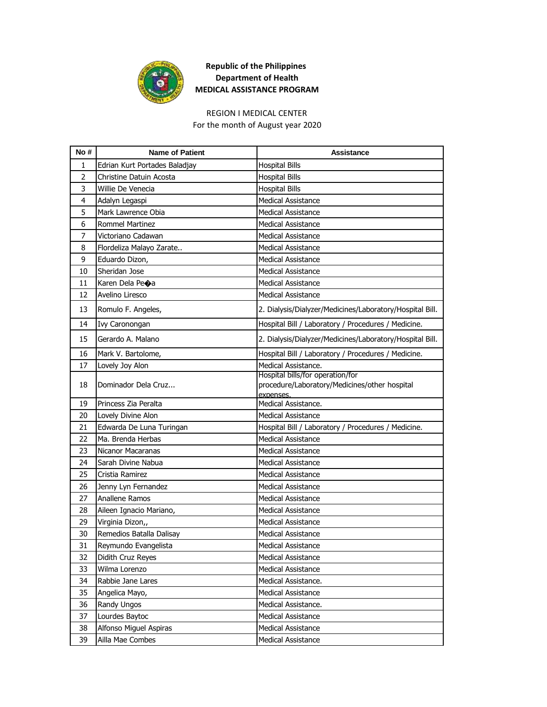

## **Republic of the Philippines Department of Health MEDICAL ASSISTANCE PROGRAM**

## REGION I MEDICAL CENTER

For the month of August year 2020

| No#            | <b>Name of Patient</b>        | Assistance                                                                                     |
|----------------|-------------------------------|------------------------------------------------------------------------------------------------|
| 1              | Edrian Kurt Portades Baladjay | <b>Hospital Bills</b>                                                                          |
| $\overline{2}$ | Christine Datuin Acosta       | <b>Hospital Bills</b>                                                                          |
| 3              | Willie De Venecia             | <b>Hospital Bills</b>                                                                          |
| 4              | Adalyn Legaspi                | <b>Medical Assistance</b>                                                                      |
| 5              | Mark Lawrence Obia            | <b>Medical Assistance</b>                                                                      |
| 6              | <b>Rommel Martinez</b>        | <b>Medical Assistance</b>                                                                      |
| $\overline{7}$ | Victoriano Cadawan            | <b>Medical Assistance</b>                                                                      |
| 8              | Flordeliza Malayo Zarate      | <b>Medical Assistance</b>                                                                      |
| 9              | Eduardo Dizon,                | Medical Assistance                                                                             |
| 10             | Sheridan Jose                 | <b>Medical Assistance</b>                                                                      |
| 11             | Karen Dela Pe�a               | <b>Medical Assistance</b>                                                                      |
| 12             | Avelino Liresco               | <b>Medical Assistance</b>                                                                      |
| 13             | Romulo F. Angeles,            | 2. Dialysis/Dialyzer/Medicines/Laboratory/Hospital Bill.                                       |
| 14             | Ivy Caronongan                | Hospital Bill / Laboratory / Procedures / Medicine.                                            |
| 15             | Gerardo A. Malano             | 2. Dialysis/Dialyzer/Medicines/Laboratory/Hospital Bill.                                       |
| 16             | Mark V. Bartolome,            | Hospital Bill / Laboratory / Procedures / Medicine.                                            |
| 17             | Lovely Joy Alon               | Medical Assistance.                                                                            |
| 18             | Dominador Dela Cruz           | Hospital bills/for operation/for<br>procedure/Laboratory/Medicines/other hospital<br>expenses. |
| 19             | Princess Zia Peralta          | Medical Assistance.                                                                            |
| 20             | Lovely Divine Alon            | <b>Medical Assistance</b>                                                                      |
| 21             | Edwarda De Luna Turingan      | Hospital Bill / Laboratory / Procedures / Medicine.                                            |
| 22             | Ma. Brenda Herbas             | <b>Medical Assistance</b>                                                                      |
| 23             | Nicanor Macaranas             | <b>Medical Assistance</b>                                                                      |
| 24             | Sarah Divine Nabua            | <b>Medical Assistance</b>                                                                      |
| 25             | Cristia Ramirez               | <b>Medical Assistance</b>                                                                      |
| 26             | Jenny Lyn Fernandez           | <b>Medical Assistance</b>                                                                      |
| 27             | Anallene Ramos                | Medical Assistance                                                                             |
| 28             | Aileen Ignacio Mariano,       | <b>Medical Assistance</b>                                                                      |
| 29             | Virginia Dizon,,              | Medical Assistance                                                                             |
| 30             | Remedios Batalla Dalisay      | <b>Medical Assistance</b>                                                                      |
| 31             | Reymundo Evangelista          | Medical Assistance                                                                             |
| 32             | Didith Cruz Reyes             | <b>Medical Assistance</b>                                                                      |
| 33             | Wilma Lorenzo                 | Medical Assistance                                                                             |
| 34             | Rabbie Jane Lares             | Medical Assistance.                                                                            |
| 35             | Angelica Mayo,                | <b>Medical Assistance</b>                                                                      |
| 36             | Randy Ungos                   | Medical Assistance.                                                                            |
| 37             | Lourdes Baytoc                | Medical Assistance                                                                             |
| 38             | Alfonso Miguel Aspiras        | Medical Assistance                                                                             |
| 39             | Ailla Mae Combes              | <b>Medical Assistance</b>                                                                      |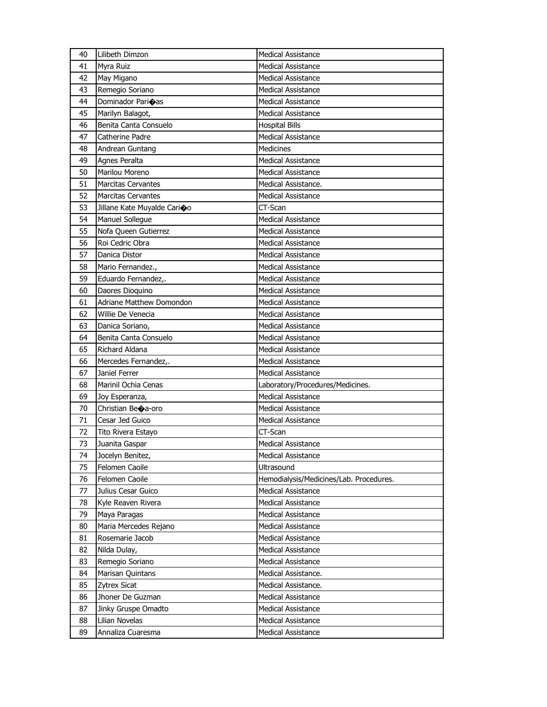| 40 | Lilibeth Dimzon                 | <b>Medical Assistance</b>               |
|----|---------------------------------|-----------------------------------------|
| 41 | Myra Ruiz                       | <b>Medical Assistance</b>               |
| 42 | May Migano                      | <b>Medical Assistance</b>               |
| 43 | Remegio Soriano                 | Medical Assistance                      |
| 44 | Dominador Parioas               | <b>Medical Assistance</b>               |
| 45 | Marilyn Balagot,                | <b>Medical Assistance</b>               |
| 46 | Benita Canta Consuelo           | <b>Hospital Bills</b>                   |
| 47 | Catherine Padre                 | <b>Medical Assistance</b>               |
| 48 | Andrean Guntang                 | <b>Medicines</b>                        |
| 49 | Agnes Peralta                   | <b>Medical Assistance</b>               |
| 50 | Marilou Moreno                  | <b>Medical Assistance</b>               |
| 51 | <b>Marcitas Cervantes</b>       | Medical Assistance.                     |
| 52 | <b>Marcitas Cervantes</b>       | <b>Medical Assistance</b>               |
| 53 | Jillane Kate Muyalde Carioo     | CT-Scan                                 |
| 54 | Manuel Sollegue                 | <b>Medical Assistance</b>               |
| 55 | Nofa Queen Gutierrez            | <b>Medical Assistance</b>               |
| 56 | Roi Cedric Obra                 | <b>Medical Assistance</b>               |
| 57 | Danica Distor                   | <b>Medical Assistance</b>               |
| 58 | Mario Fernandez.,               | <b>Medical Assistance</b>               |
| 59 | Eduardo Fernandez,.             | <b>Medical Assistance</b>               |
| 60 | Daores Dioquino                 | <b>Medical Assistance</b>               |
| 61 | <b>Adriane Matthew Domondon</b> | <b>Medical Assistance</b>               |
| 62 | Willie De Venecia               | <b>Medical Assistance</b>               |
| 63 | Danica Soriano,                 | <b>Medical Assistance</b>               |
| 64 | Benita Canta Consuelo           | <b>Medical Assistance</b>               |
| 65 | Richard Aldana                  | <b>Medical Assistance</b>               |
| 66 | Mercedes Fernandez,.            | <b>Medical Assistance</b>               |
| 67 | Janiel Ferrer                   | <b>Medical Assistance</b>               |
| 68 | Marinil Ochia Cenas             | Laboratory/Procedures/Medicines.        |
| 69 | Joy Esperanza,                  | <b>Medical Assistance</b>               |
| 70 |                                 |                                         |
|    | Christian Beca-oro              | <b>Medical Assistance</b>               |
| 71 | Cesar Jed Guico                 | <b>Medical Assistance</b>               |
| 72 | Tito Rivera Estayo              | CT-Scan                                 |
| 73 | Juanita Gaspar                  | <b>Medical Assistance</b>               |
| 74 | Jocelyn Benitez,                | <b>Medical Assistance</b>               |
| 75 | Felomen Caoile                  | Ultrasound                              |
| 76 | Felomen Caoile                  | Hemodialysis/Medicines/Lab. Procedures. |
| 77 | Julius Cesar Guico              | <b>Medical Assistance</b>               |
| 78 | Kyle Reaven Rivera              | <b>Medical Assistance</b>               |
| 79 | Maya Paragas                    | Medical Assistance                      |
| 80 | Maria Mercedes Rejano           | Medical Assistance                      |
| 81 | Rosemarie Jacob                 | Medical Assistance                      |
| 82 | Nilda Dulay,                    | <b>Medical Assistance</b>               |
| 83 | Remegio Soriano                 | <b>Medical Assistance</b>               |
| 84 | Marisan Quintans                | Medical Assistance.                     |
| 85 | <b>Zytrex Sicat</b>             | Medical Assistance.                     |
| 86 | Jhoner De Guzman                | <b>Medical Assistance</b>               |
| 87 | Jinky Gruspe Omadto             | <b>Medical Assistance</b>               |
| 88 | Lilian Novelas                  | <b>Medical Assistance</b>               |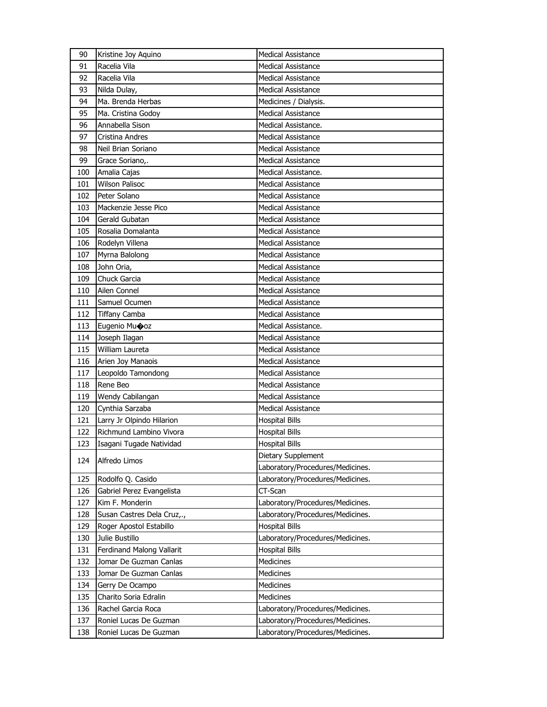| 90  | Kristine Joy Aquino        | <b>Medical Assistance</b>        |
|-----|----------------------------|----------------------------------|
| 91  | Racelia Vila               | Medical Assistance               |
| 92  | Racelia Vila               | <b>Medical Assistance</b>        |
| 93  | Nilda Dulay,               | <b>Medical Assistance</b>        |
| 94  | Ma. Brenda Herbas          | Medicines / Dialysis.            |
| 95  | Ma. Cristina Godoy         | <b>Medical Assistance</b>        |
| 96  | Annabella Sison            | Medical Assistance.              |
| 97  | Cristina Andres            | <b>Medical Assistance</b>        |
| 98  | Neil Brian Soriano         | Medical Assistance               |
| 99  | Grace Soriano,.            | <b>Medical Assistance</b>        |
| 100 | Amalia Cajas               | Medical Assistance.              |
| 101 | <b>Wilson Palisoc</b>      | Medical Assistance               |
| 102 | Peter Solano               | <b>Medical Assistance</b>        |
| 103 | Mackenzie Jesse Pico       | <b>Medical Assistance</b>        |
| 104 | Gerald Gubatan             | <b>Medical Assistance</b>        |
| 105 | Rosalia Domalanta          | <b>Medical Assistance</b>        |
| 106 | Rodelyn Villena            | Medical Assistance               |
| 107 | Myrna Balolong             | <b>Medical Assistance</b>        |
| 108 | John Oria,                 | <b>Medical Assistance</b>        |
| 109 | Chuck Garcia               | <b>Medical Assistance</b>        |
| 110 | Ailen Connel               | <b>Medical Assistance</b>        |
| 111 | Samuel Ocumen              | Medical Assistance               |
| 112 | <b>Tiffany Camba</b>       | <b>Medical Assistance</b>        |
| 113 | Eugenio Mu�oz              | Medical Assistance.              |
| 114 | Joseph Ilagan              | <b>Medical Assistance</b>        |
| 115 | William Laureta            | <b>Medical Assistance</b>        |
| 116 | Arien Joy Manaois          | Medical Assistance               |
| 117 | Leopoldo Tamondong         | <b>Medical Assistance</b>        |
| 118 | Rene Beo                   | <b>Medical Assistance</b>        |
| 119 | Wendy Cabilangan           | <b>Medical Assistance</b>        |
| 120 | Cynthia Sarzaba            | <b>Medical Assistance</b>        |
| 121 | Larry Jr Olpindo Hilarion  | <b>Hospital Bills</b>            |
| 122 | Richmund Lambino Vivora    | <b>Hospital Bills</b>            |
| 123 | Isagani Tugade Natividad   | <b>Hospital Bills</b>            |
|     |                            | Dietary Supplement               |
| 124 | Alfredo Limos              | Laboratory/Procedures/Medicines. |
| 125 | Rodolfo Q. Casido          | Laboratory/Procedures/Medicines. |
| 126 | Gabriel Perez Evangelista  | CT-Scan                          |
| 127 | Kim F. Monderin            | Laboratory/Procedures/Medicines. |
| 128 | Susan Castres Dela Cruz,., | Laboratory/Procedures/Medicines. |
| 129 | Roger Apostol Estabillo    | <b>Hospital Bills</b>            |
| 130 | Julie Bustillo             | Laboratory/Procedures/Medicines. |
| 131 | Ferdinand Malong Vallarit  | <b>Hospital Bills</b>            |
| 132 | Jomar De Guzman Canlas     | <b>Medicines</b>                 |
| 133 | Jomar De Guzman Canlas     | <b>Medicines</b>                 |
| 134 | Gerry De Ocampo            | Medicines                        |
| 135 | Charito Soria Edralin      | <b>Medicines</b>                 |
| 136 | Rachel Garcia Roca         | Laboratory/Procedures/Medicines. |
| 137 | Roniel Lucas De Guzman     | Laboratory/Procedures/Medicines. |
|     | Roniel Lucas De Guzman     | Laboratory/Procedures/Medicines. |
| 138 |                            |                                  |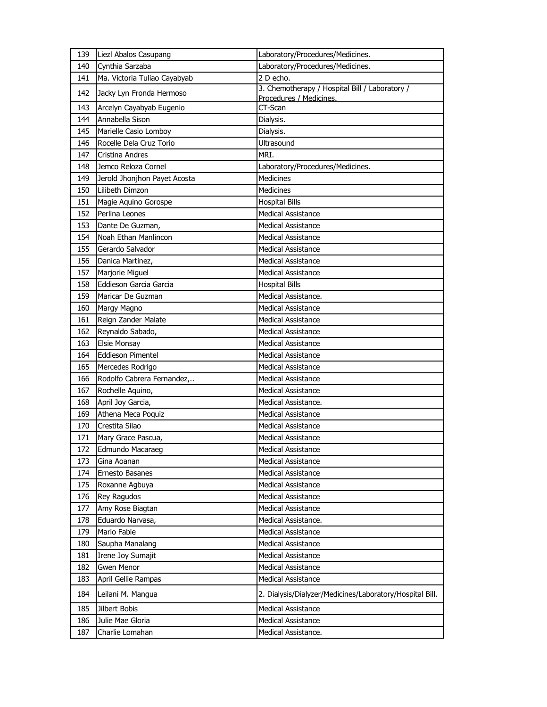| 139 | Liezl Abalos Casupang        | Laboratory/Procedures/Medicines.                                          |
|-----|------------------------------|---------------------------------------------------------------------------|
| 140 | Cynthia Sarzaba              | Laboratory/Procedures/Medicines.                                          |
| 141 | Ma. Victoria Tuliao Cayabyab | 2 D echo.                                                                 |
| 142 | Jacky Lyn Fronda Hermoso     | 3. Chemotherapy / Hospital Bill / Laboratory /<br>Procedures / Medicines. |
| 143 | Arcelyn Cayabyab Eugenio     | CT-Scan                                                                   |
| 144 | Annabella Sison              | Dialysis.                                                                 |
| 145 | Marielle Casio Lomboy        | Dialysis.                                                                 |
| 146 | Rocelle Dela Cruz Torio      | Ultrasound                                                                |
| 147 | Cristina Andres              | MRI.                                                                      |
| 148 | Jemco Reloza Cornel          | Laboratory/Procedures/Medicines.                                          |
| 149 | Jerold Jhonjhon Payet Acosta | Medicines                                                                 |
| 150 | Lilibeth Dimzon              | Medicines                                                                 |
| 151 | Magie Aquino Gorospe         | <b>Hospital Bills</b>                                                     |
| 152 | Perlina Leones               | <b>Medical Assistance</b>                                                 |
| 153 | Dante De Guzman,             | <b>Medical Assistance</b>                                                 |
| 154 | Noah Ethan Manlincon         | <b>Medical Assistance</b>                                                 |
| 155 | Gerardo Salvador             | <b>Medical Assistance</b>                                                 |
| 156 | Danica Martinez,             | <b>Medical Assistance</b>                                                 |
| 157 | Marjorie Miguel              | <b>Medical Assistance</b>                                                 |
| 158 | Eddieson Garcia Garcia       | <b>Hospital Bills</b>                                                     |
| 159 | Maricar De Guzman            | Medical Assistance.                                                       |
| 160 | Margy Magno                  | <b>Medical Assistance</b>                                                 |
| 161 | Reign Zander Malate          | <b>Medical Assistance</b>                                                 |
| 162 | Reynaldo Sabado,             | <b>Medical Assistance</b>                                                 |
| 163 | Elsie Monsay                 | <b>Medical Assistance</b>                                                 |
| 164 | Eddieson Pimentel            | Medical Assistance                                                        |
| 165 | Mercedes Rodrigo             | <b>Medical Assistance</b>                                                 |
| 166 | Rodolfo Cabrera Fernandez,   | <b>Medical Assistance</b>                                                 |
| 167 | Rochelle Aquino,             | <b>Medical Assistance</b>                                                 |
| 168 | April Joy Garcia,            | Medical Assistance.                                                       |
| 169 | Athena Meca Poquiz           | <b>Medical Assistance</b>                                                 |
| 170 | Crestita Silao               | <b>Medical Assistance</b>                                                 |
| 171 | Mary Grace Pascua,           | Medical Assistance                                                        |
| 172 | Edmundo Macaraeg             | <b>Medical Assistance</b>                                                 |
| 173 | Gina Aoanan                  | <b>Medical Assistance</b>                                                 |
| 174 | Ernesto Basanes              | <b>Medical Assistance</b>                                                 |
| 175 | Roxanne Agbuya               | Medical Assistance                                                        |
| 176 | Rey Ragudos                  | Medical Assistance                                                        |
| 177 | Amy Rose Biagtan             | Medical Assistance                                                        |
| 178 | Eduardo Narvasa,             | Medical Assistance.                                                       |
| 179 | Mario Fabie                  | Medical Assistance                                                        |
| 180 | Saupha Manalang              | <b>Medical Assistance</b>                                                 |
| 181 | Irene Joy Sumajit            | Medical Assistance                                                        |
| 182 | Gwen Menor                   | Medical Assistance                                                        |
| 183 | April Gellie Rampas          | Medical Assistance                                                        |
|     |                              |                                                                           |
| 184 | Leilani M. Mangua            | 2. Dialysis/Dialyzer/Medicines/Laboratory/Hospital Bill.                  |
| 185 | Jilbert Bobis                | <b>Medical Assistance</b>                                                 |
| 186 | Julie Mae Gloria             | Medical Assistance                                                        |
| 187 | Charlie Lomahan              | Medical Assistance.                                                       |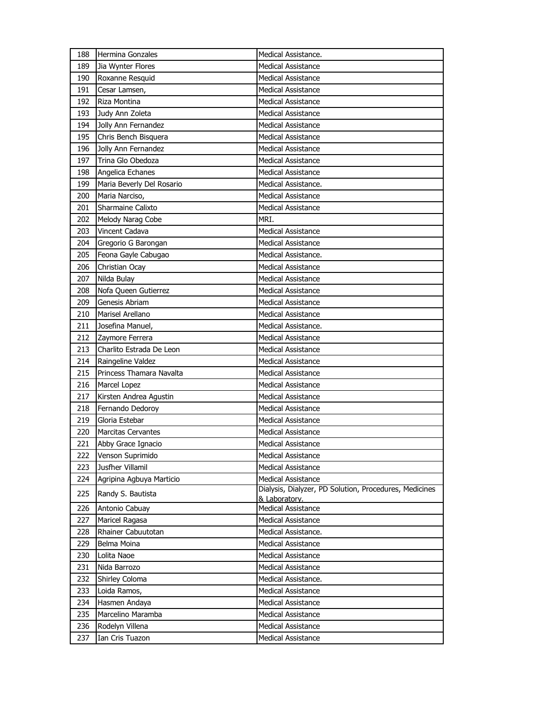| 188 | Hermina Gonzales          | Medical Assistance.                                                     |
|-----|---------------------------|-------------------------------------------------------------------------|
| 189 | Jia Wynter Flores         | <b>Medical Assistance</b>                                               |
| 190 | Roxanne Resquid           | <b>Medical Assistance</b>                                               |
| 191 | Cesar Lamsen,             | <b>Medical Assistance</b>                                               |
| 192 | Riza Montina              | <b>Medical Assistance</b>                                               |
| 193 | Judy Ann Zoleta           | <b>Medical Assistance</b>                                               |
| 194 | Jolly Ann Fernandez       | <b>Medical Assistance</b>                                               |
| 195 | Chris Bench Bisquera      | <b>Medical Assistance</b>                                               |
| 196 | Jolly Ann Fernandez       | <b>Medical Assistance</b>                                               |
| 197 | Trina Glo Obedoza         | <b>Medical Assistance</b>                                               |
| 198 | Angelica Echanes          | <b>Medical Assistance</b>                                               |
| 199 | Maria Beverly Del Rosario | Medical Assistance.                                                     |
| 200 | Maria Narciso,            | <b>Medical Assistance</b>                                               |
| 201 | Sharmaine Calixto         | <b>Medical Assistance</b>                                               |
| 202 | Melody Narag Cobe         | MRI.                                                                    |
| 203 | <b>Vincent Cadava</b>     | <b>Medical Assistance</b>                                               |
| 204 | Gregorio G Barongan       | <b>Medical Assistance</b>                                               |
| 205 | Feona Gayle Cabugao       | Medical Assistance.                                                     |
| 206 | Christian Ocay            | <b>Medical Assistance</b>                                               |
| 207 | Nilda Bulay               | <b>Medical Assistance</b>                                               |
| 208 | Nofa Queen Gutierrez      | <b>Medical Assistance</b>                                               |
| 209 | Genesis Abriam            | <b>Medical Assistance</b>                                               |
| 210 | Marisel Arellano          | <b>Medical Assistance</b>                                               |
| 211 | Josefina Manuel,          | Medical Assistance.                                                     |
| 212 | Zaymore Ferrera           | <b>Medical Assistance</b>                                               |
| 213 | Charlito Estrada De Leon  | <b>Medical Assistance</b>                                               |
| 214 | Raingeline Valdez         | <b>Medical Assistance</b>                                               |
| 215 | Princess Thamara Navalta  | <b>Medical Assistance</b>                                               |
| 216 | Marcel Lopez              | <b>Medical Assistance</b>                                               |
| 217 | Kirsten Andrea Agustin    | <b>Medical Assistance</b>                                               |
| 218 | Fernando Dedoroy          | <b>Medical Assistance</b>                                               |
| 219 | Gloria Estebar            | <b>Medical Assistance</b>                                               |
| 220 | <b>Marcitas Cervantes</b> | <b>Medical Assistance</b>                                               |
| 221 | Abby Grace Ignacio        | <b>Medical Assistance</b>                                               |
| 222 | Venson Suprimido          | <b>Medical Assistance</b>                                               |
| 223 | Jusfher Villamil          | <b>Medical Assistance</b>                                               |
| 224 | Agripina Agbuya Marticio  | <b>Medical Assistance</b>                                               |
| 225 | Randy S. Bautista         | Dialysis, Dialyzer, PD Solution, Procedures, Medicines<br>& Laboratory. |
| 226 | Antonio Cabuay            | <b>Medical Assistance</b>                                               |
| 227 | Maricel Ragasa            | Medical Assistance                                                      |
| 228 | Rhainer Cabuutotan        | Medical Assistance.                                                     |
| 229 | Belma Moina               | <b>Medical Assistance</b>                                               |
| 230 | Lolita Naoe               | <b>Medical Assistance</b>                                               |
| 231 | Nida Barrozo              | <b>Medical Assistance</b>                                               |
| 232 | Shirley Coloma            | Medical Assistance.                                                     |
| 233 | Loida Ramos,              | <b>Medical Assistance</b>                                               |
| 234 | Hasmen Andaya             | Medical Assistance                                                      |
| 235 | Marcelino Maramba         | Medical Assistance                                                      |
| 236 | Rodelyn Villena           | <b>Medical Assistance</b>                                               |
| 237 | Ian Cris Tuazon           | Medical Assistance                                                      |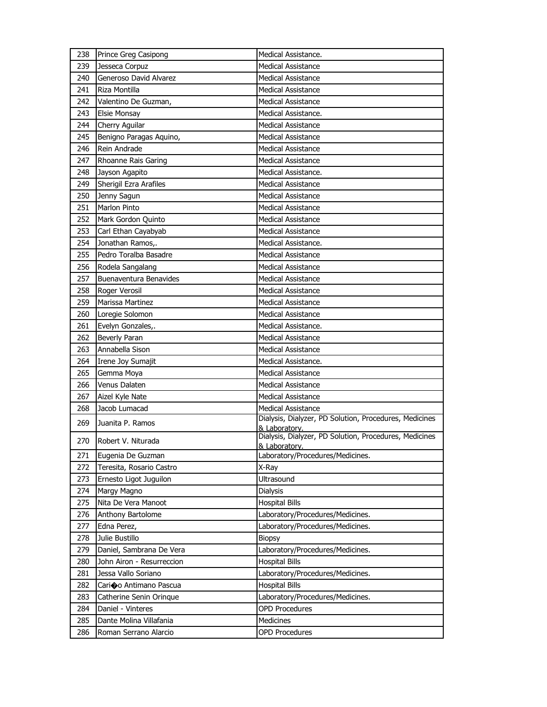| 238 | Prince Greg Casipong      | Medical Assistance.                                                     |
|-----|---------------------------|-------------------------------------------------------------------------|
| 239 | Jesseca Corpuz            | <b>Medical Assistance</b>                                               |
| 240 | Generoso David Alvarez    | <b>Medical Assistance</b>                                               |
| 241 | Riza Montilla             | <b>Medical Assistance</b>                                               |
| 242 | Valentino De Guzman,      | Medical Assistance                                                      |
| 243 | <b>Elsie Monsay</b>       | Medical Assistance.                                                     |
| 244 | Cherry Aguilar            | <b>Medical Assistance</b>                                               |
| 245 | Benigno Paragas Aquino,   | <b>Medical Assistance</b>                                               |
| 246 | Rein Andrade              | <b>Medical Assistance</b>                                               |
| 247 | Rhoanne Rais Garing       | <b>Medical Assistance</b>                                               |
| 248 | Jayson Agapito            | Medical Assistance.                                                     |
| 249 | Sherigil Ezra Arafiles    | <b>Medical Assistance</b>                                               |
| 250 | Jenny Sagun               | <b>Medical Assistance</b>                                               |
| 251 | <b>Marlon Pinto</b>       | <b>Medical Assistance</b>                                               |
| 252 | Mark Gordon Quinto        | Medical Assistance                                                      |
| 253 | Carl Ethan Cayabyab       | <b>Medical Assistance</b>                                               |
| 254 | Jonathan Ramos,.          | Medical Assistance.                                                     |
| 255 | Pedro Toralba Basadre     | <b>Medical Assistance</b>                                               |
| 256 | Rodela Sangalang          | <b>Medical Assistance</b>                                               |
| 257 | Buenaventura Benavides    | <b>Medical Assistance</b>                                               |
| 258 | Roger Verosil             | Medical Assistance                                                      |
| 259 | Marissa Martinez          | <b>Medical Assistance</b>                                               |
| 260 | Loregie Solomon           | <b>Medical Assistance</b>                                               |
| 261 | Evelyn Gonzales,.         | Medical Assistance.                                                     |
| 262 | Beverly Paran             | Medical Assistance                                                      |
| 263 | Annabella Sison           | Medical Assistance                                                      |
| 264 | Irene Joy Sumajit         | Medical Assistance.                                                     |
| 265 | Gemma Moya                | <b>Medical Assistance</b>                                               |
| 266 | Venus Dalaten             | <b>Medical Assistance</b>                                               |
| 267 | Aizel Kyle Nate           | <b>Medical Assistance</b>                                               |
| 268 | Jacob Lumacad             | <b>Medical Assistance</b>                                               |
| 269 | Juanita P. Ramos          | Dialysis, Dialyzer, PD Solution, Procedures, Medicines                  |
|     |                           | & Laboratory.                                                           |
| 270 | Robert V. Niturada        | Dialysis, Dialyzer, PD Solution, Procedures, Medicines<br>& Laboratory. |
| 271 | Eugenia De Guzman         | Laboratory/Procedures/Medicines.                                        |
| 272 | Teresita, Rosario Castro  | X-Ray                                                                   |
| 273 | Ernesto Ligot Juguilon    | Ultrasound                                                              |
| 274 | Margy Magno               | Dialysis                                                                |
| 275 | Nita De Vera Manoot       | <b>Hospital Bills</b>                                                   |
| 276 | Anthony Bartolome         | Laboratory/Procedures/Medicines.                                        |
| 277 | Edna Perez,               | Laboratory/Procedures/Medicines.                                        |
| 278 | Julie Bustillo            | <b>Biopsy</b>                                                           |
| 279 | Daniel, Sambrana De Vera  | Laboratory/Procedures/Medicines.                                        |
| 280 | John Airon - Resurreccion | <b>Hospital Bills</b>                                                   |
| 281 | Jessa Vallo Soriano       | Laboratory/Procedures/Medicines.                                        |
| 282 | Cario Antimano Pascua     | <b>Hospital Bills</b>                                                   |
| 283 | Catherine Senin Orinque   | Laboratory/Procedures/Medicines.                                        |
| 284 | Daniel - Vinteres         | <b>OPD Procedures</b>                                                   |
| 285 | Dante Molina Villafania   | Medicines                                                               |
| 286 | Roman Serrano Alarcio     | <b>OPD Procedures</b>                                                   |
|     |                           |                                                                         |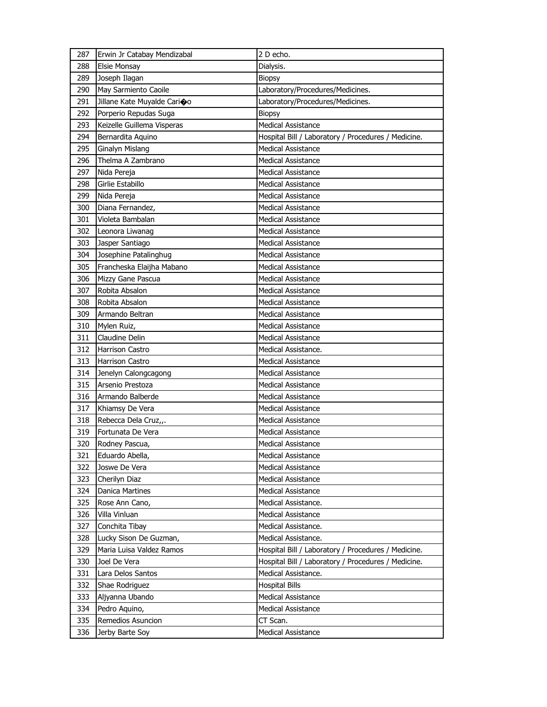| 287 | Erwin Jr Catabay Mendizabal | 2 D echo.                                           |
|-----|-----------------------------|-----------------------------------------------------|
| 288 | <b>Elsie Monsay</b>         | Dialysis.                                           |
| 289 | Joseph Ilagan               | <b>Biopsy</b>                                       |
| 290 | May Sarmiento Caoile        | Laboratory/Procedures/Medicines.                    |
| 291 | Jillane Kate Muyalde Carioo | Laboratory/Procedures/Medicines.                    |
| 292 | Porperio Repudas Suga       | <b>Biopsy</b>                                       |
| 293 | Keizelle Guillema Visperas  | <b>Medical Assistance</b>                           |
| 294 | Bernardita Aquino           | Hospital Bill / Laboratory / Procedures / Medicine. |
| 295 | <b>Ginalyn Mislang</b>      | <b>Medical Assistance</b>                           |
| 296 | Thelma A Zambrano           | <b>Medical Assistance</b>                           |
| 297 | Nida Pereja                 | <b>Medical Assistance</b>                           |
| 298 | Girlie Estabillo            | Medical Assistance                                  |
| 299 | Nida Pereja                 | <b>Medical Assistance</b>                           |
| 300 | Diana Fernandez,            | <b>Medical Assistance</b>                           |
| 301 | Violeta Bambalan            | <b>Medical Assistance</b>                           |
| 302 | Leonora Liwanag             | <b>Medical Assistance</b>                           |
| 303 | Jasper Santiago             | <b>Medical Assistance</b>                           |
| 304 | Josephine Patalinghug       | <b>Medical Assistance</b>                           |
| 305 | Francheska Elaijha Mabano   | <b>Medical Assistance</b>                           |
| 306 | Mizzy Gane Pascua           | <b>Medical Assistance</b>                           |
| 307 | Robita Absalon              | <b>Medical Assistance</b>                           |
| 308 | Robita Absalon              | Medical Assistance                                  |
| 309 | Armando Beltran             | <b>Medical Assistance</b>                           |
| 310 | Mylen Ruiz,                 | <b>Medical Assistance</b>                           |
| 311 | Claudine Delin              | <b>Medical Assistance</b>                           |
| 312 | Harrison Castro             | Medical Assistance.                                 |
| 313 | <b>Harrison Castro</b>      | <b>Medical Assistance</b>                           |
| 314 | Jenelyn Calongcagong        | <b>Medical Assistance</b>                           |
| 315 | Arsenio Prestoza            | <b>Medical Assistance</b>                           |
| 316 | Armando Balberde            | <b>Medical Assistance</b>                           |
| 317 | Khiamsy De Vera             | <b>Medical Assistance</b>                           |
| 318 | Rebecca Dela Cruz,,.        | Medical Assistance                                  |
| 319 | Fortunata De Vera           | <b>Medical Assistance</b>                           |
| 320 | Rodney Pascua,              | <b>Medical Assistance</b>                           |
| 321 | Eduardo Abella,             | Medical Assistance                                  |
| 322 | Joswe De Vera               | <b>Medical Assistance</b>                           |
| 323 | Cherilyn Diaz               | <b>Medical Assistance</b>                           |
| 324 | Danica Martines             | <b>Medical Assistance</b>                           |
| 325 | Rose Ann Cano,              | Medical Assistance.                                 |
| 326 | Villa Vinluan               | Medical Assistance                                  |
| 327 | Conchita Tibay              | Medical Assistance.                                 |
| 328 | Lucky Sison De Guzman,      | Medical Assistance.                                 |
| 329 | Maria Luisa Valdez Ramos    | Hospital Bill / Laboratory / Procedures / Medicine. |
| 330 | Joel De Vera                | Hospital Bill / Laboratory / Procedures / Medicine. |
| 331 | Lara Delos Santos           | Medical Assistance.                                 |
| 332 | Shae Rodriguez              | <b>Hospital Bills</b>                               |
| 333 | Aljyanna Ubando             | <b>Medical Assistance</b>                           |
| 334 | Pedro Aquino,               | <b>Medical Assistance</b>                           |
| 335 | Remedios Asuncion           | CT Scan.                                            |
| 336 | Jerby Barte Soy             | Medical Assistance                                  |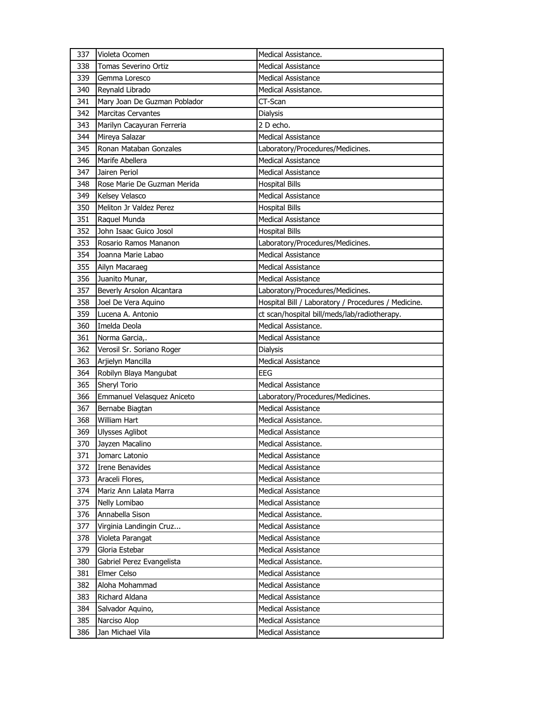| 337 | Violeta Ocomen               | Medical Assistance.                                 |
|-----|------------------------------|-----------------------------------------------------|
| 338 | Tomas Severino Ortiz         | <b>Medical Assistance</b>                           |
| 339 | Gemma Loresco                | <b>Medical Assistance</b>                           |
| 340 | Reynald Librado              | Medical Assistance.                                 |
| 341 | Mary Joan De Guzman Poblador | CT-Scan                                             |
| 342 | <b>Marcitas Cervantes</b>    | Dialysis                                            |
| 343 | Marilyn Cacayuran Ferreria   | 2 D echo.                                           |
| 344 | Mireya Salazar               | <b>Medical Assistance</b>                           |
| 345 | Ronan Mataban Gonzales       | Laboratory/Procedures/Medicines.                    |
| 346 | Marife Abellera              | <b>Medical Assistance</b>                           |
| 347 | Jairen Periol                | <b>Medical Assistance</b>                           |
| 348 | Rose Marie De Guzman Merida  | <b>Hospital Bills</b>                               |
| 349 | Kelsey Velasco               | <b>Medical Assistance</b>                           |
| 350 | Meliton Jr Valdez Perez      | <b>Hospital Bills</b>                               |
| 351 | Raquel Munda                 | <b>Medical Assistance</b>                           |
| 352 | John Isaac Guico Josol       | <b>Hospital Bills</b>                               |
| 353 | Rosario Ramos Mananon        | Laboratory/Procedures/Medicines.                    |
| 354 | Joanna Marie Labao           | <b>Medical Assistance</b>                           |
| 355 | Ailyn Macaraeg               | <b>Medical Assistance</b>                           |
| 356 | Juanito Munar,               | <b>Medical Assistance</b>                           |
| 357 | Beverly Arsolon Alcantara    | Laboratory/Procedures/Medicines.                    |
| 358 | Joel De Vera Aquino          | Hospital Bill / Laboratory / Procedures / Medicine. |
| 359 | Lucena A. Antonio            | ct scan/hospital bill/meds/lab/radiotherapy.        |
| 360 | Imelda Deola                 | Medical Assistance.                                 |
| 361 | Norma Garcia,.               | <b>Medical Assistance</b>                           |
|     |                              |                                                     |
| 362 | Verosil Sr. Soriano Roger    | <b>Dialysis</b>                                     |
| 363 | Arjielyn Mancilla            | <b>Medical Assistance</b>                           |
| 364 | Robilyn Blaya Mangubat       | <b>EEG</b>                                          |
| 365 | Sheryl Torio                 | <b>Medical Assistance</b>                           |
| 366 | Emmanuel Velasquez Aniceto   | Laboratory/Procedures/Medicines.                    |
| 367 | Bernabe Biagtan              | <b>Medical Assistance</b>                           |
| 368 | <b>William Hart</b>          | Medical Assistance.                                 |
| 369 | <b>Ulysses Aglibot</b>       | Medical Assistance                                  |
| 370 | Jayzen Macalino              | Medical Assistance.                                 |
| 371 | Jomarc Latonio               | Medical Assistance                                  |
| 372 | Irene Benavides              | Medical Assistance                                  |
| 373 | Araceli Flores,              | <b>Medical Assistance</b>                           |
| 374 | Mariz Ann Lalata Marra       | Medical Assistance                                  |
| 375 | Nelly Lomibao                | Medical Assistance                                  |
| 376 | Annabella Sison              | Medical Assistance.                                 |
| 377 | Virginia Landingin Cruz      | <b>Medical Assistance</b>                           |
| 378 | Violeta Parangat             | Medical Assistance                                  |
| 379 | Gloria Estebar               | <b>Medical Assistance</b>                           |
| 380 | Gabriel Perez Evangelista    | Medical Assistance.                                 |
| 381 | Elmer Celso                  | <b>Medical Assistance</b>                           |
| 382 | Aloha Mohammad               | Medical Assistance                                  |
| 383 | Richard Aldana               | Medical Assistance                                  |
| 384 | Salvador Aquino,             | Medical Assistance                                  |
| 385 | Narciso Alop                 | Medical Assistance                                  |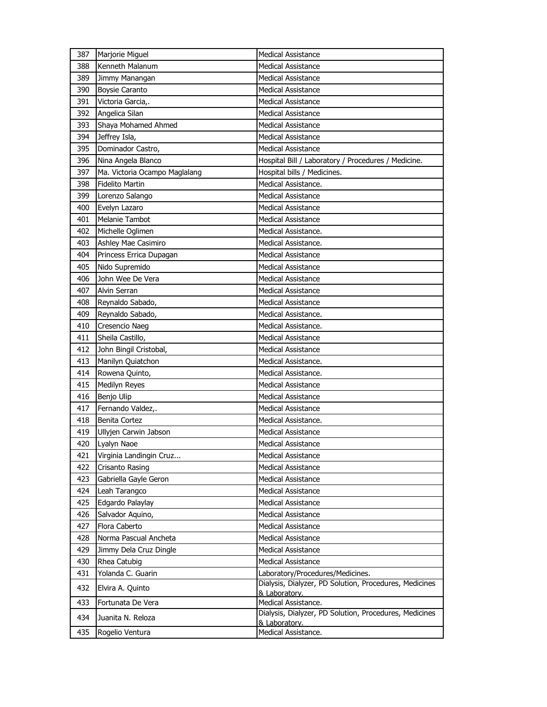| 387 | Marjorie Miguel               | <b>Medical Assistance</b>                                               |
|-----|-------------------------------|-------------------------------------------------------------------------|
| 388 | Kenneth Malanum               | <b>Medical Assistance</b>                                               |
| 389 | Jimmy Manangan                | <b>Medical Assistance</b>                                               |
| 390 | <b>Boysie Caranto</b>         | <b>Medical Assistance</b>                                               |
| 391 | Victoria Garcia,.             | <b>Medical Assistance</b>                                               |
| 392 | Angelica Silan                | <b>Medical Assistance</b>                                               |
| 393 | Shaya Mohamed Ahmed           | <b>Medical Assistance</b>                                               |
| 394 | Jeffrey Isla,                 | <b>Medical Assistance</b>                                               |
| 395 | Dominador Castro,             | <b>Medical Assistance</b>                                               |
| 396 | Nina Angela Blanco            | Hospital Bill / Laboratory / Procedures / Medicine.                     |
| 397 | Ma. Victoria Ocampo Maglalang | Hospital bills / Medicines.                                             |
| 398 | <b>Fidelito Martin</b>        | Medical Assistance.                                                     |
| 399 | Lorenzo Salango               | <b>Medical Assistance</b>                                               |
| 400 | Evelyn Lazaro                 | <b>Medical Assistance</b>                                               |
| 401 | Melanie Tambot                | <b>Medical Assistance</b>                                               |
| 402 | Michelle Oglimen              | Medical Assistance.                                                     |
| 403 | Ashley Mae Casimiro           | Medical Assistance.                                                     |
| 404 | Princess Errica Dupagan       | <b>Medical Assistance</b>                                               |
| 405 | Nido Supremido                | <b>Medical Assistance</b>                                               |
| 406 | John Wee De Vera              | <b>Medical Assistance</b>                                               |
| 407 | Alvin Serran                  | <b>Medical Assistance</b>                                               |
| 408 | Reynaldo Sabado,              | <b>Medical Assistance</b>                                               |
| 409 | Reynaldo Sabado,              | Medical Assistance.                                                     |
| 410 | Cresencio Naeg                | Medical Assistance.                                                     |
| 411 | Sheila Castillo,              | <b>Medical Assistance</b>                                               |
| 412 | John Bingil Cristobal,        | <b>Medical Assistance</b>                                               |
| 413 | Manilyn Quiatchon             | Medical Assistance.                                                     |
| 414 | Rowena Quinto,                | Medical Assistance.                                                     |
| 415 | Medilyn Reyes                 | <b>Medical Assistance</b>                                               |
| 416 | Benjo Ulip                    | <b>Medical Assistance</b>                                               |
| 417 | Fernando Valdez,.             | <b>Medical Assistance</b>                                               |
| 418 | <b>Benita Cortez</b>          | Medical Assistance.                                                     |
| 419 | Ullyjen Carwin Jabson         | <b>Medical Assistance</b>                                               |
| 420 | Lyalyn Naoe                   | <b>Medical Assistance</b>                                               |
| 421 | Virginia Landingin Cruz       | <b>Medical Assistance</b>                                               |
| 422 | Crisanto Rasing               | <b>Medical Assistance</b>                                               |
| 423 | Gabriella Gayle Geron         | <b>Medical Assistance</b>                                               |
| 424 | Leah Tarangco                 | <b>Medical Assistance</b>                                               |
| 425 | Edgardo Palaylay              | <b>Medical Assistance</b>                                               |
| 426 | Salvador Aquino,              | Medical Assistance                                                      |
| 427 | Flora Caberto                 | <b>Medical Assistance</b>                                               |
| 428 | Norma Pascual Ancheta         | <b>Medical Assistance</b>                                               |
| 429 | Jimmy Dela Cruz Dingle        | <b>Medical Assistance</b>                                               |
| 430 | Rhea Catubig                  | <b>Medical Assistance</b>                                               |
| 431 | Yolanda C. Guarin             | Laboratory/Procedures/Medicines.                                        |
| 432 | Elvira A. Quinto              | Dialysis, Dialyzer, PD Solution, Procedures, Medicines<br>& Laboratory. |
| 433 | Fortunata De Vera             | Medical Assistance.                                                     |
| 434 | Juanita N. Reloza             | Dialysis, Dialyzer, PD Solution, Procedures, Medicines                  |
| 435 | Rogelio Ventura               | & Laboratory.<br>Medical Assistance.                                    |
|     |                               |                                                                         |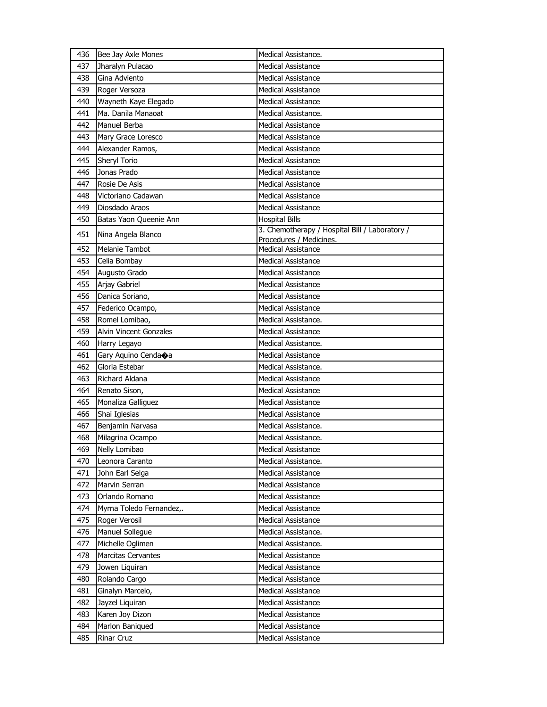| 436 | Bee Jay Axle Mones        | Medical Assistance.                                                       |
|-----|---------------------------|---------------------------------------------------------------------------|
| 437 | Jharalyn Pulacao          | <b>Medical Assistance</b>                                                 |
| 438 | Gina Adviento             | <b>Medical Assistance</b>                                                 |
| 439 | Roger Versoza             | <b>Medical Assistance</b>                                                 |
| 440 | Wayneth Kaye Elegado      | <b>Medical Assistance</b>                                                 |
| 441 | Ma. Danila Manaoat        | Medical Assistance.                                                       |
| 442 | Manuel Berba              | <b>Medical Assistance</b>                                                 |
| 443 | Mary Grace Loresco        | <b>Medical Assistance</b>                                                 |
| 444 | Alexander Ramos,          | <b>Medical Assistance</b>                                                 |
| 445 | Sheryl Torio              | <b>Medical Assistance</b>                                                 |
| 446 | Jonas Prado               | <b>Medical Assistance</b>                                                 |
| 447 | Rosie De Asis             | <b>Medical Assistance</b>                                                 |
| 448 | Victoriano Cadawan        | <b>Medical Assistance</b>                                                 |
| 449 | Diosdado Araos            | <b>Medical Assistance</b>                                                 |
| 450 | Batas Yaon Queenie Ann    | <b>Hospital Bills</b>                                                     |
| 451 | Nina Angela Blanco        | 3. Chemotherapy / Hospital Bill / Laboratory /<br>Procedures / Medicines. |
| 452 | Melanie Tambot            | <b>Medical Assistance</b>                                                 |
| 453 | Celia Bombay              | <b>Medical Assistance</b>                                                 |
| 454 | Augusto Grado             | <b>Medical Assistance</b>                                                 |
| 455 | Arjay Gabriel             | Medical Assistance                                                        |
| 456 | Danica Soriano,           | Medical Assistance                                                        |
| 457 | Federico Ocampo,          | <b>Medical Assistance</b>                                                 |
| 458 | Romel Lomibao,            | Medical Assistance.                                                       |
| 459 | Alvin Vincent Gonzales    | <b>Medical Assistance</b>                                                 |
| 460 | Harry Legayo              | Medical Assistance.                                                       |
| 461 | Gary Aquino Cendaoa       | <b>Medical Assistance</b>                                                 |
| 462 | Gloria Estebar            | Medical Assistance.                                                       |
| 463 | Richard Aldana            | <b>Medical Assistance</b>                                                 |
| 464 | Renato Sison,             | <b>Medical Assistance</b>                                                 |
| 465 | Monaliza Galliguez        | <b>Medical Assistance</b>                                                 |
| 466 | Shai Iglesias             | <b>Medical Assistance</b>                                                 |
| 467 | Benjamin Narvasa          | Medical Assistance.                                                       |
| 468 | Milagrina Ocampo          | Medical Assistance.                                                       |
| 469 | Nelly Lomibao             | <b>Medical Assistance</b>                                                 |
| 470 | Leonora Caranto           | Medical Assistance.                                                       |
| 471 | John Earl Selga           | <b>Medical Assistance</b>                                                 |
| 472 | Marvin Serran             | <b>Medical Assistance</b>                                                 |
| 473 | Orlando Romano            | Medical Assistance                                                        |
| 474 | Myrna Toledo Fernandez,.  | <b>Medical Assistance</b>                                                 |
| 475 | Roger Verosil             | <b>Medical Assistance</b>                                                 |
| 476 | Manuel Sollegue           | Medical Assistance.                                                       |
| 477 | Michelle Oglimen          | Medical Assistance.                                                       |
| 478 | <b>Marcitas Cervantes</b> | <b>Medical Assistance</b>                                                 |
| 479 | Jowen Liquiran            | <b>Medical Assistance</b>                                                 |
| 480 | Rolando Cargo             | Medical Assistance                                                        |
| 481 | Ginalyn Marcelo,          | <b>Medical Assistance</b>                                                 |
| 482 | Jayzel Liquiran           | Medical Assistance                                                        |
| 483 | Karen Joy Dizon           | Medical Assistance                                                        |
| 484 | Marlon Baniqued           | <b>Medical Assistance</b>                                                 |
| 485 | Rinar Cruz                | Medical Assistance                                                        |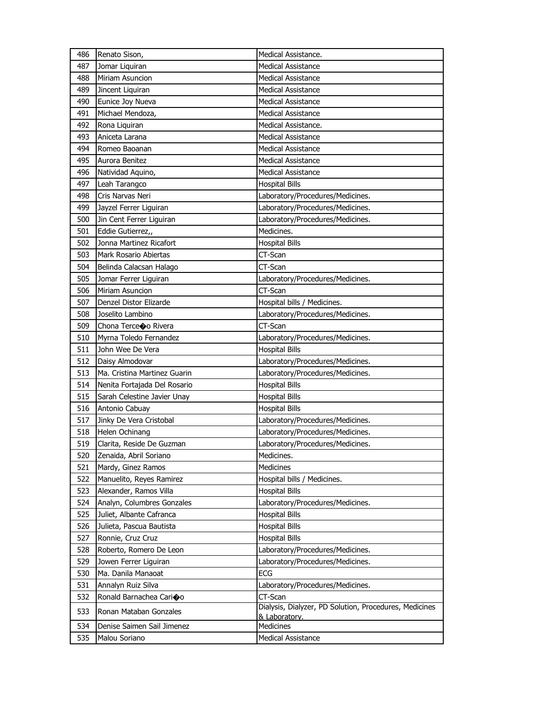| 486 | Renato Sison,                | Medical Assistance.                                    |
|-----|------------------------------|--------------------------------------------------------|
| 487 | Jomar Liquiran               | <b>Medical Assistance</b>                              |
| 488 | Miriam Asuncion              | <b>Medical Assistance</b>                              |
| 489 | Jincent Liquiran             | <b>Medical Assistance</b>                              |
| 490 | Eunice Joy Nueva             | Medical Assistance                                     |
| 491 | Michael Mendoza,             | <b>Medical Assistance</b>                              |
| 492 | Rona Liquiran                | Medical Assistance.                                    |
| 493 | Aniceta Larana               | <b>Medical Assistance</b>                              |
| 494 | Romeo Baoanan                | <b>Medical Assistance</b>                              |
| 495 | Aurora Benitez               | <b>Medical Assistance</b>                              |
| 496 | Natividad Aquino,            | <b>Medical Assistance</b>                              |
| 497 | Leah Tarangco                | <b>Hospital Bills</b>                                  |
| 498 | Cris Narvas Neri             | Laboratory/Procedures/Medicines.                       |
| 499 | Jayzel Ferrer Liguiran       | Laboratory/Procedures/Medicines.                       |
| 500 | Jin Cent Ferrer Liguiran     | Laboratory/Procedures/Medicines.                       |
| 501 | Eddie Gutierrez,,            | Medicines.                                             |
| 502 | Jonna Martinez Ricafort      | <b>Hospital Bills</b>                                  |
| 503 | Mark Rosario Abiertas        | CT-Scan                                                |
| 504 | Belinda Calacsan Halago      | CT-Scan                                                |
| 505 | Jomar Ferrer Liguiran        | Laboratory/Procedures/Medicines.                       |
| 506 | Miriam Asuncion              | CT-Scan                                                |
| 507 | Denzel Distor Elizarde       | Hospital bills / Medicines.                            |
| 508 | Joselito Lambino             | Laboratory/Procedures/Medicines.                       |
| 509 | Chona Terceoo Rivera         | CT-Scan                                                |
| 510 | Myrna Toledo Fernandez       | Laboratory/Procedures/Medicines.                       |
| 511 | John Wee De Vera             | <b>Hospital Bills</b>                                  |
| 512 | Daisy Almodovar              | Laboratory/Procedures/Medicines.                       |
| 513 | Ma. Cristina Martinez Guarin | Laboratory/Procedures/Medicines.                       |
| 514 | Nenita Fortajada Del Rosario | <b>Hospital Bills</b>                                  |
| 515 | Sarah Celestine Javier Unay  | <b>Hospital Bills</b>                                  |
| 516 | Antonio Cabuay               | <b>Hospital Bills</b>                                  |
| 517 | Jinky De Vera Cristobal      | Laboratory/Procedures/Medicines.                       |
| 518 | Helen Ochinang               | Laboratory/Procedures/Medicines.                       |
| 519 | Clarita, Reside De Guzman    | Laboratory/Procedures/Medicines.                       |
| 520 | Zenaida, Abril Soriano       | Medicines.                                             |
| 521 | Mardy, Ginez Ramos           | <b>Medicines</b>                                       |
| 522 | Manuelito, Reyes Ramirez     | Hospital bills / Medicines.                            |
| 523 | Alexander, Ramos Villa       | <b>Hospital Bills</b>                                  |
| 524 | Analyn, Columbres Gonzales   | Laboratory/Procedures/Medicines.                       |
| 525 | Juliet, Albante Cafranca     | <b>Hospital Bills</b>                                  |
| 526 | Julieta, Pascua Bautista     | <b>Hospital Bills</b>                                  |
| 527 | Ronnie, Cruz Cruz            | <b>Hospital Bills</b>                                  |
| 528 | Roberto, Romero De Leon      | Laboratory/Procedures/Medicines.                       |
| 529 | Jowen Ferrer Liguiran        | Laboratory/Procedures/Medicines.                       |
| 530 | Ma. Danila Manaoat           | ECG                                                    |
| 531 | Annalyn Ruiz Silva           | Laboratory/Procedures/Medicines.                       |
| 532 | Ronald Barnachea Carioo      | CT-Scan                                                |
| 533 | Ronan Mataban Gonzales       | Dialysis, Dialyzer, PD Solution, Procedures, Medicines |
|     |                              | & Laboratory.                                          |
| 534 | Denise Saimen Sail Jimenez   | Medicines                                              |
| 535 | Malou Soriano                | Medical Assistance                                     |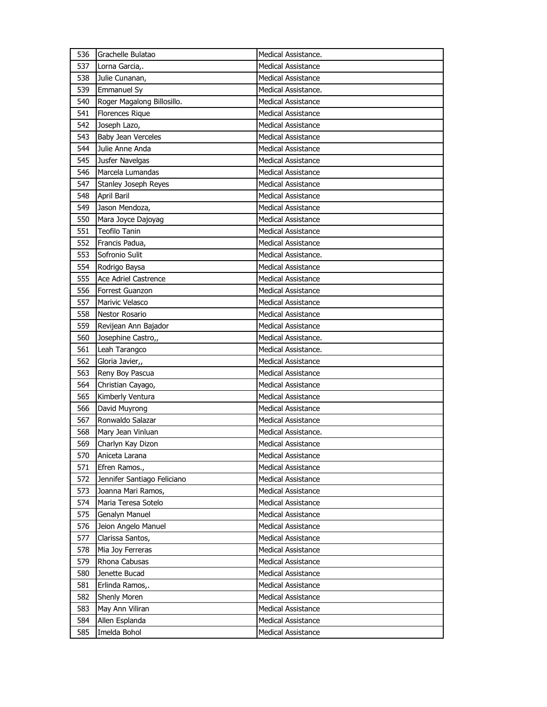| 536 | Grachelle Bulatao           | Medical Assistance.       |
|-----|-----------------------------|---------------------------|
| 537 | Lorna Garcia,.              | <b>Medical Assistance</b> |
| 538 | Julie Cunanan,              | <b>Medical Assistance</b> |
| 539 | <b>Emmanuel Sy</b>          | Medical Assistance.       |
| 540 | Roger Magalong Billosillo.  | <b>Medical Assistance</b> |
| 541 | <b>Florences Rique</b>      | <b>Medical Assistance</b> |
| 542 | Joseph Lazo,                | <b>Medical Assistance</b> |
| 543 | Baby Jean Verceles          | <b>Medical Assistance</b> |
| 544 | Julie Anne Anda             | <b>Medical Assistance</b> |
| 545 | Jusfer Navelgas             | <b>Medical Assistance</b> |
| 546 | Marcela Lumandas            | <b>Medical Assistance</b> |
| 547 | <b>Stanley Joseph Reyes</b> | <b>Medical Assistance</b> |
| 548 | April Baril                 | <b>Medical Assistance</b> |
| 549 | Jason Mendoza,              | <b>Medical Assistance</b> |
| 550 | Mara Joyce Dajoyag          | <b>Medical Assistance</b> |
| 551 | Teofilo Tanin               | <b>Medical Assistance</b> |
| 552 | Francis Padua,              | <b>Medical Assistance</b> |
| 553 | Sofronio Sulit              | Medical Assistance.       |
| 554 | Rodrigo Baysa               | <b>Medical Assistance</b> |
| 555 | Ace Adriel Castrence        | <b>Medical Assistance</b> |
| 556 | Forrest Guanzon             | <b>Medical Assistance</b> |
| 557 | Marivic Velasco             | <b>Medical Assistance</b> |
| 558 | <b>Nestor Rosario</b>       | <b>Medical Assistance</b> |
| 559 | Revijean Ann Bajador        | <b>Medical Assistance</b> |
| 560 | Josephine Castro,,          | Medical Assistance.       |
| 561 | Leah Tarangco               | Medical Assistance.       |
| 562 | Gloria Javier,,             | <b>Medical Assistance</b> |
| 563 | Reny Boy Pascua             | <b>Medical Assistance</b> |
| 564 | Christian Cayago,           | <b>Medical Assistance</b> |
| 565 | Kimberly Ventura            | <b>Medical Assistance</b> |
| 566 | David Muyrong               | <b>Medical Assistance</b> |
| 567 | Ronwaldo Salazar            | <b>Medical Assistance</b> |
| 568 | Mary Jean Vinluan           | Medical Assistance.       |
| 569 | Charlyn Kay Dizon           | <b>Medical Assistance</b> |
| 570 | Aniceta Larana              | <b>Medical Assistance</b> |
| 571 | Efren Ramos.,               | Medical Assistance        |
| 572 | Jennifer Santiago Feliciano | <b>Medical Assistance</b> |
| 573 | Joanna Mari Ramos,          | <b>Medical Assistance</b> |
| 574 | Maria Teresa Sotelo         | <b>Medical Assistance</b> |
| 575 | Genalyn Manuel              | Medical Assistance        |
| 576 | Jeion Angelo Manuel         | Medical Assistance        |
| 577 | Clarissa Santos,            | Medical Assistance        |
| 578 | Mia Joy Ferreras            | <b>Medical Assistance</b> |
| 579 | Rhona Cabusas               | <b>Medical Assistance</b> |
| 580 | Jenette Bucad               | Medical Assistance        |
| 581 | Erlinda Ramos,.             | Medical Assistance        |
| 582 | <b>Shenly Moren</b>         | <b>Medical Assistance</b> |
| 583 | May Ann Viliran             | <b>Medical Assistance</b> |
| 584 | Allen Esplanda              | <b>Medical Assistance</b> |
| 585 | Imelda Bohol                | Medical Assistance        |
|     |                             |                           |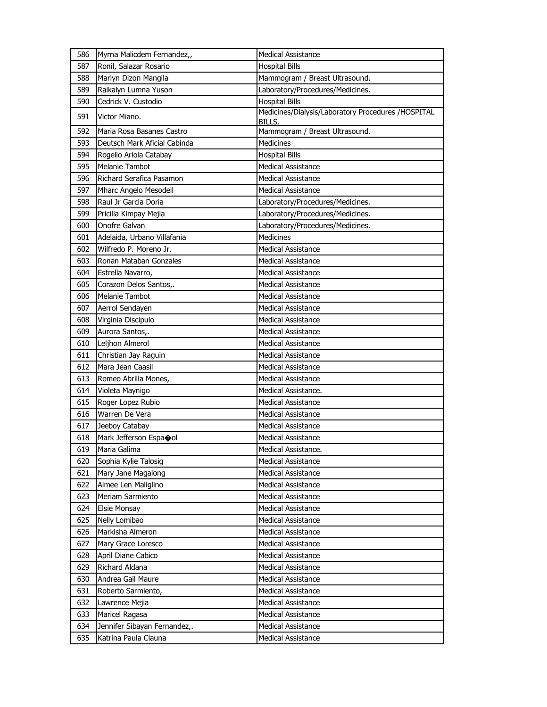| 586 | Myrna Malicdem Fernandez,,   | <b>Medical Assistance</b>                                    |
|-----|------------------------------|--------------------------------------------------------------|
| 587 | Ronil, Salazar Rosario       | <b>Hospital Bills</b>                                        |
| 588 | Marlyn Dizon Mangila         | Mammogram / Breast Ultrasound.                               |
| 589 | Raikalyn Lumna Yuson         | Laboratory/Procedures/Medicines.                             |
| 590 | Cedrick V. Custodio          | <b>Hospital Bills</b>                                        |
| 591 | Victor Miano.                | Medicines/Dialysis/Laboratory Procedures /HOSPITAL<br>BILLS. |
| 592 | Maria Rosa Basanes Castro    | Mammogram / Breast Ultrasound.                               |
| 593 | Deutsch Mark Aficial Cabinda | <b>Medicines</b>                                             |
| 594 | Rogelio Ariola Catabay       | <b>Hospital Bills</b>                                        |
| 595 | <b>Melanie Tambot</b>        | <b>Medical Assistance</b>                                    |
| 596 | Richard Serafica Pasamon     | <b>Medical Assistance</b>                                    |
| 597 | Mharc Angelo Mesodeil        | <b>Medical Assistance</b>                                    |
| 598 | Raul Jr Garcia Doria         | Laboratory/Procedures/Medicines.                             |
| 599 | Pricilla Kimpay Mejia        | Laboratory/Procedures/Medicines.                             |
| 600 | Onofre Galvan                | Laboratory/Procedures/Medicines.                             |
| 601 | Adelaida, Urbano Villafania  | <b>Medicines</b>                                             |
| 602 | Wilfredo P. Moreno Jr.       | <b>Medical Assistance</b>                                    |
| 603 | Ronan Mataban Gonzales       | <b>Medical Assistance</b>                                    |
| 604 | Estrella Navarro,            | <b>Medical Assistance</b>                                    |
| 605 | Corazon Delos Santos,.       | <b>Medical Assistance</b>                                    |
| 606 | <b>Melanie Tambot</b>        | <b>Medical Assistance</b>                                    |
| 607 | Aerrol Sendayen              | <b>Medical Assistance</b>                                    |
| 608 | Virginia Discipulo           | <b>Medical Assistance</b>                                    |
| 609 | Aurora Santos,.              | <b>Medical Assistance</b>                                    |
| 610 | Leljhon Almerol              | <b>Medical Assistance</b>                                    |
| 611 | Christian Jay Raguin         | Medical Assistance                                           |
| 612 | Mara Jean Caasil             | <b>Medical Assistance</b>                                    |
| 613 | Romeo Abrilla Mones,         | <b>Medical Assistance</b>                                    |
| 614 | Violeta Maynigo              | Medical Assistance.                                          |
| 615 | Roger Lopez Rubio            | Medical Assistance                                           |
| 616 | Warren De Vera               | Medical Assistance                                           |
| 617 | Jeeboy Catabay               | <b>Medical Assistance</b>                                    |
| 618 | Mark Jefferson Espaool       | <b>Medical Assistance</b>                                    |
| 619 | Maria Galima                 | Medical Assistance.                                          |
| 620 | Sophia Kylie Talosig         | <b>Medical Assistance</b>                                    |
| 621 | Mary Jane Magalong           | <b>Medical Assistance</b>                                    |
| 622 | Aimee Len Maliglino          | <b>Medical Assistance</b>                                    |
| 623 | Meriam Sarmiento             | <b>Medical Assistance</b>                                    |
| 624 | <b>Elsie Monsay</b>          | <b>Medical Assistance</b>                                    |
| 625 | Nelly Lomibao                | <b>Medical Assistance</b>                                    |
| 626 | Markisha Almeron             | Medical Assistance                                           |
| 627 | Mary Grace Loresco           | Medical Assistance                                           |
| 628 | April Diane Cabico           | <b>Medical Assistance</b>                                    |
| 629 | Richard Aldana               | <b>Medical Assistance</b>                                    |
| 630 | Andrea Gail Maure            | Medical Assistance                                           |
| 631 | Roberto Sarmiento,           | <b>Medical Assistance</b>                                    |
| 632 | Lawrence Mejia               | Medical Assistance                                           |
| 633 | Maricel Ragasa               | Medical Assistance                                           |
| 634 | Jennifer Sibayan Fernandez,. | <b>Medical Assistance</b>                                    |
| 635 | Katrina Paula Clauna         | Medical Assistance                                           |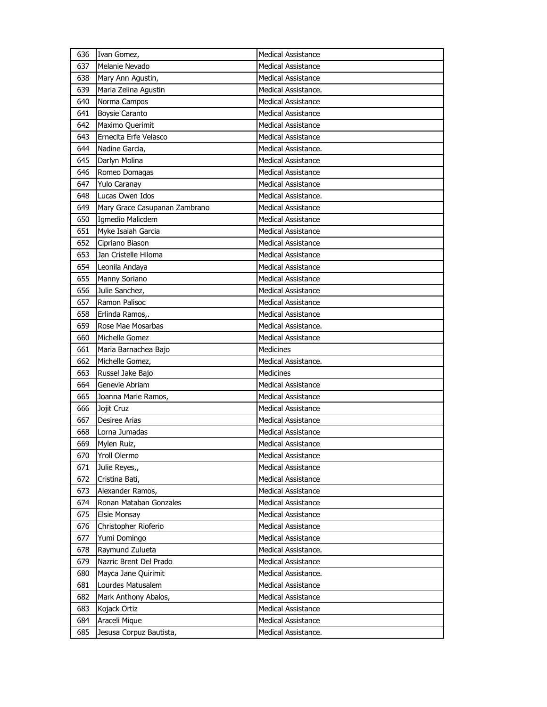| 636 | Ivan Gomez,                   | <b>Medical Assistance</b> |
|-----|-------------------------------|---------------------------|
| 637 | Melanie Nevado                | Medical Assistance        |
| 638 | Mary Ann Agustin,             | <b>Medical Assistance</b> |
| 639 | Maria Zelina Agustin          | Medical Assistance.       |
| 640 | Norma Campos                  | Medical Assistance        |
| 641 | <b>Boysie Caranto</b>         | Medical Assistance        |
| 642 | Maximo Querimit               | <b>Medical Assistance</b> |
| 643 | Ernecita Erfe Velasco         | <b>Medical Assistance</b> |
| 644 | Nadine Garcia,                | Medical Assistance.       |
| 645 | Darlyn Molina                 | <b>Medical Assistance</b> |
| 646 | Romeo Domagas                 | Medical Assistance        |
| 647 | Yulo Caranay                  | Medical Assistance        |
| 648 | Lucas Owen Idos               | Medical Assistance.       |
| 649 | Mary Grace Casupanan Zambrano | <b>Medical Assistance</b> |
| 650 | Igmedio Malicdem              | <b>Medical Assistance</b> |
| 651 | Myke Isaiah Garcia            | <b>Medical Assistance</b> |
| 652 | Cipriano Biason               | <b>Medical Assistance</b> |
| 653 | Jan Cristelle Hiloma          | <b>Medical Assistance</b> |
| 654 | Leonila Andaya                | <b>Medical Assistance</b> |
| 655 | Manny Soriano                 | <b>Medical Assistance</b> |
| 656 | Julie Sanchez,                | <b>Medical Assistance</b> |
| 657 | Ramon Palisoc                 | Medical Assistance        |
| 658 | Erlinda Ramos,.               | <b>Medical Assistance</b> |
| 659 | Rose Mae Mosarbas             | Medical Assistance.       |
| 660 | Michelle Gomez                | <b>Medical Assistance</b> |
|     |                               |                           |
| 661 | Maria Barnachea Bajo          | Medicines                 |
| 662 | Michelle Gomez,               | Medical Assistance.       |
| 663 | Russel Jake Bajo              | <b>Medicines</b>          |
| 664 | Genevie Abriam                | <b>Medical Assistance</b> |
| 665 | Joanna Marie Ramos,           | <b>Medical Assistance</b> |
| 666 | Jojit Cruz                    | <b>Medical Assistance</b> |
| 667 | <b>Desiree Arias</b>          | <b>Medical Assistance</b> |
| 668 | Lorna Jumadas                 | <b>Medical Assistance</b> |
| 669 | Mylen Ruiz,                   | Medical Assistance        |
| 670 | Yroll Olermo                  | Medical Assistance        |
| 671 | Julie Reyes,,                 | Medical Assistance        |
| 672 | Cristina Bati,                | Medical Assistance        |
| 673 | Alexander Ramos,              | <b>Medical Assistance</b> |
| 674 | Ronan Mataban Gonzales        | <b>Medical Assistance</b> |
| 675 | Elsie Monsay                  | Medical Assistance        |
| 676 | Christopher Rioferio          | <b>Medical Assistance</b> |
| 677 | Yumi Domingo                  | <b>Medical Assistance</b> |
| 678 | Raymund Zulueta               | Medical Assistance.       |
| 679 | Nazric Brent Del Prado        | <b>Medical Assistance</b> |
| 680 | Mayca Jane Quirimit           | Medical Assistance.       |
| 681 | Lourdes Matusalem             | <b>Medical Assistance</b> |
| 682 | Mark Anthony Abalos,          | Medical Assistance        |
| 683 | Kojack Ortiz                  | Medical Assistance        |
| 684 | Araceli Mique                 | Medical Assistance        |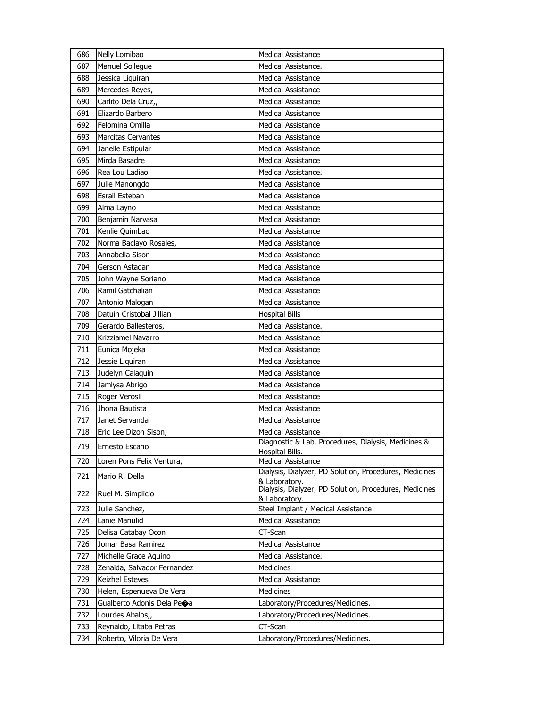| 686        | Nelly Lomibao                               | <b>Medical Assistance</b>                                                           |
|------------|---------------------------------------------|-------------------------------------------------------------------------------------|
| 687        | Manuel Sollegue                             | Medical Assistance.                                                                 |
| 688        | Jessica Liquiran                            | <b>Medical Assistance</b>                                                           |
| 689        | Mercedes Reyes,                             | <b>Medical Assistance</b>                                                           |
| 690        | Carlito Dela Cruz,,                         | Medical Assistance                                                                  |
| 691        | Elizardo Barbero                            | Medical Assistance                                                                  |
| 692        | Felomina Omilla                             | <b>Medical Assistance</b>                                                           |
| 693        | <b>Marcitas Cervantes</b>                   | Medical Assistance                                                                  |
| 694        | Janelle Estipular                           | <b>Medical Assistance</b>                                                           |
| 695        | Mirda Basadre                               | <b>Medical Assistance</b>                                                           |
| 696        | Rea Lou Ladiao                              | Medical Assistance.                                                                 |
| 697        | Julie Manongdo                              | <b>Medical Assistance</b>                                                           |
| 698        | Esrail Esteban                              | <b>Medical Assistance</b>                                                           |
| 699        | Alma Layno                                  | <b>Medical Assistance</b>                                                           |
| 700        | Benjamin Narvasa                            | Medical Assistance                                                                  |
| 701        | Kenlie Quimbao                              | Medical Assistance                                                                  |
| 702        | Norma Baclayo Rosales,                      | <b>Medical Assistance</b>                                                           |
| 703        | Annabella Sison                             | Medical Assistance                                                                  |
| 704        | Gerson Astadan                              | <b>Medical Assistance</b>                                                           |
| 705        | John Wayne Soriano                          | <b>Medical Assistance</b>                                                           |
| 706        | Ramil Gatchalian                            | Medical Assistance                                                                  |
| 707        | Antonio Malogan                             | <b>Medical Assistance</b>                                                           |
| 708        | Datuin Cristobal Jillian                    | <b>Hospital Bills</b>                                                               |
| 709        | Gerardo Ballesteros,                        | Medical Assistance.                                                                 |
| 710        | Krizziamel Navarro                          | Medical Assistance                                                                  |
| 711        | Eunica Mojeka                               | Medical Assistance                                                                  |
| 712        | Jessie Liquiran                             | <b>Medical Assistance</b>                                                           |
| 713        | Judelyn Calaquin                            | <b>Medical Assistance</b>                                                           |
| 714        | Jamlysa Abrigo                              | <b>Medical Assistance</b>                                                           |
| 715        | Roger Verosil                               | <b>Medical Assistance</b>                                                           |
| 716        | Jhona Bautista                              | Medical Assistance                                                                  |
| 717        | Janet Servanda                              | <b>Medical Assistance</b>                                                           |
| 718        | Eric Lee Dizon Sison,                       | <b>Medical Assistance</b>                                                           |
| 719        | Ernesto Escano                              | Diagnostic & Lab. Procedures, Dialysis, Medicines &                                 |
|            |                                             | Hospital Bills.                                                                     |
| 720        | Loren Pons Felix Ventura,                   | <b>Medical Assistance</b><br>Dialysis, Dialyzer, PD Solution, Procedures, Medicines |
| 721        | Mario R. Della                              | & Laboratory.                                                                       |
| 722        | Ruel M. Simplicio                           | Dialysis, Dialyzer, PD Solution, Procedures, Medicines                              |
|            |                                             | & Laboratory.                                                                       |
| 723        | Julie Sanchez,<br>Lanie Manulid             | Steel Implant / Medical Assistance                                                  |
| 724        |                                             | <b>Medical Assistance</b>                                                           |
| 725        | Delisa Catabay Ocon                         | CT-Scan                                                                             |
| 726        | Jomar Basa Ramirez                          | Medical Assistance                                                                  |
| 727        | Michelle Grace Aquino                       | Medical Assistance.                                                                 |
| 728        | Zenaida, Salvador Fernandez                 | Medicines                                                                           |
| 729        | Keizhel Esteves                             | Medical Assistance                                                                  |
| 730        | Helen, Espenueva De Vera                    | Medicines                                                                           |
| 731        | Gualberto Adonis Dela Peoa                  | Laboratory/Procedures/Medicines.                                                    |
| 732<br>733 | Lourdes Abalos,,<br>Reynaldo, Litaba Petras | Laboratory/Procedures/Medicines.<br>CT-Scan                                         |
|            |                                             |                                                                                     |
| 734        | Roberto, Viloria De Vera                    | Laboratory/Procedures/Medicines.                                                    |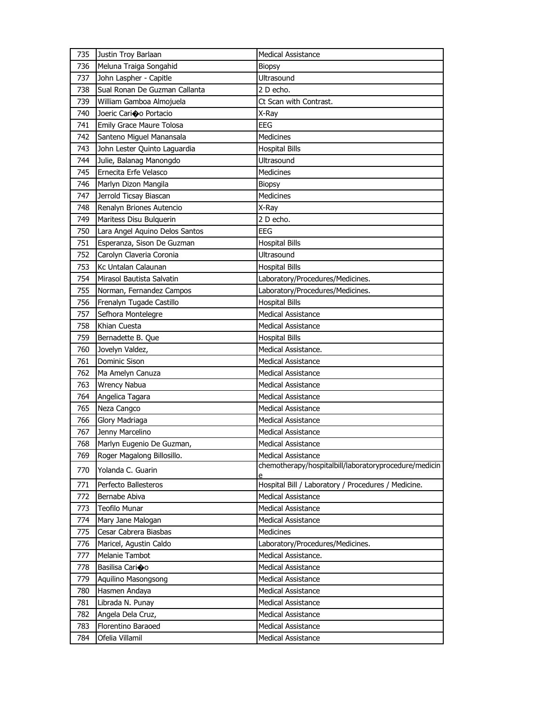| 735 | Justin Troy Barlaan            | <b>Medical Assistance</b>                                  |
|-----|--------------------------------|------------------------------------------------------------|
| 736 | Meluna Traiga Songahid         | <b>Biopsy</b>                                              |
| 737 | John Laspher - Capitle         | Ultrasound                                                 |
| 738 | Sual Ronan De Guzman Callanta  | 2 D echo.                                                  |
| 739 | William Gamboa Almojuela       | Ct Scan with Contrast.                                     |
| 740 | Joeric Cario o Portacio        | X-Ray                                                      |
| 741 | Emily Grace Maure Tolosa       | EEG                                                        |
| 742 | Santeno Miguel Manansala       | Medicines                                                  |
| 743 | John Lester Quinto Laguardia   | <b>Hospital Bills</b>                                      |
| 744 | Julie, Balanag Manongdo        | Ultrasound                                                 |
| 745 | Ernecita Erfe Velasco          | Medicines                                                  |
| 746 | Marlyn Dizon Mangila           | <b>Biopsy</b>                                              |
| 747 | Jerrold Ticsay Biascan         | <b>Medicines</b>                                           |
| 748 | Renalyn Briones Autencio       | X-Ray                                                      |
| 749 | Maritess Disu Bulquerin        | 2 D echo.                                                  |
| 750 | Lara Angel Aquino Delos Santos | EEG                                                        |
| 751 | Esperanza, Sison De Guzman     | <b>Hospital Bills</b>                                      |
| 752 | Carolyn Claveria Coronia       | Ultrasound                                                 |
| 753 | Kc Untalan Calaunan            | <b>Hospital Bills</b>                                      |
| 754 | Mirasol Bautista Salvatin      | Laboratory/Procedures/Medicines.                           |
| 755 | Norman, Fernandez Campos       | Laboratory/Procedures/Medicines.                           |
| 756 | Frenalyn Tugade Castillo       | <b>Hospital Bills</b>                                      |
| 757 | Sefhora Montelegre             | Medical Assistance                                         |
| 758 | Khian Cuesta                   | <b>Medical Assistance</b>                                  |
| 759 | Bernadette B. Que              | <b>Hospital Bills</b>                                      |
| 760 | Jovelyn Valdez,                | Medical Assistance.                                        |
| 761 | <b>Dominic Sison</b>           | <b>Medical Assistance</b>                                  |
| 762 | Ma Amelyn Canuza               | <b>Medical Assistance</b>                                  |
| 763 | <b>Wrency Nabua</b>            | <b>Medical Assistance</b>                                  |
| 764 | Angelica Tagara                | <b>Medical Assistance</b>                                  |
| 765 | Neza Cangco                    | Medical Assistance                                         |
| 766 | Glory Madriaga                 | <b>Medical Assistance</b>                                  |
| 767 | Jenny Marcelino                | <b>Medical Assistance</b>                                  |
| 768 | Marlyn Eugenio De Guzman,      | <b>Medical Assistance</b>                                  |
| 769 | Roger Magalong Billosillo.     | <b>Medical Assistance</b>                                  |
| 770 | Yolanda C. Guarin              | chemotherapy/hospitalbill/laboratoryprocedure/medicin<br>e |
| 771 | Perfecto Ballesteros           | Hospital Bill / Laboratory / Procedures / Medicine.        |
| 772 | Bernabe Abiva                  | <b>Medical Assistance</b>                                  |
| 773 | <b>Teofilo Munar</b>           | Medical Assistance                                         |
| 774 | Mary Jane Malogan              | Medical Assistance                                         |
| 775 | Cesar Cabrera Biasbas          | <b>Medicines</b>                                           |
| 776 | Maricel, Agustin Caldo         | Laboratory/Procedures/Medicines.                           |
| 777 | <b>Melanie Tambot</b>          | Medical Assistance.                                        |
| 778 | Basilisa Carioo                | Medical Assistance                                         |
| 779 | Aquilino Masongsong            | Medical Assistance                                         |
| 780 | Hasmen Andaya                  | Medical Assistance                                         |
| 781 | Librada N. Punay               | Medical Assistance                                         |
| 782 | Angela Dela Cruz,              | Medical Assistance                                         |
| 783 | Florentino Baraoed             | Medical Assistance                                         |
| 784 | Ofelia Villamil                | Medical Assistance                                         |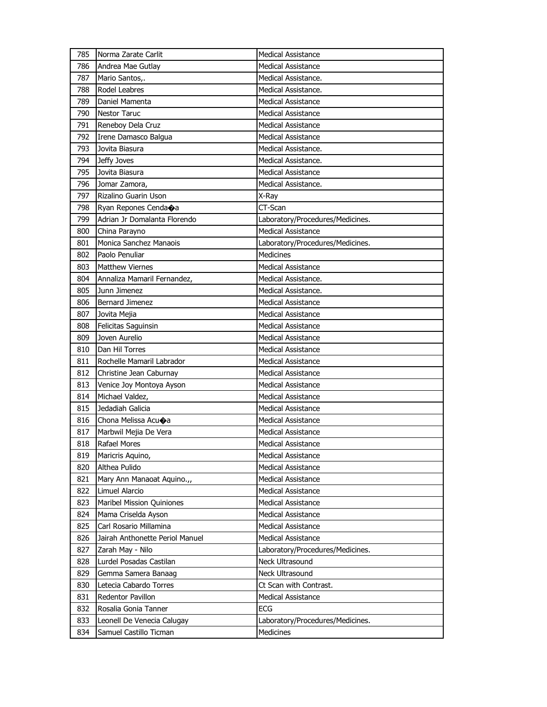| 785 | Norma Zarate Carlit             | <b>Medical Assistance</b>        |
|-----|---------------------------------|----------------------------------|
| 786 | Andrea Mae Gutlay               | <b>Medical Assistance</b>        |
| 787 | Mario Santos,.                  | Medical Assistance.              |
| 788 | Rodel Leabres                   | Medical Assistance.              |
| 789 | Daniel Mamenta                  | Medical Assistance               |
| 790 | <b>Nestor Taruc</b>             | Medical Assistance               |
| 791 | Reneboy Dela Cruz               | <b>Medical Assistance</b>        |
| 792 | Irene Damasco Balgua            | <b>Medical Assistance</b>        |
| 793 | Jovita Biasura                  | Medical Assistance.              |
| 794 | Jeffy Joves                     | Medical Assistance.              |
| 795 | Jovita Biasura                  | Medical Assistance               |
| 796 | Jomar Zamora,                   | Medical Assistance.              |
| 797 | Rizalino Guarin Uson            | X-Ray                            |
| 798 | Ryan Repones Cendaoa            | CT-Scan                          |
| 799 | Adrian Jr Domalanta Florendo    | Laboratory/Procedures/Medicines. |
| 800 | China Parayno                   | <b>Medical Assistance</b>        |
| 801 | Monica Sanchez Manaois          | Laboratory/Procedures/Medicines. |
| 802 | Paolo Penuliar                  | Medicines                        |
| 803 | <b>Matthew Viernes</b>          | <b>Medical Assistance</b>        |
| 804 | Annaliza Mamaril Fernandez,     | Medical Assistance.              |
| 805 | Junn Jimenez                    | Medical Assistance.              |
| 806 | <b>Bernard Jimenez</b>          | <b>Medical Assistance</b>        |
| 807 | Jovita Mejia                    | <b>Medical Assistance</b>        |
| 808 | Felicitas Saguinsin             | <b>Medical Assistance</b>        |
| 809 | Joven Aurelio                   | Medical Assistance               |
|     |                                 |                                  |
| 810 | Dan Hil Torres                  | Medical Assistance               |
| 811 | Rochelle Mamaril Labrador       | <b>Medical Assistance</b>        |
| 812 | Christine Jean Caburnay         | <b>Medical Assistance</b>        |
| 813 | Venice Joy Montoya Ayson        | <b>Medical Assistance</b>        |
| 814 | Michael Valdez,                 | Medical Assistance               |
| 815 | Jedadiah Galicia                | Medical Assistance               |
| 816 | Chona Melissa Acuoa             | <b>Medical Assistance</b>        |
| 817 | Marbwil Mejia De Vera           | <b>Medical Assistance</b>        |
| 818 | Rafael Mores                    | Medical Assistance               |
| 819 | Maricris Aquino,                | Medical Assistance               |
| 820 | Althea Pulido                   | Medical Assistance               |
| 821 | Mary Ann Manaoat Aquino.,,      | Medical Assistance               |
| 822 | Limuel Alarcio                  | Medical Assistance               |
| 823 | Maribel Mission Quiniones       | <b>Medical Assistance</b>        |
| 824 | Mama Criselda Ayson             | Medical Assistance               |
| 825 | Carl Rosario Millamina          | <b>Medical Assistance</b>        |
| 826 | Jairah Anthonette Periol Manuel | Medical Assistance               |
| 827 | Zarah May - Nilo                | Laboratory/Procedures/Medicines. |
| 828 | Lurdel Posadas Castilan         | Neck Ultrasound                  |
| 829 | Gemma Samera Banaag             | Neck Ultrasound                  |
| 830 | Letecia Cabardo Torres          | Ct Scan with Contrast.           |
| 831 | Redentor Pavillon               | Medical Assistance               |
| 832 | Rosalia Gonia Tanner            | ECG                              |
| 833 | Leonell De Venecia Calugay      | Laboratory/Procedures/Medicines. |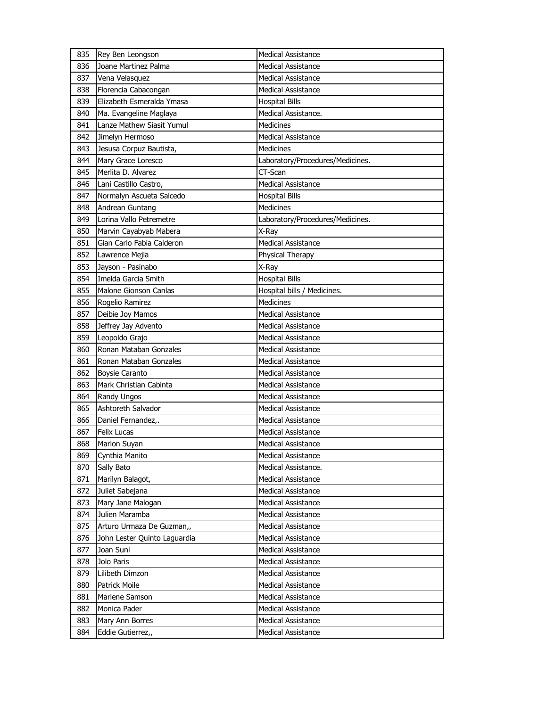| 835 | Rey Ben Leongson             | <b>Medical Assistance</b>        |
|-----|------------------------------|----------------------------------|
| 836 | Joane Martinez Palma         | <b>Medical Assistance</b>        |
| 837 | Vena Velasquez               | <b>Medical Assistance</b>        |
| 838 | Florencia Cabacongan         | <b>Medical Assistance</b>        |
| 839 | Elizabeth Esmeralda Ymasa    | <b>Hospital Bills</b>            |
| 840 | Ma. Evangeline Maglaya       | Medical Assistance.              |
| 841 | Lanze Mathew Siasit Yumul    | Medicines                        |
| 842 | Jimelyn Hermoso              | <b>Medical Assistance</b>        |
| 843 | Jesusa Corpuz Bautista,      | Medicines                        |
| 844 | Mary Grace Loresco           | Laboratory/Procedures/Medicines. |
| 845 | Merlita D. Alvarez           | CT-Scan                          |
| 846 | Lani Castillo Castro,        | Medical Assistance               |
| 847 | Normalyn Ascueta Salcedo     | <b>Hospital Bills</b>            |
| 848 | Andrean Guntang              | Medicines                        |
| 849 | Lorina Vallo Petremetre      | Laboratory/Procedures/Medicines. |
| 850 | Marvin Cayabyab Mabera       | X-Ray                            |
| 851 | Gian Carlo Fabia Calderon    | <b>Medical Assistance</b>        |
| 852 | Lawrence Mejia               | Physical Therapy                 |
| 853 | Jayson - Pasinabo            | X-Ray                            |
| 854 | Imelda Garcia Smith          | <b>Hospital Bills</b>            |
| 855 | Malone Gionson Canlas        | Hospital bills / Medicines.      |
| 856 | Rogelio Ramirez              | <b>Medicines</b>                 |
| 857 | Deibie Joy Mamos             | <b>Medical Assistance</b>        |
| 858 | Jeffrey Jay Advento          | <b>Medical Assistance</b>        |
| 859 | Leopoldo Grajo               | <b>Medical Assistance</b>        |
| 860 | Ronan Mataban Gonzales       | <b>Medical Assistance</b>        |
| 861 | Ronan Mataban Gonzales       | <b>Medical Assistance</b>        |
| 862 | <b>Boysie Caranto</b>        | <b>Medical Assistance</b>        |
| 863 | Mark Christian Cabinta       | <b>Medical Assistance</b>        |
| 864 | Randy Ungos                  | <b>Medical Assistance</b>        |
| 865 | Ashtoreth Salvador           | <b>Medical Assistance</b>        |
| 866 | Daniel Fernandez,.           | <b>Medical Assistance</b>        |
| 867 | <b>Felix Lucas</b>           | <b>Medical Assistance</b>        |
| 868 | Marlon Suyan                 | <b>Medical Assistance</b>        |
| 869 | Cynthia Manito               | <b>Medical Assistance</b>        |
| 870 | Sally Bato                   | Medical Assistance.              |
| 871 | Marilyn Balagot,             | <b>Medical Assistance</b>        |
| 872 | Juliet Sabejana              | <b>Medical Assistance</b>        |
| 873 | Mary Jane Malogan            | <b>Medical Assistance</b>        |
| 874 | Julien Maramba               | Medical Assistance               |
| 875 | Arturo Urmaza De Guzman,,    | Medical Assistance               |
| 876 | John Lester Quinto Laguardia | <b>Medical Assistance</b>        |
| 877 | Joan Suni                    | <b>Medical Assistance</b>        |
| 878 | Jolo Paris                   | <b>Medical Assistance</b>        |
| 879 | Lilibeth Dimzon              | Medical Assistance               |
| 880 | Patrick Moile                | Medical Assistance               |
| 881 | Marlene Samson               | <b>Medical Assistance</b>        |
| 882 | Monica Pader                 | Medical Assistance               |
| 883 | Mary Ann Borres              | <b>Medical Assistance</b>        |
| 884 | Eddie Gutierrez,,            | Medical Assistance               |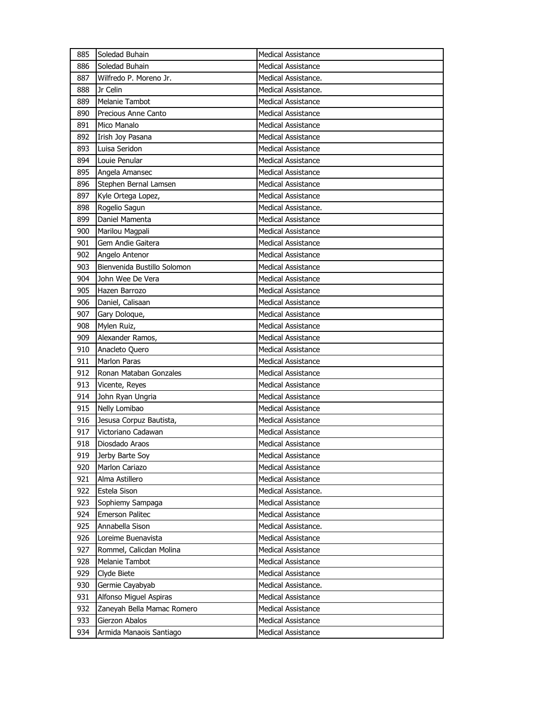| 885 | Soledad Buhain              | <b>Medical Assistance</b> |
|-----|-----------------------------|---------------------------|
| 886 | Soledad Buhain              | Medical Assistance        |
| 887 | Wilfredo P. Moreno Jr.      | Medical Assistance.       |
| 888 | Jr Celin                    | Medical Assistance.       |
| 889 | Melanie Tambot              | Medical Assistance        |
| 890 | Precious Anne Canto         | Medical Assistance        |
| 891 | Mico Manalo                 | <b>Medical Assistance</b> |
| 892 | Irish Joy Pasana            | <b>Medical Assistance</b> |
| 893 | Luisa Seridon               | <b>Medical Assistance</b> |
| 894 | Louie Penular               | <b>Medical Assistance</b> |
| 895 | Angela Amansec              | Medical Assistance        |
| 896 | Stephen Bernal Lamsen       | <b>Medical Assistance</b> |
| 897 | Kyle Ortega Lopez,          | <b>Medical Assistance</b> |
| 898 | Rogelio Sagun               | Medical Assistance.       |
| 899 | Daniel Mamenta              | Medical Assistance        |
| 900 | Marilou Magpali             | <b>Medical Assistance</b> |
| 901 | Gem Andie Gaitera           | <b>Medical Assistance</b> |
| 902 | Angelo Antenor              | <b>Medical Assistance</b> |
| 903 | Bienvenida Bustillo Solomon | <b>Medical Assistance</b> |
| 904 | John Wee De Vera            | <b>Medical Assistance</b> |
| 905 | Hazen Barrozo               | Medical Assistance        |
| 906 | Daniel, Calisaan            | <b>Medical Assistance</b> |
| 907 | Gary Doloque,               | <b>Medical Assistance</b> |
| 908 | Mylen Ruiz,                 | <b>Medical Assistance</b> |
| 909 | Alexander Ramos,            | Medical Assistance        |
| 910 | Anacleto Quero              | Medical Assistance        |
| 911 | <b>Marlon Paras</b>         | <b>Medical Assistance</b> |
| 912 | Ronan Mataban Gonzales      | <b>Medical Assistance</b> |
| 913 | Vicente, Reyes              | <b>Medical Assistance</b> |
| 914 | John Ryan Ungria            | Medical Assistance        |
| 915 | Nelly Lomibao               | Medical Assistance        |
| 916 | Jesusa Corpuz Bautista,     | <b>Medical Assistance</b> |
| 917 | Victoriano Cadawan          | <b>Medical Assistance</b> |
| 918 | Diosdado Araos              | <b>Medical Assistance</b> |
| 919 | Jerby Barte Soy             | Medical Assistance        |
| 920 | <b>Marlon Cariazo</b>       | Medical Assistance        |
| 921 | Alma Astillero              | Medical Assistance        |
| 922 | Estela Sison                | Medical Assistance.       |
| 923 | Sophiemy Sampaga            | <b>Medical Assistance</b> |
| 924 | <b>Emerson Palitec</b>      | Medical Assistance        |
| 925 | Annabella Sison             | Medical Assistance.       |
| 926 | Loreime Buenavista          | Medical Assistance        |
| 927 | Rommel, Calicdan Molina     | Medical Assistance        |
| 928 | Melanie Tambot              | <b>Medical Assistance</b> |
| 929 | Clyde Biete                 | <b>Medical Assistance</b> |
| 930 | Germie Cayabyab             | Medical Assistance.       |
| 931 | Alfonso Miguel Aspiras      | Medical Assistance        |
|     |                             | Medical Assistance        |
| 932 | Zaneyah Bella Mamac Romero  |                           |
| 933 | Gierzon Abalos              | <b>Medical Assistance</b> |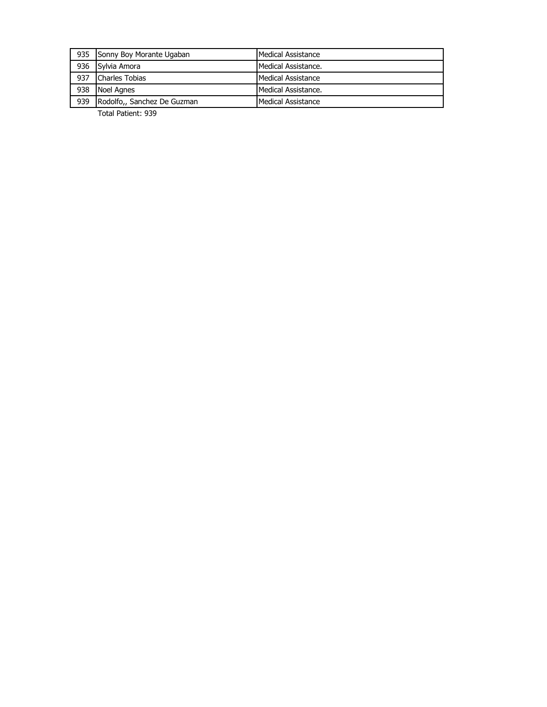|     | 935 Sonny Boy Morante Ugaban    | Medical Assistance  |
|-----|---------------------------------|---------------------|
|     | 936 Sylvia Amora                | Medical Assistance. |
| 937 | <b>Charles Tobias</b>           | Medical Assistance  |
| 938 | Noel Agnes                      | Medical Assistance. |
|     | 939 Rodolfo,, Sanchez De Guzman | Medical Assistance  |

Total Patient: 939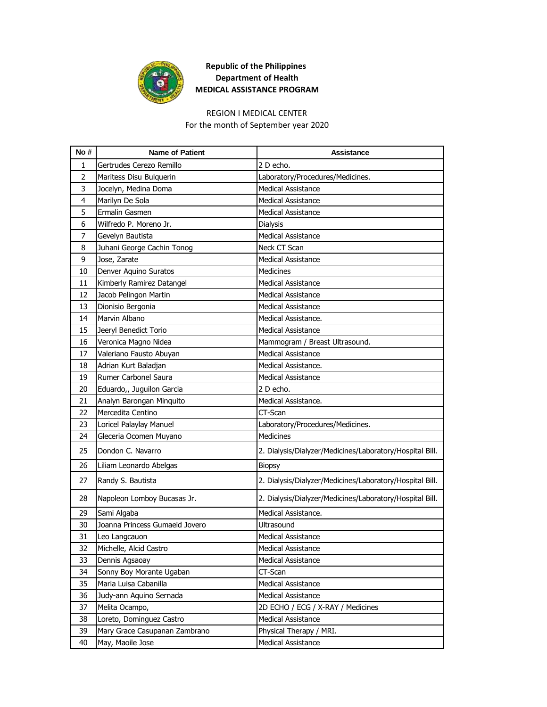

## **Republic of the Philippines Department of Health MEDICAL ASSISTANCE PROGRAM**

## REGION I MEDICAL CENTER

For the month of September year 2020

| No#            | <b>Name of Patient</b>         | Assistance                                               |
|----------------|--------------------------------|----------------------------------------------------------|
| 1              | Gertrudes Cerezo Remillo       | 2 D echo.                                                |
| $\overline{2}$ | Maritess Disu Bulguerin        | Laboratory/Procedures/Medicines.                         |
| 3              | Jocelyn, Medina Doma           | <b>Medical Assistance</b>                                |
| 4              | Marilyn De Sola                | <b>Medical Assistance</b>                                |
| 5              | Ermalin Gasmen                 | <b>Medical Assistance</b>                                |
| 6              | Wilfredo P. Moreno Jr.         | Dialysis                                                 |
| 7              | Gevelyn Bautista               | <b>Medical Assistance</b>                                |
| 8              | Juhani George Cachin Tonog     | Neck CT Scan                                             |
| 9              | Jose, Zarate                   | <b>Medical Assistance</b>                                |
| 10             | Denver Aquino Suratos          | <b>Medicines</b>                                         |
| 11             | Kimberly Ramirez Datangel      | <b>Medical Assistance</b>                                |
| 12             | Jacob Pelingon Martin          | <b>Medical Assistance</b>                                |
| 13             | Dionisio Bergonia              | <b>Medical Assistance</b>                                |
| 14             | Marvin Albano                  | Medical Assistance.                                      |
| 15             | Jeeryl Benedict Torio          | <b>Medical Assistance</b>                                |
| 16             | Veronica Magno Nidea           | Mammogram / Breast Ultrasound.                           |
| 17             | Valeriano Fausto Abuyan        | <b>Medical Assistance</b>                                |
| 18             | Adrian Kurt Baladjan           | Medical Assistance.                                      |
| 19             | Rumer Carbonel Saura           | <b>Medical Assistance</b>                                |
| 20             | Eduardo,, Juguilon Garcia      | 2 D echo.                                                |
| 21             | Analyn Barongan Minquito       | Medical Assistance.                                      |
| 22             | Mercedita Centino              | CT-Scan                                                  |
| 23             | Loricel Palaylay Manuel        | Laboratory/Procedures/Medicines.                         |
| 24             | Gleceria Ocomen Muyano         | Medicines                                                |
| 25             | Dondon C. Navarro              | 2. Dialysis/Dialyzer/Medicines/Laboratory/Hospital Bill. |
| 26             | Liliam Leonardo Abelgas        | <b>Biopsy</b>                                            |
| 27             | Randy S. Bautista              | 2. Dialysis/Dialyzer/Medicines/Laboratory/Hospital Bill. |
| 28             | Napoleon Lomboy Bucasas Jr.    | 2. Dialysis/Dialyzer/Medicines/Laboratory/Hospital Bill. |
| 29             | Sami Algaba                    | Medical Assistance.                                      |
| 30             | Joanna Princess Gumaeid Jovero | Ultrasound                                               |
| 31             | Leo Langcauon                  | Medical Assistance                                       |
| 32             | Michelle, Alcid Castro         | Medical Assistance                                       |
| 33             | Dennis Agsaoay                 | <b>Medical Assistance</b>                                |
| 34             | Sonny Boy Morante Ugaban       | CT-Scan                                                  |
| 35             | Maria Luisa Cabanilla          | <b>Medical Assistance</b>                                |
| 36             | Judy-ann Aquino Sernada        | Medical Assistance                                       |
| 37             | Melita Ocampo,                 | 2D ECHO / ECG / X-RAY / Medicines                        |
| 38             | Loreto, Dominguez Castro       | Medical Assistance                                       |
| 39             | Mary Grace Casupanan Zambrano  | Physical Therapy / MRI.                                  |
| 40             | May, Maoile Jose               | Medical Assistance                                       |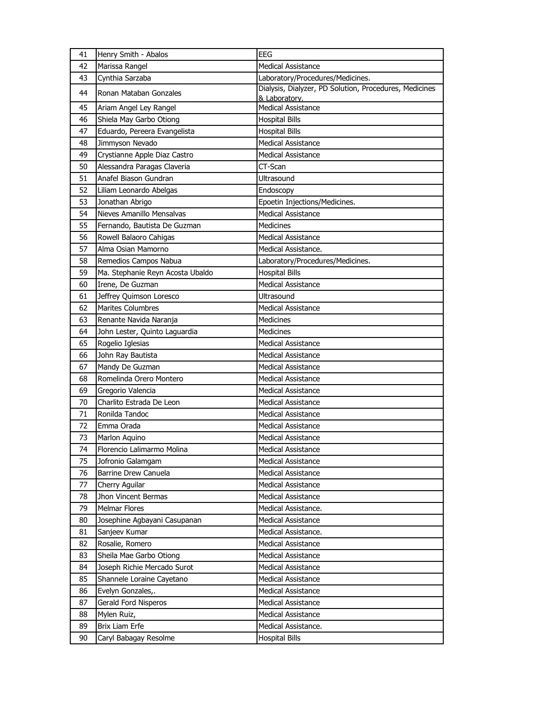| 41 | Henry Smith - Abalos             | <b>EEG</b>                                                              |
|----|----------------------------------|-------------------------------------------------------------------------|
| 42 | Marissa Rangel                   | <b>Medical Assistance</b>                                               |
| 43 | Cynthia Sarzaba                  | Laboratory/Procedures/Medicines.                                        |
| 44 | Ronan Mataban Gonzales           | Dialysis, Dialyzer, PD Solution, Procedures, Medicines<br>& Laboratory. |
| 45 | Ariam Angel Ley Rangel           | <b>Medical Assistance</b>                                               |
| 46 | Shiela May Garbo Otiong          | <b>Hospital Bills</b>                                                   |
| 47 | Eduardo, Pereera Evangelista     | <b>Hospital Bills</b>                                                   |
| 48 | Jimmyson Nevado                  | <b>Medical Assistance</b>                                               |
| 49 | Crystianne Apple Diaz Castro     | <b>Medical Assistance</b>                                               |
| 50 | Alessandra Paragas Claveria      | CT-Scan                                                                 |
| 51 | Anafel Biason Gundran            | Ultrasound                                                              |
| 52 | Liliam Leonardo Abelgas          | Endoscopy                                                               |
| 53 | Jonathan Abrigo                  | Epoetin Injections/Medicines.                                           |
| 54 | Nieves Amanillo Mensalvas        | <b>Medical Assistance</b>                                               |
| 55 | Fernando, Bautista De Guzman     | <b>Medicines</b>                                                        |
| 56 | Rowell Balaoro Cahigas           | <b>Medical Assistance</b>                                               |
| 57 | Alma Osian Mamorno               | Medical Assistance.                                                     |
| 58 | Remedios Campos Nabua            | Laboratory/Procedures/Medicines.                                        |
| 59 | Ma. Stephanie Reyn Acosta Ubaldo | <b>Hospital Bills</b>                                                   |
| 60 | Irene, De Guzman                 | <b>Medical Assistance</b>                                               |
| 61 | Jeffrey Quimson Loresco          | Ultrasound                                                              |
| 62 | <b>Marites Columbres</b>         | <b>Medical Assistance</b>                                               |
| 63 | Renante Navida Naranja           | <b>Medicines</b>                                                        |
| 64 | John Lester, Quinto Laguardia    | <b>Medicines</b>                                                        |
| 65 | Rogelio Iglesias                 | <b>Medical Assistance</b>                                               |
| 66 | John Ray Bautista                | <b>Medical Assistance</b>                                               |
| 67 | Mandy De Guzman                  | <b>Medical Assistance</b>                                               |
| 68 | Romelinda Orero Montero          | <b>Medical Assistance</b>                                               |
| 69 | Gregorio Valencia                | <b>Medical Assistance</b>                                               |
| 70 | Charlito Estrada De Leon         | <b>Medical Assistance</b>                                               |
| 71 | Ronilda Tandoc                   | <b>Medical Assistance</b>                                               |
| 72 | Emma Orada                       | <b>Medical Assistance</b>                                               |
| 73 | Marlon Aquino                    | <b>Medical Assistance</b>                                               |
| 74 | Florencio Lalimarmo Molina       | <b>Medical Assistance</b>                                               |
| 75 | Jofronio Galamgam                | <b>Medical Assistance</b>                                               |
| 76 | Barrine Drew Canuela             | <b>Medical Assistance</b>                                               |
| 77 | Cherry Aguilar                   | Medical Assistance                                                      |
| 78 | Jhon Vincent Bermas              | Medical Assistance                                                      |
| 79 | Melmar Flores                    | Medical Assistance.                                                     |
| 80 | Josephine Agbayani Casupanan     | <b>Medical Assistance</b>                                               |
| 81 | Sanjeev Kumar                    | Medical Assistance.                                                     |
| 82 | Rosalie, Romero                  | Medical Assistance                                                      |
| 83 | Sheila Mae Garbo Otiong          | <b>Medical Assistance</b>                                               |
| 84 | Joseph Richie Mercado Surot      | <b>Medical Assistance</b>                                               |
| 85 | Shannele Loraine Cayetano        | Medical Assistance                                                      |
| 86 | Evelyn Gonzales,.                | <b>Medical Assistance</b>                                               |
| 87 | Gerald Ford Nisperos             | Medical Assistance                                                      |
| 88 | Mylen Ruiz,                      | Medical Assistance                                                      |
| 89 | <b>Brix Liam Erfe</b>            | Medical Assistance.                                                     |
| 90 | Caryl Babagay Resolme            | <b>Hospital Bills</b>                                                   |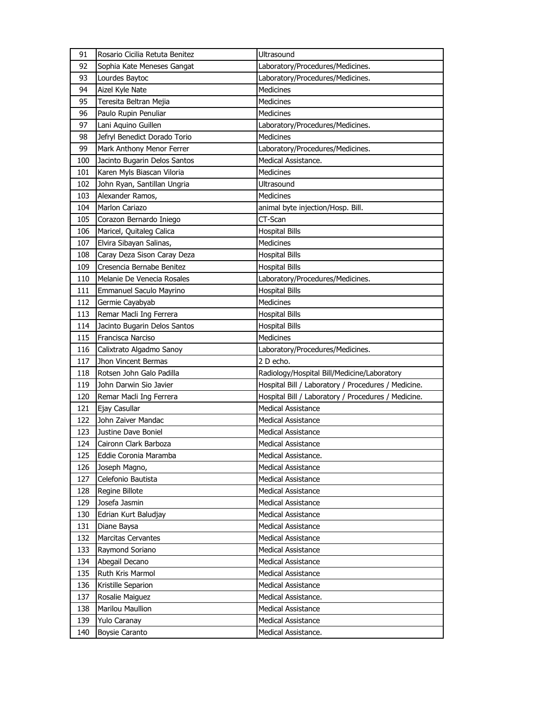| 91  | Rosario Cicilia Retuta Benitez | Ultrasound                                          |
|-----|--------------------------------|-----------------------------------------------------|
| 92  | Sophia Kate Meneses Gangat     | Laboratory/Procedures/Medicines.                    |
| 93  | Lourdes Baytoc                 | Laboratory/Procedures/Medicines.                    |
| 94  | Aizel Kyle Nate                | <b>Medicines</b>                                    |
| 95  | Teresita Beltran Mejia         | Medicines                                           |
| 96  | Paulo Rupin Penuliar           | Medicines                                           |
| 97  | Lani Aquino Guillen            | Laboratory/Procedures/Medicines.                    |
| 98  | Jefryl Benedict Dorado Torio   | Medicines                                           |
| 99  | Mark Anthony Menor Ferrer      | Laboratory/Procedures/Medicines.                    |
| 100 | Jacinto Bugarin Delos Santos   | Medical Assistance.                                 |
| 101 | Karen Myls Biascan Viloria     | <b>Medicines</b>                                    |
| 102 | John Ryan, Santillan Ungria    | Ultrasound                                          |
| 103 | Alexander Ramos,               | <b>Medicines</b>                                    |
| 104 | Marlon Cariazo                 | animal byte injection/Hosp. Bill.                   |
| 105 | Corazon Bernardo Iniego        | CT-Scan                                             |
| 106 | Maricel, Quitaleg Calica       | <b>Hospital Bills</b>                               |
| 107 | Elvira Sibayan Salinas,        | Medicines                                           |
| 108 | Caray Deza Sison Caray Deza    | <b>Hospital Bills</b>                               |
| 109 | Cresencia Bernabe Benitez      | <b>Hospital Bills</b>                               |
| 110 | Melanie De Venecia Rosales     | Laboratory/Procedures/Medicines.                    |
| 111 | Emmanuel Saculo Mayrino        | <b>Hospital Bills</b>                               |
| 112 | Germie Cayabyab                | <b>Medicines</b>                                    |
| 113 | Remar Macli Ing Ferrera        | <b>Hospital Bills</b>                               |
| 114 | Jacinto Bugarin Delos Santos   | <b>Hospital Bills</b>                               |
| 115 | Francisca Narciso              | Medicines                                           |
|     |                                |                                                     |
| 116 | Calixtrato Algadmo Sanoy       | Laboratory/Procedures/Medicines.                    |
| 117 | Jhon Vincent Bermas            | 2 D echo.                                           |
| 118 | Rotsen John Galo Padilla       | Radiology/Hospital Bill/Medicine/Laboratory         |
| 119 | John Darwin Sio Javier         | Hospital Bill / Laboratory / Procedures / Medicine. |
| 120 | Remar Macli Ing Ferrera        | Hospital Bill / Laboratory / Procedures / Medicine. |
| 121 | Ejay Casullar                  | <b>Medical Assistance</b>                           |
| 122 | John Zaiver Mandac             | <b>Medical Assistance</b>                           |
| 123 | Justine Dave Boniel            | <b>Medical Assistance</b>                           |
| 124 | Caironn Clark Barboza          | Medical Assistance                                  |
| 125 | Eddie Coronia Maramba          | Medical Assistance.                                 |
| 126 | Joseph Magno,                  | <b>Medical Assistance</b>                           |
| 127 | Celefonio Bautista             | <b>Medical Assistance</b>                           |
| 128 | Regine Billote                 | <b>Medical Assistance</b>                           |
| 129 | Josefa Jasmin                  | <b>Medical Assistance</b>                           |
| 130 | Edrian Kurt Baludjay           | Medical Assistance                                  |
| 131 | Diane Baysa                    | <b>Medical Assistance</b>                           |
| 132 | <b>Marcitas Cervantes</b>      | <b>Medical Assistance</b>                           |
| 133 | Raymond Soriano                | <b>Medical Assistance</b>                           |
| 134 | Abegail Decano                 | <b>Medical Assistance</b>                           |
| 135 | Ruth Kris Marmol               | <b>Medical Assistance</b>                           |
| 136 | Kristille Separion             | <b>Medical Assistance</b>                           |
| 137 | Rosalie Maiguez                | Medical Assistance.                                 |
| 138 | Marilou Maullion               | <b>Medical Assistance</b>                           |
| 139 | Yulo Caranay                   | <b>Medical Assistance</b>                           |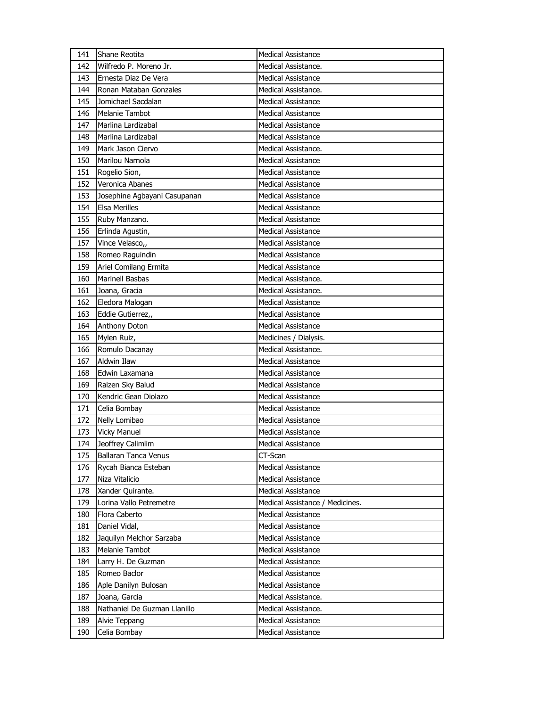| 141 | Shane Reotita                | <b>Medical Assistance</b>       |
|-----|------------------------------|---------------------------------|
| 142 | Wilfredo P. Moreno Jr.       | Medical Assistance.             |
| 143 | Ernesta Diaz De Vera         | <b>Medical Assistance</b>       |
| 144 | Ronan Mataban Gonzales       | Medical Assistance.             |
| 145 | Jomichael Sacdalan           | Medical Assistance              |
| 146 | <b>Melanie Tambot</b>        | Medical Assistance              |
| 147 | Marlina Lardizabal           | <b>Medical Assistance</b>       |
| 148 | Marlina Lardizabal           | <b>Medical Assistance</b>       |
| 149 | Mark Jason Ciervo            | Medical Assistance.             |
| 150 | Marilou Narnola              | Medical Assistance              |
| 151 | Rogelio Sion,                | Medical Assistance              |
| 152 | Veronica Abanes              | <b>Medical Assistance</b>       |
| 153 | Josephine Agbayani Casupanan | <b>Medical Assistance</b>       |
| 154 | <b>Elsa Merilles</b>         | <b>Medical Assistance</b>       |
| 155 | Ruby Manzano.                | Medical Assistance              |
| 156 | Erlinda Agustin,             | Medical Assistance              |
| 157 | Vince Velasco,,              | <b>Medical Assistance</b>       |
| 158 | Romeo Raguindin              | <b>Medical Assistance</b>       |
| 159 | Ariel Comilang Ermita        | <b>Medical Assistance</b>       |
| 160 | Marinell Basbas              | Medical Assistance.             |
| 161 | Joana, Gracia                | Medical Assistance.             |
| 162 | Eledora Malogan              | <b>Medical Assistance</b>       |
| 163 | Eddie Gutierrez,,            | <b>Medical Assistance</b>       |
| 164 | Anthony Doton                | <b>Medical Assistance</b>       |
| 165 | Mylen Ruiz,                  | Medicines / Dialysis.           |
|     |                              |                                 |
| 166 | Romulo Dacanay               | Medical Assistance.             |
| 167 | <b>Aldwin Ilaw</b>           | <b>Medical Assistance</b>       |
| 168 | Edwin Laxamana               | <b>Medical Assistance</b>       |
| 169 | Raizen Sky Balud             | <b>Medical Assistance</b>       |
| 170 | Kendric Gean Diolazo         | <b>Medical Assistance</b>       |
| 171 | Celia Bombay                 | Medical Assistance              |
| 172 | Nelly Lomibao                | <b>Medical Assistance</b>       |
| 173 | <b>Vicky Manuel</b>          | Medical Assistance              |
| 174 | Jeoffrey Calimlim            | <b>Medical Assistance</b>       |
| 175 | Ballaran Tanca Venus         | CT-Scan                         |
| 176 | Rycah Bianca Esteban         | Medical Assistance              |
| 177 | Niza Vitalicio               | Medical Assistance              |
| 178 | Xander Quirante.             | <b>Medical Assistance</b>       |
| 179 | Lorina Vallo Petremetre      | Medical Assistance / Medicines. |
| 180 | Flora Caberto                | <b>Medical Assistance</b>       |
| 181 | Daniel Vidal,                | <b>Medical Assistance</b>       |
| 182 | Jaquilyn Melchor Sarzaba     | Medical Assistance              |
| 183 | Melanie Tambot               | Medical Assistance              |
| 184 | Larry H. De Guzman           | <b>Medical Assistance</b>       |
| 185 | Romeo Baclor                 | <b>Medical Assistance</b>       |
| 186 | Aple Danilyn Bulosan         | Medical Assistance              |
| 187 | Joana, Garcia                | Medical Assistance.             |
| 188 | Nathaniel De Guzman Llanillo | Medical Assistance.             |
| 189 | Alvie Teppang                | Medical Assistance              |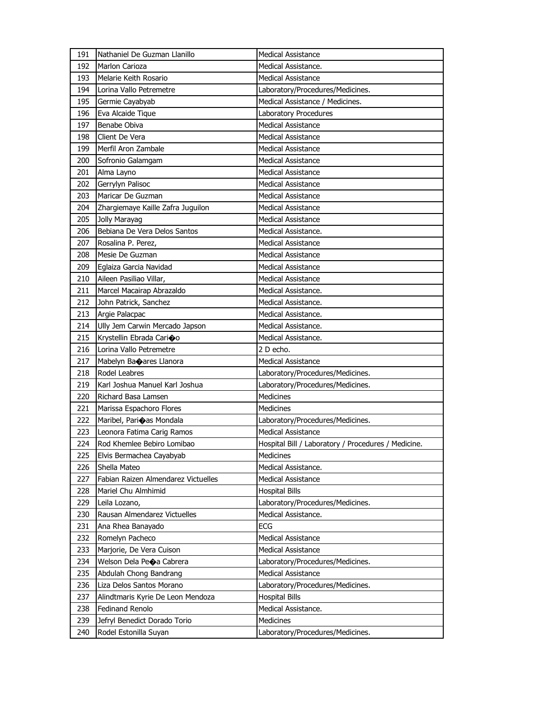| 191 | Nathaniel De Guzman Llanillo        | <b>Medical Assistance</b>                           |
|-----|-------------------------------------|-----------------------------------------------------|
| 192 | Marlon Carioza                      | Medical Assistance.                                 |
| 193 | Melarie Keith Rosario               | <b>Medical Assistance</b>                           |
| 194 | Lorina Vallo Petremetre             | Laboratory/Procedures/Medicines.                    |
| 195 | Germie Cayabyab                     | Medical Assistance / Medicines.                     |
| 196 | Eva Alcaide Tique                   | Laboratory Procedures                               |
| 197 | Benabe Obiva                        | <b>Medical Assistance</b>                           |
| 198 | Client De Vera                      | <b>Medical Assistance</b>                           |
| 199 | Merfil Aron Zambale                 | <b>Medical Assistance</b>                           |
| 200 | Sofronio Galamgam                   | <b>Medical Assistance</b>                           |
| 201 | Alma Layno                          | Medical Assistance                                  |
| 202 | Gerrylyn Palisoc                    | Medical Assistance                                  |
| 203 | Maricar De Guzman                   | <b>Medical Assistance</b>                           |
| 204 | Zhargiemaye Kaille Zafra Juguilon   | <b>Medical Assistance</b>                           |
| 205 | Jolly Marayag                       | Medical Assistance                                  |
| 206 | Bebiana De Vera Delos Santos        | Medical Assistance.                                 |
| 207 | Rosalina P. Perez,                  | Medical Assistance                                  |
| 208 | Mesie De Guzman                     | <b>Medical Assistance</b>                           |
| 209 | Eglaiza Garcia Navidad              | <b>Medical Assistance</b>                           |
| 210 | Aileen Pasiliao Villar,             | <b>Medical Assistance</b>                           |
| 211 | Marcel Macairap Abrazaldo           | Medical Assistance.                                 |
| 212 | John Patrick, Sanchez               | Medical Assistance.                                 |
| 213 | Argie Palacpac                      | Medical Assistance.                                 |
| 214 | Ully Jem Carwin Mercado Japson      | Medical Assistance.                                 |
| 215 | Krystellin Ebrada Carioo            | Medical Assistance.                                 |
| 216 | Lorina Vallo Petremetre             | 2 D echo.                                           |
| 217 | Mabelyn Baoares Llanora             | <b>Medical Assistance</b>                           |
| 218 | Rodel Leabres                       | Laboratory/Procedures/Medicines.                    |
| 219 | Karl Joshua Manuel Karl Joshua      | Laboratory/Procedures/Medicines.                    |
| 220 | Richard Basa Lamsen                 | <b>Medicines</b>                                    |
| 221 | Marissa Espachoro Flores            | <b>Medicines</b>                                    |
| 222 | Maribel, Parioas Mondala            | Laboratory/Procedures/Medicines.                    |
| 223 | Leonora Fatima Carig Ramos          | <b>Medical Assistance</b>                           |
| 224 | Rod Khemlee Bebiro Lomibao          | Hospital Bill / Laboratory / Procedures / Medicine. |
| 225 | Elvis Bermachea Cayabyab            | Medicines                                           |
| 226 | Shella Mateo                        | Medical Assistance.                                 |
| 227 | Fabian Raizen Almendarez Victuelles | <b>Medical Assistance</b>                           |
| 228 | Mariel Chu Almhimid                 | <b>Hospital Bills</b>                               |
| 229 | Leila Lozano,                       | Laboratory/Procedures/Medicines.                    |
| 230 | Rausan Almendarez Victuelles        | Medical Assistance.                                 |
| 231 | Ana Rhea Banayado                   | ECG                                                 |
| 232 | Romelyn Pacheco                     | <b>Medical Assistance</b>                           |
| 233 | Marjorie, De Vera Cuison            | <b>Medical Assistance</b>                           |
| 234 | Welson Dela Peoa Cabrera            | Laboratory/Procedures/Medicines.                    |
| 235 | Abdulah Chong Bandrang              | <b>Medical Assistance</b>                           |
| 236 | Liza Delos Santos Morano            | Laboratory/Procedures/Medicines.                    |
| 237 | Alindtmaris Kyrie De Leon Mendoza   | <b>Hospital Bills</b>                               |
| 238 | <b>Fedinand Renolo</b>              | Medical Assistance.                                 |
| 239 | Jefryl Benedict Dorado Torio        | Medicines                                           |
| 240 | Rodel Estonilla Suyan               | Laboratory/Procedures/Medicines.                    |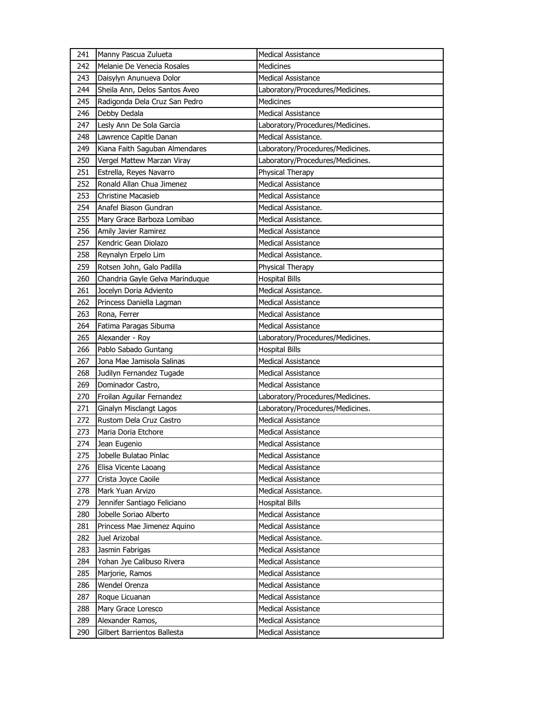| 241 | Manny Pascua Zulueta                            | <b>Medical Assistance</b>        |
|-----|-------------------------------------------------|----------------------------------|
| 242 | Melanie De Venecia Rosales                      | <b>Medicines</b>                 |
| 243 | Daisylyn Anunueva Dolor                         | <b>Medical Assistance</b>        |
| 244 | Sheila Ann, Delos Santos Aveo                   | Laboratory/Procedures/Medicines. |
| 245 | Radigonda Dela Cruz San Pedro                   | <b>Medicines</b>                 |
| 246 | Debby Dedala                                    | <b>Medical Assistance</b>        |
| 247 | Lesly Ann De Sola Garcia                        | Laboratory/Procedures/Medicines. |
| 248 | Lawrence Capitle Danan                          | Medical Assistance.              |
| 249 | Kiana Faith Saguban Almendares                  | Laboratory/Procedures/Medicines. |
| 250 | Vergel Mattew Marzan Viray                      | Laboratory/Procedures/Medicines. |
| 251 | Estrella, Reyes Navarro                         | Physical Therapy                 |
| 252 | Ronald Allan Chua Jimenez                       | <b>Medical Assistance</b>        |
| 253 | <b>Christine Macasieb</b>                       | <b>Medical Assistance</b>        |
| 254 | Anafel Biason Gundran                           | Medical Assistance.              |
| 255 | Mary Grace Barboza Lomibao                      | Medical Assistance.              |
| 256 | Amily Javier Ramirez                            | Medical Assistance               |
| 257 | Kendric Gean Diolazo                            | <b>Medical Assistance</b>        |
| 258 | Reynalyn Erpelo Lim                             | Medical Assistance.              |
| 259 | Rotsen John, Galo Padilla                       | Physical Therapy                 |
| 260 | Chandria Gayle Gelva Marinduque                 | <b>Hospital Bills</b>            |
| 261 | Jocelyn Doria Adviento                          | Medical Assistance.              |
| 262 | Princess Daniella Lagman                        | <b>Medical Assistance</b>        |
| 263 | Rona, Ferrer                                    | <b>Medical Assistance</b>        |
| 264 | Fatima Paragas Sibuma                           | <b>Medical Assistance</b>        |
| 265 | Alexander - Roy                                 | Laboratory/Procedures/Medicines. |
|     |                                                 |                                  |
| 266 | Pablo Sabado Guntang                            | <b>Hospital Bills</b>            |
| 267 | Jona Mae Jamisola Salinas                       | <b>Medical Assistance</b>        |
| 268 | Judilyn Fernandez Tugade                        | <b>Medical Assistance</b>        |
| 269 | Dominador Castro,                               | <b>Medical Assistance</b>        |
| 270 | Froilan Aguilar Fernandez                       | Laboratory/Procedures/Medicines. |
| 271 | Ginalyn Misclangt Lagos                         | Laboratory/Procedures/Medicines. |
| 272 | Rustom Dela Cruz Castro                         | <b>Medical Assistance</b>        |
| 273 | Maria Doria Etchore                             | <b>Medical Assistance</b>        |
| 274 | Jean Eugenio                                    | <b>Medical Assistance</b>        |
| 275 | Jobelle Bulatao Pinlac                          | Medical Assistance               |
| 276 | Elisa Vicente Laoang                            | Medical Assistance               |
| 277 | Crista Joyce Caoile                             | Medical Assistance               |
| 278 | Mark Yuan Arvizo                                | Medical Assistance.              |
| 279 | Jennifer Santiago Feliciano                     | <b>Hospital Bills</b>            |
| 280 | Jobelle Soriao Alberto                          | <b>Medical Assistance</b>        |
| 281 | Princess Mae Jimenez Aquino                     | <b>Medical Assistance</b>        |
| 282 | Juel Arizobal                                   | Medical Assistance.              |
| 283 | Jasmin Fabrigas                                 | Medical Assistance               |
| 284 | Yohan Jye Calibuso Rivera                       | Medical Assistance               |
| 285 | Marjorie, Ramos                                 | Medical Assistance               |
| 286 | Wendel Orenza                                   | <b>Medical Assistance</b>        |
| 287 | Roque Licuanan                                  | Medical Assistance               |
| 288 | Mary Grace Loresco                              | Medical Assistance               |
| 289 | Alexander Ramos,<br>Gilbert Barrientos Ballesta | Medical Assistance               |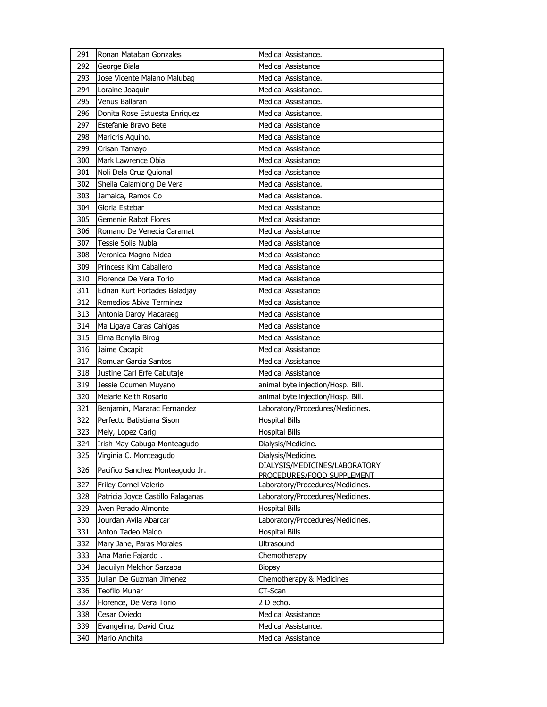| 291 | Ronan Mataban Gonzales            | Medical Assistance.                                         |
|-----|-----------------------------------|-------------------------------------------------------------|
| 292 | George Biala                      | Medical Assistance                                          |
| 293 | Jose Vicente Malano Malubag       | Medical Assistance.                                         |
| 294 | Loraine Joaquin                   | Medical Assistance.                                         |
| 295 | Venus Ballaran                    | Medical Assistance.                                         |
| 296 | Donita Rose Estuesta Enriquez     | Medical Assistance.                                         |
| 297 | Estefanie Bravo Bete              | <b>Medical Assistance</b>                                   |
| 298 | Maricris Aquino,                  | <b>Medical Assistance</b>                                   |
| 299 | Crisan Tamayo                     | <b>Medical Assistance</b>                                   |
| 300 | Mark Lawrence Obia                | <b>Medical Assistance</b>                                   |
| 301 | Noli Dela Cruz Quional            | <b>Medical Assistance</b>                                   |
| 302 | Sheila Calamiong De Vera          | Medical Assistance.                                         |
| 303 | Jamaica, Ramos Co                 | Medical Assistance.                                         |
| 304 | Gloria Estebar                    | <b>Medical Assistance</b>                                   |
| 305 | Gemenie Rabot Flores              | <b>Medical Assistance</b>                                   |
| 306 | Romano De Venecia Caramat         | <b>Medical Assistance</b>                                   |
| 307 | <b>Tessie Solis Nubla</b>         | <b>Medical Assistance</b>                                   |
| 308 | Veronica Magno Nidea              | <b>Medical Assistance</b>                                   |
| 309 | Princess Kim Caballero            | <b>Medical Assistance</b>                                   |
| 310 | Florence De Vera Torio            | Medical Assistance                                          |
| 311 | Edrian Kurt Portades Baladjay     | <b>Medical Assistance</b>                                   |
| 312 | Remedios Abiva Terminez           | <b>Medical Assistance</b>                                   |
| 313 | Antonia Daroy Macaraeg            | <b>Medical Assistance</b>                                   |
| 314 | Ma Ligaya Caras Cahigas           | <b>Medical Assistance</b>                                   |
| 315 | Elma Bonylla Birog                | <b>Medical Assistance</b>                                   |
| 316 | Jaime Cacapit                     | <b>Medical Assistance</b>                                   |
| 317 | Romuar Garcia Santos              | <b>Medical Assistance</b>                                   |
| 318 | Justine Carl Erfe Cabutaje        | <b>Medical Assistance</b>                                   |
| 319 | Jessie Ocumen Muyano              | animal byte injection/Hosp. Bill.                           |
| 320 | Melarie Keith Rosario             | animal byte injection/Hosp. Bill.                           |
| 321 | Benjamin, Mararac Fernandez       | Laboratory/Procedures/Medicines.                            |
| 322 | Perfecto Batistiana Sison         | <b>Hospital Bills</b>                                       |
| 323 | Mely, Lopez Carig                 | <b>Hospital Bills</b>                                       |
| 324 | Irish May Cabuga Monteagudo       | Dialysis/Medicine.                                          |
| 325 | Virginia C. Monteagudo            | Dialysis/Medicine.                                          |
| 326 | Pacifico Sanchez Monteagudo Jr.   | DIALYSIS/MEDICINES/LABORATORY<br>PROCEDURES/FOOD SUPPLEMENT |
| 327 | Friley Cornel Valerio             | Laboratory/Procedures/Medicines.                            |
| 328 | Patricia Joyce Castillo Palaganas | Laboratory/Procedures/Medicines.                            |
| 329 | Aven Perado Almonte               | <b>Hospital Bills</b>                                       |
| 330 | Jourdan Avila Abarcar             | Laboratory/Procedures/Medicines.                            |
| 331 | Anton Tadeo Maldo                 | <b>Hospital Bills</b>                                       |
| 332 | Mary Jane, Paras Morales          | Ultrasound                                                  |
| 333 | Ana Marie Fajardo.                | Chemotherapy                                                |
| 334 | Jaquilyn Melchor Sarzaba          | <b>Biopsy</b>                                               |
| 335 | Julian De Guzman Jimenez          | Chemotherapy & Medicines                                    |
| 336 | Teofilo Munar                     | CT-Scan                                                     |
| 337 | Florence, De Vera Torio           | 2 D echo.                                                   |
| 338 | Cesar Oviedo                      | Medical Assistance                                          |
| 339 | Evangelina, David Cruz            | Medical Assistance.                                         |
| 340 | Mario Anchita                     | <b>Medical Assistance</b>                                   |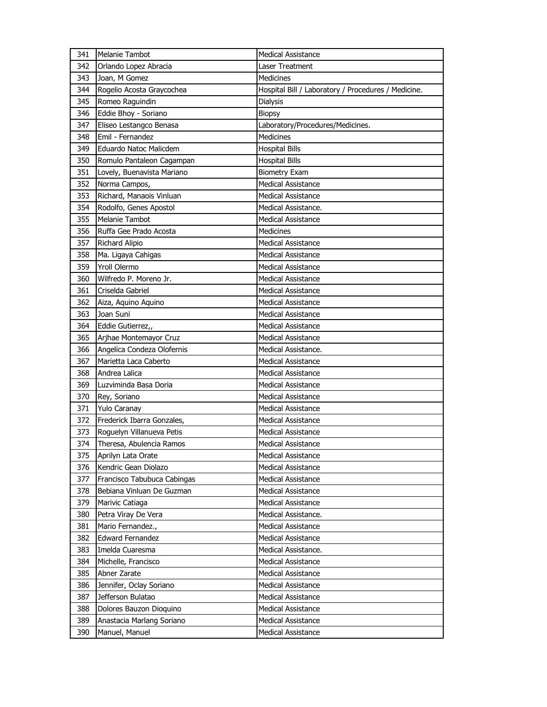| 341 | Melanie Tambot              | <b>Medical Assistance</b>                           |
|-----|-----------------------------|-----------------------------------------------------|
| 342 | Orlando Lopez Abracia       | Laser Treatment                                     |
| 343 | Joan, M Gomez               | <b>Medicines</b>                                    |
| 344 | Rogelio Acosta Graycochea   | Hospital Bill / Laboratory / Procedures / Medicine. |
| 345 | Romeo Raguindin             | Dialysis                                            |
| 346 | Eddie Bhoy - Soriano        | <b>Biopsy</b>                                       |
| 347 | Eliseo Lestangco Benasa     | Laboratory/Procedures/Medicines.                    |
| 348 | Emil - Fernandez            | <b>Medicines</b>                                    |
| 349 | Eduardo Natoc Malicdem      | <b>Hospital Bills</b>                               |
| 350 | Romulo Pantaleon Cagampan   | <b>Hospital Bills</b>                               |
| 351 | Lovely, Buenavista Mariano  | <b>Biometry Exam</b>                                |
| 352 | Norma Campos,               | Medical Assistance                                  |
| 353 | Richard, Manaois Vinluan    | <b>Medical Assistance</b>                           |
| 354 | Rodolfo, Genes Apostol      | Medical Assistance.                                 |
| 355 | Melanie Tambot              | Medical Assistance                                  |
| 356 | Ruffa Gee Prado Acosta      | Medicines                                           |
| 357 | Richard Alipio              | <b>Medical Assistance</b>                           |
| 358 | Ma. Ligaya Cahigas          | <b>Medical Assistance</b>                           |
| 359 | Yroll Olermo                | <b>Medical Assistance</b>                           |
| 360 | Wilfredo P. Moreno Jr.      | Medical Assistance                                  |
| 361 | Criselda Gabriel            | Medical Assistance                                  |
| 362 | Aiza, Aquino Aquino         | <b>Medical Assistance</b>                           |
| 363 | Joan Suni                   | <b>Medical Assistance</b>                           |
| 364 | Eddie Gutierrez,,           | <b>Medical Assistance</b>                           |
| 365 | Arjhae Montemayor Cruz      | Medical Assistance                                  |
| 366 | Angelica Condeza Olofernis  | Medical Assistance.                                 |
| 367 | Marietta Laca Caberto       | <b>Medical Assistance</b>                           |
| 368 | Andrea Lalica               | <b>Medical Assistance</b>                           |
| 369 | Luzviminda Basa Doria       | <b>Medical Assistance</b>                           |
| 370 | Rey, Soriano                | Medical Assistance                                  |
| 371 | Yulo Caranay                | Medical Assistance                                  |
| 372 | Frederick Ibarra Gonzales,  | Medical Assistance                                  |
| 373 | Roguelyn Villanueva Petis   | <b>Medical Assistance</b>                           |
| 374 | Theresa, Abulencia Ramos    | Medical Assistance                                  |
| 375 | Aprilyn Lata Orate          | <b>Medical Assistance</b>                           |
| 376 | Kendric Gean Diolazo        | Medical Assistance                                  |
| 377 | Francisco Tabubuca Cabingas | Medical Assistance                                  |
| 378 | Bebiana Vinluan De Guzman   | <b>Medical Assistance</b>                           |
| 379 | Marivic Catiaga             | <b>Medical Assistance</b>                           |
| 380 | Petra Viray De Vera         | Medical Assistance.                                 |
| 381 | Mario Fernandez.,           | Medical Assistance                                  |
| 382 | <b>Edward Fernandez</b>     | Medical Assistance                                  |
| 383 | Imelda Cuaresma             | Medical Assistance.                                 |
| 384 | Michelle, Francisco         | <b>Medical Assistance</b>                           |
| 385 | Abner Zarate                | Medical Assistance                                  |
| 386 | Jennifer, Oclay Soriano     | Medical Assistance                                  |
| 387 | Jefferson Bulatao           | Medical Assistance                                  |
| 388 | Dolores Bauzon Dioquino     | Medical Assistance                                  |
| 389 | Anastacia Marlang Soriano   | <b>Medical Assistance</b>                           |
| 390 | Manuel, Manuel              | Medical Assistance                                  |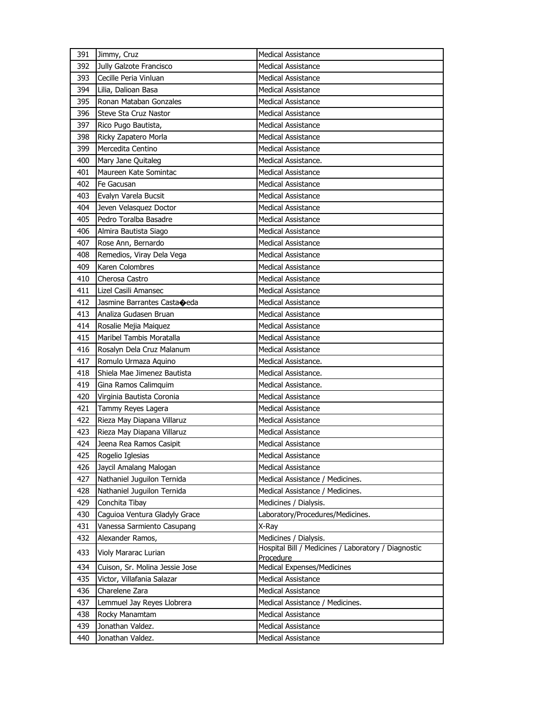| 391 | Jimmy, Cruz                    | <b>Medical Assistance</b>                                        |
|-----|--------------------------------|------------------------------------------------------------------|
| 392 | Jully Galzote Francisco        | <b>Medical Assistance</b>                                        |
| 393 | Cecille Peria Vinluan          | <b>Medical Assistance</b>                                        |
| 394 | Lilia, Dalioan Basa            | <b>Medical Assistance</b>                                        |
| 395 | Ronan Mataban Gonzales         | <b>Medical Assistance</b>                                        |
| 396 | Steve Sta Cruz Nastor          | Medical Assistance                                               |
| 397 | Rico Pugo Bautista,            | <b>Medical Assistance</b>                                        |
| 398 | Ricky Zapatero Morla           | <b>Medical Assistance</b>                                        |
| 399 | Mercedita Centino              | <b>Medical Assistance</b>                                        |
| 400 | Mary Jane Quitaleg             | Medical Assistance.                                              |
| 401 | Maureen Kate Somintac          | Medical Assistance                                               |
| 402 | Fe Gacusan                     | <b>Medical Assistance</b>                                        |
| 403 | Evalyn Varela Bucsit           | <b>Medical Assistance</b>                                        |
| 404 | Jeven Velasquez Doctor         | <b>Medical Assistance</b>                                        |
| 405 | Pedro Toralba Basadre          | <b>Medical Assistance</b>                                        |
| 406 | Almira Bautista Siago          | Medical Assistance                                               |
| 407 | Rose Ann, Bernardo             | <b>Medical Assistance</b>                                        |
| 408 | Remedios, Viray Dela Vega      | <b>Medical Assistance</b>                                        |
| 409 | Karen Colombres                | <b>Medical Assistance</b>                                        |
| 410 | Cherosa Castro                 | <b>Medical Assistance</b>                                        |
| 411 | Lizel Casili Amansec           | Medical Assistance                                               |
| 412 | Jasmine Barrantes Castaoeda    | <b>Medical Assistance</b>                                        |
| 413 | Analiza Gudasen Bruan          | <b>Medical Assistance</b>                                        |
| 414 | Rosalie Mejia Maiquez          | <b>Medical Assistance</b>                                        |
| 415 | Maribel Tambis Moratalla       | <b>Medical Assistance</b>                                        |
| 416 | Rosalyn Dela Cruz Malanum      | Medical Assistance                                               |
| 417 | Romulo Urmaza Aquino           | Medical Assistance.                                              |
| 418 | Shiela Mae Jimenez Bautista    | Medical Assistance.                                              |
| 419 | Gina Ramos Calimquim           | Medical Assistance.                                              |
| 420 | Virginia Bautista Coronia      | <b>Medical Assistance</b>                                        |
| 421 | Tammy Reyes Lagera             | Medical Assistance                                               |
| 422 | Rieza May Diapana Villaruz     | <b>Medical Assistance</b>                                        |
| 423 | Rieza May Diapana Villaruz     | <b>Medical Assistance</b>                                        |
| 424 | Jeena Rea Ramos Casipit        | Medical Assistance                                               |
| 425 | Rogelio Iglesias               | Medical Assistance                                               |
| 426 | Jaycil Amalang Malogan         | Medical Assistance                                               |
| 427 | Nathaniel Juguilon Ternida     | Medical Assistance / Medicines.                                  |
| 428 | Nathaniel Juguilon Ternida     | Medical Assistance / Medicines.                                  |
| 429 | Conchita Tibay                 | Medicines / Dialysis.                                            |
| 430 | Caguioa Ventura Gladyly Grace  | Laboratory/Procedures/Medicines.                                 |
| 431 | Vanessa Sarmiento Casupang     | X-Ray                                                            |
| 432 | Alexander Ramos,               | Medicines / Dialysis.                                            |
| 433 | Violy Mararac Lurian           | Hospital Bill / Medicines / Laboratory / Diagnostic<br>Procedure |
| 434 | Cuison, Sr. Molina Jessie Jose | Medical Expenses/Medicines                                       |
| 435 | Victor, Villafania Salazar     | <b>Medical Assistance</b>                                        |
| 436 | Charelene Zara                 | Medical Assistance                                               |
| 437 | Lemmuel Jay Reyes Llobrera     | Medical Assistance / Medicines.                                  |
| 438 | Rocky Manamtam                 | <b>Medical Assistance</b>                                        |
| 439 | Jonathan Valdez.               | Medical Assistance                                               |
| 440 | Jonathan Valdez.               | Medical Assistance                                               |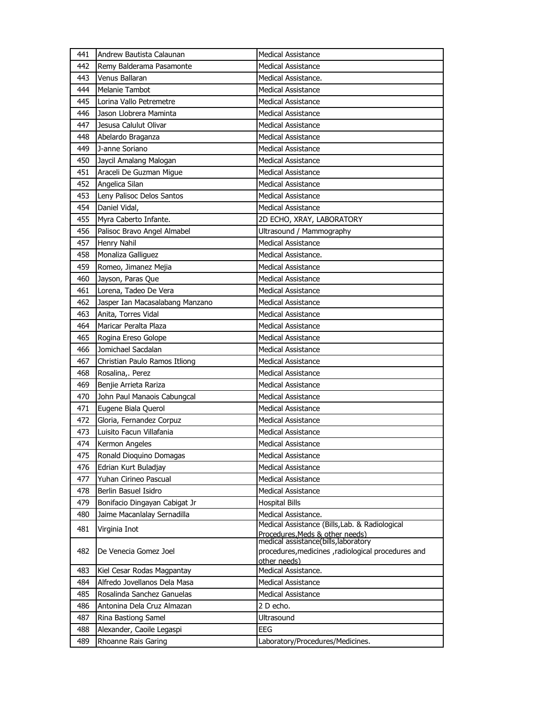| 441 | Andrew Bautista Calaunan        | <b>Medical Assistance</b>                                                                                   |
|-----|---------------------------------|-------------------------------------------------------------------------------------------------------------|
| 442 | Remy Balderama Pasamonte        | <b>Medical Assistance</b>                                                                                   |
| 443 | Venus Ballaran                  | Medical Assistance.                                                                                         |
| 444 | <b>Melanie Tambot</b>           | <b>Medical Assistance</b>                                                                                   |
| 445 | Lorina Vallo Petremetre         | <b>Medical Assistance</b>                                                                                   |
| 446 | Jason Llobrera Maminta          | <b>Medical Assistance</b>                                                                                   |
| 447 | Jesusa Calulut Olivar           | <b>Medical Assistance</b>                                                                                   |
| 448 | Abelardo Braganza               | <b>Medical Assistance</b>                                                                                   |
| 449 | J-anne Soriano                  | <b>Medical Assistance</b>                                                                                   |
| 450 | Jaycil Amalang Malogan          | <b>Medical Assistance</b>                                                                                   |
| 451 | Araceli De Guzman Migue         | <b>Medical Assistance</b>                                                                                   |
| 452 | Angelica Silan                  | <b>Medical Assistance</b>                                                                                   |
| 453 | Leny Palisoc Delos Santos       | <b>Medical Assistance</b>                                                                                   |
| 454 | Daniel Vidal,                   | <b>Medical Assistance</b>                                                                                   |
| 455 | Myra Caberto Infante.           | 2D ECHO, XRAY, LABORATORY                                                                                   |
| 456 | Palisoc Bravo Angel Almabel     | Ultrasound / Mammography                                                                                    |
| 457 | Henry Nahil                     | <b>Medical Assistance</b>                                                                                   |
| 458 | Monaliza Galliguez              | Medical Assistance.                                                                                         |
| 459 | Romeo, Jimanez Mejia            | <b>Medical Assistance</b>                                                                                   |
| 460 | Jayson, Paras Que               | <b>Medical Assistance</b>                                                                                   |
| 461 | Lorena, Tadeo De Vera           | <b>Medical Assistance</b>                                                                                   |
| 462 | Jasper Ian Macasalabang Manzano | <b>Medical Assistance</b>                                                                                   |
| 463 | Anita, Torres Vidal             | <b>Medical Assistance</b>                                                                                   |
| 464 | Maricar Peralta Plaza           | <b>Medical Assistance</b>                                                                                   |
| 465 | Rogina Ereso Golope             | <b>Medical Assistance</b>                                                                                   |
| 466 | Jomichael Sacdalan              | <b>Medical Assistance</b>                                                                                   |
| 467 | Christian Paulo Ramos Itliong   | <b>Medical Assistance</b>                                                                                   |
| 468 | Rosalina,. Perez                | <b>Medical Assistance</b>                                                                                   |
| 469 | Benjie Arrieta Rariza           | <b>Medical Assistance</b>                                                                                   |
| 470 | John Paul Manaois Cabungcal     | Medical Assistance                                                                                          |
| 471 | Eugene Biala Querol             | <b>Medical Assistance</b>                                                                                   |
| 472 | Gloria, Fernandez Corpuz        | <b>Medical Assistance</b>                                                                                   |
| 473 | Luisito Facun Villafania        | <b>Medical Assistance</b>                                                                                   |
| 474 | Kermon Angeles                  | <b>Medical Assistance</b>                                                                                   |
| 475 | Ronald Dioquino Domagas         | <b>Medical Assistance</b>                                                                                   |
| 476 | Edrian Kurt Buladjay            | <b>Medical Assistance</b>                                                                                   |
| 477 | Yuhan Cirineo Pascual           | Medical Assistance                                                                                          |
| 478 | Berlin Basuel Isidro            | <b>Medical Assistance</b>                                                                                   |
| 479 | Bonifacio Dingayan Cabigat Jr   | <b>Hospital Bills</b>                                                                                       |
| 480 | Jaime Macanlalay Sernadilla     | Medical Assistance.                                                                                         |
| 481 | Virginia Inot                   | Medical Assistance (Bills, Lab. & Radiological<br>Procedures, Meds & other needs)                           |
| 482 | De Venecia Gomez Joel           | medical assistance(bills, laboratory<br>procedures, medicines , radiological procedures and<br>other needs) |
| 483 | Kiel Cesar Rodas Magpantay      | Medical Assistance.                                                                                         |
| 484 | Alfredo Jovellanos Dela Masa    | <b>Medical Assistance</b>                                                                                   |
| 485 | Rosalinda Sanchez Ganuelas      | <b>Medical Assistance</b>                                                                                   |
| 486 | Antonina Dela Cruz Almazan      | 2 D echo.                                                                                                   |
| 487 | Rina Bastiong Samel             | Ultrasound                                                                                                  |
| 488 | Alexander, Caoile Legaspi       | <b>EEG</b>                                                                                                  |
| 489 | Rhoanne Rais Garing             | Laboratory/Procedures/Medicines.                                                                            |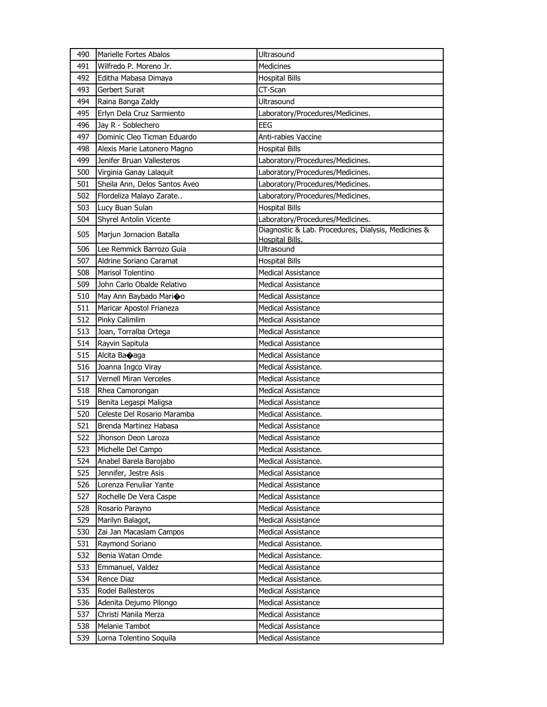| 490 | Marielle Fortes Abalos        | Ultrasound                                                                    |
|-----|-------------------------------|-------------------------------------------------------------------------------|
| 491 | Wilfredo P. Moreno Jr.        | <b>Medicines</b>                                                              |
| 492 | Editha Mabasa Dimaya          | <b>Hospital Bills</b>                                                         |
| 493 | Gerbert Surait                | CT-Scan                                                                       |
| 494 | Raina Banga Zaldy             | Ultrasound                                                                    |
| 495 | Erlyn Dela Cruz Sarmiento     | Laboratory/Procedures/Medicines.                                              |
| 496 | Jay R - Soblechero            | EEG                                                                           |
| 497 | Dominic Cleo Ticman Eduardo   | Anti-rabies Vaccine                                                           |
| 498 | Alexis Marie Latonero Magno   | <b>Hospital Bills</b>                                                         |
| 499 | Jenifer Bruan Vallesteros     | Laboratory/Procedures/Medicines.                                              |
| 500 | Virginia Ganay Lalaquit       | Laboratory/Procedures/Medicines.                                              |
| 501 | Sheila Ann, Delos Santos Aveo | Laboratory/Procedures/Medicines.                                              |
| 502 | Flordeliza Malayo Zarate      | Laboratory/Procedures/Medicines.                                              |
| 503 | Lucy Buan Sulan               | <b>Hospital Bills</b>                                                         |
| 504 | Shyrel Antolin Vicente        | Laboratory/Procedures/Medicines.                                              |
| 505 | Marjun Jornacion Batalla      | Diagnostic & Lab. Procedures, Dialysis, Medicines &<br><b>Hospital Bills.</b> |
| 506 | Lee Remmick Barrozo Guia      | Ultrasound                                                                    |
| 507 | Aldrine Soriano Caramat       | <b>Hospital Bills</b>                                                         |
| 508 | Marisol Tolentino             | Medical Assistance                                                            |
| 509 | John Carlo Obalde Relativo    | <b>Medical Assistance</b>                                                     |
| 510 | May Ann Baybado Marioo        | <b>Medical Assistance</b>                                                     |
| 511 | Maricar Apostol Frianeza      | <b>Medical Assistance</b>                                                     |
| 512 | Pinky Calimlim                | <b>Medical Assistance</b>                                                     |
| 513 | Joan, Torralba Ortega         | <b>Medical Assistance</b>                                                     |
| 514 | Rayvin Sapitula               | Medical Assistance                                                            |
| 515 | Alcita Ba�aga                 | <b>Medical Assistance</b>                                                     |
| 516 | Joanna Ingco Viray            | Medical Assistance.                                                           |
| 517 | Vernell Miran Verceles        | <b>Medical Assistance</b>                                                     |
| 518 | Rhea Camorongan               | <b>Medical Assistance</b>                                                     |
| 519 | Benita Legaspi Maligsa        | <b>Medical Assistance</b>                                                     |
| 520 | Celeste Del Rosario Maramba   | Medical Assistance.                                                           |
| 521 | Brenda Martinez Habasa        | <b>Medical Assistance</b>                                                     |
| 522 | Jhonson Deon Laroza           | <b>Medical Assistance</b>                                                     |
| 523 | Michelle Del Campo            | Medical Assistance.                                                           |
| 524 | Anabel Barela Barojabo        | Medical Assistance.                                                           |
| 525 | Jennifer, Jestre Asis         | Medical Assistance                                                            |
| 526 | Lorenza Fenuliar Yante        | <b>Medical Assistance</b>                                                     |
| 527 | Rochelle De Vera Caspe        | <b>Medical Assistance</b>                                                     |
| 528 | Rosario Parayno               | Medical Assistance                                                            |
| 529 | Marilyn Balagot,              | <b>Medical Assistance</b>                                                     |
| 530 | Zai Jan Macaslam Campos       | <b>Medical Assistance</b>                                                     |
| 531 | Raymond Soriano               | Medical Assistance.                                                           |
| 532 | Benia Watan Omde              | Medical Assistance.                                                           |
| 533 | Emmanuel, Valdez              | Medical Assistance                                                            |
| 534 | Rence Diaz                    | Medical Assistance.                                                           |
| 535 | Rodel Ballesteros             | Medical Assistance                                                            |
| 536 | Adenita Dejumo Pilongo        | <b>Medical Assistance</b>                                                     |
| 537 | Christi Manila Merza          | <b>Medical Assistance</b>                                                     |
| 538 | Melanie Tambot                | <b>Medical Assistance</b>                                                     |
| 539 | Lorna Tolentino Soquila       | Medical Assistance                                                            |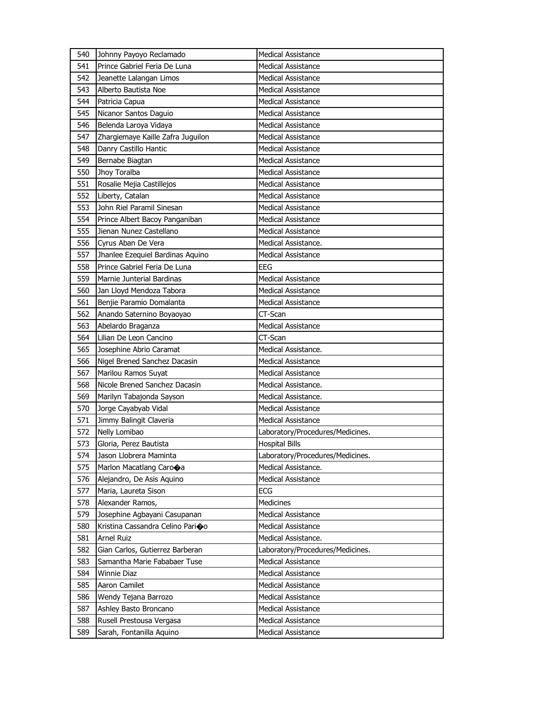| 540 | Johnny Payoyo Reclamado           | <b>Medical Assistance</b>        |
|-----|-----------------------------------|----------------------------------|
| 541 | Prince Gabriel Feria De Luna      | <b>Medical Assistance</b>        |
| 542 | Jeanette Lalangan Limos           | <b>Medical Assistance</b>        |
| 543 | Alberto Bautista Noe              | Medical Assistance               |
| 544 | Patricia Capua                    | <b>Medical Assistance</b>        |
| 545 | Nicanor Santos Daguio             | <b>Medical Assistance</b>        |
| 546 | Belenda Laroya Vidaya             | <b>Medical Assistance</b>        |
| 547 | Zhargiemaye Kaille Zafra Juguilon | <b>Medical Assistance</b>        |
| 548 | Danry Castillo Hantic             | Medical Assistance               |
| 549 | Bernabe Biagtan                   | <b>Medical Assistance</b>        |
| 550 | Jhoy Toralba                      | <b>Medical Assistance</b>        |
| 551 | Rosalie Mejia Castillejos         | <b>Medical Assistance</b>        |
| 552 | Liberty, Catalan                  | <b>Medical Assistance</b>        |
| 553 | John Riel Paramil Sinesan         | <b>Medical Assistance</b>        |
| 554 | Prince Albert Bacoy Panganiban    | <b>Medical Assistance</b>        |
| 555 | Jienan Nunez Castellano           | <b>Medical Assistance</b>        |
| 556 | Cyrus Aban De Vera                | Medical Assistance.              |
| 557 | Jhanlee Ezequiel Bardinas Aquino  | <b>Medical Assistance</b>        |
| 558 | Prince Gabriel Feria De Luna      | <b>EEG</b>                       |
| 559 | Marnie Junterial Bardinas         | <b>Medical Assistance</b>        |
| 560 | Jan Lloyd Mendoza Tabora          | <b>Medical Assistance</b>        |
| 561 | Benjie Paramio Domalanta          | <b>Medical Assistance</b>        |
| 562 | Anando Saternino Boyaoyao         | CT-Scan                          |
| 563 | Abelardo Braganza                 | <b>Medical Assistance</b>        |
| 564 | Lilian De Leon Cancino            | CT-Scan                          |
| 565 | Josephine Abrio Caramat           | Medical Assistance.              |
| 566 | Nigel Brened Sanchez Dacasin      | <b>Medical Assistance</b>        |
| 567 | Marilou Ramos Suyat               | <b>Medical Assistance</b>        |
| 568 | Nicole Brened Sanchez Dacasin     | Medical Assistance.              |
| 569 | Marilyn Tabajonda Sayson          | Medical Assistance.              |
| 570 | Jorge Cayabyab Vidal              | <b>Medical Assistance</b>        |
| 571 | Jimmy Balingit Claveria           | <b>Medical Assistance</b>        |
| 572 | Nelly Lomibao                     | Laboratory/Procedures/Medicines. |
| 573 | Gloria, Perez Bautista            | <b>Hospital Bills</b>            |
| 574 | Jason Llobrera Maminta            | Laboratory/Procedures/Medicines. |
| 575 | Marlon Macatlang Carooa           | Medical Assistance.              |
| 576 | Alejandro, De Asis Aquino         | <b>Medical Assistance</b>        |
| 577 | Maria, Laureta Sison              | ECG                              |
| 578 | Alexander Ramos,                  | Medicines                        |
| 579 | Josephine Agbayani Casupanan      | <b>Medical Assistance</b>        |
| 580 | Kristina Cassandra Celino Parioo  | Medical Assistance               |
| 581 | Arnel Ruiz                        | Medical Assistance.              |
| 582 | Gian Carlos, Gutierrez Barberan   | Laboratory/Procedures/Medicines. |
| 583 | Samantha Marie Fababaer Tuse      | <b>Medical Assistance</b>        |
| 584 | Winnie Diaz                       | Medical Assistance               |
| 585 | Aaron Camilet                     | Medical Assistance               |
| 586 | Wendy Tejana Barrozo              | Medical Assistance               |
| 587 | Ashley Basto Broncano             | Medical Assistance               |
| 588 | Rusell Prestousa Vergasa          | <b>Medical Assistance</b>        |
| 589 | Sarah, Fontanilla Aquino          | Medical Assistance               |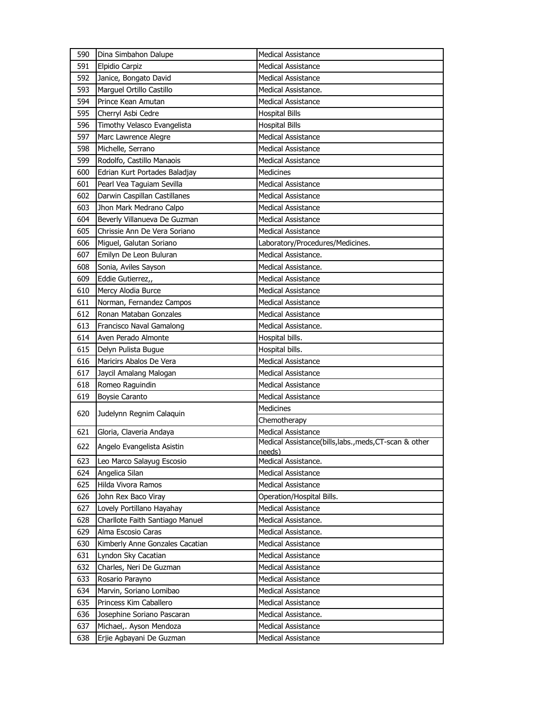| 591<br>Elpidio Carpiz<br><b>Medical Assistance</b><br>592<br>Janice, Bongato David<br><b>Medical Assistance</b><br>593<br>Marguel Ortillo Castillo<br>Medical Assistance.<br>594<br>Prince Kean Amutan<br><b>Medical Assistance</b><br>595<br>Cherryl Asbi Cedre<br><b>Hospital Bills</b><br>596<br>Timothy Velasco Evangelista<br><b>Hospital Bills</b><br>597<br>Marc Lawrence Alegre<br><b>Medical Assistance</b><br>Michelle, Serrano<br>598<br><b>Medical Assistance</b><br>599<br>Rodolfo, Castillo Manaois<br><b>Medical Assistance</b><br>600<br>Edrian Kurt Portades Baladjay<br>Medicines<br>Pearl Vea Taguiam Sevilla<br>601<br><b>Medical Assistance</b><br>602<br>Darwin Caspillan Castillanes<br><b>Medical Assistance</b><br>603<br>Jhon Mark Medrano Calpo<br><b>Medical Assistance</b><br>604<br>Beverly Villanueva De Guzman<br><b>Medical Assistance</b><br>605<br>Chrissie Ann De Vera Soriano<br>Medical Assistance<br>606<br>Miguel, Galutan Soriano<br>Laboratory/Procedures/Medicines.<br>Emilyn De Leon Buluran<br>Medical Assistance.<br>607<br>608<br>Sonia, Aviles Sayson<br>Medical Assistance.<br>609<br>Eddie Gutierrez,,<br><b>Medical Assistance</b><br>Mercy Alodia Burce<br>610<br><b>Medical Assistance</b><br>611<br>Norman, Fernandez Campos<br><b>Medical Assistance</b><br>612<br>Ronan Mataban Gonzales<br><b>Medical Assistance</b><br>613<br>Francisco Naval Gamalong<br>Medical Assistance.<br>614<br>Aven Perado Almonte<br>Hospital bills.<br>615<br>Delyn Pulista Bugue<br>Hospital bills.<br>Maricirs Abalos De Vera<br><b>Medical Assistance</b><br>616<br>617<br>Jaycil Amalang Malogan<br><b>Medical Assistance</b><br>618<br>Romeo Raguindin<br><b>Medical Assistance</b><br>619<br><b>Boysie Caranto</b><br><b>Medical Assistance</b><br><b>Medicines</b><br>620<br>Judelynn Regnim Calaquin<br>Chemotherapy<br>621<br><b>Medical Assistance</b><br>Gloria, Claveria Andaya<br>Medical Assistance(bills, labs., meds, CT-scan & other<br>622<br>Angelo Evangelista Asistin<br>needs)<br>Medical Assistance.<br>623<br>Leo Marco Salayug Escosio<br>624<br>Angelica Silan<br><b>Medical Assistance</b><br>625<br>Hilda Vivora Ramos<br><b>Medical Assistance</b><br>John Rex Baco Viray<br>Operation/Hospital Bills.<br>626<br>627<br>Lovely Portillano Hayahay<br><b>Medical Assistance</b><br>628<br>Charllote Faith Santiago Manuel<br>Medical Assistance.<br>629<br>Alma Escosio Caras<br>Medical Assistance.<br>630<br>Kimberly Anne Gonzales Cacatian<br><b>Medical Assistance</b> | 590 | Dina Simbahon Dalupe | <b>Medical Assistance</b> |
|----------------------------------------------------------------------------------------------------------------------------------------------------------------------------------------------------------------------------------------------------------------------------------------------------------------------------------------------------------------------------------------------------------------------------------------------------------------------------------------------------------------------------------------------------------------------------------------------------------------------------------------------------------------------------------------------------------------------------------------------------------------------------------------------------------------------------------------------------------------------------------------------------------------------------------------------------------------------------------------------------------------------------------------------------------------------------------------------------------------------------------------------------------------------------------------------------------------------------------------------------------------------------------------------------------------------------------------------------------------------------------------------------------------------------------------------------------------------------------------------------------------------------------------------------------------------------------------------------------------------------------------------------------------------------------------------------------------------------------------------------------------------------------------------------------------------------------------------------------------------------------------------------------------------------------------------------------------------------------------------------------------------------------------------------------------------------------------------------------------------------------------------------------------------------------------------------------------------------------------------------------------------------------------------------------------------------------------------------------------------------------------------------------------------------------------------------------------------------------------------------------------------------------------------|-----|----------------------|---------------------------|
|                                                                                                                                                                                                                                                                                                                                                                                                                                                                                                                                                                                                                                                                                                                                                                                                                                                                                                                                                                                                                                                                                                                                                                                                                                                                                                                                                                                                                                                                                                                                                                                                                                                                                                                                                                                                                                                                                                                                                                                                                                                                                                                                                                                                                                                                                                                                                                                                                                                                                                                                              |     |                      |                           |
|                                                                                                                                                                                                                                                                                                                                                                                                                                                                                                                                                                                                                                                                                                                                                                                                                                                                                                                                                                                                                                                                                                                                                                                                                                                                                                                                                                                                                                                                                                                                                                                                                                                                                                                                                                                                                                                                                                                                                                                                                                                                                                                                                                                                                                                                                                                                                                                                                                                                                                                                              |     |                      |                           |
|                                                                                                                                                                                                                                                                                                                                                                                                                                                                                                                                                                                                                                                                                                                                                                                                                                                                                                                                                                                                                                                                                                                                                                                                                                                                                                                                                                                                                                                                                                                                                                                                                                                                                                                                                                                                                                                                                                                                                                                                                                                                                                                                                                                                                                                                                                                                                                                                                                                                                                                                              |     |                      |                           |
|                                                                                                                                                                                                                                                                                                                                                                                                                                                                                                                                                                                                                                                                                                                                                                                                                                                                                                                                                                                                                                                                                                                                                                                                                                                                                                                                                                                                                                                                                                                                                                                                                                                                                                                                                                                                                                                                                                                                                                                                                                                                                                                                                                                                                                                                                                                                                                                                                                                                                                                                              |     |                      |                           |
|                                                                                                                                                                                                                                                                                                                                                                                                                                                                                                                                                                                                                                                                                                                                                                                                                                                                                                                                                                                                                                                                                                                                                                                                                                                                                                                                                                                                                                                                                                                                                                                                                                                                                                                                                                                                                                                                                                                                                                                                                                                                                                                                                                                                                                                                                                                                                                                                                                                                                                                                              |     |                      |                           |
|                                                                                                                                                                                                                                                                                                                                                                                                                                                                                                                                                                                                                                                                                                                                                                                                                                                                                                                                                                                                                                                                                                                                                                                                                                                                                                                                                                                                                                                                                                                                                                                                                                                                                                                                                                                                                                                                                                                                                                                                                                                                                                                                                                                                                                                                                                                                                                                                                                                                                                                                              |     |                      |                           |
|                                                                                                                                                                                                                                                                                                                                                                                                                                                                                                                                                                                                                                                                                                                                                                                                                                                                                                                                                                                                                                                                                                                                                                                                                                                                                                                                                                                                                                                                                                                                                                                                                                                                                                                                                                                                                                                                                                                                                                                                                                                                                                                                                                                                                                                                                                                                                                                                                                                                                                                                              |     |                      |                           |
|                                                                                                                                                                                                                                                                                                                                                                                                                                                                                                                                                                                                                                                                                                                                                                                                                                                                                                                                                                                                                                                                                                                                                                                                                                                                                                                                                                                                                                                                                                                                                                                                                                                                                                                                                                                                                                                                                                                                                                                                                                                                                                                                                                                                                                                                                                                                                                                                                                                                                                                                              |     |                      |                           |
|                                                                                                                                                                                                                                                                                                                                                                                                                                                                                                                                                                                                                                                                                                                                                                                                                                                                                                                                                                                                                                                                                                                                                                                                                                                                                                                                                                                                                                                                                                                                                                                                                                                                                                                                                                                                                                                                                                                                                                                                                                                                                                                                                                                                                                                                                                                                                                                                                                                                                                                                              |     |                      |                           |
|                                                                                                                                                                                                                                                                                                                                                                                                                                                                                                                                                                                                                                                                                                                                                                                                                                                                                                                                                                                                                                                                                                                                                                                                                                                                                                                                                                                                                                                                                                                                                                                                                                                                                                                                                                                                                                                                                                                                                                                                                                                                                                                                                                                                                                                                                                                                                                                                                                                                                                                                              |     |                      |                           |
|                                                                                                                                                                                                                                                                                                                                                                                                                                                                                                                                                                                                                                                                                                                                                                                                                                                                                                                                                                                                                                                                                                                                                                                                                                                                                                                                                                                                                                                                                                                                                                                                                                                                                                                                                                                                                                                                                                                                                                                                                                                                                                                                                                                                                                                                                                                                                                                                                                                                                                                                              |     |                      |                           |
|                                                                                                                                                                                                                                                                                                                                                                                                                                                                                                                                                                                                                                                                                                                                                                                                                                                                                                                                                                                                                                                                                                                                                                                                                                                                                                                                                                                                                                                                                                                                                                                                                                                                                                                                                                                                                                                                                                                                                                                                                                                                                                                                                                                                                                                                                                                                                                                                                                                                                                                                              |     |                      |                           |
|                                                                                                                                                                                                                                                                                                                                                                                                                                                                                                                                                                                                                                                                                                                                                                                                                                                                                                                                                                                                                                                                                                                                                                                                                                                                                                                                                                                                                                                                                                                                                                                                                                                                                                                                                                                                                                                                                                                                                                                                                                                                                                                                                                                                                                                                                                                                                                                                                                                                                                                                              |     |                      |                           |
|                                                                                                                                                                                                                                                                                                                                                                                                                                                                                                                                                                                                                                                                                                                                                                                                                                                                                                                                                                                                                                                                                                                                                                                                                                                                                                                                                                                                                                                                                                                                                                                                                                                                                                                                                                                                                                                                                                                                                                                                                                                                                                                                                                                                                                                                                                                                                                                                                                                                                                                                              |     |                      |                           |
|                                                                                                                                                                                                                                                                                                                                                                                                                                                                                                                                                                                                                                                                                                                                                                                                                                                                                                                                                                                                                                                                                                                                                                                                                                                                                                                                                                                                                                                                                                                                                                                                                                                                                                                                                                                                                                                                                                                                                                                                                                                                                                                                                                                                                                                                                                                                                                                                                                                                                                                                              |     |                      |                           |
|                                                                                                                                                                                                                                                                                                                                                                                                                                                                                                                                                                                                                                                                                                                                                                                                                                                                                                                                                                                                                                                                                                                                                                                                                                                                                                                                                                                                                                                                                                                                                                                                                                                                                                                                                                                                                                                                                                                                                                                                                                                                                                                                                                                                                                                                                                                                                                                                                                                                                                                                              |     |                      |                           |
|                                                                                                                                                                                                                                                                                                                                                                                                                                                                                                                                                                                                                                                                                                                                                                                                                                                                                                                                                                                                                                                                                                                                                                                                                                                                                                                                                                                                                                                                                                                                                                                                                                                                                                                                                                                                                                                                                                                                                                                                                                                                                                                                                                                                                                                                                                                                                                                                                                                                                                                                              |     |                      |                           |
|                                                                                                                                                                                                                                                                                                                                                                                                                                                                                                                                                                                                                                                                                                                                                                                                                                                                                                                                                                                                                                                                                                                                                                                                                                                                                                                                                                                                                                                                                                                                                                                                                                                                                                                                                                                                                                                                                                                                                                                                                                                                                                                                                                                                                                                                                                                                                                                                                                                                                                                                              |     |                      |                           |
|                                                                                                                                                                                                                                                                                                                                                                                                                                                                                                                                                                                                                                                                                                                                                                                                                                                                                                                                                                                                                                                                                                                                                                                                                                                                                                                                                                                                                                                                                                                                                                                                                                                                                                                                                                                                                                                                                                                                                                                                                                                                                                                                                                                                                                                                                                                                                                                                                                                                                                                                              |     |                      |                           |
|                                                                                                                                                                                                                                                                                                                                                                                                                                                                                                                                                                                                                                                                                                                                                                                                                                                                                                                                                                                                                                                                                                                                                                                                                                                                                                                                                                                                                                                                                                                                                                                                                                                                                                                                                                                                                                                                                                                                                                                                                                                                                                                                                                                                                                                                                                                                                                                                                                                                                                                                              |     |                      |                           |
|                                                                                                                                                                                                                                                                                                                                                                                                                                                                                                                                                                                                                                                                                                                                                                                                                                                                                                                                                                                                                                                                                                                                                                                                                                                                                                                                                                                                                                                                                                                                                                                                                                                                                                                                                                                                                                                                                                                                                                                                                                                                                                                                                                                                                                                                                                                                                                                                                                                                                                                                              |     |                      |                           |
|                                                                                                                                                                                                                                                                                                                                                                                                                                                                                                                                                                                                                                                                                                                                                                                                                                                                                                                                                                                                                                                                                                                                                                                                                                                                                                                                                                                                                                                                                                                                                                                                                                                                                                                                                                                                                                                                                                                                                                                                                                                                                                                                                                                                                                                                                                                                                                                                                                                                                                                                              |     |                      |                           |
|                                                                                                                                                                                                                                                                                                                                                                                                                                                                                                                                                                                                                                                                                                                                                                                                                                                                                                                                                                                                                                                                                                                                                                                                                                                                                                                                                                                                                                                                                                                                                                                                                                                                                                                                                                                                                                                                                                                                                                                                                                                                                                                                                                                                                                                                                                                                                                                                                                                                                                                                              |     |                      |                           |
|                                                                                                                                                                                                                                                                                                                                                                                                                                                                                                                                                                                                                                                                                                                                                                                                                                                                                                                                                                                                                                                                                                                                                                                                                                                                                                                                                                                                                                                                                                                                                                                                                                                                                                                                                                                                                                                                                                                                                                                                                                                                                                                                                                                                                                                                                                                                                                                                                                                                                                                                              |     |                      |                           |
|                                                                                                                                                                                                                                                                                                                                                                                                                                                                                                                                                                                                                                                                                                                                                                                                                                                                                                                                                                                                                                                                                                                                                                                                                                                                                                                                                                                                                                                                                                                                                                                                                                                                                                                                                                                                                                                                                                                                                                                                                                                                                                                                                                                                                                                                                                                                                                                                                                                                                                                                              |     |                      |                           |
|                                                                                                                                                                                                                                                                                                                                                                                                                                                                                                                                                                                                                                                                                                                                                                                                                                                                                                                                                                                                                                                                                                                                                                                                                                                                                                                                                                                                                                                                                                                                                                                                                                                                                                                                                                                                                                                                                                                                                                                                                                                                                                                                                                                                                                                                                                                                                                                                                                                                                                                                              |     |                      |                           |
|                                                                                                                                                                                                                                                                                                                                                                                                                                                                                                                                                                                                                                                                                                                                                                                                                                                                                                                                                                                                                                                                                                                                                                                                                                                                                                                                                                                                                                                                                                                                                                                                                                                                                                                                                                                                                                                                                                                                                                                                                                                                                                                                                                                                                                                                                                                                                                                                                                                                                                                                              |     |                      |                           |
|                                                                                                                                                                                                                                                                                                                                                                                                                                                                                                                                                                                                                                                                                                                                                                                                                                                                                                                                                                                                                                                                                                                                                                                                                                                                                                                                                                                                                                                                                                                                                                                                                                                                                                                                                                                                                                                                                                                                                                                                                                                                                                                                                                                                                                                                                                                                                                                                                                                                                                                                              |     |                      |                           |
|                                                                                                                                                                                                                                                                                                                                                                                                                                                                                                                                                                                                                                                                                                                                                                                                                                                                                                                                                                                                                                                                                                                                                                                                                                                                                                                                                                                                                                                                                                                                                                                                                                                                                                                                                                                                                                                                                                                                                                                                                                                                                                                                                                                                                                                                                                                                                                                                                                                                                                                                              |     |                      |                           |
|                                                                                                                                                                                                                                                                                                                                                                                                                                                                                                                                                                                                                                                                                                                                                                                                                                                                                                                                                                                                                                                                                                                                                                                                                                                                                                                                                                                                                                                                                                                                                                                                                                                                                                                                                                                                                                                                                                                                                                                                                                                                                                                                                                                                                                                                                                                                                                                                                                                                                                                                              |     |                      |                           |
|                                                                                                                                                                                                                                                                                                                                                                                                                                                                                                                                                                                                                                                                                                                                                                                                                                                                                                                                                                                                                                                                                                                                                                                                                                                                                                                                                                                                                                                                                                                                                                                                                                                                                                                                                                                                                                                                                                                                                                                                                                                                                                                                                                                                                                                                                                                                                                                                                                                                                                                                              |     |                      |                           |
|                                                                                                                                                                                                                                                                                                                                                                                                                                                                                                                                                                                                                                                                                                                                                                                                                                                                                                                                                                                                                                                                                                                                                                                                                                                                                                                                                                                                                                                                                                                                                                                                                                                                                                                                                                                                                                                                                                                                                                                                                                                                                                                                                                                                                                                                                                                                                                                                                                                                                                                                              |     |                      |                           |
|                                                                                                                                                                                                                                                                                                                                                                                                                                                                                                                                                                                                                                                                                                                                                                                                                                                                                                                                                                                                                                                                                                                                                                                                                                                                                                                                                                                                                                                                                                                                                                                                                                                                                                                                                                                                                                                                                                                                                                                                                                                                                                                                                                                                                                                                                                                                                                                                                                                                                                                                              |     |                      |                           |
|                                                                                                                                                                                                                                                                                                                                                                                                                                                                                                                                                                                                                                                                                                                                                                                                                                                                                                                                                                                                                                                                                                                                                                                                                                                                                                                                                                                                                                                                                                                                                                                                                                                                                                                                                                                                                                                                                                                                                                                                                                                                                                                                                                                                                                                                                                                                                                                                                                                                                                                                              |     |                      |                           |
|                                                                                                                                                                                                                                                                                                                                                                                                                                                                                                                                                                                                                                                                                                                                                                                                                                                                                                                                                                                                                                                                                                                                                                                                                                                                                                                                                                                                                                                                                                                                                                                                                                                                                                                                                                                                                                                                                                                                                                                                                                                                                                                                                                                                                                                                                                                                                                                                                                                                                                                                              |     |                      |                           |
|                                                                                                                                                                                                                                                                                                                                                                                                                                                                                                                                                                                                                                                                                                                                                                                                                                                                                                                                                                                                                                                                                                                                                                                                                                                                                                                                                                                                                                                                                                                                                                                                                                                                                                                                                                                                                                                                                                                                                                                                                                                                                                                                                                                                                                                                                                                                                                                                                                                                                                                                              |     |                      |                           |
|                                                                                                                                                                                                                                                                                                                                                                                                                                                                                                                                                                                                                                                                                                                                                                                                                                                                                                                                                                                                                                                                                                                                                                                                                                                                                                                                                                                                                                                                                                                                                                                                                                                                                                                                                                                                                                                                                                                                                                                                                                                                                                                                                                                                                                                                                                                                                                                                                                                                                                                                              |     |                      |                           |
|                                                                                                                                                                                                                                                                                                                                                                                                                                                                                                                                                                                                                                                                                                                                                                                                                                                                                                                                                                                                                                                                                                                                                                                                                                                                                                                                                                                                                                                                                                                                                                                                                                                                                                                                                                                                                                                                                                                                                                                                                                                                                                                                                                                                                                                                                                                                                                                                                                                                                                                                              |     |                      |                           |
|                                                                                                                                                                                                                                                                                                                                                                                                                                                                                                                                                                                                                                                                                                                                                                                                                                                                                                                                                                                                                                                                                                                                                                                                                                                                                                                                                                                                                                                                                                                                                                                                                                                                                                                                                                                                                                                                                                                                                                                                                                                                                                                                                                                                                                                                                                                                                                                                                                                                                                                                              |     |                      |                           |
|                                                                                                                                                                                                                                                                                                                                                                                                                                                                                                                                                                                                                                                                                                                                                                                                                                                                                                                                                                                                                                                                                                                                                                                                                                                                                                                                                                                                                                                                                                                                                                                                                                                                                                                                                                                                                                                                                                                                                                                                                                                                                                                                                                                                                                                                                                                                                                                                                                                                                                                                              |     |                      |                           |
|                                                                                                                                                                                                                                                                                                                                                                                                                                                                                                                                                                                                                                                                                                                                                                                                                                                                                                                                                                                                                                                                                                                                                                                                                                                                                                                                                                                                                                                                                                                                                                                                                                                                                                                                                                                                                                                                                                                                                                                                                                                                                                                                                                                                                                                                                                                                                                                                                                                                                                                                              |     |                      |                           |
| 631<br>Lyndon Sky Cacatian<br>Medical Assistance                                                                                                                                                                                                                                                                                                                                                                                                                                                                                                                                                                                                                                                                                                                                                                                                                                                                                                                                                                                                                                                                                                                                                                                                                                                                                                                                                                                                                                                                                                                                                                                                                                                                                                                                                                                                                                                                                                                                                                                                                                                                                                                                                                                                                                                                                                                                                                                                                                                                                             |     |                      |                           |
| 632<br>Charles, Neri De Guzman<br>Medical Assistance                                                                                                                                                                                                                                                                                                                                                                                                                                                                                                                                                                                                                                                                                                                                                                                                                                                                                                                                                                                                                                                                                                                                                                                                                                                                                                                                                                                                                                                                                                                                                                                                                                                                                                                                                                                                                                                                                                                                                                                                                                                                                                                                                                                                                                                                                                                                                                                                                                                                                         |     |                      |                           |
| 633<br>Rosario Parayno<br>Medical Assistance                                                                                                                                                                                                                                                                                                                                                                                                                                                                                                                                                                                                                                                                                                                                                                                                                                                                                                                                                                                                                                                                                                                                                                                                                                                                                                                                                                                                                                                                                                                                                                                                                                                                                                                                                                                                                                                                                                                                                                                                                                                                                                                                                                                                                                                                                                                                                                                                                                                                                                 |     |                      |                           |
| 634<br>Marvin, Soriano Lomibao<br>Medical Assistance                                                                                                                                                                                                                                                                                                                                                                                                                                                                                                                                                                                                                                                                                                                                                                                                                                                                                                                                                                                                                                                                                                                                                                                                                                                                                                                                                                                                                                                                                                                                                                                                                                                                                                                                                                                                                                                                                                                                                                                                                                                                                                                                                                                                                                                                                                                                                                                                                                                                                         |     |                      |                           |
| Princess Kim Caballero<br>635<br>Medical Assistance                                                                                                                                                                                                                                                                                                                                                                                                                                                                                                                                                                                                                                                                                                                                                                                                                                                                                                                                                                                                                                                                                                                                                                                                                                                                                                                                                                                                                                                                                                                                                                                                                                                                                                                                                                                                                                                                                                                                                                                                                                                                                                                                                                                                                                                                                                                                                                                                                                                                                          |     |                      |                           |
| Josephine Soriano Pascaran<br>636<br>Medical Assistance.                                                                                                                                                                                                                                                                                                                                                                                                                                                                                                                                                                                                                                                                                                                                                                                                                                                                                                                                                                                                                                                                                                                                                                                                                                                                                                                                                                                                                                                                                                                                                                                                                                                                                                                                                                                                                                                                                                                                                                                                                                                                                                                                                                                                                                                                                                                                                                                                                                                                                     |     |                      |                           |
| 637<br>Michael,. Ayson Mendoza<br>Medical Assistance                                                                                                                                                                                                                                                                                                                                                                                                                                                                                                                                                                                                                                                                                                                                                                                                                                                                                                                                                                                                                                                                                                                                                                                                                                                                                                                                                                                                                                                                                                                                                                                                                                                                                                                                                                                                                                                                                                                                                                                                                                                                                                                                                                                                                                                                                                                                                                                                                                                                                         |     |                      |                           |
| 638<br>Erjie Agbayani De Guzman<br>Medical Assistance                                                                                                                                                                                                                                                                                                                                                                                                                                                                                                                                                                                                                                                                                                                                                                                                                                                                                                                                                                                                                                                                                                                                                                                                                                                                                                                                                                                                                                                                                                                                                                                                                                                                                                                                                                                                                                                                                                                                                                                                                                                                                                                                                                                                                                                                                                                                                                                                                                                                                        |     |                      |                           |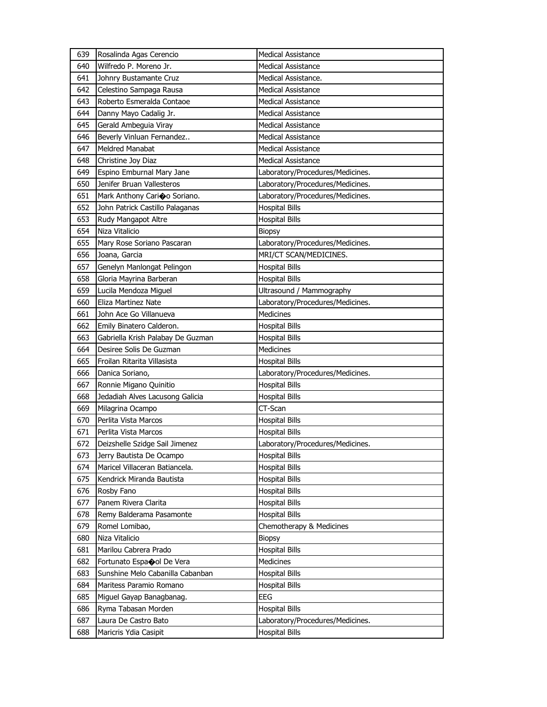| 639 | Rosalinda Agas Cerencio           | <b>Medical Assistance</b>        |
|-----|-----------------------------------|----------------------------------|
| 640 | Wilfredo P. Moreno Jr.            | <b>Medical Assistance</b>        |
| 641 | Johnry Bustamante Cruz            | Medical Assistance.              |
| 642 | Celestino Sampaga Rausa           | <b>Medical Assistance</b>        |
| 643 | Roberto Esmeralda Contaoe         | <b>Medical Assistance</b>        |
| 644 | Danny Mayo Cadalig Jr.            | <b>Medical Assistance</b>        |
| 645 | Gerald Ambeguia Viray             | <b>Medical Assistance</b>        |
| 646 | Beverly Vinluan Fernandez         | <b>Medical Assistance</b>        |
| 647 | <b>Meldred Manabat</b>            | <b>Medical Assistance</b>        |
| 648 | Christine Joy Diaz                | <b>Medical Assistance</b>        |
| 649 | Espino Emburnal Mary Jane         | Laboratory/Procedures/Medicines. |
| 650 | Jenifer Bruan Vallesteros         | Laboratory/Procedures/Medicines. |
| 651 | Mark Anthony Carioo Soriano.      | Laboratory/Procedures/Medicines. |
| 652 | John Patrick Castillo Palaganas   | <b>Hospital Bills</b>            |
| 653 | Rudy Mangapot Altre               | <b>Hospital Bills</b>            |
| 654 | Niza Vitalicio                    | <b>Biopsy</b>                    |
| 655 | Mary Rose Soriano Pascaran        | Laboratory/Procedures/Medicines. |
| 656 | Joana, Garcia                     | MRI/CT SCAN/MEDICINES.           |
| 657 | Genelyn Manlongat Pelingon        | <b>Hospital Bills</b>            |
| 658 | Gloria Mayrina Barberan           | <b>Hospital Bills</b>            |
| 659 | Lucila Mendoza Miguel             | Ultrasound / Mammography         |
| 660 | Eliza Martinez Nate               | Laboratory/Procedures/Medicines. |
| 661 | John Ace Go Villanueva            | Medicines                        |
| 662 | Emily Binatero Calderon.          | <b>Hospital Bills</b>            |
| 663 | Gabriella Krish Palabay De Guzman | <b>Hospital Bills</b>            |
| 664 | Desiree Solis De Guzman           | Medicines                        |
| 665 | Froilan Ritarita Villasista       | <b>Hospital Bills</b>            |
| 666 | Danica Soriano,                   | Laboratory/Procedures/Medicines. |
| 667 | Ronnie Migano Quinitio            | <b>Hospital Bills</b>            |
| 668 | Jedadiah Alves Lacusong Galicia   | <b>Hospital Bills</b>            |
| 669 | Milagrina Ocampo                  | CT-Scan                          |
| 670 | Perlita Vista Marcos              | <b>Hospital Bills</b>            |
| 671 | Perlita Vista Marcos              | <b>Hospital Bills</b>            |
| 672 | Deizshelle Szidge Sail Jimenez    | Laboratory/Procedures/Medicines. |
| 673 | Jerry Bautista De Ocampo          | <b>Hospital Bills</b>            |
| 674 | Maricel Villaceran Batiancela.    | <b>Hospital Bills</b>            |
| 675 | Kendrick Miranda Bautista         | <b>Hospital Bills</b>            |
| 676 | Rosby Fano                        | <b>Hospital Bills</b>            |
| 677 | Panem Rivera Clarita              | <b>Hospital Bills</b>            |
| 678 | Remy Balderama Pasamonte          | <b>Hospital Bills</b>            |
| 679 | Romel Lomibao,                    | Chemotherapy & Medicines         |
| 680 | Niza Vitalicio                    | <b>Biopsy</b>                    |
| 681 | Marilou Cabrera Prado             | <b>Hospital Bills</b>            |
| 682 | Fortunato Espaool De Vera         | Medicines                        |
| 683 | Sunshine Melo Cabanilla Cabanban  | <b>Hospital Bills</b>            |
| 684 | Maritess Paramio Romano           | <b>Hospital Bills</b>            |
| 685 | Miguel Gayap Banagbanag.          | <b>EEG</b>                       |
| 686 | Ryma Tabasan Morden               | <b>Hospital Bills</b>            |
| 687 | Laura De Castro Bato              | Laboratory/Procedures/Medicines. |
| 688 | Maricris Ydia Casipit             | <b>Hospital Bills</b>            |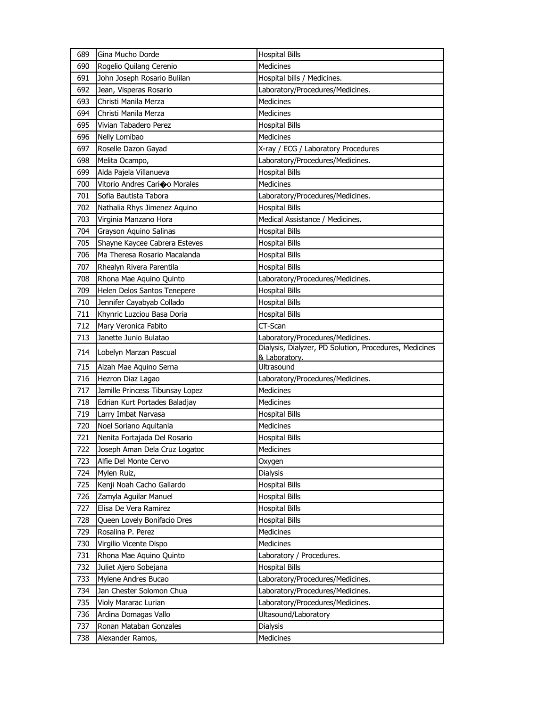| 689 | Gina Mucho Dorde                | <b>Hospital Bills</b>                                  |
|-----|---------------------------------|--------------------------------------------------------|
| 690 | Rogelio Quilang Cerenio         | <b>Medicines</b>                                       |
| 691 | John Joseph Rosario Bulilan     | Hospital bills / Medicines.                            |
| 692 | Jean, Visperas Rosario          | Laboratory/Procedures/Medicines.                       |
| 693 | Christi Manila Merza            | <b>Medicines</b>                                       |
| 694 | Christi Manila Merza            | Medicines                                              |
| 695 | Vivian Tabadero Perez           | <b>Hospital Bills</b>                                  |
| 696 | Nelly Lomibao                   | <b>Medicines</b>                                       |
| 697 | Roselle Dazon Gayad             | X-ray / ECG / Laboratory Procedures                    |
| 698 | Melita Ocampo,                  | Laboratory/Procedures/Medicines.                       |
| 699 | Alda Pajela Villanueva          | <b>Hospital Bills</b>                                  |
| 700 | Vitorio Andres Carioo Morales   | <b>Medicines</b>                                       |
| 701 | Sofia Bautista Tabora           | Laboratory/Procedures/Medicines.                       |
| 702 | Nathalia Rhys Jimenez Aquino    | <b>Hospital Bills</b>                                  |
| 703 | Virginia Manzano Hora           | Medical Assistance / Medicines.                        |
| 704 | Grayson Aquino Salinas          | <b>Hospital Bills</b>                                  |
| 705 | Shayne Kaycee Cabrera Esteves   | <b>Hospital Bills</b>                                  |
| 706 | Ma Theresa Rosario Macalanda    | <b>Hospital Bills</b>                                  |
| 707 | Rhealyn Rivera Parentila        | <b>Hospital Bills</b>                                  |
| 708 | Rhona Mae Aquino Quinto         | Laboratory/Procedures/Medicines.                       |
| 709 | Helen Delos Santos Tenepere     | <b>Hospital Bills</b>                                  |
| 710 | Jennifer Cayabyab Collado       | <b>Hospital Bills</b>                                  |
| 711 | Khynric Luzciou Basa Doria      | <b>Hospital Bills</b>                                  |
| 712 | Mary Veronica Fabito            | CT-Scan                                                |
| 713 | Janette Junio Bulatao           | Laboratory/Procedures/Medicines.                       |
| 714 |                                 | Dialysis, Dialyzer, PD Solution, Procedures, Medicines |
|     | Lobelyn Marzan Pascual          | & Laboratory.                                          |
| 715 | Aizah Mae Aquino Serna          | Ultrasound                                             |
|     |                                 |                                                        |
| 716 | Hezron Diaz Lagao               | Laboratory/Procedures/Medicines.                       |
| 717 | Jamille Princess Tibunsay Lopez | Medicines                                              |
| 718 | Edrian Kurt Portades Baladjay   | Medicines                                              |
| 719 | Larry Imbat Narvasa             | <b>Hospital Bills</b>                                  |
| 720 | Noel Soriano Aquitania          | Medicines                                              |
| 721 | Nenita Fortajada Del Rosario    | <b>Hospital Bills</b>                                  |
| 722 | Joseph Aman Dela Cruz Logatoc   | Medicines                                              |
| 723 | Alfie Del Monte Cervo           | Oxygen                                                 |
| 724 | Mylen Ruiz,                     | Dialysis                                               |
| 725 | Kenji Noah Cacho Gallardo       | <b>Hospital Bills</b>                                  |
| 726 | Zamyla Aguilar Manuel           | <b>Hospital Bills</b>                                  |
| 727 | Elisa De Vera Ramirez           | <b>Hospital Bills</b>                                  |
| 728 | Queen Lovely Bonifacio Dres     | <b>Hospital Bills</b>                                  |
| 729 | Rosalina P. Perez               | Medicines                                              |
| 730 | Virgilio Vicente Dispo          | Medicines                                              |
| 731 | Rhona Mae Aquino Quinto         | Laboratory / Procedures.                               |
| 732 | Juliet Ajero Sobejana           | <b>Hospital Bills</b>                                  |
| 733 | Mylene Andres Bucao             | Laboratory/Procedures/Medicines.                       |
| 734 | Jan Chester Solomon Chua        | Laboratory/Procedures/Medicines.                       |
| 735 | Violy Mararac Lurian            | Laboratory/Procedures/Medicines.                       |
| 736 | Ardina Domagas Vallo            | Ultasound/Laboratory                                   |
| 737 | Ronan Mataban Gonzales          | Dialysis                                               |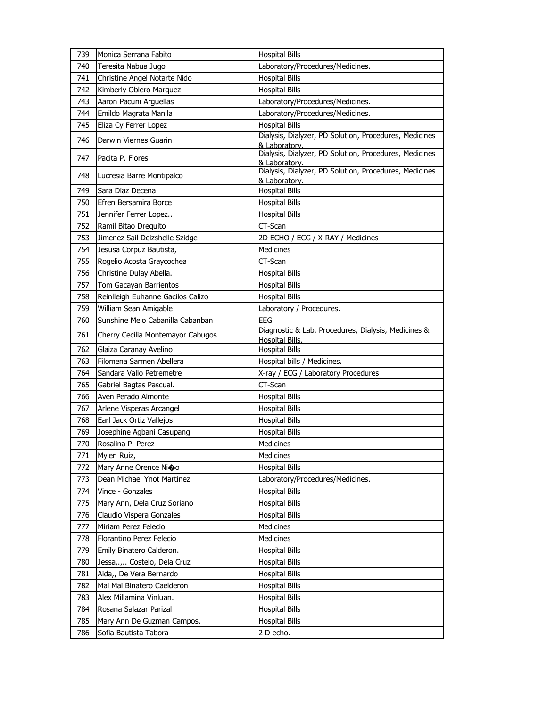| 739 | Monica Serrana Fabito             | <b>Hospital Bills</b>                                                   |
|-----|-----------------------------------|-------------------------------------------------------------------------|
| 740 | Teresita Nabua Jugo               | Laboratory/Procedures/Medicines.                                        |
| 741 | Christine Angel Notarte Nido      | <b>Hospital Bills</b>                                                   |
| 742 | Kimberly Oblero Marquez           | <b>Hospital Bills</b>                                                   |
| 743 | Aaron Pacuni Arguellas            | Laboratory/Procedures/Medicines.                                        |
| 744 | Emildo Magrata Manila             | Laboratory/Procedures/Medicines.                                        |
| 745 | Eliza Cy Ferrer Lopez             | <b>Hospital Bills</b>                                                   |
| 746 | Darwin Viernes Guarin             | Dialysis, Dialyzer, PD Solution, Procedures, Medicines<br>& Laboratory. |
| 747 | Pacita P. Flores                  | Dialysis, Dialyzer, PD Solution, Procedures, Medicines<br>& Laboratory. |
| 748 | Lucresia Barre Montipalco         | Dialysis, Dialyzer, PD Solution, Procedures, Medicines<br>& Laboratory. |
| 749 | Sara Diaz Decena                  | <b>Hospital Bills</b>                                                   |
| 750 | Efren Bersamira Borce             | <b>Hospital Bills</b>                                                   |
| 751 | Jennifer Ferrer Lopez             | <b>Hospital Bills</b>                                                   |
| 752 | Ramil Bitao Drequito              | CT-Scan                                                                 |
| 753 | Jimenez Sail Deizshelle Szidge    | 2D ECHO / ECG / X-RAY / Medicines                                       |
| 754 | Jesusa Corpuz Bautista,           | <b>Medicines</b>                                                        |
| 755 | Rogelio Acosta Graycochea         | CT-Scan                                                                 |
| 756 | Christine Dulay Abella.           | <b>Hospital Bills</b>                                                   |
| 757 | Tom Gacayan Barrientos            | <b>Hospital Bills</b>                                                   |
| 758 | Reinlleigh Euhanne Gacilos Calizo | <b>Hospital Bills</b>                                                   |
| 759 | William Sean Amigable             | Laboratory / Procedures.                                                |
| 760 | Sunshine Melo Cabanilla Cabanban  | <b>EEG</b>                                                              |
| 761 | Cherry Cecilia Montemayor Cabugos | Diagnostic & Lab. Procedures, Dialysis, Medicines &<br>Hospital Bills.  |
| 762 | Glaiza Caranay Avelino            | <b>Hospital Bills</b>                                                   |
| 763 | Filomena Sarmen Abellera          | Hospital bills / Medicines.                                             |
| 764 | Sandara Vallo Petremetre          | X-ray / ECG / Laboratory Procedures                                     |
| 765 | Gabriel Bagtas Pascual.           | CT-Scan                                                                 |
| 766 | Aven Perado Almonte               | <b>Hospital Bills</b>                                                   |
| 767 | Arlene Visperas Arcangel          | <b>Hospital Bills</b>                                                   |
| 768 | Earl Jack Ortiz Vallejos          | <b>Hospital Bills</b>                                                   |
| 769 | Josephine Agbani Casupang         | <b>Hospital Bills</b>                                                   |
| 770 | Rosalina P. Perez                 | Medicines                                                               |
| 771 | Mylen Ruiz,                       | Medicines                                                               |
| 772 | Mary Anne Orence Nioo             | <b>Hospital Bills</b>                                                   |
| 773 | Dean Michael Ynot Martinez        | Laboratory/Procedures/Medicines.                                        |
| 774 | Vince - Gonzales                  | <b>Hospital Bills</b>                                                   |
| 775 | Mary Ann, Dela Cruz Soriano       | Hospital Bills                                                          |
| 776 | Claudio Vispera Gonzales          | <b>Hospital Bills</b>                                                   |
| 777 | Miriam Perez Felecio              | Medicines                                                               |
| 778 | Florantino Perez Felecio          | Medicines                                                               |
| 779 | Emily Binatero Calderon.          | <b>Hospital Bills</b>                                                   |
| 780 | Jessa,., Costelo, Dela Cruz       | <b>Hospital Bills</b>                                                   |
| 781 | Aida,, De Vera Bernardo           | <b>Hospital Bills</b>                                                   |
| 782 | Mai Mai Binatero Caelderon        | <b>Hospital Bills</b>                                                   |
| 783 | Alex Millamina Vinluan.           | <b>Hospital Bills</b>                                                   |
| 784 | Rosana Salazar Parizal            | <b>Hospital Bills</b>                                                   |
| 785 | Mary Ann De Guzman Campos.        | <b>Hospital Bills</b>                                                   |
| 786 | Sofia Bautista Tabora             | 2 D echo.                                                               |
|     |                                   |                                                                         |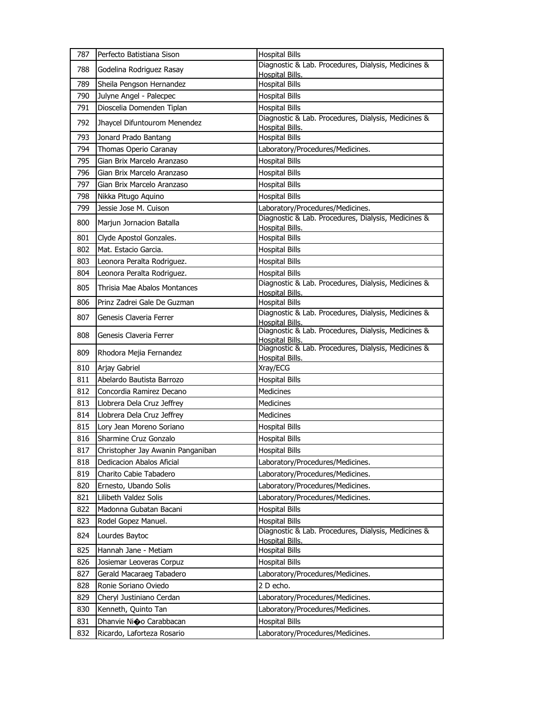| 787 | Perfecto Batistiana Sison         | <b>Hospital Bills</b>                                                         |
|-----|-----------------------------------|-------------------------------------------------------------------------------|
| 788 | Godelina Rodriguez Rasay          | Diagnostic & Lab. Procedures, Dialysis, Medicines &<br><b>Hospital Bills.</b> |
| 789 | Sheila Pengson Hernandez          | <b>Hospital Bills</b>                                                         |
| 790 | Julyne Angel - Palecpec           | <b>Hospital Bills</b>                                                         |
| 791 | Dioscelia Domenden Tiplan         | <b>Hospital Bills</b>                                                         |
| 792 | Jhaycel Difuntourom Menendez      | Diagnostic & Lab. Procedures, Dialysis, Medicines &<br><b>Hospital Bills.</b> |
| 793 | Jonard Prado Bantang              | <b>Hospital Bills</b>                                                         |
| 794 | Thomas Operio Caranay             | Laboratory/Procedures/Medicines.                                              |
| 795 | Gian Brix Marcelo Aranzaso        | <b>Hospital Bills</b>                                                         |
| 796 | Gian Brix Marcelo Aranzaso        | <b>Hospital Bills</b>                                                         |
| 797 | Gian Brix Marcelo Aranzaso        | <b>Hospital Bills</b>                                                         |
| 798 | Nikka Pitugo Aquino               | <b>Hospital Bills</b>                                                         |
| 799 | Jessie Jose M. Cuison             | Laboratory/Procedures/Medicines.                                              |
| 800 | Marjun Jornacion Batalla          | Diagnostic & Lab. Procedures, Dialysis, Medicines &<br>Hospital Bills.        |
| 801 | Clyde Apostol Gonzales.           | <b>Hospital Bills</b>                                                         |
| 802 | Mat. Estacio Garcia.              | <b>Hospital Bills</b>                                                         |
| 803 | Leonora Peralta Rodriguez.        | <b>Hospital Bills</b>                                                         |
| 804 | Leonora Peralta Rodriguez.        | <b>Hospital Bills</b>                                                         |
| 805 | Thrisia Mae Abalos Montances      | Diagnostic & Lab. Procedures, Dialysis, Medicines &<br>Hospital Bills.        |
| 806 | Prinz Zadrei Gale De Guzman       | <b>Hospital Bills</b>                                                         |
| 807 | Genesis Claveria Ferrer           | Diagnostic & Lab. Procedures, Dialysis, Medicines &<br>Hospital Bills.        |
| 808 | Genesis Claveria Ferrer           | Diagnostic & Lab. Procedures, Dialysis, Medicines &<br>Hospital Bills.        |
| 809 | Rhodora Mejia Fernandez           | Diagnostic & Lab. Procedures, Dialysis, Medicines &<br>Hospital Bills.        |
| 810 | Arjay Gabriel                     | Xray/ECG                                                                      |
| 811 | Abelardo Bautista Barrozo         | <b>Hospital Bills</b>                                                         |
| 812 | Concordia Ramirez Decano          | <b>Medicines</b>                                                              |
| 813 | Llobrera Dela Cruz Jeffrey        | <b>Medicines</b>                                                              |
| 814 | Llobrera Dela Cruz Jeffrey        | Medicines                                                                     |
| 815 | Lory Jean Moreno Soriano          | <b>Hospital Bills</b>                                                         |
| 816 | Sharmine Cruz Gonzalo             | <b>Hospital Bills</b>                                                         |
| 817 | Christopher Jay Awanin Panganiban | <b>Hospital Bills</b>                                                         |
| 818 | Dedicacion Abalos Aficial         | Laboratory/Procedures/Medicines.                                              |
| 819 | Charito Cabie Tabadero            | Laboratory/Procedures/Medicines.                                              |
| 820 | Ernesto, Ubando Solis             | Laboratory/Procedures/Medicines.                                              |
| 821 | Lilibeth Valdez Solis             | Laboratory/Procedures/Medicines.                                              |
| 822 | Madonna Gubatan Bacani            | <b>Hospital Bills</b>                                                         |
| 823 | Rodel Gopez Manuel.               | <b>Hospital Bills</b>                                                         |
| 824 | Lourdes Baytoc                    | Diagnostic & Lab. Procedures, Dialysis, Medicines &<br>Hospital Bills.        |
| 825 | Hannah Jane - Metiam              | <b>Hospital Bills</b>                                                         |
| 826 | Josiemar Leoveras Corpuz          | <b>Hospital Bills</b>                                                         |
| 827 | Gerald Macaraeg Tabadero          | Laboratory/Procedures/Medicines.                                              |
| 828 | Ronie Soriano Oviedo              | 2 D echo.                                                                     |
| 829 | Cheryl Justiniano Cerdan          | Laboratory/Procedures/Medicines.                                              |
| 830 | Kenneth, Quinto Tan               | Laboratory/Procedures/Medicines.                                              |
|     |                                   |                                                                               |
| 831 | Dhanvie Ni�o Carabbacan           | <b>Hospital Bills</b>                                                         |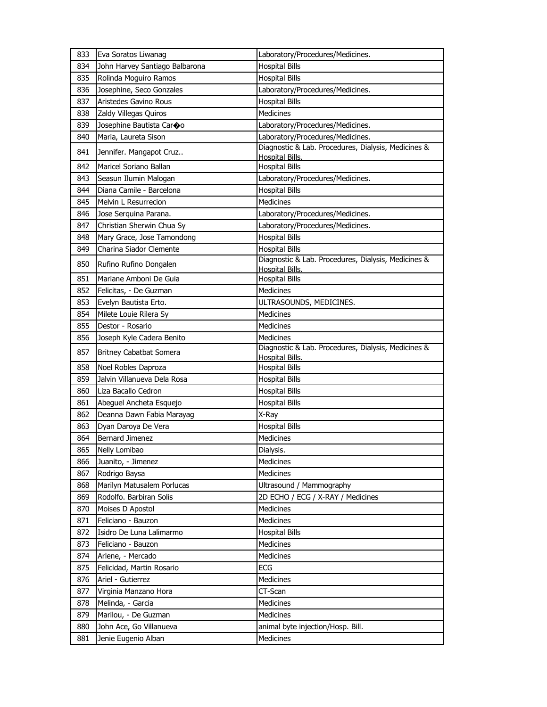| 833 | Eva Soratos Liwanag            | Laboratory/Procedures/Medicines.                                              |
|-----|--------------------------------|-------------------------------------------------------------------------------|
| 834 | John Harvey Santiago Balbarona | <b>Hospital Bills</b>                                                         |
| 835 | Rolinda Moguiro Ramos          | <b>Hospital Bills</b>                                                         |
| 836 | Josephine, Seco Gonzales       | Laboratory/Procedures/Medicines.                                              |
| 837 | Aristedes Gavino Rous          | <b>Hospital Bills</b>                                                         |
| 838 | Zaldy Villegas Quiros          | <b>Medicines</b>                                                              |
| 839 | Josephine Bautista Car�o       | Laboratory/Procedures/Medicines.                                              |
| 840 | Maria, Laureta Sison           | Laboratory/Procedures/Medicines.                                              |
| 841 | Jennifer. Mangapot Cruz        | Diagnostic & Lab. Procedures, Dialysis, Medicines &<br><b>Hospital Bills.</b> |
| 842 | Maricel Soriano Ballan         | <b>Hospital Bills</b>                                                         |
| 843 | Seasun Ilumin Malogan          | Laboratory/Procedures/Medicines.                                              |
| 844 | Diana Camile - Barcelona       | <b>Hospital Bills</b>                                                         |
| 845 | Melvin L Resurrecion           | <b>Medicines</b>                                                              |
| 846 | Jose Serquina Parana.          | Laboratory/Procedures/Medicines.                                              |
| 847 | Christian Sherwin Chua Sy      | Laboratory/Procedures/Medicines.                                              |
| 848 | Mary Grace, Jose Tamondong     | <b>Hospital Bills</b>                                                         |
| 849 | Charina Siador Clemente        | <b>Hospital Bills</b>                                                         |
| 850 | Rufino Rufino Dongalen         | Diagnostic & Lab. Procedures, Dialysis, Medicines &                           |
|     |                                | Hospital Bills.                                                               |
| 851 | Mariane Amboni De Guia         | <b>Hospital Bills</b>                                                         |
| 852 | Felicitas, - De Guzman         | <b>Medicines</b>                                                              |
| 853 | Evelyn Bautista Erto.          | ULTRASOUNDS, MEDICINES.                                                       |
| 854 | Milete Louie Rilera Sy         | <b>Medicines</b>                                                              |
| 855 | Destor - Rosario               | <b>Medicines</b>                                                              |
| 856 | Joseph Kyle Cadera Benito      | <b>Medicines</b>                                                              |
| 857 | <b>Britney Cabatbat Somera</b> | Diagnostic & Lab. Procedures, Dialysis, Medicines &<br>Hospital Bills.        |
| 858 | Noel Robles Daproza            | <b>Hospital Bills</b>                                                         |
| 859 | Jalvin Villanueva Dela Rosa    | <b>Hospital Bills</b>                                                         |
| 860 | Liza Bacallo Cedron            | <b>Hospital Bills</b>                                                         |
| 861 | Abeguel Ancheta Esquejo        | <b>Hospital Bills</b>                                                         |
| 862 | Deanna Dawn Fabia Marayag      | X-Ray                                                                         |
| 863 | Dyan Daroya De Vera            | <b>Hospital Bills</b>                                                         |
| 864 | Bernard Jimenez                | <b>Medicines</b>                                                              |
| 865 | Nelly Lomibao                  | Dialysis.                                                                     |
| 866 | Juanito, - Jimenez             | Medicines                                                                     |
| 867 | Rodrigo Baysa                  | Medicines                                                                     |
| 868 | Marilyn Matusalem Porlucas     | Ultrasound / Mammography                                                      |
| 869 | Rodolfo. Barbiran Solis        | 2D ECHO / ECG / X-RAY / Medicines                                             |
| 870 | Moises D Apostol               | Medicines                                                                     |
| 871 | Feliciano - Bauzon             | Medicines                                                                     |
| 872 | Isidro De Luna Lalimarmo       | <b>Hospital Bills</b>                                                         |
| 873 | Feliciano - Bauzon             | Medicines                                                                     |
| 874 | Arlene, - Mercado              | Medicines                                                                     |
| 875 | Felicidad, Martin Rosario      | ECG                                                                           |
| 876 | Ariel - Gutierrez              | Medicines                                                                     |
| 877 | Virginia Manzano Hora          | CT-Scan                                                                       |
| 878 | Melinda, - Garcia              | Medicines                                                                     |
| 879 | Marilou, - De Guzman           | Medicines                                                                     |
| 880 | John Ace, Go Villanueva        | animal byte injection/Hosp. Bill.                                             |
| 881 | Jenie Eugenio Alban            | Medicines                                                                     |
|     |                                |                                                                               |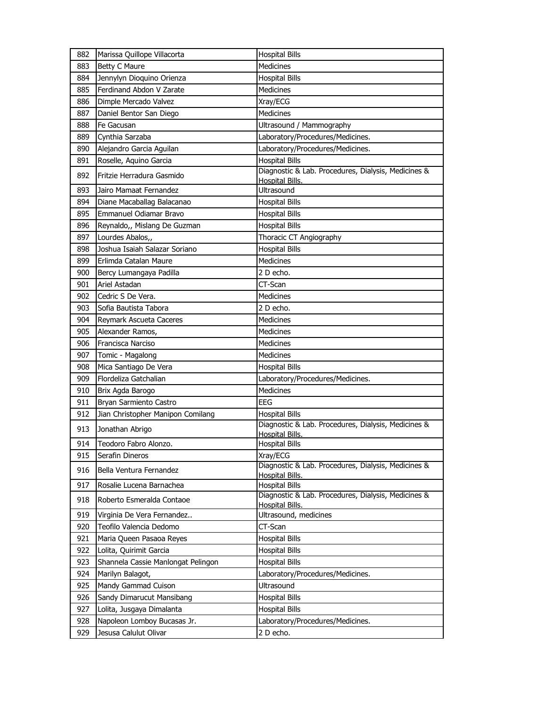| 882        | Marissa Quillope Villacorta                            | <b>Hospital Bills</b>                                                         |
|------------|--------------------------------------------------------|-------------------------------------------------------------------------------|
| 883        | <b>Betty C Maure</b>                                   | Medicines                                                                     |
| 884        | Jennylyn Dioquino Orienza                              | <b>Hospital Bills</b>                                                         |
| 885        | Ferdinand Abdon V Zarate                               | <b>Medicines</b>                                                              |
| 886        | Dimple Mercado Valvez                                  | Xray/ECG                                                                      |
| 887        | Daniel Bentor San Diego                                | <b>Medicines</b>                                                              |
| 888        | Fe Gacusan                                             | Ultrasound / Mammography                                                      |
| 889        | Cynthia Sarzaba                                        | Laboratory/Procedures/Medicines.                                              |
| 890        | Alejandro Garcia Aguilan                               | Laboratory/Procedures/Medicines.                                              |
| 891        | Roselle, Aquino Garcia                                 | <b>Hospital Bills</b>                                                         |
| 892        | Fritzie Herradura Gasmido                              | Diagnostic & Lab. Procedures, Dialysis, Medicines &<br>Hospital Bills.        |
| 893        | Jairo Mamaat Fernandez                                 | <b>Ultrasound</b>                                                             |
| 894        | Diane Macaballag Balacanao                             | <b>Hospital Bills</b>                                                         |
| 895        | Emmanuel Odiamar Bravo                                 | <b>Hospital Bills</b>                                                         |
| 896        | Reynaldo,, Mislang De Guzman                           | <b>Hospital Bills</b>                                                         |
| 897        | Lourdes Abalos,,                                       | Thoracic CT Angiography                                                       |
| 898        | Joshua Isaiah Salazar Soriano                          | <b>Hospital Bills</b>                                                         |
| 899        | Erlimda Catalan Maure                                  | <b>Medicines</b>                                                              |
| 900        | Bercy Lumangaya Padilla                                | 2 D echo.                                                                     |
| 901        | Ariel Astadan                                          | CT-Scan                                                                       |
| 902        | Cedric S De Vera.                                      | <b>Medicines</b>                                                              |
| 903        | Sofia Bautista Tabora                                  | 2 D echo.                                                                     |
| 904        | Reymark Ascueta Caceres                                | <b>Medicines</b>                                                              |
| 905        | Alexander Ramos,                                       | <b>Medicines</b>                                                              |
| 906        | Francisca Narciso                                      | <b>Medicines</b>                                                              |
| 907        | Tomic - Magalong                                       | <b>Medicines</b>                                                              |
| 908        | Mica Santiago De Vera                                  | <b>Hospital Bills</b>                                                         |
| 909        | Flordeliza Gatchalian                                  | Laboratory/Procedures/Medicines.                                              |
| 910        | Brix Agda Barogo                                       | <b>Medicines</b>                                                              |
| 911        | Bryan Sarmiento Castro                                 | EEG                                                                           |
| 912        | Jian Christopher Manipon Comilang                      | <b>Hospital Bills</b>                                                         |
| 913        | Jonathan Abrigo                                        | Diagnostic & Lab. Procedures, Dialysis, Medicines &<br><b>Hospital Bills.</b> |
| 914        | Teodoro Fabro Alonzo.                                  | <b>Hospital Bills</b>                                                         |
| 915        | Serafin Dineros                                        | Xray/ECG                                                                      |
| 916        | Bella Ventura Fernandez                                | Diagnostic & Lab. Procedures, Dialysis, Medicines &<br>Hospital Bills.        |
| 917        |                                                        |                                                                               |
|            | Rosalie Lucena Barnachea                               |                                                                               |
| 918        | Roberto Esmeralda Contaoe                              | <b>Hospital Bills</b><br>Diagnostic & Lab. Procedures, Dialysis, Medicines &  |
| 919        |                                                        | Hospital Bills.                                                               |
| 920        | Virginia De Vera Fernandez<br>Teofilo Valencia Dedomo  | Ultrasound, medicines<br>CT-Scan                                              |
|            |                                                        |                                                                               |
| 921        | Maria Queen Pasaoa Reyes                               | <b>Hospital Bills</b>                                                         |
| 922<br>923 | Lolita, Quirimit Garcia                                | <b>Hospital Bills</b>                                                         |
| 924        | Shannela Cassie Manlongat Pelingon<br>Marilyn Balagot, | <b>Hospital Bills</b><br>Laboratory/Procedures/Medicines.                     |
| 925        | Mandy Gammad Cuison                                    | <b>Ultrasound</b>                                                             |
|            |                                                        |                                                                               |
| 926        | Sandy Dimarucut Mansibang                              | <b>Hospital Bills</b><br><b>Hospital Bills</b>                                |
| 927        | Lolita, Jusgaya Dimalanta                              |                                                                               |
| 928<br>929 | Napoleon Lomboy Bucasas Jr.<br>Jesusa Calulut Olivar   | Laboratory/Procedures/Medicines.<br>2 D echo.                                 |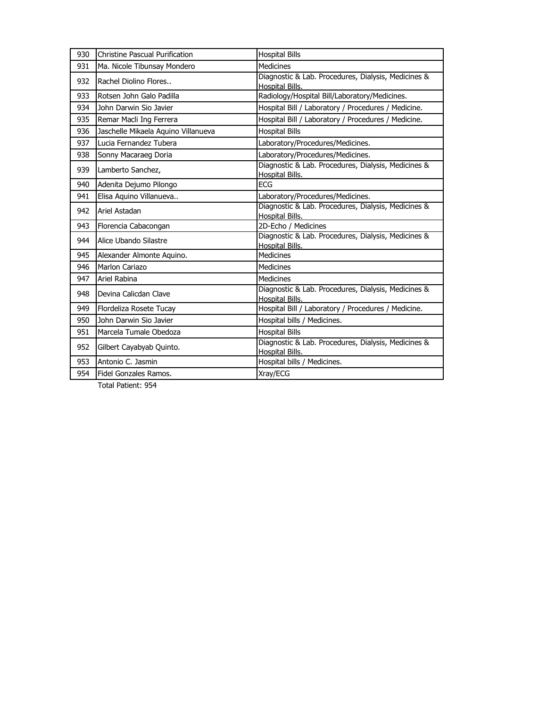| 930 | <b>Christine Pascual Purification</b> | <b>Hospital Bills</b>                                                         |
|-----|---------------------------------------|-------------------------------------------------------------------------------|
| 931 | Ma. Nicole Tibunsay Mondero           | <b>Medicines</b>                                                              |
| 932 | Rachel Diolino Flores                 | Diagnostic & Lab. Procedures, Dialysis, Medicines &<br>Hospital Bills.        |
| 933 | Rotsen John Galo Padilla              | Radiology/Hospital Bill/Laboratory/Medicines.                                 |
| 934 | John Darwin Sio Javier                | Hospital Bill / Laboratory / Procedures / Medicine.                           |
| 935 | Remar Macli Ing Ferrera               | Hospital Bill / Laboratory / Procedures / Medicine.                           |
| 936 | Jaschelle Mikaela Aquino Villanueva   | <b>Hospital Bills</b>                                                         |
| 937 | Lucia Fernandez Tubera                | Laboratory/Procedures/Medicines.                                              |
| 938 | Sonny Macaraeg Doria                  | Laboratory/Procedures/Medicines.                                              |
| 939 | Lamberto Sanchez,                     | Diagnostic & Lab. Procedures, Dialysis, Medicines &<br><b>Hospital Bills.</b> |
| 940 | Adenita Dejumo Pilongo                | <b>ECG</b>                                                                    |
| 941 | Elisa Aquino Villanueva               | Laboratory/Procedures/Medicines.                                              |
| 942 | Ariel Astadan                         | Diagnostic & Lab. Procedures, Dialysis, Medicines &<br><b>Hospital Bills.</b> |
| 943 | Florencia Cabacongan                  | 2D-Echo / Medicines                                                           |
| 944 | Alice Ubando Silastre                 | Diagnostic & Lab. Procedures, Dialysis, Medicines &<br>Hospital Bills.        |
| 945 | Alexander Almonte Aquino.             | <b>Medicines</b>                                                              |
| 946 | Marlon Cariazo                        | <b>Medicines</b>                                                              |
| 947 | Ariel Rabina                          | Medicines                                                                     |
| 948 | Devina Calicdan Clave                 | Diagnostic & Lab. Procedures, Dialysis, Medicines &<br>Hospital Bills.        |
| 949 | Flordeliza Rosete Tucay               | Hospital Bill / Laboratory / Procedures / Medicine.                           |
| 950 | John Darwin Sio Javier                | Hospital bills / Medicines.                                                   |
| 951 | Marcela Tumale Obedoza                | <b>Hospital Bills</b>                                                         |
| 952 | Gilbert Cayabyab Quinto.              | Diagnostic & Lab. Procedures, Dialysis, Medicines &<br><b>Hospital Bills.</b> |
| 953 | Antonio C. Jasmin                     | Hospital bills / Medicines.                                                   |
| 954 | Fidel Gonzales Ramos.                 | Xray/ECG                                                                      |

Total Patient: 954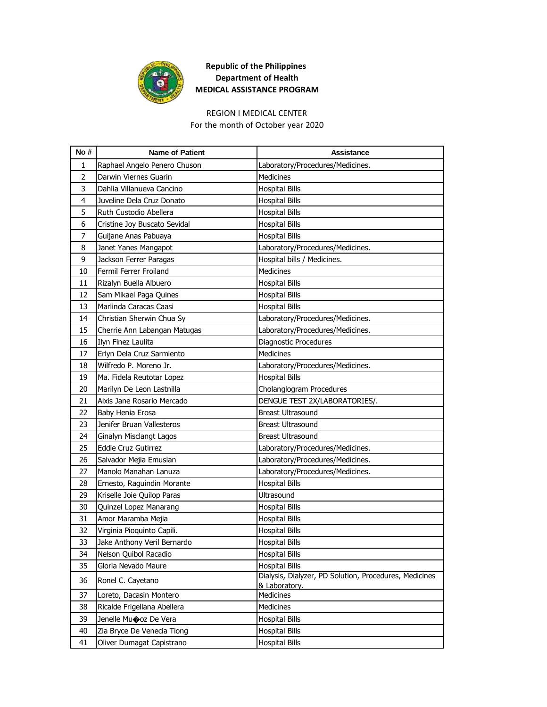

## **Republic of the Philippines Department of Health MEDICAL ASSISTANCE PROGRAM**

## REGION I MEDICAL CENTER

For the month of October year 2020

| No#            | <b>Name of Patient</b>       | <b>Assistance</b>                                                       |
|----------------|------------------------------|-------------------------------------------------------------------------|
| 1              | Raphael Angelo Penero Chuson | Laboratory/Procedures/Medicines.                                        |
| $\overline{2}$ | Darwin Viernes Guarin        | Medicines                                                               |
| 3              | Dahlia Villanueva Cancino    | <b>Hospital Bills</b>                                                   |
| 4              | Juveline Dela Cruz Donato    | <b>Hospital Bills</b>                                                   |
| 5              | Ruth Custodio Abellera       | <b>Hospital Bills</b>                                                   |
| 6              | Cristine Joy Buscato Sevidal | <b>Hospital Bills</b>                                                   |
| 7              | Guijane Anas Pabuaya         | <b>Hospital Bills</b>                                                   |
| 8              | Janet Yanes Mangapot         | Laboratory/Procedures/Medicines.                                        |
| 9              | Jackson Ferrer Paragas       | Hospital bills / Medicines.                                             |
| 10             | Fermil Ferrer Froiland       | Medicines                                                               |
| 11             | Rizalyn Buella Albuero       | <b>Hospital Bills</b>                                                   |
| 12             | Sam Mikael Paga Quines       | <b>Hospital Bills</b>                                                   |
| 13             | Marlinda Caracas Caasi       | <b>Hospital Bills</b>                                                   |
| 14             | Christian Sherwin Chua Sy    | Laboratory/Procedures/Medicines.                                        |
| 15             | Cherrie Ann Labangan Matugas | Laboratory/Procedures/Medicines.                                        |
| 16             | Ilyn Finez Laulita           | Diagnostic Procedures                                                   |
| 17             | Erlyn Dela Cruz Sarmiento    | Medicines                                                               |
| 18             | Wilfredo P. Moreno Jr.       | Laboratory/Procedures/Medicines.                                        |
| 19             | Ma. Fidela Reutotar Lopez    | <b>Hospital Bills</b>                                                   |
| 20             | Marilyn De Leon Lastnilla    | Cholanglogram Procedures                                                |
| 21             | Alxis Jane Rosario Mercado   | DENGUE TEST 2X/LABORATORIES/.                                           |
| 22             | Baby Henia Erosa             | <b>Breast Ultrasound</b>                                                |
| 23             | Jenifer Bruan Vallesteros    | <b>Breast Ultrasound</b>                                                |
| 24             | Ginalyn Misclangt Lagos      | <b>Breast Ultrasound</b>                                                |
| 25             | <b>Eddie Cruz Gutirrez</b>   | Laboratory/Procedures/Medicines.                                        |
| 26             | Salvador Mejia Emuslan       | Laboratory/Procedures/Medicines.                                        |
| 27             | Manolo Manahan Lanuza        | Laboratory/Procedures/Medicines.                                        |
| 28             | Ernesto, Raguindin Morante   | Hospital Bills                                                          |
| 29             | Kriselle Joie Quilop Paras   | Ultrasound                                                              |
| 30             | Quinzel Lopez Manarang       | <b>Hospital Bills</b>                                                   |
| 31             | Amor Maramba Mejia           | Hospital Bills                                                          |
| 32             | Virginia Pioquinto Capili.   | <b>Hospital Bills</b>                                                   |
| 33             | Jake Anthony Veril Bernardo  | <b>Hospital Bills</b>                                                   |
| 34             | Nelson Quibol Racadio        | <b>Hospital Bills</b>                                                   |
| 35             | Gloria Nevado Maure          | <b>Hospital Bills</b>                                                   |
| 36             | Ronel C. Cayetano            | Dialysis, Dialyzer, PD Solution, Procedures, Medicines<br>& Laboratory. |
| 37             | Loreto, Dacasin Montero      | Medicines                                                               |
| 38             | Ricalde Frigellana Abellera  | Medicines                                                               |
| 39             | Jenelle Muooz De Vera        | <b>Hospital Bills</b>                                                   |
| 40             | Zia Bryce De Venecia Tiong   | <b>Hospital Bills</b>                                                   |
| 41             | Oliver Dumagat Capistrano    | <b>Hospital Bills</b>                                                   |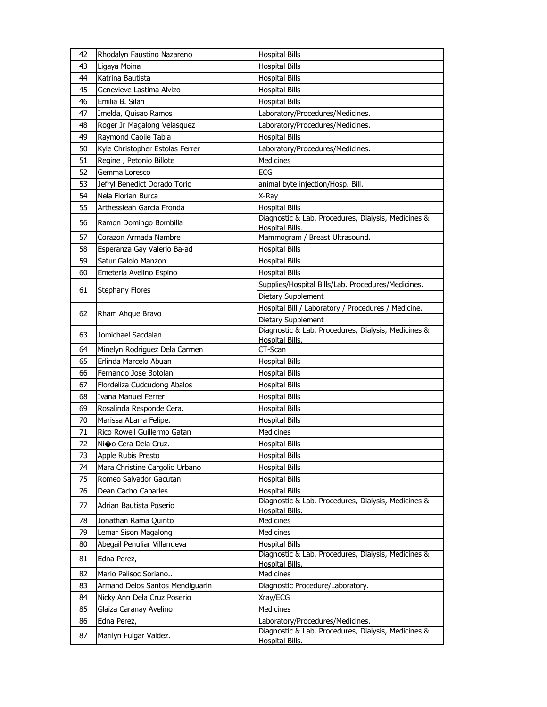| 42 | Rhodalyn Faustino Nazareno      | <b>Hospital Bills</b>                                                        |
|----|---------------------------------|------------------------------------------------------------------------------|
| 43 | Ligaya Moina                    | <b>Hospital Bills</b>                                                        |
| 44 | Katrina Bautista                | <b>Hospital Bills</b>                                                        |
| 45 | Genevieve Lastima Alvizo        | <b>Hospital Bills</b>                                                        |
| 46 | Emilia B. Silan                 | <b>Hospital Bills</b>                                                        |
| 47 | Imelda, Quisao Ramos            | Laboratory/Procedures/Medicines.                                             |
| 48 | Roger Jr Magalong Velasquez     | Laboratory/Procedures/Medicines.                                             |
| 49 | Raymond Caoile Tabia            | <b>Hospital Bills</b>                                                        |
| 50 | Kyle Christopher Estolas Ferrer | Laboratory/Procedures/Medicines.                                             |
| 51 | Regine, Petonio Billote         | Medicines                                                                    |
| 52 | Gemma Loresco                   | ECG                                                                          |
| 53 | Jefryl Benedict Dorado Torio    | animal byte injection/Hosp. Bill.                                            |
| 54 | Nela Florian Burca              | X-Ray                                                                        |
| 55 | Arthessieah Garcia Fronda       | <b>Hospital Bills</b>                                                        |
| 56 | Ramon Domingo Bombilla          | Diagnostic & Lab. Procedures, Dialysis, Medicines &<br>Hospital Bills.       |
| 57 | Corazon Armada Nambre           | Mammogram / Breast Ultrasound.                                               |
| 58 | Esperanza Gay Valerio Ba-ad     | <b>Hospital Bills</b>                                                        |
| 59 | Satur Galolo Manzon             | <b>Hospital Bills</b>                                                        |
| 60 | Emeteria Avelino Espino         | <b>Hospital Bills</b>                                                        |
|    |                                 | Supplies/Hospital Bills/Lab. Procedures/Medicines.                           |
| 61 | <b>Stephany Flores</b>          | Dietary Supplement                                                           |
|    |                                 | Hospital Bill / Laboratory / Procedures / Medicine.                          |
| 62 | Rham Ahque Bravo                | Dietary Supplement                                                           |
| 63 | Jomichael Sacdalan              | Diagnostic & Lab. Procedures, Dialysis, Medicines &                          |
|    |                                 | Hospital Bills.                                                              |
| 64 | Minelyn Rodriguez Dela Carmen   | CT-Scan                                                                      |
| 65 | Erlinda Marcelo Abuan           | <b>Hospital Bills</b>                                                        |
| 66 | Fernando Jose Botolan           | <b>Hospital Bills</b>                                                        |
| 67 | Flordeliza Cudcudong Abalos     | <b>Hospital Bills</b>                                                        |
| 68 | <b>Ivana Manuel Ferrer</b>      | <b>Hospital Bills</b>                                                        |
| 69 | Rosalinda Responde Cera.        | <b>Hospital Bills</b>                                                        |
| 70 | Marissa Abarra Felipe.          | <b>Hospital Bills</b><br>Medicines                                           |
| 71 | Rico Rowell Guillermo Gatan     |                                                                              |
| 72 | Nio Cera Dela Cruz.             | <b>Hospital Bills</b>                                                        |
| 73 | Apple Rubis Presto              | <b>Hospital Bills</b>                                                        |
| 74 | Mara Christine Cargolio Urbano  | <b>Hospital Bills</b>                                                        |
| 75 | Romeo Salvador Gacutan          | <b>Hospital Bills</b>                                                        |
| 76 | Dean Cacho Cabarles             | <b>Hospital Bills</b><br>Diagnostic & Lab. Procedures, Dialysis, Medicines & |
| 77 | Adrian Bautista Poserio         | Hospital Bills.                                                              |
| 78 | Jonathan Rama Quinto            | Medicines                                                                    |
| 79 | Lemar Sison Magalong            | <b>Medicines</b>                                                             |
| 80 | Abegail Penuliar Villanueva     | <b>Hospital Bills</b>                                                        |
| 81 | Edna Perez,                     | Diagnostic & Lab. Procedures, Dialysis, Medicines &<br>Hospital Bills.       |
| 82 | Mario Palisoc Soriano           | Medicines                                                                    |
| 83 | Armand Delos Santos Mendiguarin | Diagnostic Procedure/Laboratory.                                             |
| 84 | Nicky Ann Dela Cruz Poserio     | Xray/ECG                                                                     |
| 85 | Glaiza Caranay Avelino          | Medicines                                                                    |
| 86 | Edna Perez,                     | Laboratory/Procedures/Medicines.                                             |
| 87 | Marilyn Fulgar Valdez.          | Diagnostic & Lab. Procedures, Dialysis, Medicines &<br>Hospital Bills.       |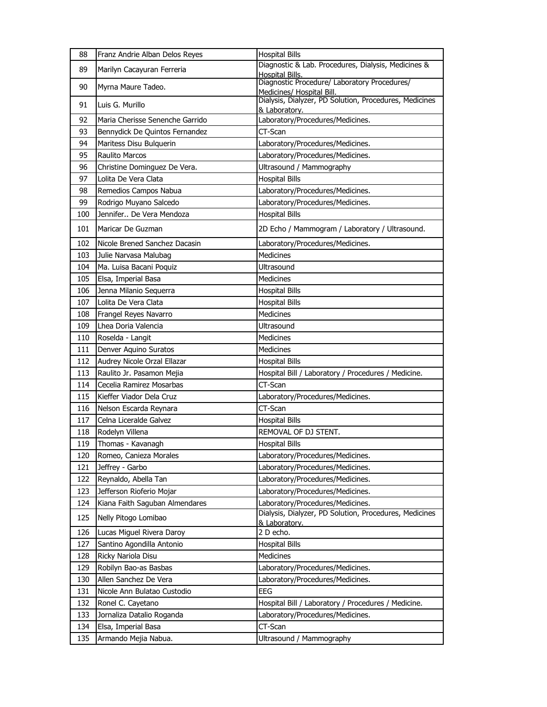| 88  | Franz Andrie Alban Delos Reyes  | <b>Hospital Bills</b>                                                     |
|-----|---------------------------------|---------------------------------------------------------------------------|
| 89  | Marilyn Cacayuran Ferreria      | Diagnostic & Lab. Procedures, Dialysis, Medicines &<br>Hospital Bills.    |
| 90  | Myrna Maure Tadeo.              | Diagnostic Procedure/ Laboratory Procedures/<br>Medicines/ Hospital Bill. |
| 91  | Luis G. Murillo                 | Dialysis, Dialyzer, PD Solution, Procedures, Medicines<br>& Laboratory.   |
| 92  | Maria Cherisse Senenche Garrido | Laboratory/Procedures/Medicines.                                          |
| 93  | Bennydick De Quintos Fernandez  | CT-Scan                                                                   |
| 94  | Maritess Disu Bulguerin         | Laboratory/Procedures/Medicines.                                          |
| 95  | <b>Raulito Marcos</b>           | Laboratory/Procedures/Medicines.                                          |
| 96  | Christine Dominguez De Vera.    | Ultrasound / Mammography                                                  |
| 97  | Lolita De Vera Clata            | <b>Hospital Bills</b>                                                     |
| 98  | Remedios Campos Nabua           | Laboratory/Procedures/Medicines.                                          |
| 99  | Rodrigo Muyano Salcedo          | Laboratory/Procedures/Medicines.                                          |
| 100 | Jennifer De Vera Mendoza        | <b>Hospital Bills</b>                                                     |
| 101 | Maricar De Guzman               | 2D Echo / Mammogram / Laboratory / Ultrasound.                            |
| 102 | Nicole Brened Sanchez Dacasin   | Laboratory/Procedures/Medicines.                                          |
| 103 | Julie Narvasa Malubag           | <b>Medicines</b>                                                          |
| 104 | Ma. Luisa Bacani Poquiz         | <b>Ultrasound</b>                                                         |
| 105 | Elsa, Imperial Basa             | <b>Medicines</b>                                                          |
| 106 | Jenna Milanio Seguerra          | <b>Hospital Bills</b>                                                     |
| 107 | Lolita De Vera Clata            | <b>Hospital Bills</b>                                                     |
| 108 | Frangel Reyes Navarro           | <b>Medicines</b>                                                          |
| 109 | Lhea Doria Valencia             | Ultrasound                                                                |
| 110 | Roselda - Langit                | Medicines                                                                 |
| 111 | Denver Aquino Suratos           | <b>Medicines</b>                                                          |
| 112 | Audrey Nicole Orzal Ellazar     | <b>Hospital Bills</b>                                                     |
| 113 | Raulito Jr. Pasamon Mejia       | Hospital Bill / Laboratory / Procedures / Medicine.                       |
| 114 | Cecelia Ramirez Mosarbas        | CT-Scan                                                                   |
| 115 | Kieffer Viador Dela Cruz        | Laboratory/Procedures/Medicines.                                          |
| 116 | Nelson Escarda Reynara          | CT-Scan                                                                   |
| 117 | Celna Liceralde Galvez          | <b>Hospital Bills</b>                                                     |
| 118 | Rodelyn Villena                 | REMOVAL OF DJ STENT.                                                      |
| 119 | Thomas - Kavanagh               | <b>Hospital Bills</b>                                                     |
| 120 | Romeo, Canieza Morales          | Laboratory/Procedures/Medicines.                                          |
| 121 | Jeffrey - Garbo                 | Laboratory/Procedures/Medicines.                                          |
| 122 | Reynaldo, Abella Tan            | Laboratory/Procedures/Medicines.                                          |
| 123 | Jefferson Rioferio Mojar        | Laboratory/Procedures/Medicines.                                          |
| 124 | Kiana Faith Saguban Almendares  | Laboratory/Procedures/Medicines.                                          |
| 125 | Nelly Pitogo Lomibao            | Dialysis, Dialyzer, PD Solution, Procedures, Medicines<br>& Laboratory.   |
| 126 | Lucas Miguel Rivera Daroy       | 2 D echo.                                                                 |
| 127 | Santino Agondilla Antonio       | <b>Hospital Bills</b>                                                     |
| 128 | Ricky Nariola Disu              | Medicines                                                                 |
| 129 | Robilyn Bao-as Basbas           | Laboratory/Procedures/Medicines.                                          |
| 130 | Allen Sanchez De Vera           | Laboratory/Procedures/Medicines.                                          |
| 131 | Nicole Ann Bulatao Custodio     | EEG                                                                       |
| 132 | Ronel C. Cayetano               | Hospital Bill / Laboratory / Procedures / Medicine.                       |
| 133 | Jornaliza Datalio Roganda       | Laboratory/Procedures/Medicines.                                          |
| 134 | Elsa, Imperial Basa             | CT-Scan                                                                   |
| 135 | Armando Mejia Nabua.            | Ultrasound / Mammography                                                  |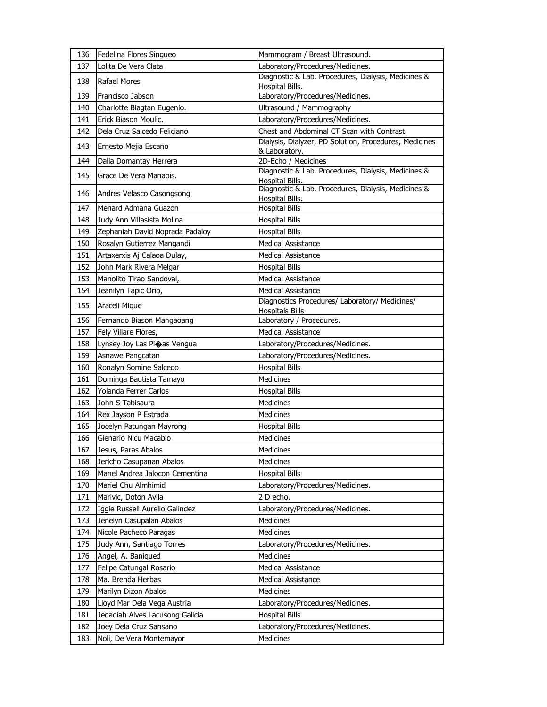| 136 | Fedelina Flores Singueo         | Mammogram / Breast Ultrasound.                                                |
|-----|---------------------------------|-------------------------------------------------------------------------------|
| 137 | Lolita De Vera Clata            | Laboratory/Procedures/Medicines.                                              |
| 138 | Rafael Mores                    | Diagnostic & Lab. Procedures, Dialysis, Medicines &<br><b>Hospital Bills.</b> |
| 139 | Francisco Jabson                | Laboratory/Procedures/Medicines.                                              |
| 140 | Charlotte Biagtan Eugenio.      | Ultrasound / Mammography                                                      |
| 141 | Erick Biason Moulic.            | Laboratory/Procedures/Medicines.                                              |
| 142 | Dela Cruz Salcedo Feliciano     | Chest and Abdominal CT Scan with Contrast.                                    |
| 143 | Ernesto Mejia Escano            | Dialysis, Dialyzer, PD Solution, Procedures, Medicines<br>& Laboratory.       |
| 144 | Dalia Domantay Herrera          | 2D-Echo / Medicines                                                           |
| 145 | Grace De Vera Manaois.          | Diagnostic & Lab. Procedures, Dialysis, Medicines &<br>Hospital Bills.        |
| 146 | Andres Velasco Casongsong       | Diagnostic & Lab. Procedures, Dialysis, Medicines &<br><b>Hospital Bills.</b> |
| 147 | Menard Admana Guazon            | <b>Hospital Bills</b>                                                         |
| 148 | Judy Ann Villasista Molina      | <b>Hospital Bills</b>                                                         |
| 149 | Zephaniah David Noprada Padaloy | <b>Hospital Bills</b>                                                         |
| 150 | Rosalyn Gutierrez Mangandi      | <b>Medical Assistance</b>                                                     |
| 151 | Artaxerxis Aj Calaoa Dulay,     | <b>Medical Assistance</b>                                                     |
| 152 | John Mark Rivera Melgar         | <b>Hospital Bills</b>                                                         |
| 153 | Manolito Tirao Sandoval,        | <b>Medical Assistance</b>                                                     |
| 154 | Jeanilyn Tapic Orio,            | <b>Medical Assistance</b>                                                     |
| 155 | Araceli Mique                   | Diagnostics Procedures/ Laboratory/ Medicines/<br><b>Hospitals Bills</b>      |
| 156 | Fernando Biason Mangaoang       | Laboratory / Procedures.                                                      |
| 157 | Fely Villare Flores,            | <b>Medical Assistance</b>                                                     |
| 158 | Lynsey Joy Las Pioas Vengua     | Laboratory/Procedures/Medicines.                                              |
| 159 | Asnawe Pangcatan                | Laboratory/Procedures/Medicines.                                              |
| 160 | Ronalyn Somine Salcedo          | <b>Hospital Bills</b>                                                         |
| 161 | Dominga Bautista Tamayo         | Medicines                                                                     |
| 162 | Yolanda Ferrer Carlos           | <b>Hospital Bills</b>                                                         |
| 163 | John S Tabisaura                | Medicines                                                                     |
| 164 | Rex Jayson P Estrada            | Medicines                                                                     |
| 165 | Jocelyn Patungan Mayrong        | <b>Hospital Bills</b>                                                         |
| 166 | Gienario Nicu Macabio           | Medicines                                                                     |
| 167 | Jesus, Paras Abalos             | Medicines                                                                     |
| 168 | Jericho Casupanan Abalos        | Medicines                                                                     |
| 169 | Manel Andrea Jalocon Cementina  | <b>Hospital Bills</b>                                                         |
| 170 | Mariel Chu Almhimid             | Laboratory/Procedures/Medicines.                                              |
| 171 | Marivic, Doton Avila            | 2 D echo.                                                                     |
| 172 | Iggie Russell Aurelio Galindez  | Laboratory/Procedures/Medicines.                                              |
| 173 | Jenelyn Casupalan Abalos        | Medicines                                                                     |
| 174 | Nicole Pacheco Paragas          | Medicines                                                                     |
| 175 | Judy Ann, Santiago Torres       | Laboratory/Procedures/Medicines.                                              |
| 176 | Angel, A. Baniqued              | <b>Medicines</b>                                                              |
| 177 | Felipe Catungal Rosario         | Medical Assistance                                                            |
| 178 | Ma. Brenda Herbas               | <b>Medical Assistance</b>                                                     |
| 179 | Marilyn Dizon Abalos            | Medicines                                                                     |
| 180 | Lloyd Mar Dela Vega Austria     | Laboratory/Procedures/Medicines.                                              |
|     |                                 |                                                                               |
| 181 | Jedadiah Alves Lacusong Galicia | <b>Hospital Bills</b>                                                         |
| 182 | Joey Dela Cruz Sansano          | Laboratory/Procedures/Medicines.                                              |
| 183 | Noli, De Vera Montemayor        | Medicines                                                                     |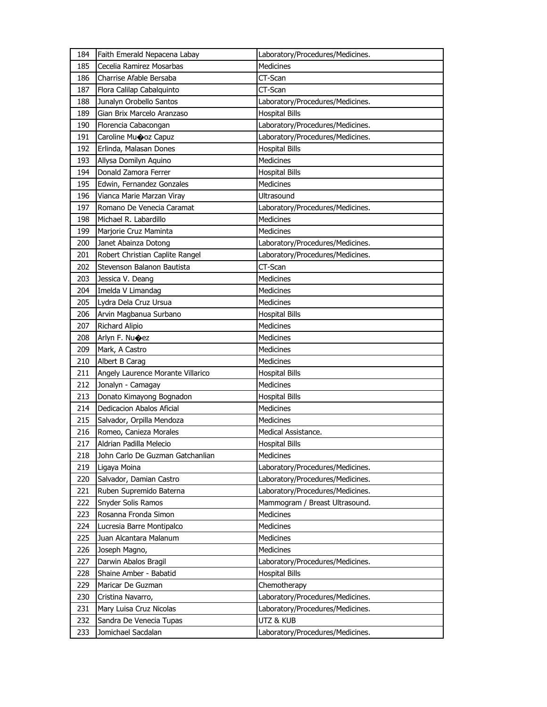| 184 | Faith Emerald Nepacena Labay      | Laboratory/Procedures/Medicines. |
|-----|-----------------------------------|----------------------------------|
| 185 | Cecelia Ramirez Mosarbas          | <b>Medicines</b>                 |
| 186 | Charrise Afable Bersaba           | CT-Scan                          |
| 187 | Flora Calilap Cabalquinto         | CT-Scan                          |
| 188 | Junalyn Orobello Santos           | Laboratory/Procedures/Medicines. |
| 189 | Gian Brix Marcelo Aranzaso        | <b>Hospital Bills</b>            |
| 190 | Florencia Cabacongan              | Laboratory/Procedures/Medicines. |
| 191 | Caroline Mu $\bigcirc$ oz Capuz   | Laboratory/Procedures/Medicines. |
| 192 | Erlinda, Malasan Dones            | <b>Hospital Bills</b>            |
| 193 | Allysa Domilyn Aquino             | Medicines                        |
| 194 | Donald Zamora Ferrer              | <b>Hospital Bills</b>            |
| 195 | Edwin, Fernandez Gonzales         | Medicines                        |
| 196 | Vianca Marie Marzan Viray         | Ultrasound                       |
| 197 | Romano De Venecia Caramat         | Laboratory/Procedures/Medicines. |
| 198 | Michael R. Labardillo             | <b>Medicines</b>                 |
| 199 | Marjorie Cruz Maminta             | <b>Medicines</b>                 |
| 200 | Janet Abainza Dotong              | Laboratory/Procedures/Medicines. |
| 201 | Robert Christian Caplite Rangel   | Laboratory/Procedures/Medicines. |
| 202 | Stevenson Balanon Bautista        | CT-Scan                          |
| 203 | Jessica V. Deang                  | <b>Medicines</b>                 |
| 204 | Imelda V Limandag                 | Medicines                        |
| 205 | Lydra Dela Cruz Ursua             | Medicines                        |
| 206 | Arvin Magbanua Surbano            | <b>Hospital Bills</b>            |
| 207 | Richard Alipio                    | <b>Medicines</b>                 |
| 208 | Arlyn F. Nu $\bigcirc$ ez         | Medicines                        |
|     |                                   |                                  |
| 209 | Mark, A Castro                    | Medicines                        |
| 210 | Albert B Carag                    | Medicines                        |
| 211 | Angely Laurence Morante Villarico | <b>Hospital Bills</b>            |
| 212 | Jonalyn - Camagay                 | Medicines                        |
| 213 | Donato Kimayong Bognadon          | <b>Hospital Bills</b>            |
| 214 | Dedicacion Abalos Aficial         | Medicines                        |
| 215 | Salvador, Orpilla Mendoza         | Medicines                        |
| 216 | Romeo, Canieza Morales            | Medical Assistance.              |
| 217 | Aldrian Padilla Melecio           | <b>Hospital Bills</b>            |
| 218 | John Carlo De Guzman Gatchanlian  | Medicines                        |
| 219 | Ligaya Moina                      | Laboratory/Procedures/Medicines. |
| 220 | Salvador, Damian Castro           | Laboratory/Procedures/Medicines. |
| 221 | Ruben Supremido Baterna           | Laboratory/Procedures/Medicines. |
| 222 | Snyder Solis Ramos                | Mammogram / Breast Ultrasound.   |
| 223 | Rosanna Fronda Simon              | Medicines                        |
| 224 | Lucresia Barre Montipalco         | Medicines                        |
| 225 | Juan Alcantara Malanum            | Medicines                        |
| 226 | Joseph Magno,                     | Medicines                        |
| 227 | Darwin Abalos Bragil              | Laboratory/Procedures/Medicines. |
| 228 | Shaine Amber - Babatid            | <b>Hospital Bills</b>            |
| 229 | Maricar De Guzman                 | Chemotherapy                     |
| 230 | Cristina Navarro,                 | Laboratory/Procedures/Medicines. |
| 231 | Mary Luisa Cruz Nicolas           | Laboratory/Procedures/Medicines. |
| 232 | Sandra De Venecia Tupas           | UTZ & KUB                        |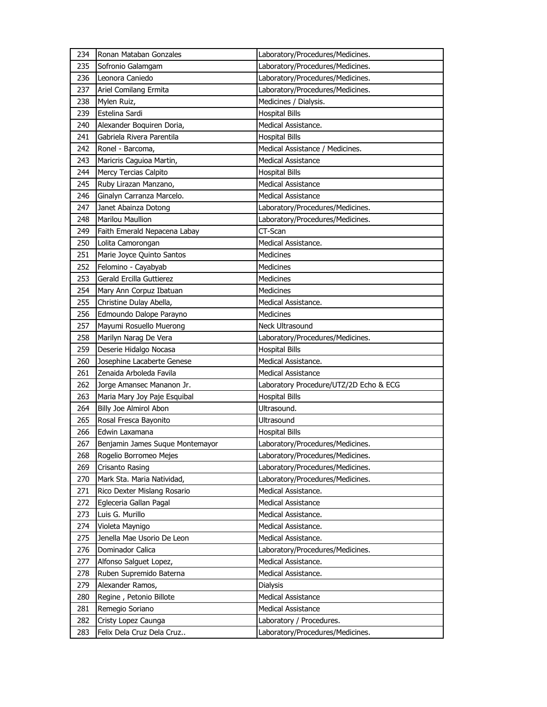| 234 | Ronan Mataban Gonzales          | Laboratory/Procedures/Medicines.       |
|-----|---------------------------------|----------------------------------------|
| 235 | Sofronio Galamgam               | Laboratory/Procedures/Medicines.       |
| 236 | Leonora Caniedo                 | Laboratory/Procedures/Medicines.       |
| 237 | Ariel Comilang Ermita           | Laboratory/Procedures/Medicines.       |
| 238 | Mylen Ruiz,                     | Medicines / Dialysis.                  |
| 239 | Estelina Sardi                  | <b>Hospital Bills</b>                  |
| 240 | Alexander Boquiren Doria,       | Medical Assistance.                    |
| 241 | Gabriela Rivera Parentila       | <b>Hospital Bills</b>                  |
| 242 | Ronel - Barcoma,                | Medical Assistance / Medicines.        |
| 243 | Maricris Caguioa Martin,        | <b>Medical Assistance</b>              |
| 244 | Mercy Tercias Calpito           | <b>Hospital Bills</b>                  |
| 245 | Ruby Lirazan Manzano,           | <b>Medical Assistance</b>              |
| 246 | Ginalyn Carranza Marcelo.       | <b>Medical Assistance</b>              |
| 247 | Janet Abainza Dotong            | Laboratory/Procedures/Medicines.       |
| 248 | <b>Marilou Maullion</b>         | Laboratory/Procedures/Medicines.       |
| 249 | Faith Emerald Nepacena Labay    | CT-Scan                                |
| 250 | Lolita Camorongan               | Medical Assistance.                    |
| 251 | Marie Joyce Quinto Santos       | <b>Medicines</b>                       |
| 252 | Felomino - Cayabyab             | Medicines                              |
| 253 | Gerald Ercilla Guttierez        | Medicines                              |
| 254 | Mary Ann Corpuz Ibatuan         | Medicines                              |
| 255 | Christine Dulay Abella,         | Medical Assistance.                    |
| 256 | Edmoundo Dalope Parayno         | <b>Medicines</b>                       |
| 257 | Mayumi Rosuello Muerong         | Neck Ultrasound                        |
| 258 | Marilyn Narag De Vera           | Laboratory/Procedures/Medicines.       |
| 259 | Deserie Hidalgo Nocasa          | <b>Hospital Bills</b>                  |
|     |                                 |                                        |
| 260 | Josephine Lacaberte Genese      | Medical Assistance.                    |
| 261 | Zenaida Arboleda Favila         | <b>Medical Assistance</b>              |
| 262 | Jorge Amansec Mananon Jr.       | Laboratory Procedure/UTZ/2D Echo & ECG |
| 263 | Maria Mary Joy Paje Esquibal    | <b>Hospital Bills</b>                  |
| 264 | Billy Joe Almirol Abon          | Ultrasound.                            |
| 265 | Rosal Fresca Bayonito           | Ultrasound                             |
| 266 | Edwin Laxamana                  | <b>Hospital Bills</b>                  |
| 267 | Benjamin James Suque Montemayor | Laboratory/Procedures/Medicines.       |
| 268 | Rogelio Borromeo Mejes          | Laboratory/Procedures/Medicines.       |
| 269 | Crisanto Rasing                 | Laboratory/Procedures/Medicines.       |
| 270 | Mark Sta. Maria Natividad,      | Laboratory/Procedures/Medicines.       |
| 271 | Rico Dexter Mislang Rosario     | Medical Assistance.                    |
| 272 | Egleceria Gallan Pagal          | Medical Assistance                     |
| 273 | Luis G. Murillo                 | Medical Assistance.                    |
| 274 | Violeta Maynigo                 | Medical Assistance.                    |
| 275 | Jenella Mae Usorio De Leon      | Medical Assistance.                    |
| 276 | Dominador Calica                | Laboratory/Procedures/Medicines.       |
| 277 | Alfonso Salguet Lopez,          | Medical Assistance.                    |
| 278 | Ruben Supremido Baterna         | Medical Assistance.                    |
| 279 | Alexander Ramos,                | Dialysis                               |
| 280 | Regine, Petonio Billote         | Medical Assistance                     |
| 281 | Remegio Soriano                 | Medical Assistance                     |
| 282 | Cristy Lopez Caunga             | Laboratory / Procedures.               |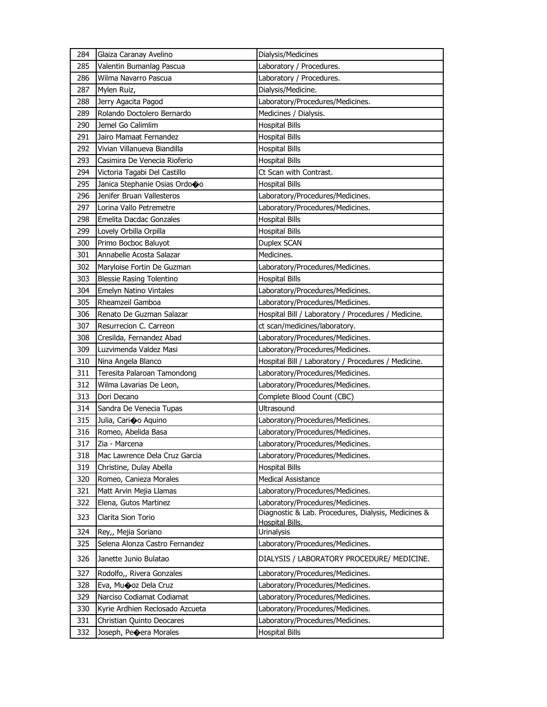| 284 | Glaiza Caranay Avelino          | Dialysis/Medicines                                                     |
|-----|---------------------------------|------------------------------------------------------------------------|
| 285 | Valentin Bumanlag Pascua        | Laboratory / Procedures.                                               |
| 286 | Wilma Navarro Pascua            | Laboratory / Procedures.                                               |
| 287 | Mylen Ruiz,                     | Dialysis/Medicine.                                                     |
| 288 | Jerry Agacita Pagod             | Laboratory/Procedures/Medicines.                                       |
| 289 | Rolando Doctolero Bernardo      | Medicines / Dialysis.                                                  |
| 290 | Jemel Go Calimlim               | <b>Hospital Bills</b>                                                  |
| 291 | Jairo Mamaat Fernandez          | Hospital Bills                                                         |
| 292 | Vivian Villanueva Biandilla     | <b>Hospital Bills</b>                                                  |
| 293 | Casimira De Venecia Rioferio    | <b>Hospital Bills</b>                                                  |
| 294 | Victoria Tagabi Del Castillo    | Ct Scan with Contrast.                                                 |
| 295 | Janica Stephanie Osias Ordooo   | <b>Hospital Bills</b>                                                  |
| 296 | Jenifer Bruan Vallesteros       | Laboratory/Procedures/Medicines.                                       |
| 297 | Lorina Vallo Petremetre         | Laboratory/Procedures/Medicines.                                       |
| 298 | Emelita Dacdac Gonzales         | <b>Hospital Bills</b>                                                  |
| 299 | Lovely Orbilla Orpilla          | Hospital Bills                                                         |
| 300 | Primo Bocboc Baluyot            | Duplex SCAN                                                            |
| 301 | Annabelle Acosta Salazar        | Medicines.                                                             |
| 302 | Maryloise Fortin De Guzman      | Laboratory/Procedures/Medicines.                                       |
| 303 | <b>Blessie Rasing Tolentino</b> | <b>Hospital Bills</b>                                                  |
| 304 | <b>Emelyn Natino Vintales</b>   | Laboratory/Procedures/Medicines.                                       |
| 305 | Rheamzeil Gamboa                | Laboratory/Procedures/Medicines.                                       |
| 306 | Renato De Guzman Salazar        | Hospital Bill / Laboratory / Procedures / Medicine.                    |
| 307 | Resurrecion C. Carreon          | ct scan/medicines/laboratory.                                          |
| 308 | Cresilda, Fernandez Abad        | Laboratory/Procedures/Medicines.                                       |
| 309 | Luzvimenda Valdez Masi          | Laboratory/Procedures/Medicines.                                       |
| 310 | Nina Angela Blanco              | Hospital Bill / Laboratory / Procedures / Medicine.                    |
| 311 | Teresita Palaroan Tamondong     | Laboratory/Procedures/Medicines.                                       |
| 312 | Wilma Lavarias De Leon,         | Laboratory/Procedures/Medicines.                                       |
| 313 | Dori Decano                     | Complete Blood Count (CBC)                                             |
| 314 | Sandra De Venecia Tupas         | Ultrasound                                                             |
| 315 | Julia, Cario Aquino             | Laboratory/Procedures/Medicines.                                       |
| 316 | Romeo, Abelida Basa             | Laboratory/Procedures/Medicines.                                       |
| 317 | Zia - Marcena                   | Laboratory/Procedures/Medicines.                                       |
| 318 | Mac Lawrence Dela Cruz Garcia   | Laboratory/Procedures/Medicines.                                       |
| 319 | Christine, Dulay Abella         | <b>Hospital Bills</b>                                                  |
| 320 | Romeo, Canieza Morales          | <b>Medical Assistance</b>                                              |
| 321 | Matt Arvin Mejia Llamas         | Laboratory/Procedures/Medicines.                                       |
| 322 | Elena, Gutos Martinez           | Laboratory/Procedures/Medicines.                                       |
| 323 | Clarita Sion Torio              | Diagnostic & Lab. Procedures, Dialysis, Medicines &<br>Hospital Bills. |
| 324 | Rey,, Mejia Soriano             | Urinalysis                                                             |
| 325 | Selena Alonza Castro Fernandez  | Laboratory/Procedures/Medicines.                                       |
| 326 | Janette Junio Bulatao           | DIALYSIS / LABORATORY PROCEDURE/ MEDICINE.                             |
| 327 | Rodolfo,, Rivera Gonzales       | Laboratory/Procedures/Medicines.                                       |
| 328 | Eva, Mu�oz Dela Cruz            | Laboratory/Procedures/Medicines.                                       |
| 329 | Narciso Codiamat Codiamat       | Laboratory/Procedures/Medicines.                                       |
| 330 | Kyrie Ardhien Reclosado Azcueta | Laboratory/Procedures/Medicines.                                       |
| 331 | Christian Quinto Deocares       | Laboratory/Procedures/Medicines.                                       |
| 332 | Joseph, Peoera Morales          | <b>Hospital Bills</b>                                                  |
|     |                                 |                                                                        |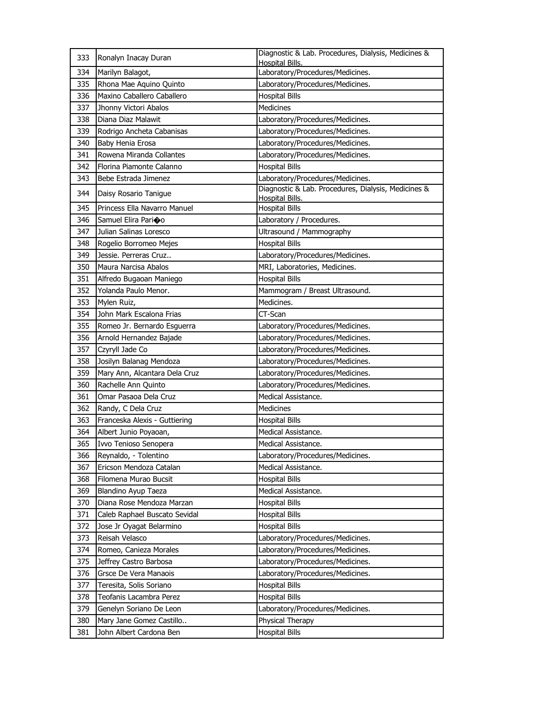| 333 | Ronalyn Inacay Duran          | Diagnostic & Lab. Procedures, Dialysis, Medicines &<br><b>Hospital Bills</b> |
|-----|-------------------------------|------------------------------------------------------------------------------|
| 334 | Marilyn Balagot,              | Laboratory/Procedures/Medicines.                                             |
| 335 | Rhona Mae Aquino Quinto       | Laboratory/Procedures/Medicines.                                             |
| 336 | Maxino Caballero Caballero    | <b>Hospital Bills</b>                                                        |
| 337 | Jhonny Victori Abalos         | Medicines                                                                    |
| 338 | Diana Diaz Malawit            | Laboratory/Procedures/Medicines.                                             |
| 339 | Rodrigo Ancheta Cabanisas     | Laboratory/Procedures/Medicines.                                             |
| 340 | Baby Henia Erosa              | Laboratory/Procedures/Medicines.                                             |
| 341 | Rowena Miranda Collantes      | Laboratory/Procedures/Medicines.                                             |
| 342 | Florina Piamonte Calanno      | <b>Hospital Bills</b>                                                        |
| 343 | Bebe Estrada Jimenez          | Laboratory/Procedures/Medicines.                                             |
| 344 | Daisy Rosario Tanigue         | Diagnostic & Lab. Procedures, Dialysis, Medicines &<br>Hospital Bills.       |
| 345 | Princess Ella Navarro Manuel  | <b>Hospital Bills</b>                                                        |
| 346 | Samuel Elira Pari�o           | Laboratory / Procedures.                                                     |
| 347 | Julian Salinas Loresco        | Ultrasound / Mammography                                                     |
| 348 | Rogelio Borromeo Mejes        | <b>Hospital Bills</b>                                                        |
| 349 | Jessie. Perreras Cruz         | Laboratory/Procedures/Medicines.                                             |
| 350 | Maura Narcisa Abalos          | MRI, Laboratories, Medicines.                                                |
| 351 | Alfredo Bugaoan Maniego       | Hospital Bills                                                               |
| 352 | Yolanda Paulo Menor.          | Mammogram / Breast Ultrasound.                                               |
| 353 | Mylen Ruiz,                   | Medicines.                                                                   |
| 354 | John Mark Escalona Frias      | CT-Scan                                                                      |
| 355 | Romeo Jr. Bernardo Esguerra   | Laboratory/Procedures/Medicines.                                             |
| 356 | Arnold Hernandez Bajade       | Laboratory/Procedures/Medicines.                                             |
| 357 | Czyryll Jade Co               | Laboratory/Procedures/Medicines.                                             |
| 358 | Josilyn Balanag Mendoza       | Laboratory/Procedures/Medicines.                                             |
| 359 | Mary Ann, Alcantara Dela Cruz | Laboratory/Procedures/Medicines.                                             |
| 360 | Rachelle Ann Quinto           | Laboratory/Procedures/Medicines.                                             |
| 361 | Omar Pasaoa Dela Cruz         | Medical Assistance.                                                          |
| 362 | Randy, C Dela Cruz            | Medicines                                                                    |
| 363 | Franceska Alexis - Guttiering | <b>Hospital Bills</b>                                                        |
| 364 | Albert Junio Poyaoan,         | Medical Assistance.                                                          |
| 365 | Ivvo Tenioso Senopera         |                                                                              |
| 366 |                               | Medical Assistance.                                                          |
|     | Reynaldo, - Tolentino         | Laboratory/Procedures/Medicines.                                             |
| 367 | Ericson Mendoza Catalan       | Medical Assistance.                                                          |
| 368 | Filomena Murao Bucsit         | <b>Hospital Bills</b>                                                        |
| 369 | Blandino Ayup Taeza           | Medical Assistance.                                                          |
| 370 | Diana Rose Mendoza Marzan     | <b>Hospital Bills</b>                                                        |
| 371 | Caleb Raphael Buscato Sevidal | Hospital Bills                                                               |
| 372 | Jose Jr Oyagat Belarmino      | <b>Hospital Bills</b>                                                        |
| 373 | Reisah Velasco                | Laboratory/Procedures/Medicines.                                             |
| 374 | Romeo, Canieza Morales        | Laboratory/Procedures/Medicines.                                             |
| 375 | Jeffrey Castro Barbosa        | Laboratory/Procedures/Medicines.                                             |
| 376 | Grsce De Vera Manaois         | Laboratory/Procedures/Medicines.                                             |
| 377 | Teresita, Solis Soriano       | <b>Hospital Bills</b>                                                        |
| 378 | Teofanis Lacambra Perez       | <b>Hospital Bills</b>                                                        |
| 379 | Genelyn Soriano De Leon       | Laboratory/Procedures/Medicines.                                             |
| 380 | Mary Jane Gomez Castillo      | Physical Therapy                                                             |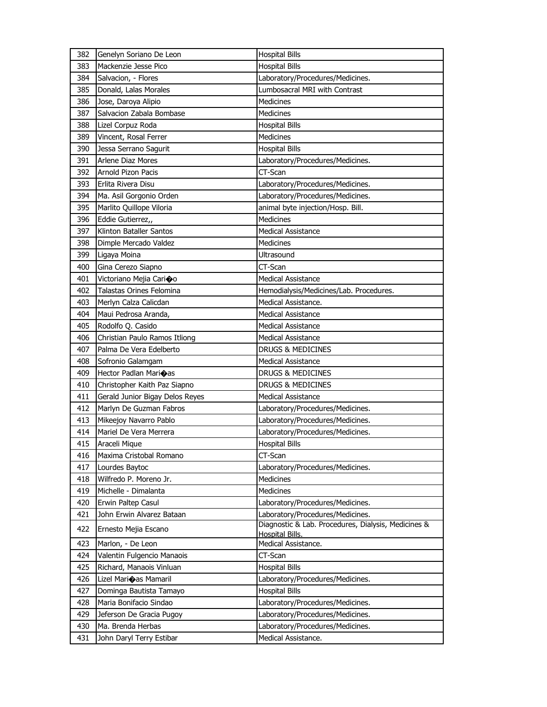| 383<br>Mackenzie Jesse Pico<br><b>Hospital Bills</b><br>Laboratory/Procedures/Medicines.<br>384<br>Salvacion, - Flores<br>385<br>Donald, Lalas Morales<br>Lumbosacral MRI with Contrast<br>386<br>Jose, Daroya Alipio<br>Medicines<br>Salvacion Zabala Bombase<br>387<br><b>Medicines</b><br>388<br>Lizel Corpuz Roda<br><b>Hospital Bills</b><br><b>Medicines</b><br>389<br>Vincent, Rosal Ferrer<br><b>Hospital Bills</b><br>390<br>Jessa Serrano Sagurit<br>391<br><b>Arlene Diaz Mores</b><br>Laboratory/Procedures/Medicines.<br>CT-Scan<br>Arnold Pizon Pacis<br>392<br>393<br>Erlita Rivera Disu<br>Laboratory/Procedures/Medicines.<br>394<br>Ma. Asil Gorgonio Orden<br>Laboratory/Procedures/Medicines.<br>395<br>Marlito Quillope Viloria<br>animal byte injection/Hosp. Bill.<br>396<br>Eddie Gutierrez,,<br>Medicines<br>Klinton Bataller Santos<br>397<br><b>Medical Assistance</b><br>398<br>Dimple Mercado Valdez<br>Medicines<br>399<br>Ligaya Moina<br>Ultrasound<br>CT-Scan<br>400<br>Gina Cerezo Siapno<br>401<br><b>Medical Assistance</b><br>Victoriano Mejia Cari�o<br>Talastas Orines Felomina<br>402<br>Hemodialysis/Medicines/Lab. Procedures.<br>403<br>Merlyn Calza Calicdan<br>Medical Assistance.<br>404<br>Maui Pedrosa Aranda,<br><b>Medical Assistance</b><br>Rodolfo Q. Casido<br>405<br><b>Medical Assistance</b><br>406<br>Christian Paulo Ramos Itliong<br>Medical Assistance<br>Palma De Vera Edelberto<br>407<br>DRUGS & MEDICINES<br>408<br>Sofronio Galamgam<br><b>Medical Assistance</b><br>409<br>Hector Padlan Marioas<br>DRUGS & MEDICINES<br>DRUGS & MEDICINES<br>410<br>Christopher Kaith Paz Siapno<br>411<br>Gerald Junior Bigay Delos Reyes<br><b>Medical Assistance</b><br>Marlyn De Guzman Fabros<br>412<br>Laboratory/Procedures/Medicines.<br>413<br>Mikeejoy Navarro Pablo<br>Laboratory/Procedures/Medicines.<br>Mariel De Vera Merrera<br>Laboratory/Procedures/Medicines.<br>414<br>415<br><b>Hospital Bills</b><br>Araceli Mique<br>CT-Scan<br>416<br>Maxima Cristobal Romano<br>417<br>Lourdes Baytoc<br>Laboratory/Procedures/Medicines.<br>Wilfredo P. Moreno Jr.<br><b>Medicines</b><br>418<br>Medicines<br>419<br>Michelle - Dimalanta<br>420<br>Erwin Paltep Casul<br>Laboratory/Procedures/Medicines.<br>421<br>John Erwin Alvarez Bataan<br>Laboratory/Procedures/Medicines.<br>Diagnostic & Lab. Procedures, Dialysis, Medicines &<br>422<br>Ernesto Mejia Escano<br>Hospital Bills.<br>Medical Assistance.<br>423<br>Marlon, - De Leon<br>424<br>Valentin Fulgencio Manaois<br>CT-Scan<br>425<br>Richard, Manaois Vinluan<br><b>Hospital Bills</b><br>426<br>Lizel Marioas Mamaril<br>Laboratory/Procedures/Medicines.<br>427<br>Dominga Bautista Tamayo<br><b>Hospital Bills</b><br>428<br>Maria Bonifacio Sindao<br>Laboratory/Procedures/Medicines.<br>429<br>Jeferson De Gracia Pugoy<br>Laboratory/Procedures/Medicines.<br>Ma. Brenda Herbas<br>Laboratory/Procedures/Medicines.<br>430 | 382 | Genelyn Soriano De Leon  | <b>Hospital Bills</b> |
|--------------------------------------------------------------------------------------------------------------------------------------------------------------------------------------------------------------------------------------------------------------------------------------------------------------------------------------------------------------------------------------------------------------------------------------------------------------------------------------------------------------------------------------------------------------------------------------------------------------------------------------------------------------------------------------------------------------------------------------------------------------------------------------------------------------------------------------------------------------------------------------------------------------------------------------------------------------------------------------------------------------------------------------------------------------------------------------------------------------------------------------------------------------------------------------------------------------------------------------------------------------------------------------------------------------------------------------------------------------------------------------------------------------------------------------------------------------------------------------------------------------------------------------------------------------------------------------------------------------------------------------------------------------------------------------------------------------------------------------------------------------------------------------------------------------------------------------------------------------------------------------------------------------------------------------------------------------------------------------------------------------------------------------------------------------------------------------------------------------------------------------------------------------------------------------------------------------------------------------------------------------------------------------------------------------------------------------------------------------------------------------------------------------------------------------------------------------------------------------------------------------------------------------------------------------------------------------------------------------------------------------------------------------------------------------------------------------------------------------------------------------------------------------------------------------------------------------------------------------------------------------------------------------------------------------------------------------------|-----|--------------------------|-----------------------|
|                                                                                                                                                                                                                                                                                                                                                                                                                                                                                                                                                                                                                                                                                                                                                                                                                                                                                                                                                                                                                                                                                                                                                                                                                                                                                                                                                                                                                                                                                                                                                                                                                                                                                                                                                                                                                                                                                                                                                                                                                                                                                                                                                                                                                                                                                                                                                                                                                                                                                                                                                                                                                                                                                                                                                                                                                                                                                                                                                                    |     |                          |                       |
|                                                                                                                                                                                                                                                                                                                                                                                                                                                                                                                                                                                                                                                                                                                                                                                                                                                                                                                                                                                                                                                                                                                                                                                                                                                                                                                                                                                                                                                                                                                                                                                                                                                                                                                                                                                                                                                                                                                                                                                                                                                                                                                                                                                                                                                                                                                                                                                                                                                                                                                                                                                                                                                                                                                                                                                                                                                                                                                                                                    |     |                          |                       |
|                                                                                                                                                                                                                                                                                                                                                                                                                                                                                                                                                                                                                                                                                                                                                                                                                                                                                                                                                                                                                                                                                                                                                                                                                                                                                                                                                                                                                                                                                                                                                                                                                                                                                                                                                                                                                                                                                                                                                                                                                                                                                                                                                                                                                                                                                                                                                                                                                                                                                                                                                                                                                                                                                                                                                                                                                                                                                                                                                                    |     |                          |                       |
|                                                                                                                                                                                                                                                                                                                                                                                                                                                                                                                                                                                                                                                                                                                                                                                                                                                                                                                                                                                                                                                                                                                                                                                                                                                                                                                                                                                                                                                                                                                                                                                                                                                                                                                                                                                                                                                                                                                                                                                                                                                                                                                                                                                                                                                                                                                                                                                                                                                                                                                                                                                                                                                                                                                                                                                                                                                                                                                                                                    |     |                          |                       |
|                                                                                                                                                                                                                                                                                                                                                                                                                                                                                                                                                                                                                                                                                                                                                                                                                                                                                                                                                                                                                                                                                                                                                                                                                                                                                                                                                                                                                                                                                                                                                                                                                                                                                                                                                                                                                                                                                                                                                                                                                                                                                                                                                                                                                                                                                                                                                                                                                                                                                                                                                                                                                                                                                                                                                                                                                                                                                                                                                                    |     |                          |                       |
|                                                                                                                                                                                                                                                                                                                                                                                                                                                                                                                                                                                                                                                                                                                                                                                                                                                                                                                                                                                                                                                                                                                                                                                                                                                                                                                                                                                                                                                                                                                                                                                                                                                                                                                                                                                                                                                                                                                                                                                                                                                                                                                                                                                                                                                                                                                                                                                                                                                                                                                                                                                                                                                                                                                                                                                                                                                                                                                                                                    |     |                          |                       |
|                                                                                                                                                                                                                                                                                                                                                                                                                                                                                                                                                                                                                                                                                                                                                                                                                                                                                                                                                                                                                                                                                                                                                                                                                                                                                                                                                                                                                                                                                                                                                                                                                                                                                                                                                                                                                                                                                                                                                                                                                                                                                                                                                                                                                                                                                                                                                                                                                                                                                                                                                                                                                                                                                                                                                                                                                                                                                                                                                                    |     |                          |                       |
|                                                                                                                                                                                                                                                                                                                                                                                                                                                                                                                                                                                                                                                                                                                                                                                                                                                                                                                                                                                                                                                                                                                                                                                                                                                                                                                                                                                                                                                                                                                                                                                                                                                                                                                                                                                                                                                                                                                                                                                                                                                                                                                                                                                                                                                                                                                                                                                                                                                                                                                                                                                                                                                                                                                                                                                                                                                                                                                                                                    |     |                          |                       |
|                                                                                                                                                                                                                                                                                                                                                                                                                                                                                                                                                                                                                                                                                                                                                                                                                                                                                                                                                                                                                                                                                                                                                                                                                                                                                                                                                                                                                                                                                                                                                                                                                                                                                                                                                                                                                                                                                                                                                                                                                                                                                                                                                                                                                                                                                                                                                                                                                                                                                                                                                                                                                                                                                                                                                                                                                                                                                                                                                                    |     |                          |                       |
|                                                                                                                                                                                                                                                                                                                                                                                                                                                                                                                                                                                                                                                                                                                                                                                                                                                                                                                                                                                                                                                                                                                                                                                                                                                                                                                                                                                                                                                                                                                                                                                                                                                                                                                                                                                                                                                                                                                                                                                                                                                                                                                                                                                                                                                                                                                                                                                                                                                                                                                                                                                                                                                                                                                                                                                                                                                                                                                                                                    |     |                          |                       |
|                                                                                                                                                                                                                                                                                                                                                                                                                                                                                                                                                                                                                                                                                                                                                                                                                                                                                                                                                                                                                                                                                                                                                                                                                                                                                                                                                                                                                                                                                                                                                                                                                                                                                                                                                                                                                                                                                                                                                                                                                                                                                                                                                                                                                                                                                                                                                                                                                                                                                                                                                                                                                                                                                                                                                                                                                                                                                                                                                                    |     |                          |                       |
|                                                                                                                                                                                                                                                                                                                                                                                                                                                                                                                                                                                                                                                                                                                                                                                                                                                                                                                                                                                                                                                                                                                                                                                                                                                                                                                                                                                                                                                                                                                                                                                                                                                                                                                                                                                                                                                                                                                                                                                                                                                                                                                                                                                                                                                                                                                                                                                                                                                                                                                                                                                                                                                                                                                                                                                                                                                                                                                                                                    |     |                          |                       |
|                                                                                                                                                                                                                                                                                                                                                                                                                                                                                                                                                                                                                                                                                                                                                                                                                                                                                                                                                                                                                                                                                                                                                                                                                                                                                                                                                                                                                                                                                                                                                                                                                                                                                                                                                                                                                                                                                                                                                                                                                                                                                                                                                                                                                                                                                                                                                                                                                                                                                                                                                                                                                                                                                                                                                                                                                                                                                                                                                                    |     |                          |                       |
|                                                                                                                                                                                                                                                                                                                                                                                                                                                                                                                                                                                                                                                                                                                                                                                                                                                                                                                                                                                                                                                                                                                                                                                                                                                                                                                                                                                                                                                                                                                                                                                                                                                                                                                                                                                                                                                                                                                                                                                                                                                                                                                                                                                                                                                                                                                                                                                                                                                                                                                                                                                                                                                                                                                                                                                                                                                                                                                                                                    |     |                          |                       |
|                                                                                                                                                                                                                                                                                                                                                                                                                                                                                                                                                                                                                                                                                                                                                                                                                                                                                                                                                                                                                                                                                                                                                                                                                                                                                                                                                                                                                                                                                                                                                                                                                                                                                                                                                                                                                                                                                                                                                                                                                                                                                                                                                                                                                                                                                                                                                                                                                                                                                                                                                                                                                                                                                                                                                                                                                                                                                                                                                                    |     |                          |                       |
|                                                                                                                                                                                                                                                                                                                                                                                                                                                                                                                                                                                                                                                                                                                                                                                                                                                                                                                                                                                                                                                                                                                                                                                                                                                                                                                                                                                                                                                                                                                                                                                                                                                                                                                                                                                                                                                                                                                                                                                                                                                                                                                                                                                                                                                                                                                                                                                                                                                                                                                                                                                                                                                                                                                                                                                                                                                                                                                                                                    |     |                          |                       |
|                                                                                                                                                                                                                                                                                                                                                                                                                                                                                                                                                                                                                                                                                                                                                                                                                                                                                                                                                                                                                                                                                                                                                                                                                                                                                                                                                                                                                                                                                                                                                                                                                                                                                                                                                                                                                                                                                                                                                                                                                                                                                                                                                                                                                                                                                                                                                                                                                                                                                                                                                                                                                                                                                                                                                                                                                                                                                                                                                                    |     |                          |                       |
|                                                                                                                                                                                                                                                                                                                                                                                                                                                                                                                                                                                                                                                                                                                                                                                                                                                                                                                                                                                                                                                                                                                                                                                                                                                                                                                                                                                                                                                                                                                                                                                                                                                                                                                                                                                                                                                                                                                                                                                                                                                                                                                                                                                                                                                                                                                                                                                                                                                                                                                                                                                                                                                                                                                                                                                                                                                                                                                                                                    |     |                          |                       |
|                                                                                                                                                                                                                                                                                                                                                                                                                                                                                                                                                                                                                                                                                                                                                                                                                                                                                                                                                                                                                                                                                                                                                                                                                                                                                                                                                                                                                                                                                                                                                                                                                                                                                                                                                                                                                                                                                                                                                                                                                                                                                                                                                                                                                                                                                                                                                                                                                                                                                                                                                                                                                                                                                                                                                                                                                                                                                                                                                                    |     |                          |                       |
|                                                                                                                                                                                                                                                                                                                                                                                                                                                                                                                                                                                                                                                                                                                                                                                                                                                                                                                                                                                                                                                                                                                                                                                                                                                                                                                                                                                                                                                                                                                                                                                                                                                                                                                                                                                                                                                                                                                                                                                                                                                                                                                                                                                                                                                                                                                                                                                                                                                                                                                                                                                                                                                                                                                                                                                                                                                                                                                                                                    |     |                          |                       |
|                                                                                                                                                                                                                                                                                                                                                                                                                                                                                                                                                                                                                                                                                                                                                                                                                                                                                                                                                                                                                                                                                                                                                                                                                                                                                                                                                                                                                                                                                                                                                                                                                                                                                                                                                                                                                                                                                                                                                                                                                                                                                                                                                                                                                                                                                                                                                                                                                                                                                                                                                                                                                                                                                                                                                                                                                                                                                                                                                                    |     |                          |                       |
|                                                                                                                                                                                                                                                                                                                                                                                                                                                                                                                                                                                                                                                                                                                                                                                                                                                                                                                                                                                                                                                                                                                                                                                                                                                                                                                                                                                                                                                                                                                                                                                                                                                                                                                                                                                                                                                                                                                                                                                                                                                                                                                                                                                                                                                                                                                                                                                                                                                                                                                                                                                                                                                                                                                                                                                                                                                                                                                                                                    |     |                          |                       |
|                                                                                                                                                                                                                                                                                                                                                                                                                                                                                                                                                                                                                                                                                                                                                                                                                                                                                                                                                                                                                                                                                                                                                                                                                                                                                                                                                                                                                                                                                                                                                                                                                                                                                                                                                                                                                                                                                                                                                                                                                                                                                                                                                                                                                                                                                                                                                                                                                                                                                                                                                                                                                                                                                                                                                                                                                                                                                                                                                                    |     |                          |                       |
|                                                                                                                                                                                                                                                                                                                                                                                                                                                                                                                                                                                                                                                                                                                                                                                                                                                                                                                                                                                                                                                                                                                                                                                                                                                                                                                                                                                                                                                                                                                                                                                                                                                                                                                                                                                                                                                                                                                                                                                                                                                                                                                                                                                                                                                                                                                                                                                                                                                                                                                                                                                                                                                                                                                                                                                                                                                                                                                                                                    |     |                          |                       |
|                                                                                                                                                                                                                                                                                                                                                                                                                                                                                                                                                                                                                                                                                                                                                                                                                                                                                                                                                                                                                                                                                                                                                                                                                                                                                                                                                                                                                                                                                                                                                                                                                                                                                                                                                                                                                                                                                                                                                                                                                                                                                                                                                                                                                                                                                                                                                                                                                                                                                                                                                                                                                                                                                                                                                                                                                                                                                                                                                                    |     |                          |                       |
|                                                                                                                                                                                                                                                                                                                                                                                                                                                                                                                                                                                                                                                                                                                                                                                                                                                                                                                                                                                                                                                                                                                                                                                                                                                                                                                                                                                                                                                                                                                                                                                                                                                                                                                                                                                                                                                                                                                                                                                                                                                                                                                                                                                                                                                                                                                                                                                                                                                                                                                                                                                                                                                                                                                                                                                                                                                                                                                                                                    |     |                          |                       |
|                                                                                                                                                                                                                                                                                                                                                                                                                                                                                                                                                                                                                                                                                                                                                                                                                                                                                                                                                                                                                                                                                                                                                                                                                                                                                                                                                                                                                                                                                                                                                                                                                                                                                                                                                                                                                                                                                                                                                                                                                                                                                                                                                                                                                                                                                                                                                                                                                                                                                                                                                                                                                                                                                                                                                                                                                                                                                                                                                                    |     |                          |                       |
|                                                                                                                                                                                                                                                                                                                                                                                                                                                                                                                                                                                                                                                                                                                                                                                                                                                                                                                                                                                                                                                                                                                                                                                                                                                                                                                                                                                                                                                                                                                                                                                                                                                                                                                                                                                                                                                                                                                                                                                                                                                                                                                                                                                                                                                                                                                                                                                                                                                                                                                                                                                                                                                                                                                                                                                                                                                                                                                                                                    |     |                          |                       |
|                                                                                                                                                                                                                                                                                                                                                                                                                                                                                                                                                                                                                                                                                                                                                                                                                                                                                                                                                                                                                                                                                                                                                                                                                                                                                                                                                                                                                                                                                                                                                                                                                                                                                                                                                                                                                                                                                                                                                                                                                                                                                                                                                                                                                                                                                                                                                                                                                                                                                                                                                                                                                                                                                                                                                                                                                                                                                                                                                                    |     |                          |                       |
|                                                                                                                                                                                                                                                                                                                                                                                                                                                                                                                                                                                                                                                                                                                                                                                                                                                                                                                                                                                                                                                                                                                                                                                                                                                                                                                                                                                                                                                                                                                                                                                                                                                                                                                                                                                                                                                                                                                                                                                                                                                                                                                                                                                                                                                                                                                                                                                                                                                                                                                                                                                                                                                                                                                                                                                                                                                                                                                                                                    |     |                          |                       |
|                                                                                                                                                                                                                                                                                                                                                                                                                                                                                                                                                                                                                                                                                                                                                                                                                                                                                                                                                                                                                                                                                                                                                                                                                                                                                                                                                                                                                                                                                                                                                                                                                                                                                                                                                                                                                                                                                                                                                                                                                                                                                                                                                                                                                                                                                                                                                                                                                                                                                                                                                                                                                                                                                                                                                                                                                                                                                                                                                                    |     |                          |                       |
|                                                                                                                                                                                                                                                                                                                                                                                                                                                                                                                                                                                                                                                                                                                                                                                                                                                                                                                                                                                                                                                                                                                                                                                                                                                                                                                                                                                                                                                                                                                                                                                                                                                                                                                                                                                                                                                                                                                                                                                                                                                                                                                                                                                                                                                                                                                                                                                                                                                                                                                                                                                                                                                                                                                                                                                                                                                                                                                                                                    |     |                          |                       |
|                                                                                                                                                                                                                                                                                                                                                                                                                                                                                                                                                                                                                                                                                                                                                                                                                                                                                                                                                                                                                                                                                                                                                                                                                                                                                                                                                                                                                                                                                                                                                                                                                                                                                                                                                                                                                                                                                                                                                                                                                                                                                                                                                                                                                                                                                                                                                                                                                                                                                                                                                                                                                                                                                                                                                                                                                                                                                                                                                                    |     |                          |                       |
|                                                                                                                                                                                                                                                                                                                                                                                                                                                                                                                                                                                                                                                                                                                                                                                                                                                                                                                                                                                                                                                                                                                                                                                                                                                                                                                                                                                                                                                                                                                                                                                                                                                                                                                                                                                                                                                                                                                                                                                                                                                                                                                                                                                                                                                                                                                                                                                                                                                                                                                                                                                                                                                                                                                                                                                                                                                                                                                                                                    |     |                          |                       |
|                                                                                                                                                                                                                                                                                                                                                                                                                                                                                                                                                                                                                                                                                                                                                                                                                                                                                                                                                                                                                                                                                                                                                                                                                                                                                                                                                                                                                                                                                                                                                                                                                                                                                                                                                                                                                                                                                                                                                                                                                                                                                                                                                                                                                                                                                                                                                                                                                                                                                                                                                                                                                                                                                                                                                                                                                                                                                                                                                                    |     |                          |                       |
|                                                                                                                                                                                                                                                                                                                                                                                                                                                                                                                                                                                                                                                                                                                                                                                                                                                                                                                                                                                                                                                                                                                                                                                                                                                                                                                                                                                                                                                                                                                                                                                                                                                                                                                                                                                                                                                                                                                                                                                                                                                                                                                                                                                                                                                                                                                                                                                                                                                                                                                                                                                                                                                                                                                                                                                                                                                                                                                                                                    |     |                          |                       |
|                                                                                                                                                                                                                                                                                                                                                                                                                                                                                                                                                                                                                                                                                                                                                                                                                                                                                                                                                                                                                                                                                                                                                                                                                                                                                                                                                                                                                                                                                                                                                                                                                                                                                                                                                                                                                                                                                                                                                                                                                                                                                                                                                                                                                                                                                                                                                                                                                                                                                                                                                                                                                                                                                                                                                                                                                                                                                                                                                                    |     |                          |                       |
|                                                                                                                                                                                                                                                                                                                                                                                                                                                                                                                                                                                                                                                                                                                                                                                                                                                                                                                                                                                                                                                                                                                                                                                                                                                                                                                                                                                                                                                                                                                                                                                                                                                                                                                                                                                                                                                                                                                                                                                                                                                                                                                                                                                                                                                                                                                                                                                                                                                                                                                                                                                                                                                                                                                                                                                                                                                                                                                                                                    |     |                          |                       |
|                                                                                                                                                                                                                                                                                                                                                                                                                                                                                                                                                                                                                                                                                                                                                                                                                                                                                                                                                                                                                                                                                                                                                                                                                                                                                                                                                                                                                                                                                                                                                                                                                                                                                                                                                                                                                                                                                                                                                                                                                                                                                                                                                                                                                                                                                                                                                                                                                                                                                                                                                                                                                                                                                                                                                                                                                                                                                                                                                                    |     |                          |                       |
|                                                                                                                                                                                                                                                                                                                                                                                                                                                                                                                                                                                                                                                                                                                                                                                                                                                                                                                                                                                                                                                                                                                                                                                                                                                                                                                                                                                                                                                                                                                                                                                                                                                                                                                                                                                                                                                                                                                                                                                                                                                                                                                                                                                                                                                                                                                                                                                                                                                                                                                                                                                                                                                                                                                                                                                                                                                                                                                                                                    |     |                          |                       |
|                                                                                                                                                                                                                                                                                                                                                                                                                                                                                                                                                                                                                                                                                                                                                                                                                                                                                                                                                                                                                                                                                                                                                                                                                                                                                                                                                                                                                                                                                                                                                                                                                                                                                                                                                                                                                                                                                                                                                                                                                                                                                                                                                                                                                                                                                                                                                                                                                                                                                                                                                                                                                                                                                                                                                                                                                                                                                                                                                                    |     |                          |                       |
|                                                                                                                                                                                                                                                                                                                                                                                                                                                                                                                                                                                                                                                                                                                                                                                                                                                                                                                                                                                                                                                                                                                                                                                                                                                                                                                                                                                                                                                                                                                                                                                                                                                                                                                                                                                                                                                                                                                                                                                                                                                                                                                                                                                                                                                                                                                                                                                                                                                                                                                                                                                                                                                                                                                                                                                                                                                                                                                                                                    |     |                          |                       |
|                                                                                                                                                                                                                                                                                                                                                                                                                                                                                                                                                                                                                                                                                                                                                                                                                                                                                                                                                                                                                                                                                                                                                                                                                                                                                                                                                                                                                                                                                                                                                                                                                                                                                                                                                                                                                                                                                                                                                                                                                                                                                                                                                                                                                                                                                                                                                                                                                                                                                                                                                                                                                                                                                                                                                                                                                                                                                                                                                                    |     |                          |                       |
|                                                                                                                                                                                                                                                                                                                                                                                                                                                                                                                                                                                                                                                                                                                                                                                                                                                                                                                                                                                                                                                                                                                                                                                                                                                                                                                                                                                                                                                                                                                                                                                                                                                                                                                                                                                                                                                                                                                                                                                                                                                                                                                                                                                                                                                                                                                                                                                                                                                                                                                                                                                                                                                                                                                                                                                                                                                                                                                                                                    |     |                          |                       |
|                                                                                                                                                                                                                                                                                                                                                                                                                                                                                                                                                                                                                                                                                                                                                                                                                                                                                                                                                                                                                                                                                                                                                                                                                                                                                                                                                                                                                                                                                                                                                                                                                                                                                                                                                                                                                                                                                                                                                                                                                                                                                                                                                                                                                                                                                                                                                                                                                                                                                                                                                                                                                                                                                                                                                                                                                                                                                                                                                                    |     |                          |                       |
|                                                                                                                                                                                                                                                                                                                                                                                                                                                                                                                                                                                                                                                                                                                                                                                                                                                                                                                                                                                                                                                                                                                                                                                                                                                                                                                                                                                                                                                                                                                                                                                                                                                                                                                                                                                                                                                                                                                                                                                                                                                                                                                                                                                                                                                                                                                                                                                                                                                                                                                                                                                                                                                                                                                                                                                                                                                                                                                                                                    |     |                          |                       |
|                                                                                                                                                                                                                                                                                                                                                                                                                                                                                                                                                                                                                                                                                                                                                                                                                                                                                                                                                                                                                                                                                                                                                                                                                                                                                                                                                                                                                                                                                                                                                                                                                                                                                                                                                                                                                                                                                                                                                                                                                                                                                                                                                                                                                                                                                                                                                                                                                                                                                                                                                                                                                                                                                                                                                                                                                                                                                                                                                                    |     |                          |                       |
|                                                                                                                                                                                                                                                                                                                                                                                                                                                                                                                                                                                                                                                                                                                                                                                                                                                                                                                                                                                                                                                                                                                                                                                                                                                                                                                                                                                                                                                                                                                                                                                                                                                                                                                                                                                                                                                                                                                                                                                                                                                                                                                                                                                                                                                                                                                                                                                                                                                                                                                                                                                                                                                                                                                                                                                                                                                                                                                                                                    |     |                          |                       |
|                                                                                                                                                                                                                                                                                                                                                                                                                                                                                                                                                                                                                                                                                                                                                                                                                                                                                                                                                                                                                                                                                                                                                                                                                                                                                                                                                                                                                                                                                                                                                                                                                                                                                                                                                                                                                                                                                                                                                                                                                                                                                                                                                                                                                                                                                                                                                                                                                                                                                                                                                                                                                                                                                                                                                                                                                                                                                                                                                                    | 431 | John Daryl Terry Estibar | Medical Assistance.   |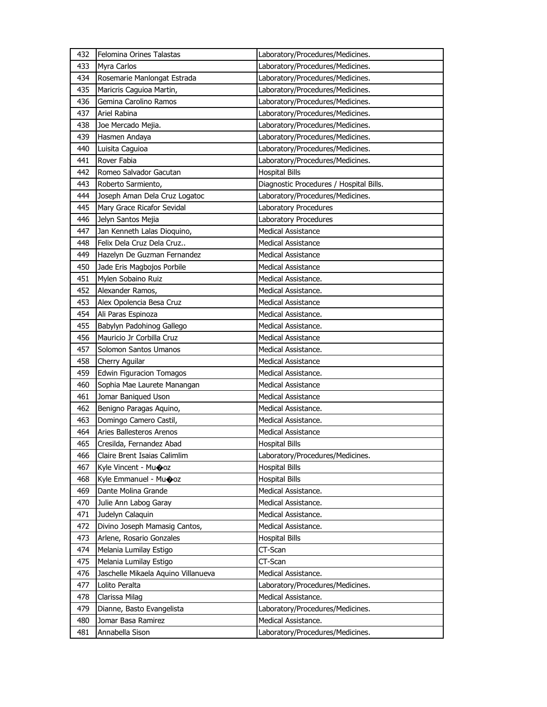| 432 | Felomina Orines Talastas            | Laboratory/Procedures/Medicines.        |
|-----|-------------------------------------|-----------------------------------------|
| 433 | Myra Carlos                         | Laboratory/Procedures/Medicines.        |
| 434 | Rosemarie Manlongat Estrada         | Laboratory/Procedures/Medicines.        |
| 435 | Maricris Caguioa Martin,            | Laboratory/Procedures/Medicines.        |
| 436 | Gemina Carolino Ramos               | Laboratory/Procedures/Medicines.        |
| 437 | Ariel Rabina                        | Laboratory/Procedures/Medicines.        |
| 438 | Joe Mercado Mejia.                  | Laboratory/Procedures/Medicines.        |
| 439 | Hasmen Andaya                       | Laboratory/Procedures/Medicines.        |
| 440 | Luisita Caguioa                     | Laboratory/Procedures/Medicines.        |
| 441 | Rover Fabia                         | Laboratory/Procedures/Medicines.        |
| 442 | Romeo Salvador Gacutan              | <b>Hospital Bills</b>                   |
| 443 | Roberto Sarmiento,                  | Diagnostic Procedures / Hospital Bills. |
| 444 | Joseph Aman Dela Cruz Logatoc       | Laboratory/Procedures/Medicines.        |
| 445 | Mary Grace Ricafor Sevidal          | Laboratory Procedures                   |
| 446 | Jelyn Santos Mejia                  | Laboratory Procedures                   |
| 447 | Jan Kenneth Lalas Dioquino,         | <b>Medical Assistance</b>               |
| 448 | Felix Dela Cruz Dela Cruz           | <b>Medical Assistance</b>               |
| 449 | Hazelyn De Guzman Fernandez         | <b>Medical Assistance</b>               |
| 450 | Jade Eris Magbojos Porbile          | <b>Medical Assistance</b>               |
| 451 | Mylen Sobaino Ruiz                  | Medical Assistance.                     |
| 452 | Alexander Ramos,                    | Medical Assistance.                     |
| 453 | Alex Opolencia Besa Cruz            | <b>Medical Assistance</b>               |
| 454 | Ali Paras Espinoza                  | Medical Assistance.                     |
| 455 | Babylyn Padohinog Gallego           | Medical Assistance.                     |
| 456 | Mauricio Jr Corbilla Cruz           | <b>Medical Assistance</b>               |
| 457 | Solomon Santos Umanos               | Medical Assistance.                     |
| 458 | Cherry Aguilar                      | <b>Medical Assistance</b>               |
| 459 | Edwin Figuracion Tomagos            | Medical Assistance.                     |
| 460 | Sophia Mae Laurete Manangan         | <b>Medical Assistance</b>               |
| 461 | Jomar Baniqued Uson                 | <b>Medical Assistance</b>               |
| 462 | Benigno Paragas Aquino,             | Medical Assistance.                     |
| 463 | Domingo Camero Castil,              | Medical Assistance.                     |
| 464 | Aries Ballesteros Arenos            | <b>Medical Assistance</b>               |
| 465 | Cresilda, Fernandez Abad            | <b>Hospital Bills</b>                   |
| 466 | Claire Brent Isaias Calimlim        | Laboratory/Procedures/Medicines.        |
| 467 | Kyle Vincent - Muooz                | <b>Hospital Bills</b>                   |
| 468 | Kyle Emmanuel - Muooz               | <b>Hospital Bills</b>                   |
| 469 | Dante Molina Grande                 | Medical Assistance.                     |
| 470 | Julie Ann Labog Garay               | Medical Assistance.                     |
| 471 | Judelyn Calaquin                    | Medical Assistance.                     |
| 472 | Divino Joseph Mamasig Cantos,       | Medical Assistance.                     |
| 473 | Arlene, Rosario Gonzales            | <b>Hospital Bills</b>                   |
| 474 | Melania Lumilay Estigo              | CT-Scan                                 |
| 475 | Melania Lumilay Estigo              | CT-Scan                                 |
| 476 | Jaschelle Mikaela Aquino Villanueva | Medical Assistance.                     |
| 477 | Lolito Peralta                      | Laboratory/Procedures/Medicines.        |
| 478 | Clarissa Milag                      | Medical Assistance.                     |
| 479 | Dianne, Basto Evangelista           | Laboratory/Procedures/Medicines.        |
| 480 | Jomar Basa Ramirez                  | Medical Assistance.                     |
| 481 | Annabella Sison                     | Laboratory/Procedures/Medicines.        |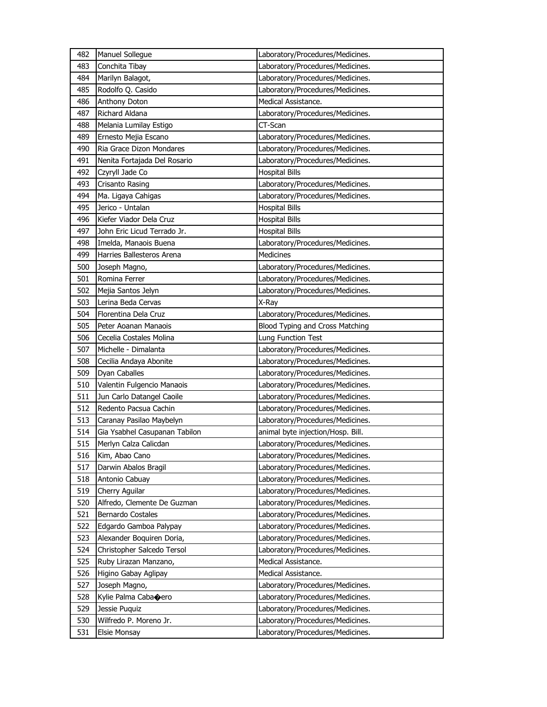| 482 | Manuel Sollegue               | Laboratory/Procedures/Medicines.  |
|-----|-------------------------------|-----------------------------------|
| 483 | Conchita Tibay                | Laboratory/Procedures/Medicines.  |
| 484 | Marilyn Balagot,              | Laboratory/Procedures/Medicines.  |
| 485 | Rodolfo Q. Casido             | Laboratory/Procedures/Medicines.  |
| 486 | Anthony Doton                 | Medical Assistance.               |
| 487 | Richard Aldana                | Laboratory/Procedures/Medicines.  |
| 488 | Melania Lumilay Estigo        | CT-Scan                           |
| 489 | Ernesto Mejia Escano          | Laboratory/Procedures/Medicines.  |
| 490 | Ria Grace Dizon Mondares      | Laboratory/Procedures/Medicines.  |
| 491 | Nenita Fortajada Del Rosario  | Laboratory/Procedures/Medicines.  |
| 492 | Czyryll Jade Co               | <b>Hospital Bills</b>             |
| 493 | Crisanto Rasing               | Laboratory/Procedures/Medicines.  |
| 494 | Ma. Ligaya Cahigas            | Laboratory/Procedures/Medicines.  |
| 495 | Jerico - Untalan              | <b>Hospital Bills</b>             |
| 496 | Kiefer Viador Dela Cruz       | <b>Hospital Bills</b>             |
| 497 | John Eric Licud Terrado Jr.   | <b>Hospital Bills</b>             |
| 498 | Imelda, Manaois Buena         | Laboratory/Procedures/Medicines.  |
| 499 | Harries Ballesteros Arena     | Medicines                         |
| 500 | Joseph Magno,                 | Laboratory/Procedures/Medicines.  |
| 501 | Romina Ferrer                 | Laboratory/Procedures/Medicines.  |
| 502 | Mejia Santos Jelyn            | Laboratory/Procedures/Medicines.  |
| 503 | Lerina Beda Cervas            | X-Ray                             |
| 504 | Florentina Dela Cruz          | Laboratory/Procedures/Medicines.  |
| 505 | Peter Aoanan Manaois          | Blood Typing and Cross Matching   |
| 506 | Cecelia Costales Molina       | Lung Function Test                |
| 507 | Michelle - Dimalanta          | Laboratory/Procedures/Medicines.  |
| 508 | Cecilia Andaya Abonite        | Laboratory/Procedures/Medicines.  |
| 509 | Dyan Caballes                 | Laboratory/Procedures/Medicines.  |
| 510 | Valentin Fulgencio Manaois    | Laboratory/Procedures/Medicines.  |
| 511 | Jun Carlo Datangel Caoile     | Laboratory/Procedures/Medicines.  |
| 512 | Redento Pacsua Cachin         | Laboratory/Procedures/Medicines.  |
| 513 | Caranay Pasilao Maybelyn      | Laboratory/Procedures/Medicines.  |
| 514 | Gia Ysabhel Casupanan Tabilon | animal byte injection/Hosp. Bill. |
| 515 | Merlyn Calza Calicdan         | Laboratory/Procedures/Medicines.  |
| 516 | Kim, Abao Cano                | Laboratory/Procedures/Medicines.  |
| 517 | Darwin Abalos Bragil          | Laboratory/Procedures/Medicines.  |
| 518 | Antonio Cabuay                | Laboratory/Procedures/Medicines.  |
| 519 | Cherry Aguilar                | Laboratory/Procedures/Medicines.  |
| 520 | Alfredo, Clemente De Guzman   | Laboratory/Procedures/Medicines.  |
| 521 | Bernardo Costales             | Laboratory/Procedures/Medicines.  |
| 522 | Edgardo Gamboa Palypay        | Laboratory/Procedures/Medicines.  |
| 523 | Alexander Boquiren Doria,     | Laboratory/Procedures/Medicines.  |
| 524 | Christopher Salcedo Tersol    | Laboratory/Procedures/Medicines.  |
| 525 | Ruby Lirazan Manzano,         | Medical Assistance.               |
| 526 | Higino Gabay Aglipay          | Medical Assistance.               |
| 527 | Joseph Magno,                 | Laboratory/Procedures/Medicines.  |
| 528 | Kylie Palma Cabaoero          | Laboratory/Procedures/Medicines.  |
| 529 | Jessie Puquiz                 | Laboratory/Procedures/Medicines.  |
| 530 | Wilfredo P. Moreno Jr.        | Laboratory/Procedures/Medicines.  |
| 531 | Elsie Monsay                  | Laboratory/Procedures/Medicines.  |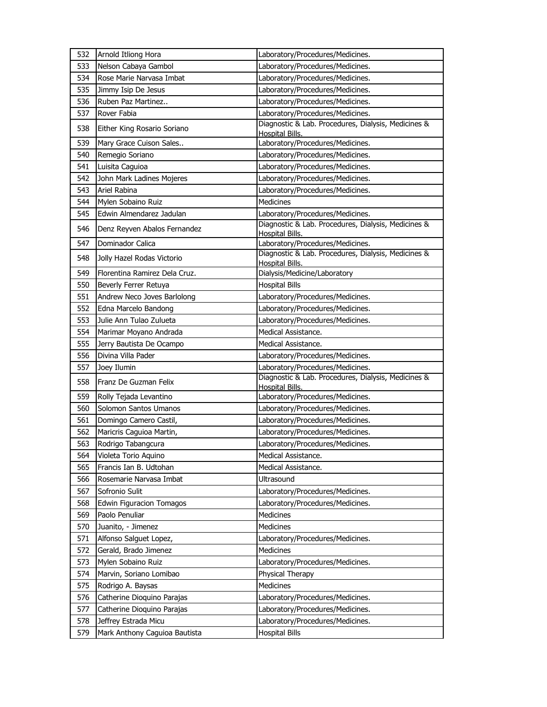| 532 | Arnold Itliong Hora           | Laboratory/Procedures/Medicines.                                              |
|-----|-------------------------------|-------------------------------------------------------------------------------|
| 533 | Nelson Cabaya Gambol          | Laboratory/Procedures/Medicines.                                              |
| 534 | Rose Marie Narvasa Imbat      | Laboratory/Procedures/Medicines.                                              |
| 535 | Jimmy Isip De Jesus           | Laboratory/Procedures/Medicines.                                              |
| 536 | Ruben Paz Martinez            | Laboratory/Procedures/Medicines.                                              |
| 537 | Rover Fabia                   | Laboratory/Procedures/Medicines.                                              |
| 538 | Either King Rosario Soriano   | Diagnostic & Lab. Procedures, Dialysis, Medicines &<br>Hospital Bills.        |
| 539 | Mary Grace Cuison Sales       | Laboratory/Procedures/Medicines.                                              |
| 540 | Remegio Soriano               | Laboratory/Procedures/Medicines.                                              |
| 541 | Luisita Caguioa               | Laboratory/Procedures/Medicines.                                              |
| 542 | John Mark Ladines Mojeres     | Laboratory/Procedures/Medicines.                                              |
| 543 | Ariel Rabina                  | Laboratory/Procedures/Medicines.                                              |
| 544 | Mylen Sobaino Ruiz            | <b>Medicines</b>                                                              |
| 545 | Edwin Almendarez Jadulan      | Laboratory/Procedures/Medicines.                                              |
| 546 | Denz Reyven Abalos Fernandez  | Diagnostic & Lab. Procedures, Dialysis, Medicines &<br>Hospital Bills.        |
| 547 | Dominador Calica              | Laboratory/Procedures/Medicines.                                              |
| 548 | Jolly Hazel Rodas Victorio    | Diagnostic & Lab. Procedures, Dialysis, Medicines &<br><b>Hospital Bills.</b> |
| 549 | Florentina Ramirez Dela Cruz. | Dialysis/Medicine/Laboratory                                                  |
| 550 | Beverly Ferrer Retuya         | <b>Hospital Bills</b>                                                         |
| 551 | Andrew Neco Joves Barlolong   | Laboratory/Procedures/Medicines.                                              |
| 552 | Edna Marcelo Bandong          | Laboratory/Procedures/Medicines.                                              |
| 553 | Julie Ann Tulao Zulueta       | Laboratory/Procedures/Medicines.                                              |
| 554 | Marimar Moyano Andrada        | Medical Assistance.                                                           |
| 555 | Jerry Bautista De Ocampo      | Medical Assistance.                                                           |
| 556 | Divina Villa Pader            | Laboratory/Procedures/Medicines.                                              |
| 557 | Joey Ilumin                   | Laboratory/Procedures/Medicines.                                              |
| 558 | Franz De Guzman Felix         | Diagnostic & Lab. Procedures, Dialysis, Medicines &<br>Hospital Bills.        |
| 559 | Rolly Tejada Levantino        | Laboratory/Procedures/Medicines.                                              |
| 560 | Solomon Santos Umanos         | Laboratory/Procedures/Medicines.                                              |
| 561 | Domingo Camero Castil,        | Laboratory/Procedures/Medicines.                                              |
| 562 | Maricris Caguioa Martin,      | Laboratory/Procedures/Medicines.                                              |
| 563 | Rodrigo Tabangcura            | Laboratory/Procedures/Medicines.                                              |
| 564 | Violeta Torio Aquino          | Medical Assistance.                                                           |
| 565 | Francis Ian B. Udtohan        | Medical Assistance.                                                           |
| 566 | Rosemarie Narvasa Imbat       | Ultrasound                                                                    |
| 567 | Sofronio Sulit                | Laboratory/Procedures/Medicines.                                              |
| 568 | Edwin Figuracion Tomagos      | Laboratory/Procedures/Medicines.                                              |
| 569 | Paolo Penuliar                | Medicines                                                                     |
| 570 | Juanito, - Jimenez            | Medicines                                                                     |
| 571 | Alfonso Salguet Lopez,        | Laboratory/Procedures/Medicines.                                              |
| 572 | Gerald, Brado Jimenez         | Medicines                                                                     |
| 573 | Mylen Sobaino Ruiz            | Laboratory/Procedures/Medicines.                                              |
| 574 | Marvin, Soriano Lomibao       | Physical Therapy                                                              |
| 575 | Rodrigo A. Baysas             | Medicines                                                                     |
| 576 | Catherine Dioquino Parajas    | Laboratory/Procedures/Medicines.                                              |
| 577 | Catherine Dioquino Parajas    | Laboratory/Procedures/Medicines.                                              |
| 578 | Jeffrey Estrada Micu          | Laboratory/Procedures/Medicines.                                              |
| 579 | Mark Anthony Caguioa Bautista | <b>Hospital Bills</b>                                                         |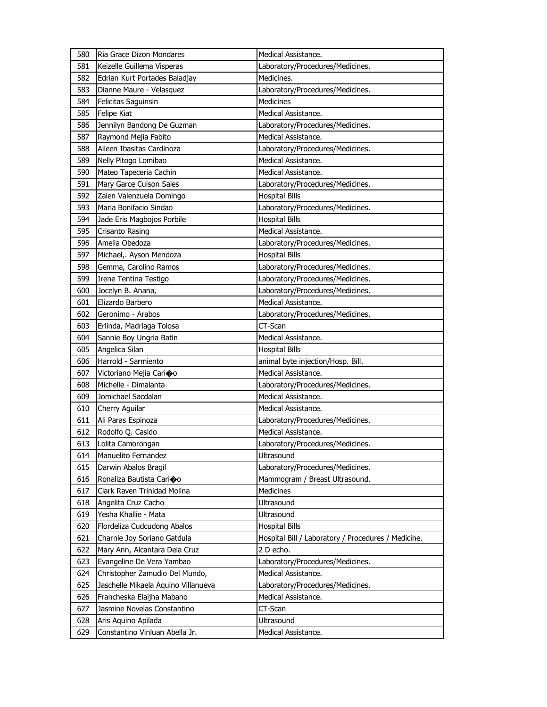| 580 | Ria Grace Dizon Mondares            | Medical Assistance.                                 |
|-----|-------------------------------------|-----------------------------------------------------|
| 581 | Keizelle Guillema Visperas          | Laboratory/Procedures/Medicines.                    |
| 582 | Edrian Kurt Portades Baladjay       | Medicines.                                          |
| 583 | Dianne Maure - Velasquez            | Laboratory/Procedures/Medicines.                    |
| 584 | Felicitas Saguinsin                 | <b>Medicines</b>                                    |
| 585 | Felipe Kiat                         | Medical Assistance.                                 |
| 586 | Jennilyn Bandong De Guzman          | Laboratory/Procedures/Medicines.                    |
| 587 | Raymond Mejia Fabito                | Medical Assistance.                                 |
| 588 | Aileen Ibasitas Cardinoza           | Laboratory/Procedures/Medicines.                    |
| 589 | Nelly Pitogo Lomibao                | Medical Assistance.                                 |
| 590 | Mateo Tapeceria Cachin              | Medical Assistance.                                 |
| 591 | Mary Garce Cuison Sales             | Laboratory/Procedures/Medicines.                    |
| 592 | Zaien Valenzuela Domingo            | <b>Hospital Bills</b>                               |
| 593 | Maria Bonifacio Sindao              | Laboratory/Procedures/Medicines.                    |
| 594 | Jade Eris Magbojos Porbile          | <b>Hospital Bills</b>                               |
| 595 | Crisanto Rasing                     | Medical Assistance.                                 |
| 596 | Amelia Obedoza                      | Laboratory/Procedures/Medicines.                    |
| 597 | Michael,. Ayson Mendoza             | <b>Hospital Bills</b>                               |
| 598 | Gemma, Carolino Ramos               | Laboratory/Procedures/Medicines.                    |
| 599 | Irene Tentina Testigo               | Laboratory/Procedures/Medicines.                    |
| 600 | Jocelyn B. Anana,                   | Laboratory/Procedures/Medicines.                    |
| 601 | Elizardo Barbero                    | Medical Assistance.                                 |
| 602 | Geronimo - Arabos                   | Laboratory/Procedures/Medicines.                    |
| 603 | Erlinda, Madriaga Tolosa            | CT-Scan                                             |
| 604 | Sannie Boy Ungria Batin             | Medical Assistance.                                 |
| 605 | Angelica Silan                      | <b>Hospital Bills</b>                               |
| 606 | Harrold - Sarmiento                 | animal byte injection/Hosp. Bill.                   |
| 607 | Victoriano Mejia Carioo             | Medical Assistance.                                 |
| 608 | Michelle - Dimalanta                | Laboratory/Procedures/Medicines.                    |
| 609 | Jomichael Sacdalan                  | Medical Assistance.                                 |
| 610 | Cherry Aguilar                      | Medical Assistance.                                 |
| 611 | Ali Paras Espinoza                  | Laboratory/Procedures/Medicines.                    |
| 612 | Rodolfo Q. Casido                   | Medical Assistance.                                 |
| 613 | Lolita Camorongan                   | Laboratory/Procedures/Medicines.                    |
| 614 | Manuelito Fernandez                 | Ultrasound                                          |
| 615 | Darwin Abalos Bragil                | Laboratory/Procedures/Medicines.                    |
| 616 | Ronaliza Bautista Carioo            | Mammogram / Breast Ultrasound.                      |
| 617 | Clark Raven Trinidad Molina         | <b>Medicines</b>                                    |
| 618 | Angelita Cruz Cacho                 | Ultrasound                                          |
| 619 | Yesha Khallie - Mata                | Ultrasound                                          |
| 620 | Flordeliza Cudcudong Abalos         | <b>Hospital Bills</b>                               |
| 621 | Charnie Joy Soriano Gatdula         | Hospital Bill / Laboratory / Procedures / Medicine. |
| 622 | Mary Ann, Alcantara Dela Cruz       | 2 D echo.                                           |
| 623 | Evangeline De Vera Yambao           | Laboratory/Procedures/Medicines.                    |
| 624 | Christopher Zamudio Del Mundo,      | Medical Assistance.                                 |
| 625 | Jaschelle Mikaela Aquino Villanueva | Laboratory/Procedures/Medicines.                    |
| 626 | Francheska Elaijha Mabano           | Medical Assistance.                                 |
| 627 | Jasmine Novelas Constantino         | CT-Scan                                             |
| 628 | Aris Aquino Apilada                 | Ultrasound                                          |
| 629 | Constantino Vinluan Abella Jr.      | Medical Assistance.                                 |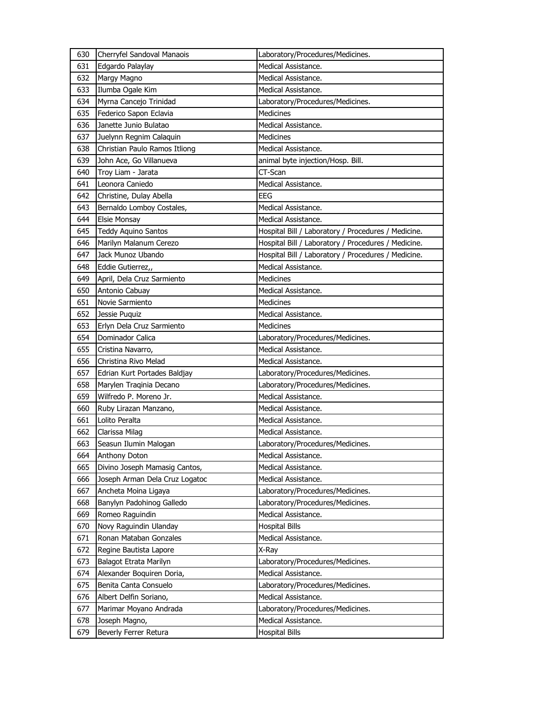| 630 | Cherryfel Sandoval Manaois     | Laboratory/Procedures/Medicines.                    |
|-----|--------------------------------|-----------------------------------------------------|
| 631 | Edgardo Palaylay               | Medical Assistance.                                 |
| 632 | Margy Magno                    | Medical Assistance.                                 |
| 633 | Ilumba Ogale Kim               | Medical Assistance.                                 |
| 634 | Myrna Cancejo Trinidad         | Laboratory/Procedures/Medicines.                    |
| 635 | Federico Sapon Eclavia         | <b>Medicines</b>                                    |
| 636 | Janette Junio Bulatao          | Medical Assistance.                                 |
| 637 | Juelynn Regnim Calaquin        | Medicines                                           |
| 638 | Christian Paulo Ramos Itliong  | Medical Assistance.                                 |
| 639 | John Ace, Go Villanueva        | animal byte injection/Hosp. Bill.                   |
| 640 | Troy Liam - Jarata             | CT-Scan                                             |
| 641 | Leonora Caniedo                | Medical Assistance.                                 |
| 642 | Christine, Dulay Abella        | <b>EEG</b>                                          |
| 643 | Bernaldo Lomboy Costales,      | Medical Assistance.                                 |
| 644 | <b>Elsie Monsay</b>            | Medical Assistance.                                 |
| 645 | <b>Teddy Aquino Santos</b>     | Hospital Bill / Laboratory / Procedures / Medicine. |
| 646 | Marilyn Malanum Cerezo         | Hospital Bill / Laboratory / Procedures / Medicine. |
| 647 | Jack Munoz Ubando              | Hospital Bill / Laboratory / Procedures / Medicine. |
| 648 | Eddie Gutierrez,,              | Medical Assistance.                                 |
| 649 | April, Dela Cruz Sarmiento     | <b>Medicines</b>                                    |
| 650 | Antonio Cabuay                 | Medical Assistance.                                 |
| 651 | Novie Sarmiento                | <b>Medicines</b>                                    |
| 652 | Jessie Puquiz                  | Medical Assistance.                                 |
| 653 | Erlyn Dela Cruz Sarmiento      | Medicines                                           |
| 654 | Dominador Calica               | Laboratory/Procedures/Medicines.                    |
| 655 | Cristina Navarro,              | Medical Assistance.                                 |
| 656 | Christina Rivo Melad           | Medical Assistance.                                 |
| 657 | Edrian Kurt Portades Baldjay   | Laboratory/Procedures/Medicines.                    |
| 658 | Marylen Traqinia Decano        | Laboratory/Procedures/Medicines.                    |
| 659 | Wilfredo P. Moreno Jr.         | Medical Assistance.                                 |
| 660 | Ruby Lirazan Manzano,          | Medical Assistance.                                 |
| 661 | Lolito Peralta                 | Medical Assistance.                                 |
| 662 | Clarissa Milag                 | Medical Assistance.                                 |
| 663 | Seasun Ilumin Malogan          | Laboratory/Procedures/Medicines.                    |
| 664 | Anthony Doton                  | Medical Assistance.                                 |
| 665 | Divino Joseph Mamasig Cantos,  | Medical Assistance.                                 |
| 666 | Joseph Arman Dela Cruz Logatoc | Medical Assistance.                                 |
| 667 | Ancheta Moina Ligaya           | Laboratory/Procedures/Medicines.                    |
| 668 | Banylyn Padohinog Galledo      | Laboratory/Procedures/Medicines.                    |
| 669 | Romeo Raguindin                | Medical Assistance.                                 |
| 670 | Novy Raguindin Ulanday         | <b>Hospital Bills</b>                               |
| 671 | Ronan Mataban Gonzales         | Medical Assistance.                                 |
| 672 | Regine Bautista Lapore         | X-Ray                                               |
| 673 | Balagot Etrata Marilyn         | Laboratory/Procedures/Medicines.                    |
| 674 | Alexander Boquiren Doria,      | Medical Assistance.                                 |
| 675 | Benita Canta Consuelo          | Laboratory/Procedures/Medicines.                    |
| 676 | Albert Delfin Soriano,         | Medical Assistance.                                 |
| 677 | Marimar Moyano Andrada         | Laboratory/Procedures/Medicines.                    |
| 678 | Joseph Magno,                  | Medical Assistance.                                 |
| 679 | Beverly Ferrer Retura          | <b>Hospital Bills</b>                               |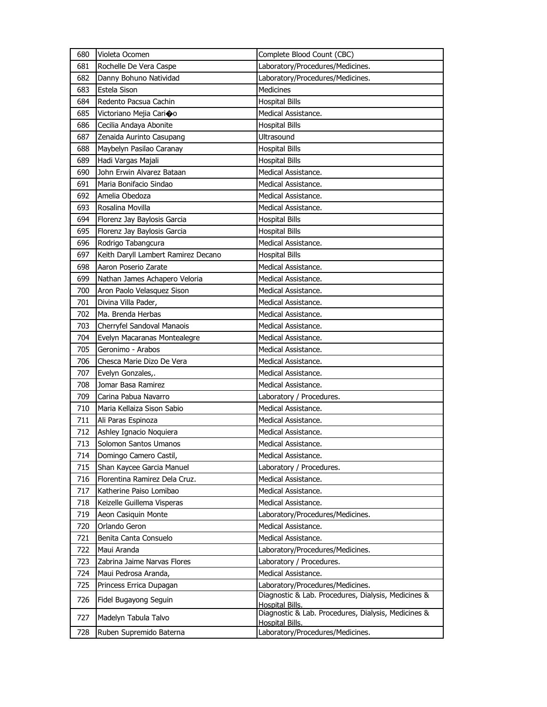| 680 | Violeta Ocomen                      | Complete Blood Count (CBC)                                                    |
|-----|-------------------------------------|-------------------------------------------------------------------------------|
| 681 | Rochelle De Vera Caspe              | Laboratory/Procedures/Medicines.                                              |
| 682 | Danny Bohuno Natividad              | Laboratory/Procedures/Medicines.                                              |
| 683 | Estela Sison                        | <b>Medicines</b>                                                              |
| 684 | Redento Pacsua Cachin               | <b>Hospital Bills</b>                                                         |
| 685 | Victoriano Mejia Cari�o             | Medical Assistance.                                                           |
| 686 | Cecilia Andaya Abonite              | <b>Hospital Bills</b>                                                         |
| 687 | Zenaida Aurinto Casupang            | Ultrasound                                                                    |
| 688 | Maybelyn Pasilao Caranay            | <b>Hospital Bills</b>                                                         |
| 689 | Hadi Vargas Majali                  | <b>Hospital Bills</b>                                                         |
| 690 | John Erwin Alvarez Bataan           | Medical Assistance.                                                           |
| 691 | Maria Bonifacio Sindao              | Medical Assistance.                                                           |
| 692 | Amelia Obedoza                      | Medical Assistance.                                                           |
| 693 | Rosalina Movilla                    | Medical Assistance.                                                           |
| 694 | Florenz Jay Baylosis Garcia         | <b>Hospital Bills</b>                                                         |
| 695 | Florenz Jay Baylosis Garcia         | <b>Hospital Bills</b>                                                         |
| 696 | Rodrigo Tabangcura                  | Medical Assistance.                                                           |
| 697 | Keith Daryll Lambert Ramirez Decano | <b>Hospital Bills</b>                                                         |
| 698 | Aaron Poserio Zarate                | Medical Assistance.                                                           |
| 699 | Nathan James Achapero Veloria       | Medical Assistance.                                                           |
| 700 | Aron Paolo Velasquez Sison          | Medical Assistance.                                                           |
| 701 | Divina Villa Pader,                 | Medical Assistance.                                                           |
| 702 | Ma. Brenda Herbas                   | Medical Assistance.                                                           |
| 703 | Cherryfel Sandoval Manaois          | Medical Assistance.                                                           |
| 704 | Evelyn Macaranas Montealegre        | Medical Assistance.                                                           |
| 705 | Geronimo - Arabos                   | Medical Assistance.                                                           |
| 706 | Chesca Marie Dizo De Vera           | Medical Assistance.                                                           |
| 707 | Evelyn Gonzales,.                   | Medical Assistance.                                                           |
| 708 | Jomar Basa Ramirez                  | Medical Assistance.                                                           |
| 709 | Carina Pabua Navarro                | Laboratory / Procedures.                                                      |
| 710 | Maria Kellaiza Sison Sabio          | Medical Assistance.                                                           |
| 711 | Ali Paras Espinoza                  | Medical Assistance.                                                           |
| 712 | Ashley Ignacio Noquiera             | Medical Assistance.                                                           |
| 713 | Solomon Santos Umanos               | Medical Assistance.                                                           |
| 714 | Domingo Camero Castil,              | Medical Assistance.                                                           |
| 715 | Shan Kaycee Garcia Manuel           | Laboratory / Procedures.                                                      |
| 716 | Florentina Ramirez Dela Cruz.       | Medical Assistance.                                                           |
| 717 | Katherine Paiso Lomibao             | Medical Assistance.                                                           |
| 718 | Keizelle Guillema Visperas          | Medical Assistance.                                                           |
| 719 | Aeon Casiquin Monte                 | Laboratory/Procedures/Medicines.                                              |
| 720 | Orlando Geron                       | Medical Assistance.                                                           |
| 721 | Benita Canta Consuelo               | Medical Assistance.                                                           |
| 722 | Maui Aranda                         | Laboratory/Procedures/Medicines.                                              |
| 723 | Zabrina Jaime Narvas Flores         | Laboratory / Procedures.                                                      |
| 724 | Maui Pedrosa Aranda,                | Medical Assistance.                                                           |
| 725 | Princess Errica Dupagan             | Laboratory/Procedures/Medicines.                                              |
| 726 | Fidel Bugayong Seguin               | Diagnostic & Lab. Procedures, Dialysis, Medicines &<br><b>Hospital Bills.</b> |
| 727 | Madelyn Tabula Talvo                | Diagnostic & Lab. Procedures, Dialysis, Medicines &<br><b>Hospital Bills.</b> |
| 728 | Ruben Supremido Baterna             | Laboratory/Procedures/Medicines.                                              |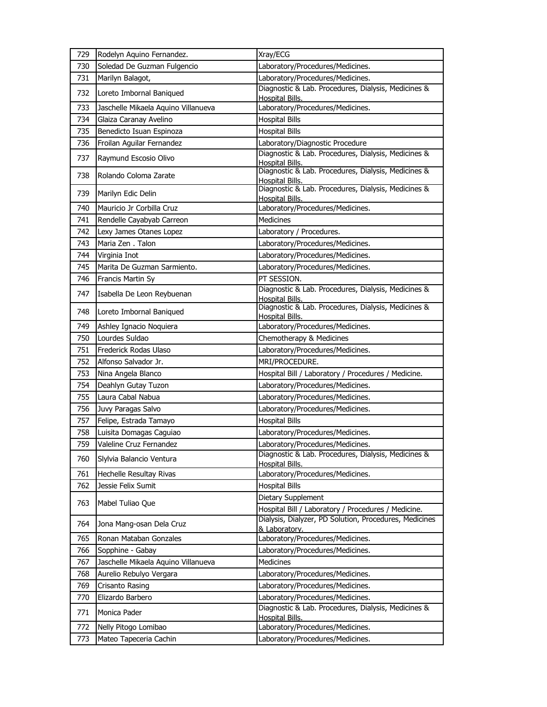| 729 | Rodelyn Aquino Fernandez.           | Xray/ECG                                                                      |
|-----|-------------------------------------|-------------------------------------------------------------------------------|
| 730 | Soledad De Guzman Fulgencio         | Laboratory/Procedures/Medicines.                                              |
| 731 | Marilyn Balagot,                    | Laboratory/Procedures/Medicines.                                              |
| 732 | Loreto Imbornal Baniqued            | Diagnostic & Lab. Procedures, Dialysis, Medicines &<br>Hospital Bills.        |
| 733 | Jaschelle Mikaela Aquino Villanueva | Laboratory/Procedures/Medicines.                                              |
| 734 | Glaiza Caranay Avelino              | <b>Hospital Bills</b>                                                         |
| 735 | Benedicto Isuan Espinoza            | <b>Hospital Bills</b>                                                         |
| 736 | Froilan Aguilar Fernandez           | Laboratory/Diagnostic Procedure                                               |
| 737 | Raymund Escosio Olivo               | Diagnostic & Lab. Procedures, Dialysis, Medicines &<br>Hospital Bills.        |
| 738 | Rolando Coloma Zarate               | Diagnostic & Lab. Procedures, Dialysis, Medicines &<br>Hospital Bills.        |
| 739 | Marilyn Edic Delin                  | Diagnostic & Lab. Procedures, Dialysis, Medicines &<br><b>Hospital Bills.</b> |
| 740 | Mauricio Jr Corbilla Cruz           | Laboratory/Procedures/Medicines.                                              |
| 741 | Rendelle Cayabyab Carreon           | <b>Medicines</b>                                                              |
| 742 | Lexy James Otanes Lopez             | Laboratory / Procedures.                                                      |
| 743 | Maria Zen, Talon                    | Laboratory/Procedures/Medicines.                                              |
| 744 | Virginia Inot                       | Laboratory/Procedures/Medicines.                                              |
| 745 | Marita De Guzman Sarmiento.         | Laboratory/Procedures/Medicines.                                              |
| 746 | Francis Martin Sy                   | PT SESSION.                                                                   |
| 747 | Isabella De Leon Reybuenan          | Diagnostic & Lab. Procedures, Dialysis, Medicines &<br>Hospital Bills.        |
| 748 | Loreto Imbornal Baniqued            | Diagnostic & Lab. Procedures, Dialysis, Medicines &<br><b>Hospital Bills.</b> |
| 749 | Ashley Ignacio Noquiera             | Laboratory/Procedures/Medicines.                                              |
| 750 | Lourdes Suldao                      | Chemotherapy & Medicines                                                      |
| 751 | Frederick Rodas Ulaso               | Laboratory/Procedures/Medicines.                                              |
| 752 | Alfonso Salvador Jr.                | MRI/PROCEDURE.                                                                |
| 753 | Nina Angela Blanco                  | Hospital Bill / Laboratory / Procedures / Medicine.                           |
| 754 | Deahlyn Gutay Tuzon                 | Laboratory/Procedures/Medicines.                                              |
| 755 | Laura Cabal Nabua                   | Laboratory/Procedures/Medicines.                                              |
| 756 | Juvy Paragas Salvo                  | Laboratory/Procedures/Medicines.                                              |
| 757 | Felipe, Estrada Tamayo              | <b>Hospital Bills</b>                                                         |
| 758 | Luisita Domagas Caguiao             | Laboratory/Procedures/Medicines.                                              |
| 759 | Valeline Cruz Fernandez             | Laboratory/Procedures/Medicines.                                              |
| 760 | Slylvia Balancio Ventura            | Diagnostic & Lab. Procedures, Dialysis, Medicines &<br><b>Hospital Bills</b>  |
| 761 | Hechelle Resultay Rivas             | Laboratory/Procedures/Medicines.                                              |
| 762 | Jessie Felix Sumit                  | <b>Hospital Bills</b>                                                         |
| 763 | Mabel Tuliao Que                    | Dietary Supplement<br>Hospital Bill / Laboratory / Procedures / Medicine.     |
| 764 | Jona Mang-osan Dela Cruz            | Dialysis, Dialyzer, PD Solution, Procedures, Medicines<br>& Laboratory.       |
| 765 | Ronan Mataban Gonzales              | Laboratory/Procedures/Medicines.                                              |
| 766 | Sopphine - Gabay                    | Laboratory/Procedures/Medicines.                                              |
| 767 | Jaschelle Mikaela Aquino Villanueva | <b>Medicines</b>                                                              |
| 768 | Aurelio Rebulyo Vergara             | Laboratory/Procedures/Medicines.                                              |
| 769 | Crisanto Rasing                     | Laboratory/Procedures/Medicines.                                              |
| 770 | Elizardo Barbero                    | Laboratory/Procedures/Medicines.                                              |
| 771 | Monica Pader                        | Diagnostic & Lab. Procedures, Dialysis, Medicines &                           |
|     |                                     | <b>Hospital Bills.</b>                                                        |
| 772 | Nelly Pitogo Lomibao                | Laboratory/Procedures/Medicines.                                              |
| 773 | Mateo Tapeceria Cachin              | Laboratory/Procedures/Medicines.                                              |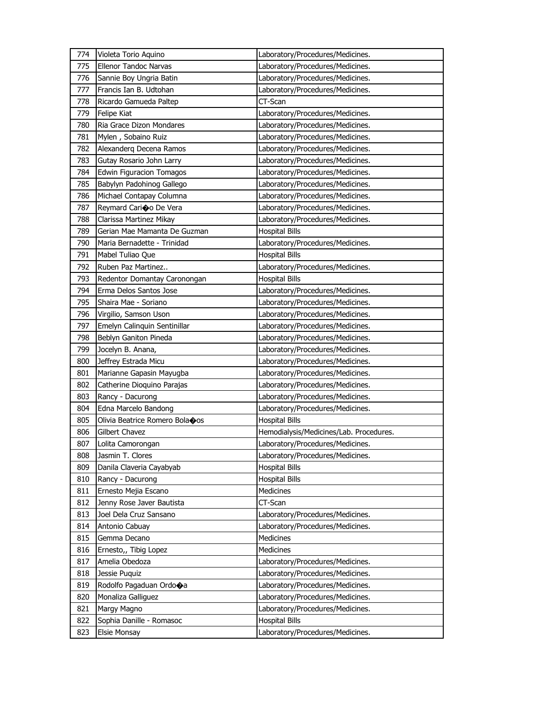| 774 |                                      |                                         |
|-----|--------------------------------------|-----------------------------------------|
|     | Violeta Torio Aquino                 | Laboratory/Procedures/Medicines.        |
| 775 | <b>Ellenor Tandoc Narvas</b>         | Laboratory/Procedures/Medicines.        |
| 776 | Sannie Boy Ungria Batin              | Laboratory/Procedures/Medicines.        |
| 777 | Francis Ian B. Udtohan               | Laboratory/Procedures/Medicines.        |
| 778 | Ricardo Gamueda Paltep               | CT-Scan                                 |
| 779 | <b>Felipe Kiat</b>                   | Laboratory/Procedures/Medicines.        |
| 780 | Ria Grace Dizon Mondares             | Laboratory/Procedures/Medicines.        |
| 781 | Mylen, Sobaino Ruiz                  | Laboratory/Procedures/Medicines.        |
| 782 | Alexanderg Decena Ramos              | Laboratory/Procedures/Medicines.        |
| 783 | Gutay Rosario John Larry             | Laboratory/Procedures/Medicines.        |
| 784 | Edwin Figuracion Tomagos             | Laboratory/Procedures/Medicines.        |
| 785 | Babylyn Padohinog Gallego            | Laboratory/Procedures/Medicines.        |
| 786 | Michael Contapay Columna             | Laboratory/Procedures/Medicines.        |
| 787 | Reymard Cari�o De Vera               | Laboratory/Procedures/Medicines.        |
| 788 | Clarissa Martinez Mikay              | Laboratory/Procedures/Medicines.        |
| 789 | Gerian Mae Mamanta De Guzman         | <b>Hospital Bills</b>                   |
| 790 | Maria Bernadette - Trinidad          | Laboratory/Procedures/Medicines.        |
| 791 | Mabel Tuliao Que                     | <b>Hospital Bills</b>                   |
| 792 | Ruben Paz Martinez                   | Laboratory/Procedures/Medicines.        |
| 793 | Redentor Domantay Caronongan         | <b>Hospital Bills</b>                   |
| 794 | Erma Delos Santos Jose               | Laboratory/Procedures/Medicines.        |
| 795 | Shaira Mae - Soriano                 | Laboratory/Procedures/Medicines.        |
| 796 | Virgilio, Samson Uson                | Laboratory/Procedures/Medicines.        |
| 797 | Emelyn Calinquin Sentinillar         | Laboratory/Procedures/Medicines.        |
| 798 | Beblyn Ganiton Pineda                | Laboratory/Procedures/Medicines.        |
| 799 | Jocelyn B. Anana,                    | Laboratory/Procedures/Medicines.        |
| 800 | Jeffrey Estrada Micu                 | Laboratory/Procedures/Medicines.        |
| 801 | Marianne Gapasin Mayugba             | Laboratory/Procedures/Medicines.        |
|     |                                      |                                         |
| 802 | Catherine Dioquino Parajas           | Laboratory/Procedures/Medicines.        |
| 803 | Rancy - Dacurong                     | Laboratory/Procedures/Medicines.        |
| 804 | Edna Marcelo Bandong                 | Laboratory/Procedures/Medicines.        |
| 805 | Olivia Beatrice Romero Bolaoos       | <b>Hospital Bills</b>                   |
| 806 | Gilbert Chavez                       | Hemodialysis/Medicines/Lab. Procedures. |
| 807 | Lolita Camorongan                    | Laboratory/Procedures/Medicines.        |
| 808 | Jasmin T. Clores                     | Laboratory/Procedures/Medicines.        |
| 809 | Danila Claveria Cayabyab             | <b>Hospital Bills</b>                   |
| 810 | Rancy - Dacurong                     | <b>Hospital Bills</b>                   |
| 811 | Ernesto Mejia Escano                 | Medicines                               |
| 812 | Jenny Rose Javer Bautista            | CT-Scan                                 |
| 813 | Joel Dela Cruz Sansano               | Laboratory/Procedures/Medicines.        |
| 814 | Antonio Cabuay                       | Laboratory/Procedures/Medicines.        |
| 815 | Gemma Decano                         | Medicines                               |
| 816 | Ernesto,, Tibig Lopez                | Medicines                               |
| 817 | Amelia Obedoza                       | Laboratory/Procedures/Medicines.        |
| 818 | Jessie Puquiz                        | Laboratory/Procedures/Medicines.        |
| 819 | Rodolfo Pagaduan Ordo $\spadesuit$ a | Laboratory/Procedures/Medicines.        |
| 820 | Monaliza Galliguez                   | Laboratory/Procedures/Medicines.        |
| 821 | Margy Magno                          | Laboratory/Procedures/Medicines.        |
| 822 | Sophia Danille - Romasoc             | <b>Hospital Bills</b>                   |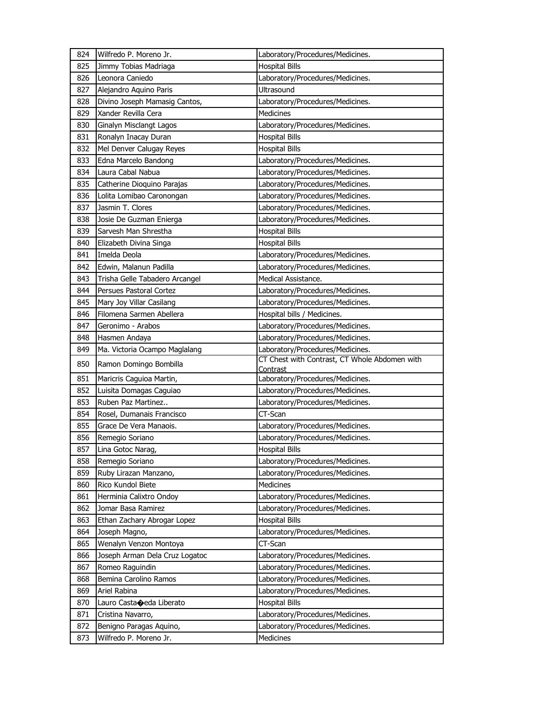| 824        | Wilfredo P. Moreno Jr.                            | Laboratory/Procedures/Medicines.              |
|------------|---------------------------------------------------|-----------------------------------------------|
| 825        | Jimmy Tobias Madriaga                             | <b>Hospital Bills</b>                         |
| 826        | Leonora Caniedo                                   | Laboratory/Procedures/Medicines.              |
| 827        | Alejandro Aquino Paris                            | Ultrasound                                    |
| 828        | Divino Joseph Mamasig Cantos,                     | Laboratory/Procedures/Medicines.              |
| 829        | Xander Revilla Cera                               | Medicines                                     |
| 830        | Ginalyn Misclangt Lagos                           | Laboratory/Procedures/Medicines.              |
| 831        | Ronalyn Inacay Duran                              | <b>Hospital Bills</b>                         |
| 832        | Mel Denver Calugay Reyes                          | <b>Hospital Bills</b>                         |
| 833        | Edna Marcelo Bandong                              | Laboratory/Procedures/Medicines.              |
| 834        | Laura Cabal Nabua                                 | Laboratory/Procedures/Medicines.              |
| 835        | Catherine Dioquino Parajas                        | Laboratory/Procedures/Medicines.              |
| 836        | Lolita Lomibao Caronongan                         | Laboratory/Procedures/Medicines.              |
| 837        | Jasmin T. Clores                                  | Laboratory/Procedures/Medicines.              |
| 838        | Josie De Guzman Enierga                           | Laboratory/Procedures/Medicines.              |
| 839        | Sarvesh Man Shrestha                              | <b>Hospital Bills</b>                         |
| 840        | Elizabeth Divina Singa                            | <b>Hospital Bills</b>                         |
| 841        | Imelda Deola                                      | Laboratory/Procedures/Medicines.              |
| 842        | Edwin, Malanun Padilla                            | Laboratory/Procedures/Medicines.              |
| 843        | Trisha Gelle Tabadero Arcangel                    | Medical Assistance.                           |
| 844        | Persues Pastoral Cortez                           | Laboratory/Procedures/Medicines.              |
| 845        | Mary Joy Villar Casilang                          | Laboratory/Procedures/Medicines.              |
| 846        | Filomena Sarmen Abellera                          | Hospital bills / Medicines.                   |
| 847        | Geronimo - Arabos                                 | Laboratory/Procedures/Medicines.              |
| 848        | Hasmen Andaya                                     | Laboratory/Procedures/Medicines.              |
| 849        | Ma. Victoria Ocampo Maglalang                     | Laboratory/Procedures/Medicines.              |
| 850        | Ramon Domingo Bombilla                            | CT Chest with Contrast, CT Whole Abdomen with |
|            |                                                   |                                               |
|            |                                                   | Contrast                                      |
| 851        | Maricris Caguioa Martin,                          | Laboratory/Procedures/Medicines.              |
| 852        | Luisita Domagas Caguiao                           | Laboratory/Procedures/Medicines.              |
| 853        | Ruben Paz Martinez                                | Laboratory/Procedures/Medicines.              |
| 854        | Rosel, Dumanais Francisco                         | CT-Scan                                       |
| 855        | Grace De Vera Manaois.                            | Laboratory/Procedures/Medicines.              |
| 856        | Remegio Soriano                                   | Laboratory/Procedures/Medicines.              |
| 857        | Lina Gotoc Narag,                                 | <b>Hospital Bills</b>                         |
| 858        | Remegio Soriano                                   | Laboratory/Procedures/Medicines.              |
| 859        | Ruby Lirazan Manzano,                             | Laboratory/Procedures/Medicines.              |
| 860        | Rico Kundol Biete                                 | Medicines                                     |
| 861        | Herminia Calixtro Ondoy                           | Laboratory/Procedures/Medicines.              |
| 862        | Jomar Basa Ramirez                                | Laboratory/Procedures/Medicines.              |
| 863        | Ethan Zachary Abrogar Lopez                       | <b>Hospital Bills</b>                         |
| 864        | Joseph Magno,                                     | Laboratory/Procedures/Medicines.              |
| 865        | Wenalyn Venzon Montoya                            | CT-Scan                                       |
| 866        | Joseph Arman Dela Cruz Logatoc                    | Laboratory/Procedures/Medicines.              |
| 867        | Romeo Raguindin                                   | Laboratory/Procedures/Medicines.              |
| 868        | Bemina Carolino Ramos                             | Laboratory/Procedures/Medicines.              |
| 869        | Ariel Rabina                                      | Laboratory/Procedures/Medicines.              |
| 870        | Lauro Castao eda Liberato                         | <b>Hospital Bills</b>                         |
| 871        | Cristina Navarro,                                 | Laboratory/Procedures/Medicines.              |
| 872<br>873 | Benigno Paragas Aquino,<br>Wilfredo P. Moreno Jr. | Laboratory/Procedures/Medicines.<br>Medicines |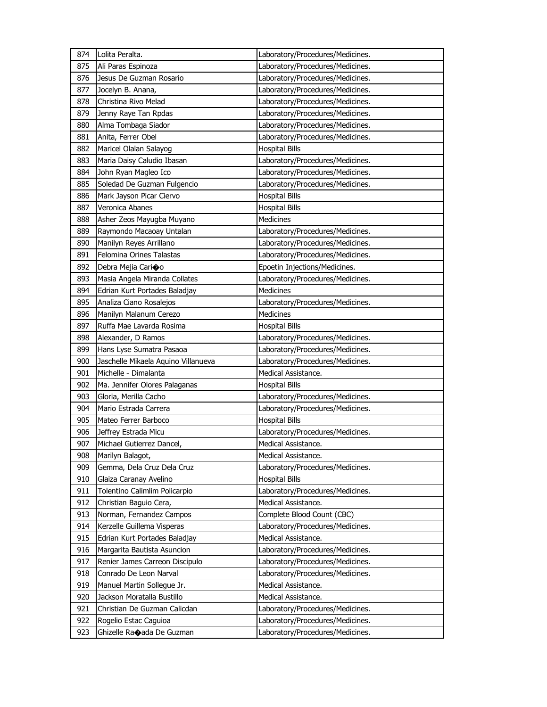| 874 | Lolita Peralta.                     | Laboratory/Procedures/Medicines. |
|-----|-------------------------------------|----------------------------------|
| 875 | Ali Paras Espinoza                  | Laboratory/Procedures/Medicines. |
| 876 | Jesus De Guzman Rosario             | Laboratory/Procedures/Medicines. |
| 877 | Jocelyn B. Anana,                   | Laboratory/Procedures/Medicines. |
| 878 | Christina Rivo Melad                | Laboratory/Procedures/Medicines. |
| 879 | Jenny Raye Tan Rpdas                | Laboratory/Procedures/Medicines. |
| 880 | Alma Tombaga Siador                 | Laboratory/Procedures/Medicines. |
| 881 | Anita, Ferrer Obel                  | Laboratory/Procedures/Medicines. |
| 882 | Maricel Olalan Salayog              | <b>Hospital Bills</b>            |
| 883 | Maria Daisy Caludio Ibasan          | Laboratory/Procedures/Medicines. |
| 884 | John Ryan Magleo Ico                | Laboratory/Procedures/Medicines. |
| 885 | Soledad De Guzman Fulgencio         | Laboratory/Procedures/Medicines. |
| 886 | Mark Jayson Picar Ciervo            | <b>Hospital Bills</b>            |
| 887 | Veronica Abanes                     | <b>Hospital Bills</b>            |
| 888 | Asher Zeos Mayugba Muyano           | Medicines                        |
| 889 | Raymondo Macaoay Untalan            | Laboratory/Procedures/Medicines. |
| 890 | Manilyn Reyes Arrillano             | Laboratory/Procedures/Medicines. |
| 891 | Felomina Orines Talastas            | Laboratory/Procedures/Medicines. |
| 892 | Debra Mejia Carioo                  | Epoetin Injections/Medicines.    |
| 893 | Masia Angela Miranda Collates       | Laboratory/Procedures/Medicines. |
| 894 | Edrian Kurt Portades Baladjay       | <b>Medicines</b>                 |
| 895 | Analiza Ciano Rosalejos             | Laboratory/Procedures/Medicines. |
| 896 | Manilyn Malanum Cerezo              | Medicines                        |
| 897 | Ruffa Mae Lavarda Rosima            | <b>Hospital Bills</b>            |
| 898 | Alexander, D Ramos                  | Laboratory/Procedures/Medicines. |
|     |                                     |                                  |
| 899 | Hans Lyse Sumatra Pasaoa            | Laboratory/Procedures/Medicines. |
| 900 | Jaschelle Mikaela Aquino Villanueva | Laboratory/Procedures/Medicines. |
| 901 | Michelle - Dimalanta                | Medical Assistance.              |
| 902 | Ma. Jennifer Olores Palaganas       | <b>Hospital Bills</b>            |
| 903 | Gloria, Merilla Cacho               | Laboratory/Procedures/Medicines. |
| 904 | Mario Estrada Carrera               | Laboratory/Procedures/Medicines. |
| 905 | Mateo Ferrer Barboco                | <b>Hospital Bills</b>            |
| 906 | Jeffrey Estrada Micu                | Laboratory/Procedures/Medicines. |
| 907 | Michael Gutierrez Dancel,           | Medical Assistance.              |
| 908 | Marilyn Balagot,                    | Medical Assistance.              |
| 909 | Gemma, Dela Cruz Dela Cruz          | Laboratory/Procedures/Medicines. |
| 910 | Glaiza Caranay Avelino              | <b>Hospital Bills</b>            |
| 911 | Tolentino Calimlim Policarpio       | Laboratory/Procedures/Medicines. |
| 912 | Christian Baguio Cera,              | Medical Assistance.              |
| 913 | Norman, Fernandez Campos            | Complete Blood Count (CBC)       |
| 914 | Kerzelle Guillema Visperas          | Laboratory/Procedures/Medicines. |
| 915 | Edrian Kurt Portades Baladjay       | Medical Assistance.              |
| 916 | Margarita Bautista Asuncion         | Laboratory/Procedures/Medicines. |
| 917 | Renier James Carreon Discipulo      | Laboratory/Procedures/Medicines. |
| 918 | Conrado De Leon Narval              | Laboratory/Procedures/Medicines. |
| 919 | Manuel Martin Sollegue Jr.          | Medical Assistance.              |
| 920 | Jackson Moratalla Bustillo          | Medical Assistance.              |
| 921 | Christian De Guzman Calicdan        | Laboratory/Procedures/Medicines. |
| 922 | Rogelio Estac Caguioa               | Laboratory/Procedures/Medicines. |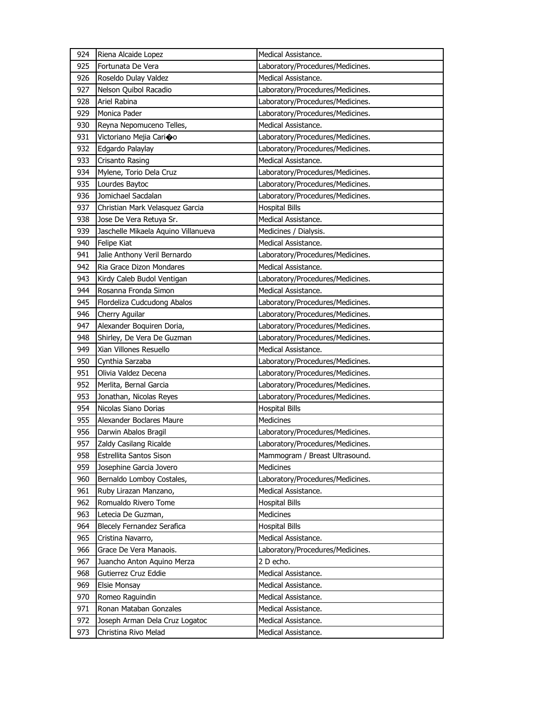| 924 | Riena Alcaide Lopez                 | Medical Assistance.              |
|-----|-------------------------------------|----------------------------------|
| 925 | Fortunata De Vera                   | Laboratory/Procedures/Medicines. |
| 926 | Roseldo Dulay Valdez                | Medical Assistance.              |
| 927 | Nelson Quibol Racadio               | Laboratory/Procedures/Medicines. |
| 928 | Ariel Rabina                        | Laboratory/Procedures/Medicines. |
| 929 | Monica Pader                        | Laboratory/Procedures/Medicines. |
| 930 | Reyna Nepomuceno Telles,            | Medical Assistance.              |
| 931 | Victoriano Mejia Carioo             | Laboratory/Procedures/Medicines. |
| 932 | Edgardo Palaylay                    | Laboratory/Procedures/Medicines. |
| 933 | Crisanto Rasing                     | Medical Assistance.              |
| 934 | Mylene, Torio Dela Cruz             | Laboratory/Procedures/Medicines. |
| 935 | Lourdes Baytoc                      | Laboratory/Procedures/Medicines. |
| 936 | Jomichael Sacdalan                  | Laboratory/Procedures/Medicines. |
| 937 | Christian Mark Velasquez Garcia     | <b>Hospital Bills</b>            |
| 938 | Jose De Vera Retuya Sr.             | Medical Assistance.              |
| 939 | Jaschelle Mikaela Aquino Villanueva | Medicines / Dialysis.            |
| 940 | Felipe Kiat                         | Medical Assistance.              |
| 941 | Jalie Anthony Veril Bernardo        | Laboratory/Procedures/Medicines. |
| 942 | Ria Grace Dizon Mondares            | Medical Assistance.              |
| 943 | Kirdy Caleb Budol Ventigan          | Laboratory/Procedures/Medicines. |
| 944 | Rosanna Fronda Simon                | Medical Assistance.              |
| 945 | Flordeliza Cudcudong Abalos         | Laboratory/Procedures/Medicines. |
| 946 | Cherry Aguilar                      | Laboratory/Procedures/Medicines. |
| 947 | Alexander Boquiren Doria,           | Laboratory/Procedures/Medicines. |
| 948 | Shirley, De Vera De Guzman          | Laboratory/Procedures/Medicines. |
| 949 | Xian Villones Resuello              | Medical Assistance.              |
| 950 | Cynthia Sarzaba                     | Laboratory/Procedures/Medicines. |
| 951 | Olivia Valdez Decena                | Laboratory/Procedures/Medicines. |
| 952 | Merlita, Bernal Garcia              | Laboratory/Procedures/Medicines. |
| 953 | Jonathan, Nicolas Reyes             | Laboratory/Procedures/Medicines. |
| 954 | Nicolas Siano Dorias                | <b>Hospital Bills</b>            |
| 955 | Alexander Boclares Maure            | <b>Medicines</b>                 |
| 956 | Darwin Abalos Bragil                | Laboratory/Procedures/Medicines. |
| 957 | Zaldy Casilang Ricalde              | Laboratory/Procedures/Medicines. |
| 958 | <b>Estrellita Santos Sison</b>      | Mammogram / Breast Ultrasound.   |
| 959 | Josephine Garcia Jovero             | Medicines                        |
| 960 | Bernaldo Lomboy Costales,           | Laboratory/Procedures/Medicines. |
| 961 | Ruby Lirazan Manzano,               | Medical Assistance.              |
| 962 | Romualdo Rivero Tome                | <b>Hospital Bills</b>            |
| 963 | Letecia De Guzman,                  | Medicines                        |
| 964 | Blecely Fernandez Serafica          | <b>Hospital Bills</b>            |
| 965 | Cristina Navarro,                   | Medical Assistance.              |
| 966 | Grace De Vera Manaois.              | Laboratory/Procedures/Medicines. |
| 967 | Juancho Anton Aquino Merza          | 2 D echo.                        |
| 968 | Gutierrez Cruz Eddie                | Medical Assistance.              |
| 969 | <b>Elsie Monsay</b>                 | Medical Assistance.              |
| 970 | Romeo Raguindin                     | Medical Assistance.              |
| 971 | Ronan Mataban Gonzales              | Medical Assistance.              |
| 972 | Joseph Arman Dela Cruz Logatoc      | Medical Assistance.              |
| 973 | Christina Rivo Melad                | Medical Assistance.              |